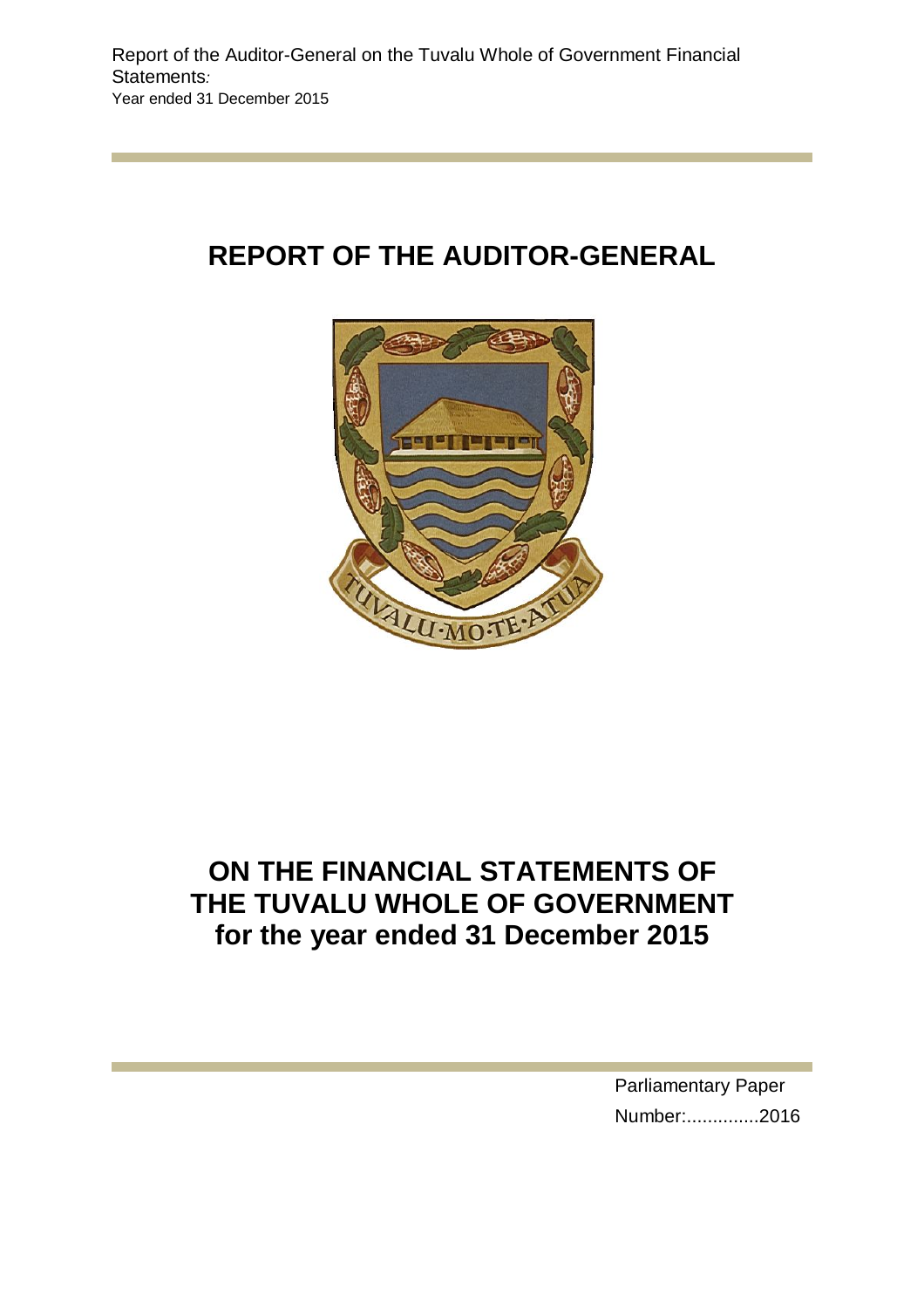# **REPORT OF THE AUDITOR-GENERAL**



# **ON THE FINANCIAL STATEMENTS OF THE TUVALU WHOLE OF GOVERNMENT for the year ended 31 December 2015**

Parliamentary Paper Number:..............2016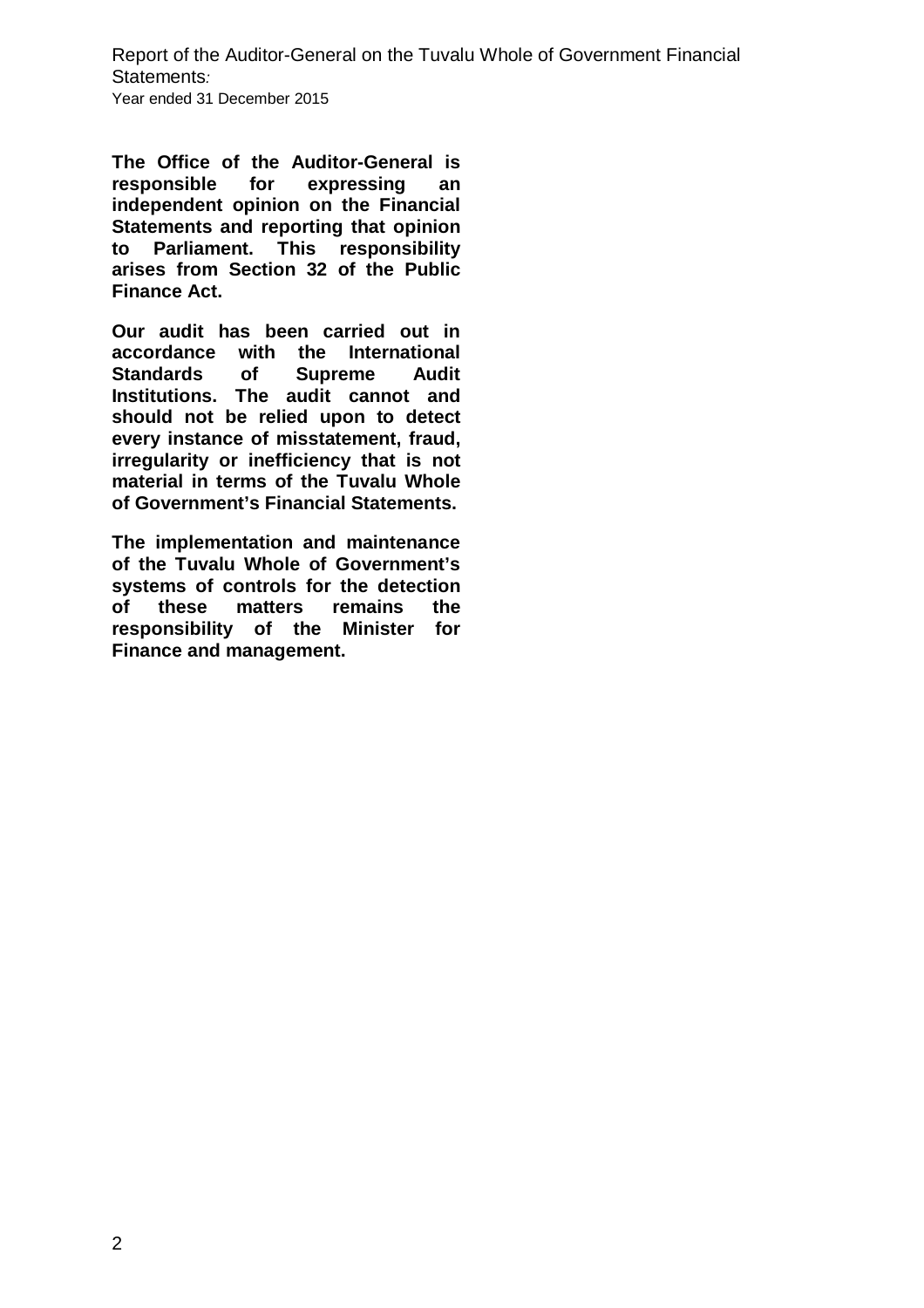**The Office of the Auditor-General is responsible for expressing an independent opinion on the Financial Statements and reporting that opinion to Parliament. This responsibility arises from Section 32 of the Public Finance Act.**

**Our audit has been carried out in accordance with the International Standards of Supreme Audit Institutions. The audit cannot and should not be relied upon to detect every instance of misstatement, fraud, irregularity or inefficiency that is not material in terms of the Tuvalu Whole of Government's Financial Statements.**

**The implementation and maintenance of the Tuvalu Whole of Government's systems of controls for the detection of these matters remains the responsibility of the Minister for Finance and management.**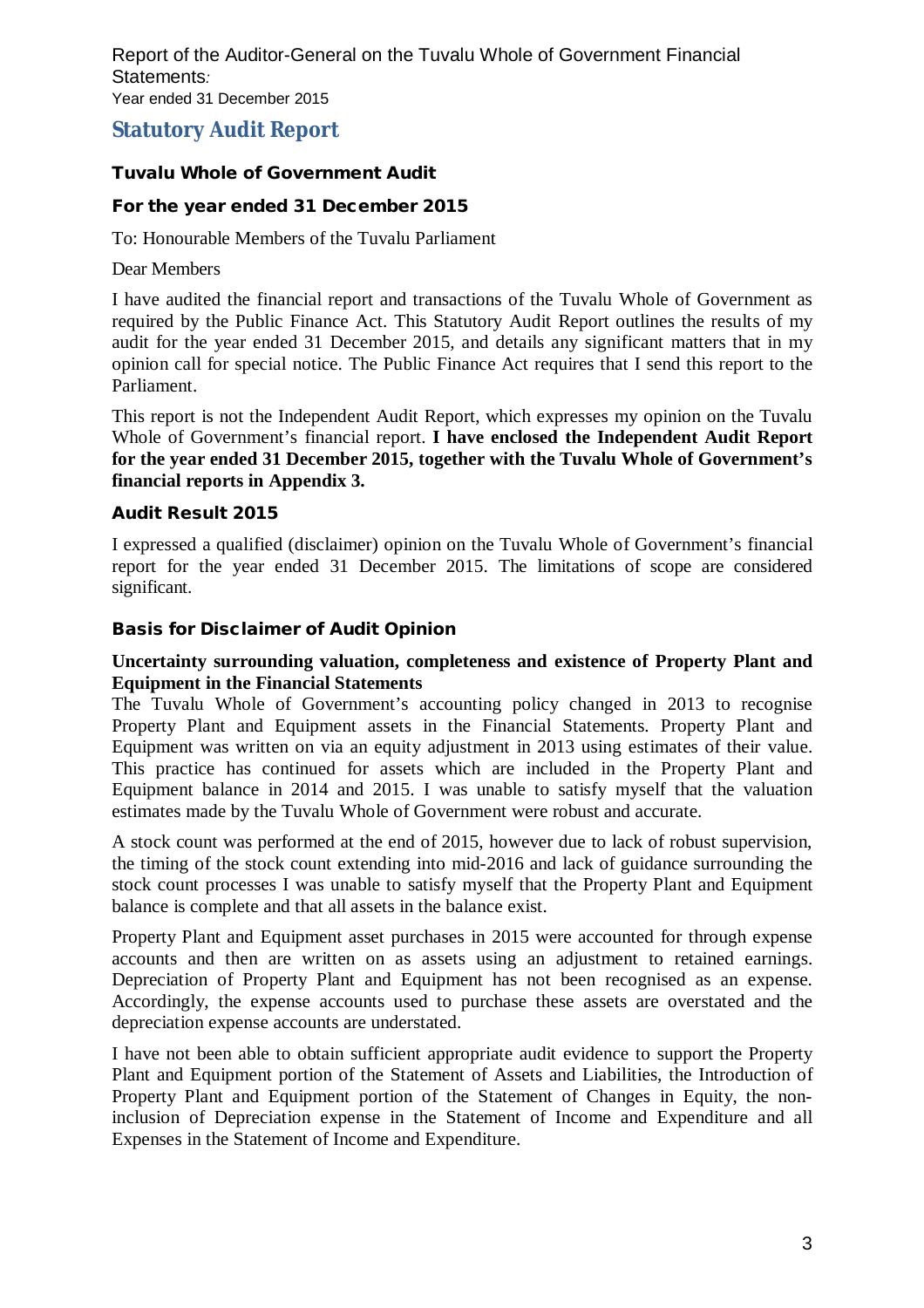# **Statutory Audit Report**

# **Tuvalu Whole of Government Audit**

# **For the year ended 31 December 2015**

To: Honourable Members of the Tuvalu Parliament

Dear Members

I have audited the financial report and transactions of the Tuvalu Whole of Government as required by the Public Finance Act. This Statutory Audit Report outlines the results of my audit for the year ended 31 December 2015, and details any significant matters that in my opinion call for special notice. The Public Finance Act requires that I send this report to the Parliament.

This report is not the Independent Audit Report, which expresses my opinion on the Tuvalu Whole of Government's financial report. **I have enclosed the Independent Audit Report for the year ended 31 December 2015, together with the Tuvalu Whole of Government's financial reports in Appendix 3.**

# **Audit Result 2015**

I expressed a qualified (disclaimer) opinion on the Tuvalu Whole of Government's financial report for the year ended 31 December 2015. The limitations of scope are considered significant.

# **Basis for Disclaimer of Audit Opinion**

# **Uncertainty surrounding valuation, completeness and existence of Property Plant and Equipment in the Financial Statements**

The Tuvalu Whole of Government's accounting policy changed in 2013 to recognise Property Plant and Equipment assets in the Financial Statements. Property Plant and Equipment was written on via an equity adjustment in 2013 using estimates of their value. This practice has continued for assets which are included in the Property Plant and Equipment balance in 2014 and 2015. I was unable to satisfy myself that the valuation estimates made by the Tuvalu Whole of Government were robust and accurate.

A stock count was performed at the end of 2015, however due to lack of robust supervision, the timing of the stock count extending into mid-2016 and lack of guidance surrounding the stock count processes I was unable to satisfy myself that the Property Plant and Equipment balance is complete and that all assets in the balance exist.

Property Plant and Equipment asset purchases in 2015 were accounted for through expense accounts and then are written on as assets using an adjustment to retained earnings. Depreciation of Property Plant and Equipment has not been recognised as an expense. Accordingly, the expense accounts used to purchase these assets are overstated and the depreciation expense accounts are understated.

I have not been able to obtain sufficient appropriate audit evidence to support the Property Plant and Equipment portion of the Statement of Assets and Liabilities, the Introduction of Property Plant and Equipment portion of the Statement of Changes in Equity, the noninclusion of Depreciation expense in the Statement of Income and Expenditure and all Expenses in the Statement of Income and Expenditure.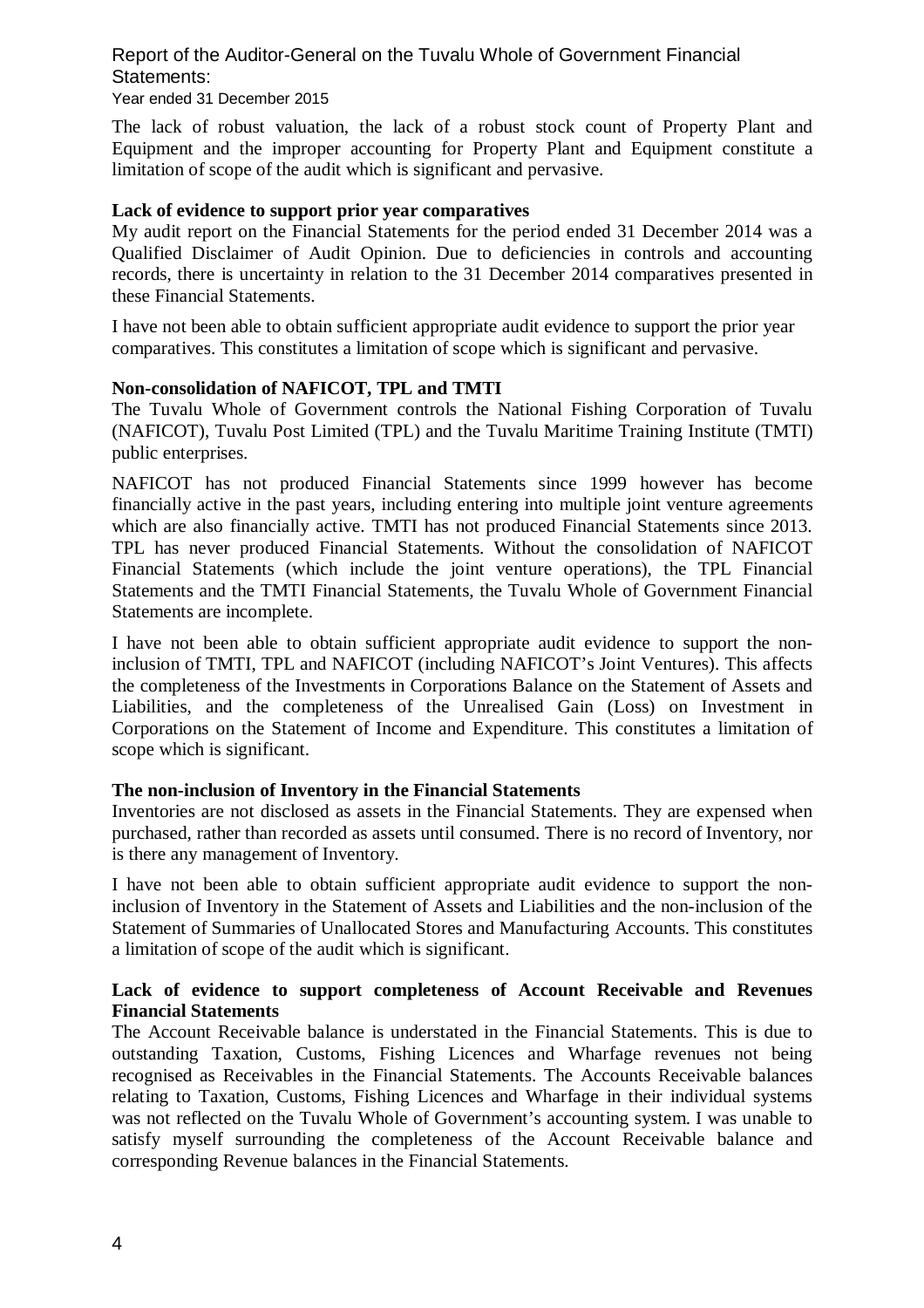# Year ended 31 December 2015

The lack of robust valuation, the lack of a robust stock count of Property Plant and Equipment and the improper accounting for Property Plant and Equipment constitute a limitation of scope of the audit which is significant and pervasive.

#### **Lack of evidence to support prior year comparatives**

My audit report on the Financial Statements for the period ended 31 December 2014 was a Qualified Disclaimer of Audit Opinion. Due to deficiencies in controls and accounting records, there is uncertainty in relation to the 31 December 2014 comparatives presented in these Financial Statements.

I have not been able to obtain sufficient appropriate audit evidence to support the prior year comparatives. This constitutes a limitation of scope which is significant and pervasive.

### **Non-consolidation of NAFICOT, TPL and TMTI**

The Tuvalu Whole of Government controls the National Fishing Corporation of Tuvalu (NAFICOT), Tuvalu Post Limited (TPL) and the Tuvalu Maritime Training Institute (TMTI) public enterprises.

NAFICOT has not produced Financial Statements since 1999 however has become financially active in the past years, including entering into multiple joint venture agreements which are also financially active. TMTI has not produced Financial Statements since 2013. TPL has never produced Financial Statements. Without the consolidation of NAFICOT Financial Statements (which include the joint venture operations), the TPL Financial Statements and the TMTI Financial Statements, the Tuvalu Whole of Government Financial Statements are incomplete.

I have not been able to obtain sufficient appropriate audit evidence to support the noninclusion of TMTI, TPL and NAFICOT (including NAFICOT's Joint Ventures). This affects the completeness of the Investments in Corporations Balance on the Statement of Assets and Liabilities, and the completeness of the Unrealised Gain (Loss) on Investment in Corporations on the Statement of Income and Expenditure. This constitutes a limitation of scope which is significant.

### **The non-inclusion of Inventory in the Financial Statements**

Inventories are not disclosed as assets in the Financial Statements. They are expensed when purchased, rather than recorded as assets until consumed. There is no record of Inventory, nor is there any management of Inventory.

I have not been able to obtain sufficient appropriate audit evidence to support the noninclusion of Inventory in the Statement of Assets and Liabilities and the non-inclusion of the Statement of Summaries of Unallocated Stores and Manufacturing Accounts. This constitutes a limitation of scope of the audit which is significant.

### **Lack of evidence to support completeness of Account Receivable and Revenues Financial Statements**

The Account Receivable balance is understated in the Financial Statements. This is due to outstanding Taxation, Customs, Fishing Licences and Wharfage revenues not being recognised as Receivables in the Financial Statements. The Accounts Receivable balances relating to Taxation, Customs, Fishing Licences and Wharfage in their individual systems was not reflected on the Tuvalu Whole of Government's accounting system. I was unable to satisfy myself surrounding the completeness of the Account Receivable balance and corresponding Revenue balances in the Financial Statements.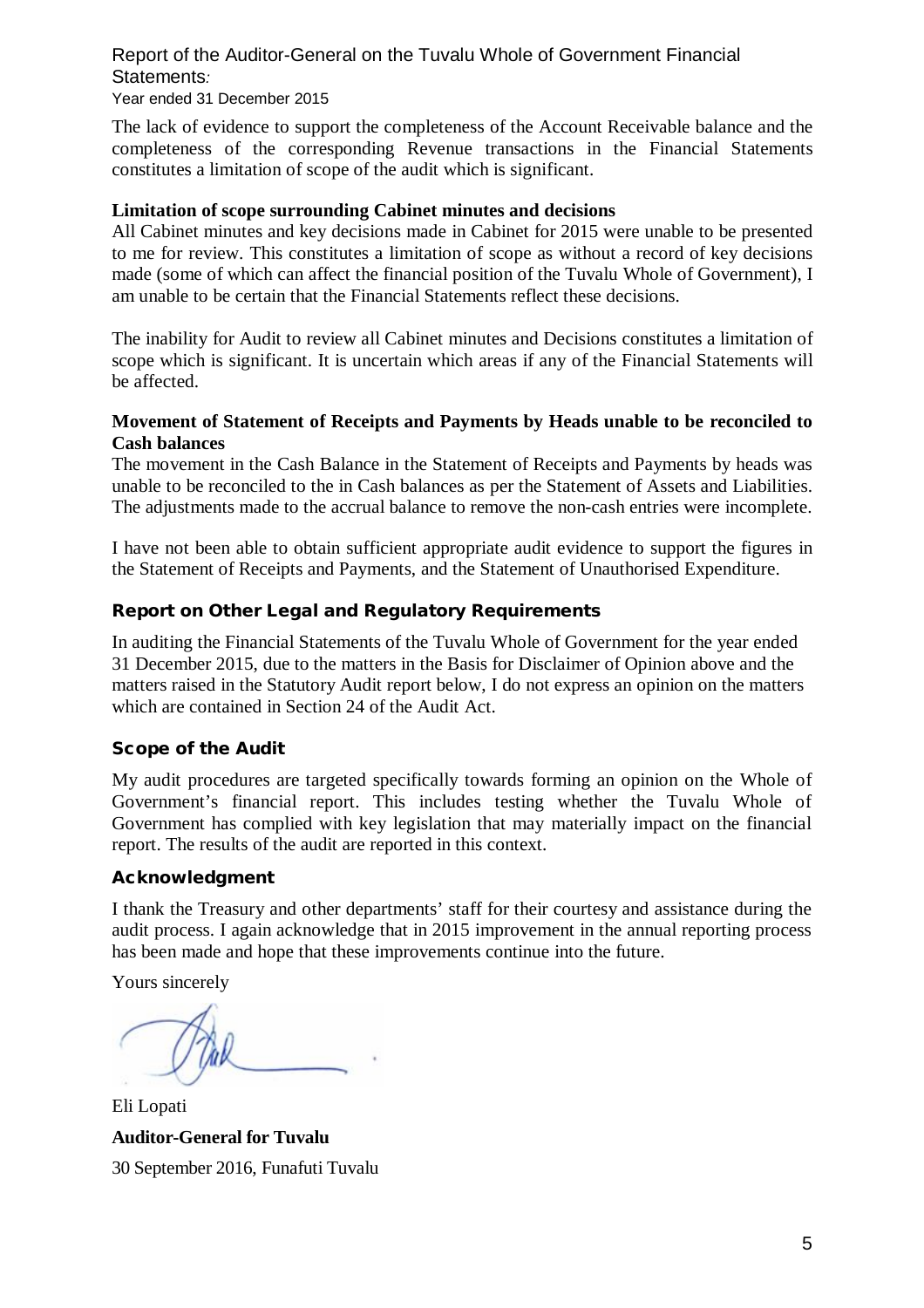#### Report of the Auditor-General on the Tuvalu Whole of Government Financial Statements*:*  Year ended 31 December 2015

The lack of evidence to support the completeness of the Account Receivable balance and the completeness of the corresponding Revenue transactions in the Financial Statements constitutes a limitation of scope of the audit which is significant.

#### **Limitation of scope surrounding Cabinet minutes and decisions**

All Cabinet minutes and key decisions made in Cabinet for 2015 were unable to be presented to me for review. This constitutes a limitation of scope as without a record of key decisions made (some of which can affect the financial position of the Tuvalu Whole of Government), I am unable to be certain that the Financial Statements reflect these decisions.

The inability for Audit to review all Cabinet minutes and Decisions constitutes a limitation of scope which is significant. It is uncertain which areas if any of the Financial Statements will be affected.

# **Movement of Statement of Receipts and Payments by Heads unable to be reconciled to Cash balances**

The movement in the Cash Balance in the Statement of Receipts and Payments by heads was unable to be reconciled to the in Cash balances as per the Statement of Assets and Liabilities. The adjustments made to the accrual balance to remove the non-cash entries were incomplete.

I have not been able to obtain sufficient appropriate audit evidence to support the figures in the Statement of Receipts and Payments, and the Statement of Unauthorised Expenditure.

# **Report on Other Legal and Regulatory Requirements**

In auditing the Financial Statements of the Tuvalu Whole of Government for the year ended 31 December 2015, due to the matters in the Basis for Disclaimer of Opinion above and the matters raised in the Statutory Audit report below, I do not express an opinion on the matters which are contained in Section 24 of the Audit Act.

### **Scope of the Audit**

My audit procedures are targeted specifically towards forming an opinion on the Whole of Government's financial report. This includes testing whether the Tuvalu Whole of Government has complied with key legislation that may materially impact on the financial report. The results of the audit are reported in this context.

# **Acknowledgment**

I thank the Treasury and other departments' staff for their courtesy and assistance during the audit process. I again acknowledge that in 2015 improvement in the annual reporting process has been made and hope that these improvements continue into the future.

Yours sincerely

Eli Lopati **Auditor-General for Tuvalu**  30 September 2016, Funafuti Tuvalu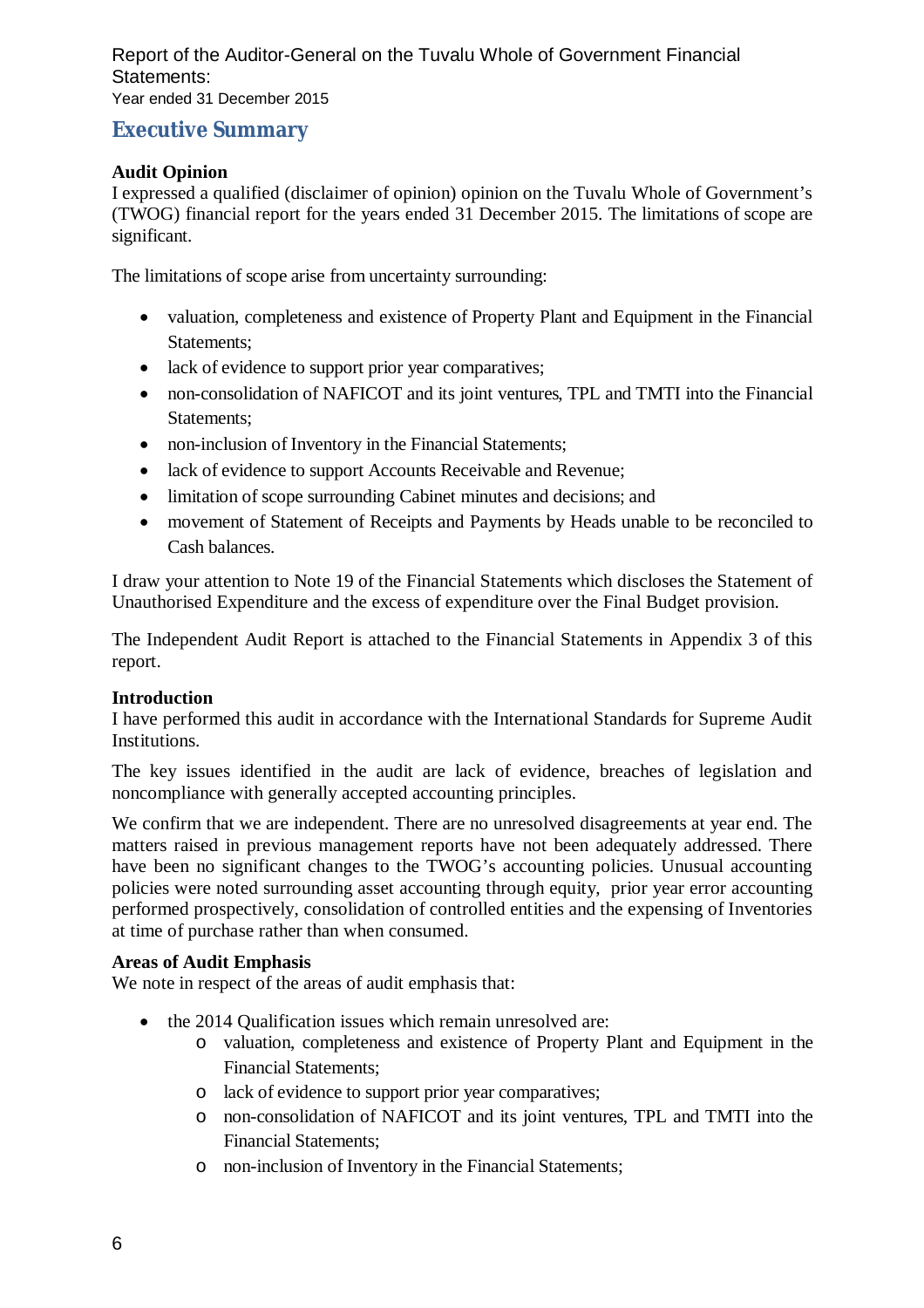# **Executive Summary**

# **Audit Opinion**

I expressed a qualified (disclaimer of opinion) opinion on the Tuvalu Whole of Government's (TWOG) financial report for the years ended 31 December 2015. The limitations of scope are significant.

The limitations of scope arise from uncertainty surrounding:

- valuation, completeness and existence of Property Plant and Equipment in the Financial Statements;
- lack of evidence to support prior year comparatives;
- non-consolidation of NAFICOT and its joint ventures, TPL and TMTI into the Financial Statements;
- non-inclusion of Inventory in the Financial Statements;
- lack of evidence to support Accounts Receivable and Revenue;
- limitation of scope surrounding Cabinet minutes and decisions; and
- movement of Statement of Receipts and Payments by Heads unable to be reconciled to Cash balances.

I draw your attention to Note 19 of the Financial Statements which discloses the Statement of Unauthorised Expenditure and the excess of expenditure over the Final Budget provision.

The Independent Audit Report is attached to the Financial Statements in Appendix 3 of this report.

# **Introduction**

I have performed this audit in accordance with the International Standards for Supreme Audit Institutions.

The key issues identified in the audit are lack of evidence, breaches of legislation and noncompliance with generally accepted accounting principles.

We confirm that we are independent. There are no unresolved disagreements at year end. The matters raised in previous management reports have not been adequately addressed. There have been no significant changes to the TWOG's accounting policies. Unusual accounting policies were noted surrounding asset accounting through equity, prior year error accounting performed prospectively, consolidation of controlled entities and the expensing of Inventories at time of purchase rather than when consumed.

# **Areas of Audit Emphasis**

We note in respect of the areas of audit emphasis that:

- the 2014 Qualification issues which remain unresolved are:
	- o valuation, completeness and existence of Property Plant and Equipment in the Financial Statements;
	- o lack of evidence to support prior year comparatives;
	- o non-consolidation of NAFICOT and its joint ventures, TPL and TMTI into the Financial Statements;
	- o non-inclusion of Inventory in the Financial Statements;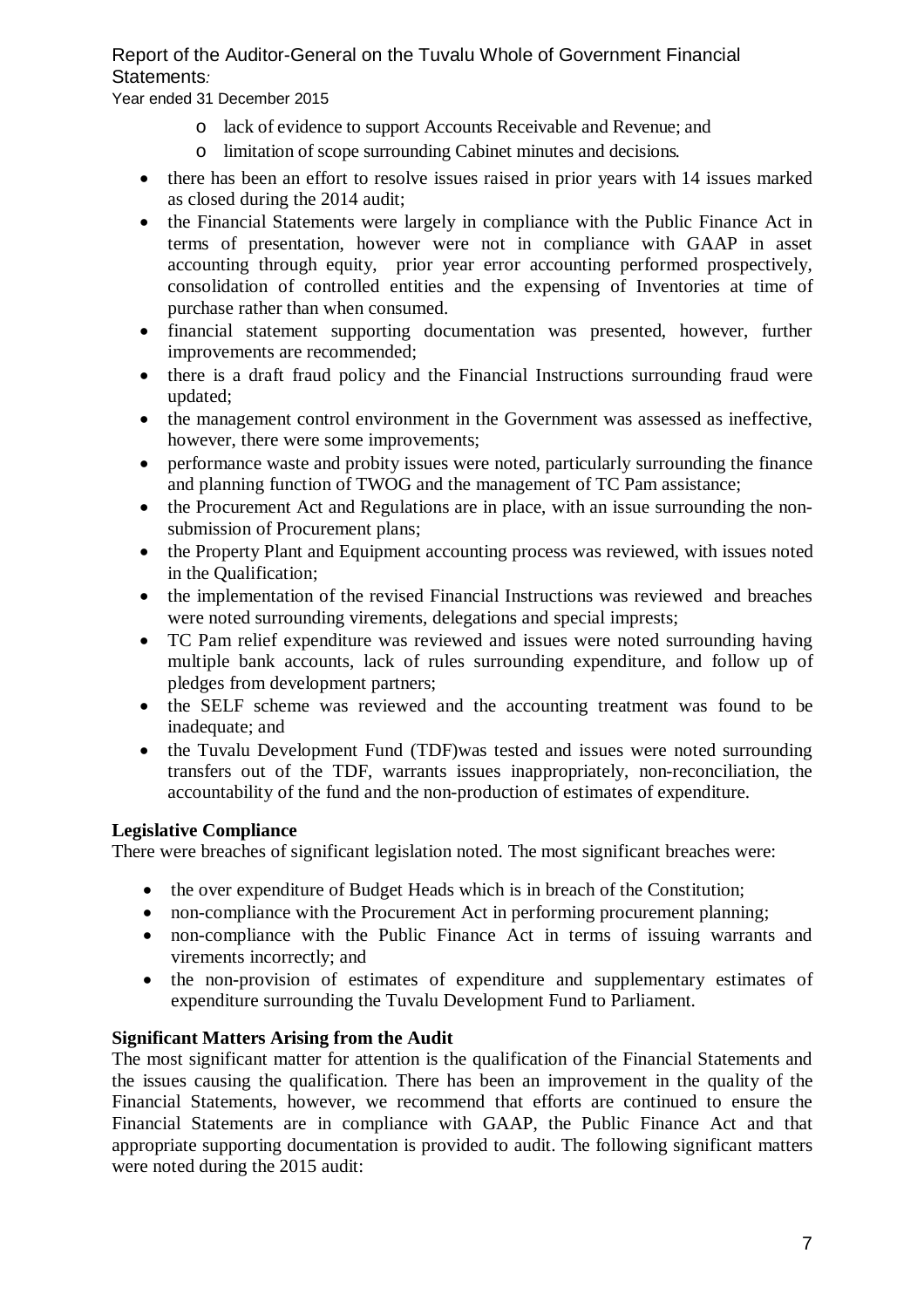Year ended 31 December 2015

- o lack of evidence to support Accounts Receivable and Revenue; and
- o limitation of scope surrounding Cabinet minutes and decisions.
- there has been an effort to resolve issues raised in prior years with 14 issues marked as closed during the 2014 audit;
- the Financial Statements were largely in compliance with the Public Finance Act in terms of presentation, however were not in compliance with GAAP in asset accounting through equity, prior year error accounting performed prospectively, consolidation of controlled entities and the expensing of Inventories at time of purchase rather than when consumed.
- financial statement supporting documentation was presented, however, further improvements are recommended;
- there is a draft fraud policy and the Financial Instructions surrounding fraud were updated;
- the management control environment in the Government was assessed as ineffective, however, there were some improvements;
- performance waste and probity issues were noted, particularly surrounding the finance and planning function of TWOG and the management of TC Pam assistance;
- the Procurement Act and Regulations are in place, with an issue surrounding the nonsubmission of Procurement plans;
- the Property Plant and Equipment accounting process was reviewed, with issues noted in the Qualification;
- the implementation of the revised Financial Instructions was reviewed and breaches were noted surrounding virements, delegations and special imprests;
- TC Pam relief expenditure was reviewed and issues were noted surrounding having multiple bank accounts, lack of rules surrounding expenditure, and follow up of pledges from development partners;
- the SELF scheme was reviewed and the accounting treatment was found to be inadequate; and
- the Tuvalu Development Fund (TDF)was tested and issues were noted surrounding transfers out of the TDF, warrants issues inappropriately, non-reconciliation, the accountability of the fund and the non-production of estimates of expenditure.

# **Legislative Compliance**

There were breaches of significant legislation noted. The most significant breaches were:

- the over expenditure of Budget Heads which is in breach of the Constitution;
- non-compliance with the Procurement Act in performing procurement planning;
- non-compliance with the Public Finance Act in terms of issuing warrants and virements incorrectly; and
- the non-provision of estimates of expenditure and supplementary estimates of expenditure surrounding the Tuvalu Development Fund to Parliament.

# **Significant Matters Arising from the Audit**

The most significant matter for attention is the qualification of the Financial Statements and the issues causing the qualification. There has been an improvement in the quality of the Financial Statements, however, we recommend that efforts are continued to ensure the Financial Statements are in compliance with GAAP, the Public Finance Act and that appropriate supporting documentation is provided to audit. The following significant matters were noted during the 2015 audit: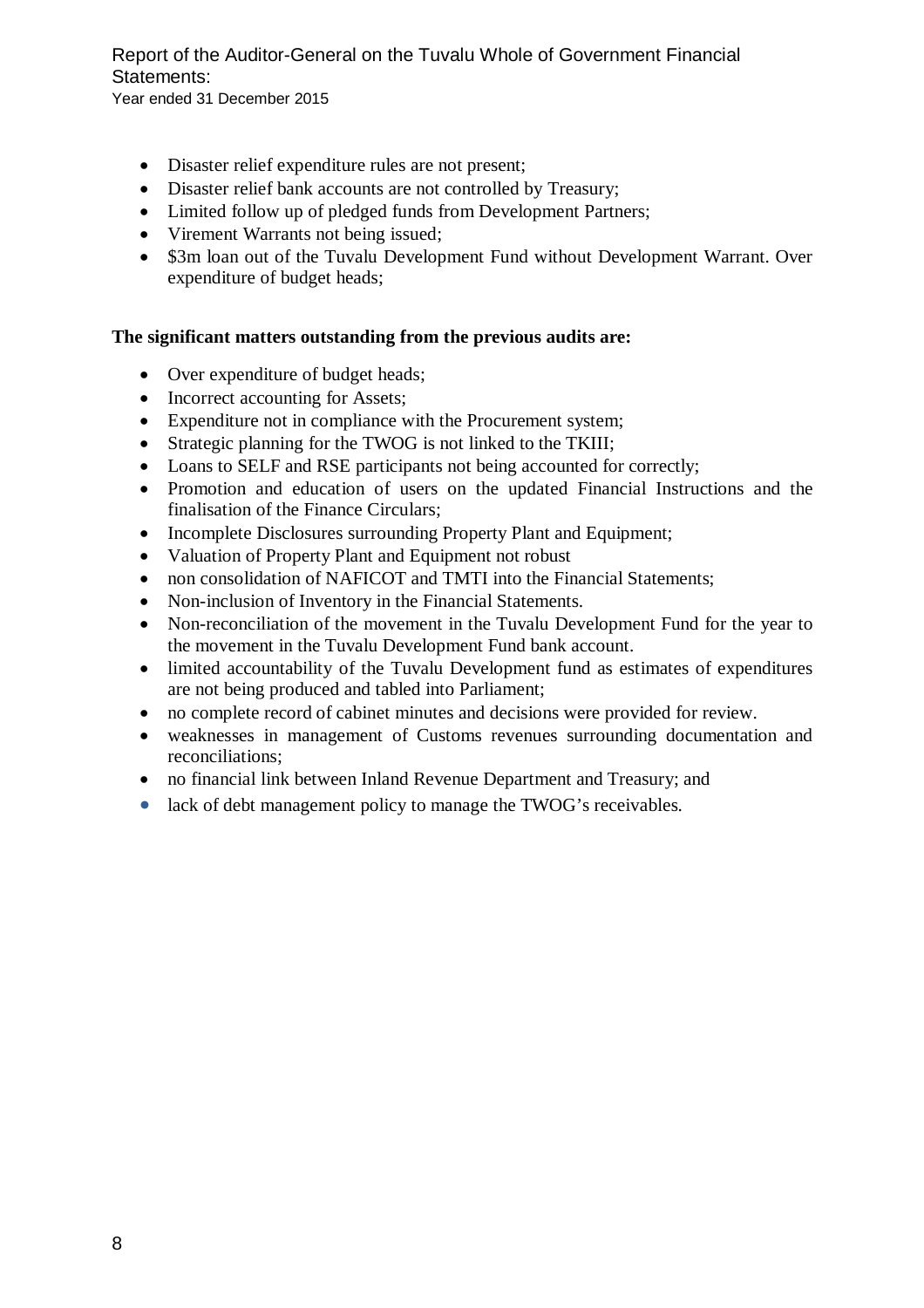- Disaster relief expenditure rules are not present;
- Disaster relief bank accounts are not controlled by Treasury;
- Limited follow up of pledged funds from Development Partners;
- Virement Warrants not being issued;
- \$3m loan out of the Tuvalu Development Fund without Development Warrant. Over expenditure of budget heads;

# **The significant matters outstanding from the previous audits are:**

- Over expenditure of budget heads;
- Incorrect accounting for Assets;
- Expenditure not in compliance with the Procurement system;
- Strategic planning for the TWOG is not linked to the TKIII;
- Loans to SELF and RSE participants not being accounted for correctly;
- Promotion and education of users on the updated Financial Instructions and the finalisation of the Finance Circulars;
- Incomplete Disclosures surrounding Property Plant and Equipment;
- Valuation of Property Plant and Equipment not robust
- non consolidation of NAFICOT and TMTI into the Financial Statements;
- Non-inclusion of Inventory in the Financial Statements.
- Non-reconciliation of the movement in the Tuvalu Development Fund for the year to the movement in the Tuvalu Development Fund bank account.
- limited accountability of the Tuvalu Development fund as estimates of expenditures are not being produced and tabled into Parliament;
- no complete record of cabinet minutes and decisions were provided for review.
- weaknesses in management of Customs revenues surrounding documentation and reconciliations;
- no financial link between Inland Revenue Department and Treasury; and
- lack of debt management policy to manage the TWOG's receivables.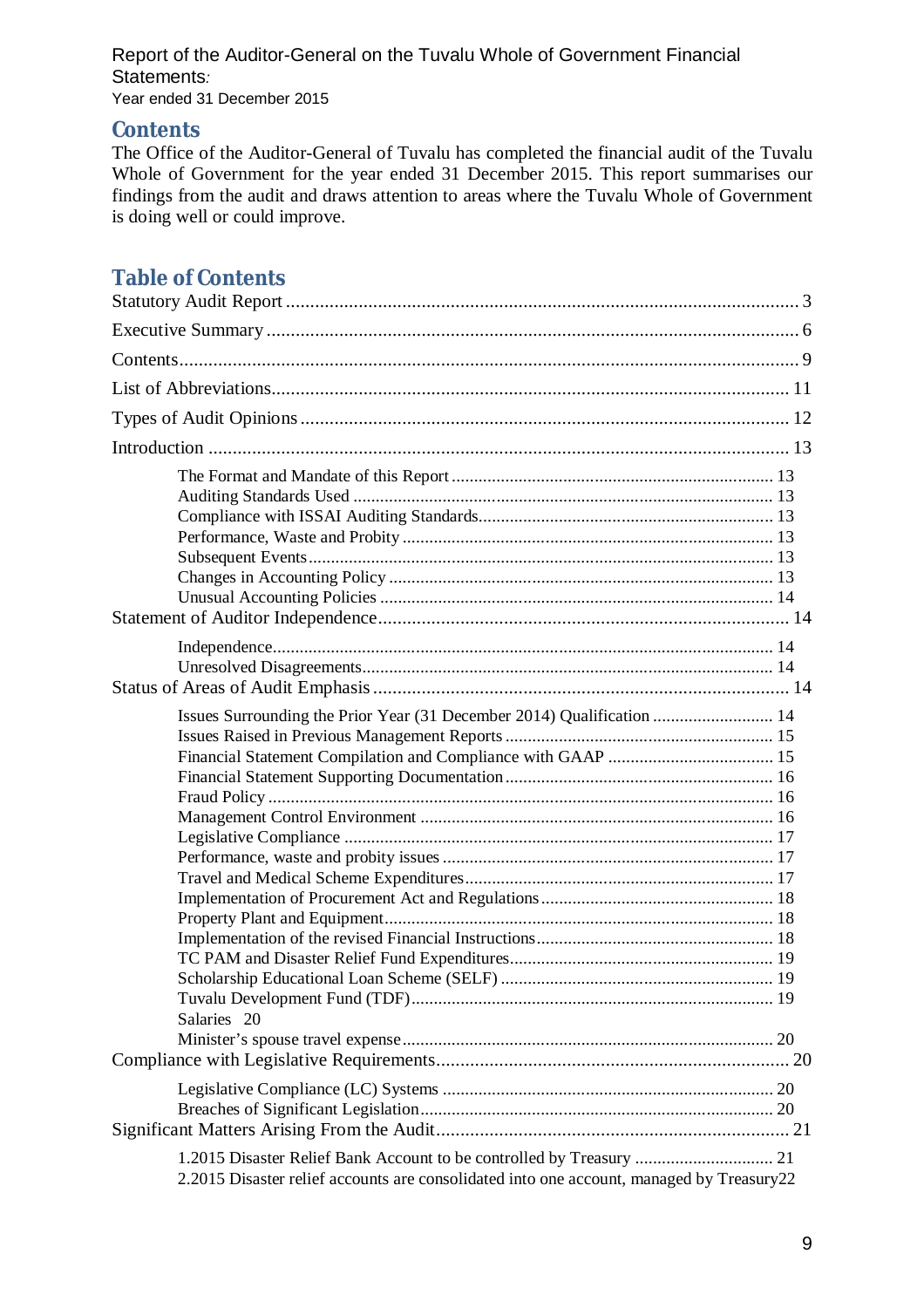# Report of the Auditor-General on the Tuvalu Whole of Government Financial Statements*:*  Year ended 31 December 2015

# **Contents**

The Office of the Auditor-General of Tuvalu has completed the financial audit of the Tuvalu Whole of Government for the year ended 31 December 2015. This report summarises our findings from the audit and draws attention to areas where the Tuvalu Whole of Government is doing well or could improve.

# **Table of Contents**

| Issues Surrounding the Prior Year (31 December 2014) Qualification  14<br>Salaries 20                                                                            |
|------------------------------------------------------------------------------------------------------------------------------------------------------------------|
|                                                                                                                                                                  |
| 1.2015 Disaster Relief Bank Account to be controlled by Treasury  21<br>2.2015 Disaster relief accounts are consolidated into one account, managed by Treasury22 |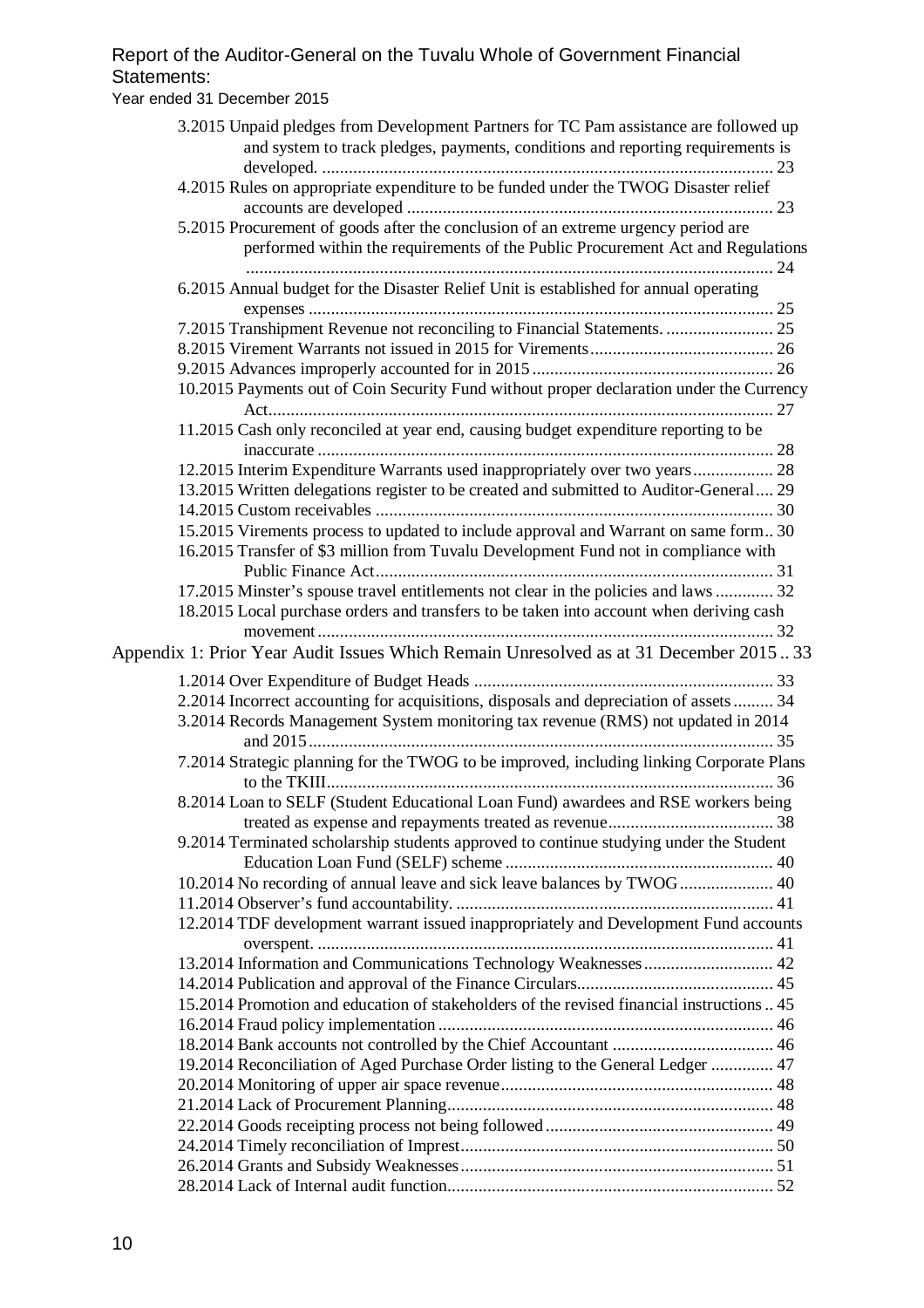# Report of the Auditor-General on the Tuvalu Whole of Government Financial Statements: Year ended 31 December 2015

| 3.2015 Unpaid pledges from Development Partners for TC Pam assistance are followed up<br>and system to track pledges, payments, conditions and reporting requirements is |  |
|--------------------------------------------------------------------------------------------------------------------------------------------------------------------------|--|
| 4.2015 Rules on appropriate expenditure to be funded under the TWOG Disaster relief                                                                                      |  |
| 5.2015 Procurement of goods after the conclusion of an extreme urgency period are<br>performed within the requirements of the Public Procurement Act and Regulations     |  |
| 6.2015 Annual budget for the Disaster Relief Unit is established for annual operating                                                                                    |  |
|                                                                                                                                                                          |  |
|                                                                                                                                                                          |  |
|                                                                                                                                                                          |  |
| 10.2015 Payments out of Coin Security Fund without proper declaration under the Currency                                                                                 |  |
| 11.2015 Cash only reconciled at year end, causing budget expenditure reporting to be                                                                                     |  |
| 12.2015 Interim Expenditure Warrants used inappropriately over two years 28                                                                                              |  |
| 13.2015 Written delegations register to be created and submitted to Auditor-General 29                                                                                   |  |
|                                                                                                                                                                          |  |
| 15.2015 Virements process to updated to include approval and Warrant on same form 30                                                                                     |  |
| 16.2015 Transfer of \$3 million from Tuvalu Development Fund not in compliance with                                                                                      |  |
|                                                                                                                                                                          |  |
| 17.2015 Minster's spouse travel entitlements not clear in the policies and laws  32                                                                                      |  |
| 18.2015 Local purchase orders and transfers to be taken into account when deriving cash                                                                                  |  |
|                                                                                                                                                                          |  |
| Appendix 1: Prior Year Audit Issues Which Remain Unresolved as at 31 December 201533                                                                                     |  |
|                                                                                                                                                                          |  |
| 2.2014 Incorrect accounting for acquisitions, disposals and depreciation of assets  34                                                                                   |  |
| 3.2014 Records Management System monitoring tax revenue (RMS) not updated in 2014                                                                                        |  |
| 7.2014 Strategic planning for the TWOG to be improved, including linking Corporate Plans                                                                                 |  |
| 8.2014 Loan to SELF (Student Educational Loan Fund) awardees and RSE workers being                                                                                       |  |
| 9.2014 Terminated scholarship students approved to continue studying under the Student                                                                                   |  |
|                                                                                                                                                                          |  |
| 10.2014 No recording of annual leave and sick leave balances by TWOG  40                                                                                                 |  |
|                                                                                                                                                                          |  |
| 12.2014 TDF development warrant issued inappropriately and Development Fund accounts                                                                                     |  |
| 13.2014 Information and Communications Technology Weaknesses  42                                                                                                         |  |
|                                                                                                                                                                          |  |
| 15.2014 Promotion and education of stakeholders of the revised financial instructions  45                                                                                |  |
|                                                                                                                                                                          |  |
|                                                                                                                                                                          |  |
| 19.2014 Reconciliation of Aged Purchase Order listing to the General Ledger  47                                                                                          |  |
|                                                                                                                                                                          |  |
|                                                                                                                                                                          |  |
|                                                                                                                                                                          |  |
|                                                                                                                                                                          |  |
|                                                                                                                                                                          |  |
|                                                                                                                                                                          |  |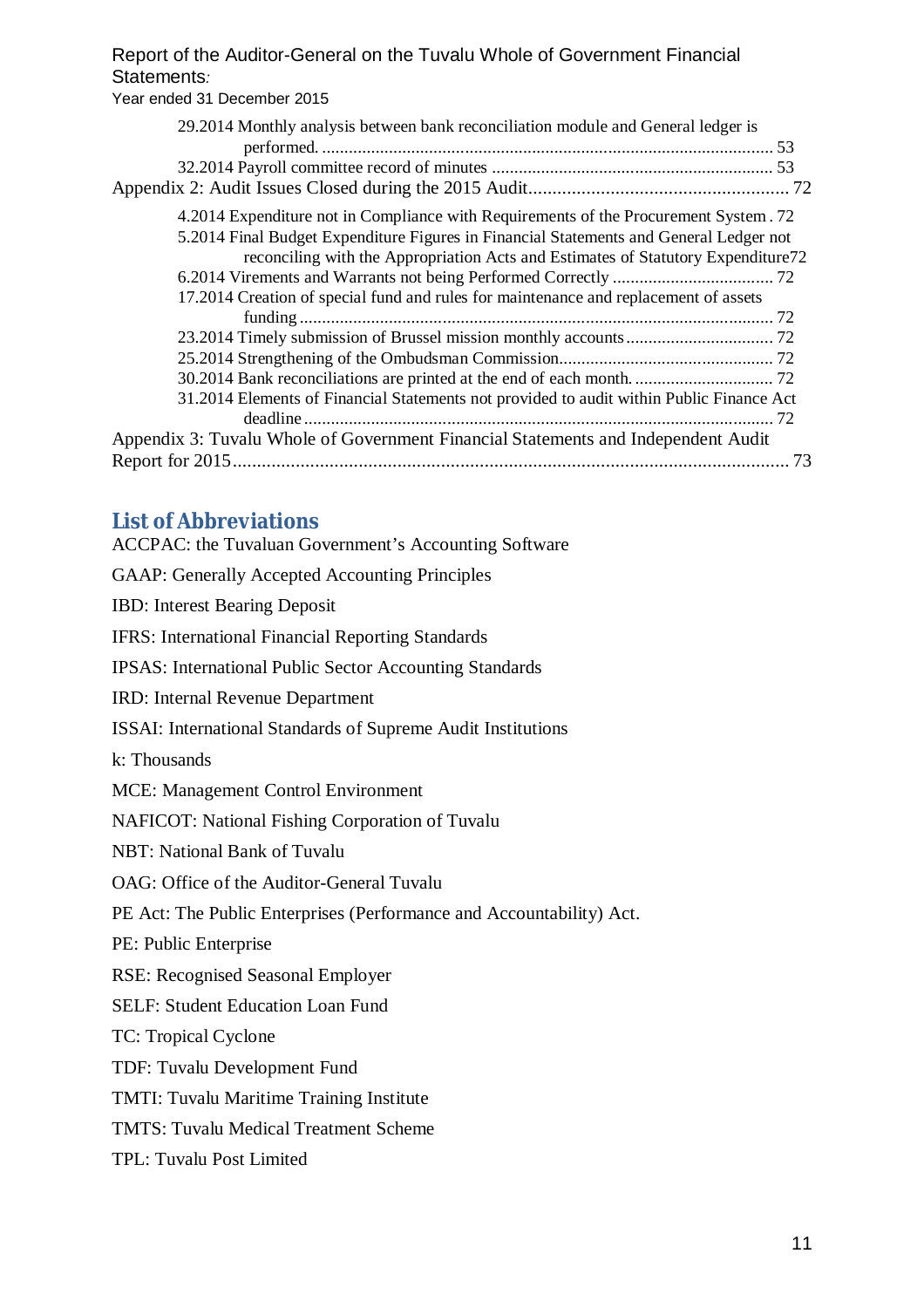# Report of the Auditor-General on the Tuvalu Whole of Government Financial Statements*:*  Year ended 31 December 2015

| 29.2014 Monthly analysis between bank reconciliation module and General ledger is        |
|------------------------------------------------------------------------------------------|
|                                                                                          |
|                                                                                          |
| 4.2014 Expenditure not in Compliance with Requirements of the Procurement System. 72     |
| 5.2014 Final Budget Expenditure Figures in Financial Statements and General Ledger not   |
| reconciling with the Appropriation Acts and Estimates of Statutory Expenditure 72        |
|                                                                                          |
| 17.2014 Creation of special fund and rules for maintenance and replacement of assets     |
|                                                                                          |
|                                                                                          |
|                                                                                          |
|                                                                                          |
| 31.2014 Elements of Financial Statements not provided to audit within Public Finance Act |
|                                                                                          |
| Appendix 3: Tuvalu Whole of Government Financial Statements and Independent Audit        |
| 73                                                                                       |
|                                                                                          |

# **List of Abbreviations**

| <b>ACCPAC: the Tuvaluan Government's Accounting Software</b>         |  |  |  |  |  |  |
|----------------------------------------------------------------------|--|--|--|--|--|--|
| <b>GAAP: Generally Accepted Accounting Principles</b>                |  |  |  |  |  |  |
| <b>IBD:</b> Interest Bearing Deposit                                 |  |  |  |  |  |  |
| <b>IFRS: International Financial Reporting Standards</b>             |  |  |  |  |  |  |
| <b>IPSAS: International Public Sector Accounting Standards</b>       |  |  |  |  |  |  |
| IRD: Internal Revenue Department                                     |  |  |  |  |  |  |
| ISSAI: International Standards of Supreme Audit Institutions         |  |  |  |  |  |  |
| k: Thousands                                                         |  |  |  |  |  |  |
| <b>MCE: Management Control Environment</b>                           |  |  |  |  |  |  |
| NAFICOT: National Fishing Corporation of Tuvalu                      |  |  |  |  |  |  |
| <b>NBT: National Bank of Tuvalu</b>                                  |  |  |  |  |  |  |
| OAG: Office of the Auditor-General Tuvalu                            |  |  |  |  |  |  |
| PE Act: The Public Enterprises (Performance and Accountability) Act. |  |  |  |  |  |  |
| PE: Public Enterprise                                                |  |  |  |  |  |  |
| <b>RSE: Recognised Seasonal Employer</b>                             |  |  |  |  |  |  |
| <b>SELF: Student Education Loan Fund</b>                             |  |  |  |  |  |  |
| TC: Tropical Cyclone                                                 |  |  |  |  |  |  |
| TDF: Tuvalu Development Fund                                         |  |  |  |  |  |  |
| TMTI: Tuvalu Maritime Training Institute                             |  |  |  |  |  |  |
| TMTS: Tuvalu Medical Treatment Scheme                                |  |  |  |  |  |  |
| TPL: Tuvalu Post Limited                                             |  |  |  |  |  |  |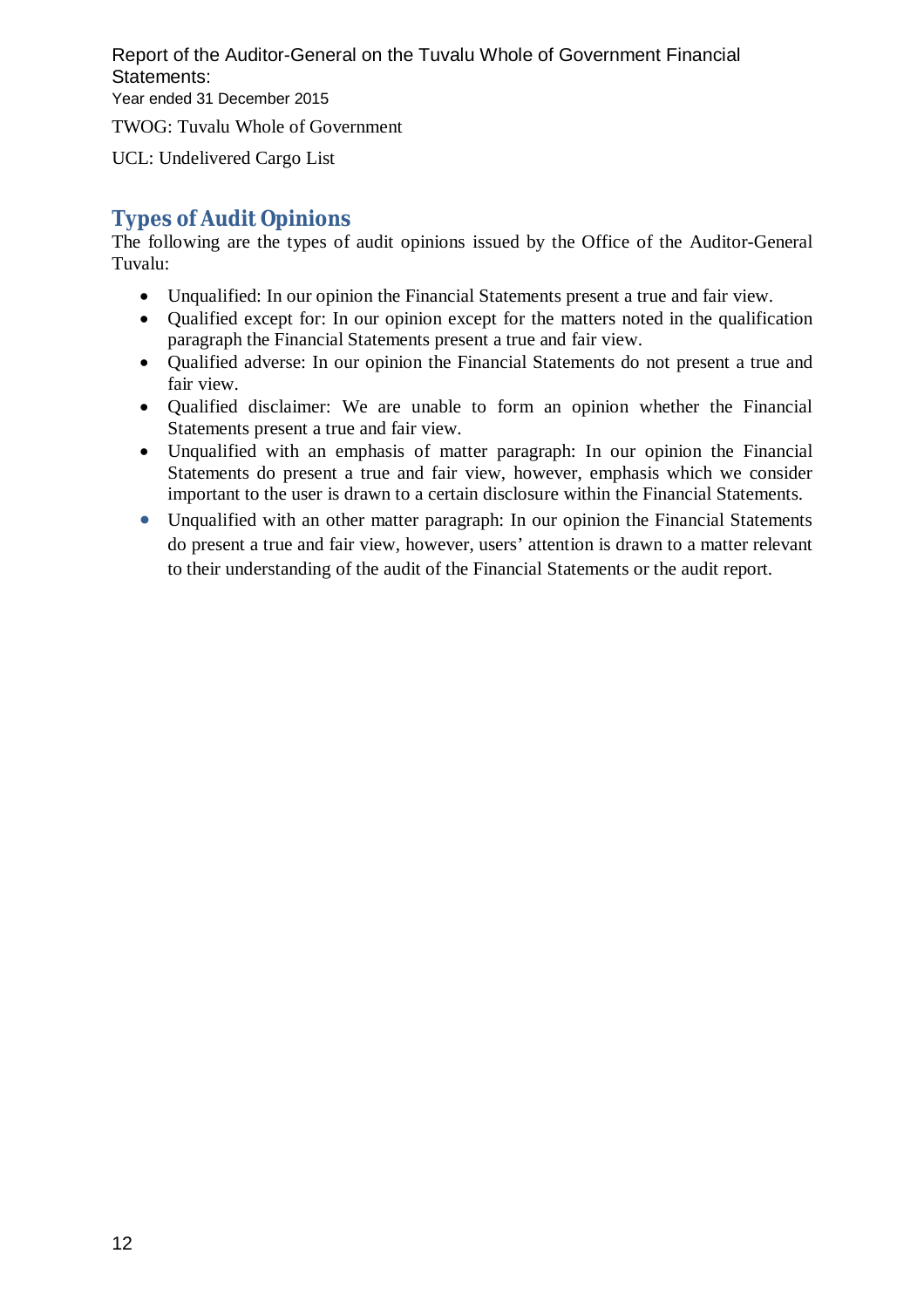Report of the Auditor-General on the Tuvalu Whole of Government Financial Statements: Year ended 31 December 2015

TWOG: Tuvalu Whole of Government

UCL: Undelivered Cargo List

# **Types of Audit Opinions**

The following are the types of audit opinions issued by the Office of the Auditor-General Tuvalu:

- Unqualified: In our opinion the Financial Statements present a true and fair view.
- Oualified except for: In our opinion except for the matters noted in the qualification paragraph the Financial Statements present a true and fair view.
- Qualified adverse: In our opinion the Financial Statements do not present a true and fair view.
- Qualified disclaimer: We are unable to form an opinion whether the Financial Statements present a true and fair view.
- Unqualified with an emphasis of matter paragraph: In our opinion the Financial Statements do present a true and fair view, however, emphasis which we consider important to the user is drawn to a certain disclosure within the Financial Statements.
- Unqualified with an other matter paragraph: In our opinion the Financial Statements do present a true and fair view, however, users' attention is drawn to a matter relevant to their understanding of the audit of the Financial Statements or the audit report.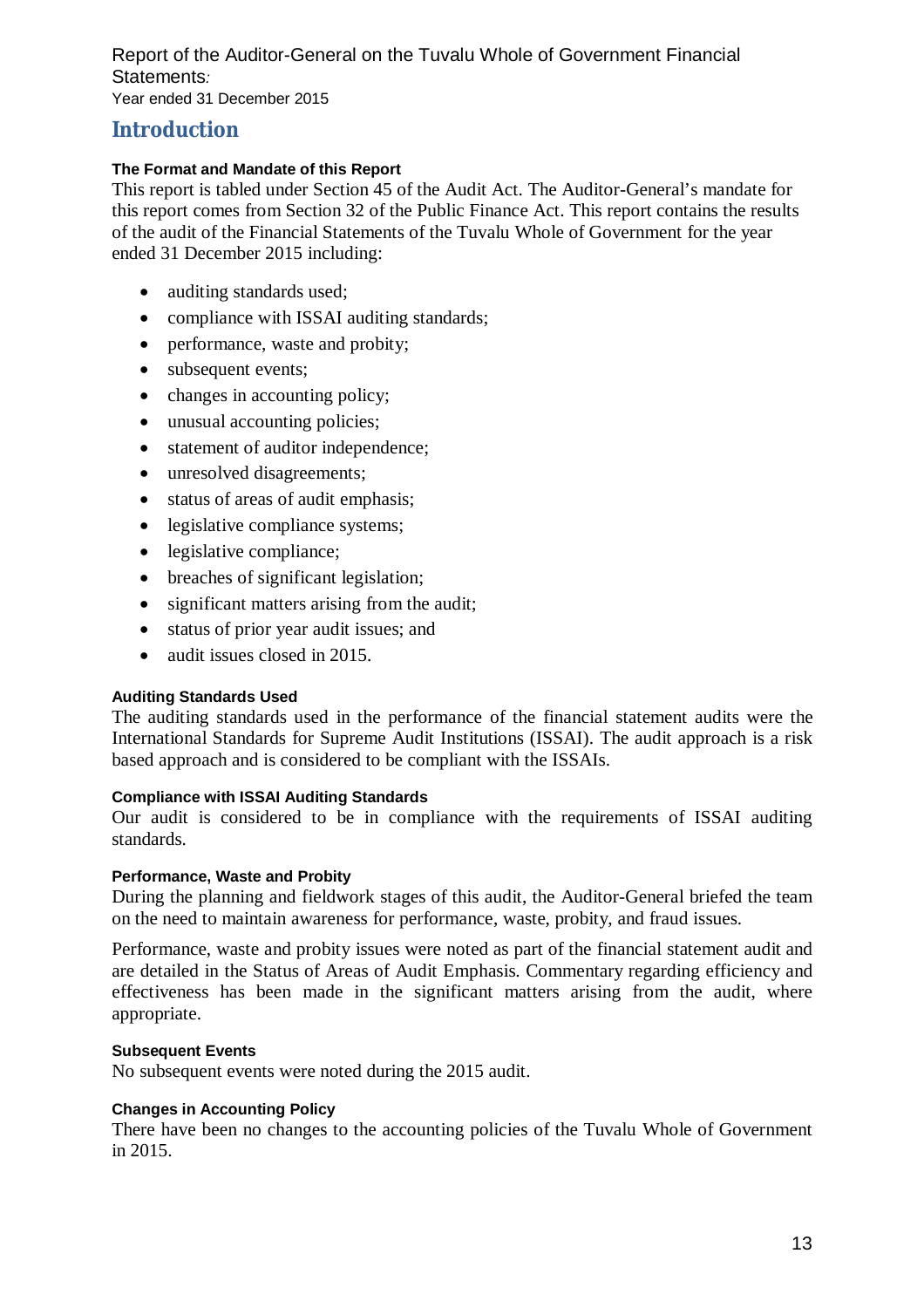Report of the Auditor-General on the Tuvalu Whole of Government Financial Statements*:*  Year ended 31 December 2015

# **Introduction**

# **The Format and Mandate of this Report**

This report is tabled under Section 45 of the Audit Act. The Auditor-General's mandate for this report comes from Section 32 of the Public Finance Act. This report contains the results of the audit of the Financial Statements of the Tuvalu Whole of Government for the year ended 31 December 2015 including:

- auditing standards used;
- compliance with ISSAI auditing standards;
- performance, waste and probity;
- subsequent events:
- changes in accounting policy;
- unusual accounting policies:
- statement of auditor independence;
- unresolved disagreements;
- status of areas of audit emphasis;
- legislative compliance systems;
- legislative compliance;
- breaches of significant legislation;
- significant matters arising from the audit;
- status of prior year audit issues; and
- audit issues closed in 2015.

### **Auditing Standards Used**

The auditing standards used in the performance of the financial statement audits were the International Standards for Supreme Audit Institutions (ISSAI). The audit approach is a risk based approach and is considered to be compliant with the ISSAIs.

#### **Compliance with ISSAI Auditing Standards**

Our audit is considered to be in compliance with the requirements of ISSAI auditing standards.

### **Performance, Waste and Probity**

During the planning and fieldwork stages of this audit, the Auditor-General briefed the team on the need to maintain awareness for performance, waste, probity, and fraud issues.

Performance, waste and probity issues were noted as part of the financial statement audit and are detailed in the Status of Areas of Audit Emphasis. Commentary regarding efficiency and effectiveness has been made in the significant matters arising from the audit, where appropriate.

### **Subsequent Events**

No subsequent events were noted during the 2015 audit.

#### **Changes in Accounting Policy**

There have been no changes to the accounting policies of the Tuvalu Whole of Government in 2015.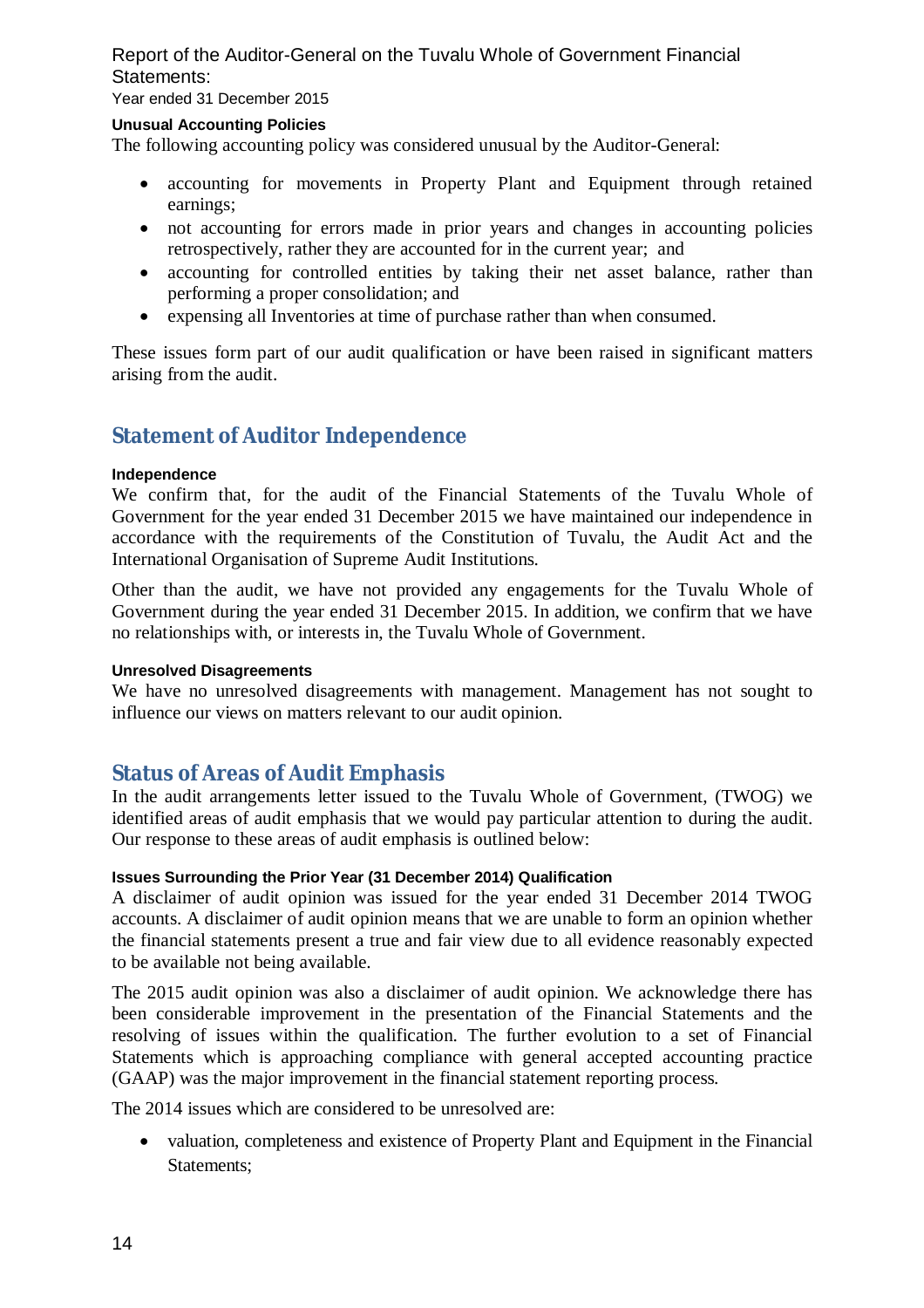Year ended 31 December 2015

#### **Unusual Accounting Policies**

The following accounting policy was considered unusual by the Auditor-General:

- accounting for movements in Property Plant and Equipment through retained earnings;
- not accounting for errors made in prior years and changes in accounting policies retrospectively, rather they are accounted for in the current year; and
- accounting for controlled entities by taking their net asset balance, rather than performing a proper consolidation; and
- expensing all Inventories at time of purchase rather than when consumed.

These issues form part of our audit qualification or have been raised in significant matters arising from the audit.

# **Statement of Auditor Independence**

#### **Independence**

We confirm that, for the audit of the Financial Statements of the Tuvalu Whole of Government for the year ended 31 December 2015 we have maintained our independence in accordance with the requirements of the Constitution of Tuvalu, the Audit Act and the International Organisation of Supreme Audit Institutions.

Other than the audit, we have not provided any engagements for the Tuvalu Whole of Government during the year ended 31 December 2015. In addition, we confirm that we have no relationships with, or interests in, the Tuvalu Whole of Government.

### **Unresolved Disagreements**

We have no unresolved disagreements with management. Management has not sought to influence our views on matters relevant to our audit opinion.

# **Status of Areas of Audit Emphasis**

In the audit arrangements letter issued to the Tuvalu Whole of Government, (TWOG) we identified areas of audit emphasis that we would pay particular attention to during the audit. Our response to these areas of audit emphasis is outlined below:

# **Issues Surrounding the Prior Year (31 December 2014) Qualification**

A disclaimer of audit opinion was issued for the year ended 31 December 2014 TWOG accounts. A disclaimer of audit opinion means that we are unable to form an opinion whether the financial statements present a true and fair view due to all evidence reasonably expected to be available not being available.

The 2015 audit opinion was also a disclaimer of audit opinion. We acknowledge there has been considerable improvement in the presentation of the Financial Statements and the resolving of issues within the qualification. The further evolution to a set of Financial Statements which is approaching compliance with general accepted accounting practice (GAAP) was the major improvement in the financial statement reporting process.

The 2014 issues which are considered to be unresolved are:

• valuation, completeness and existence of Property Plant and Equipment in the Financial Statements;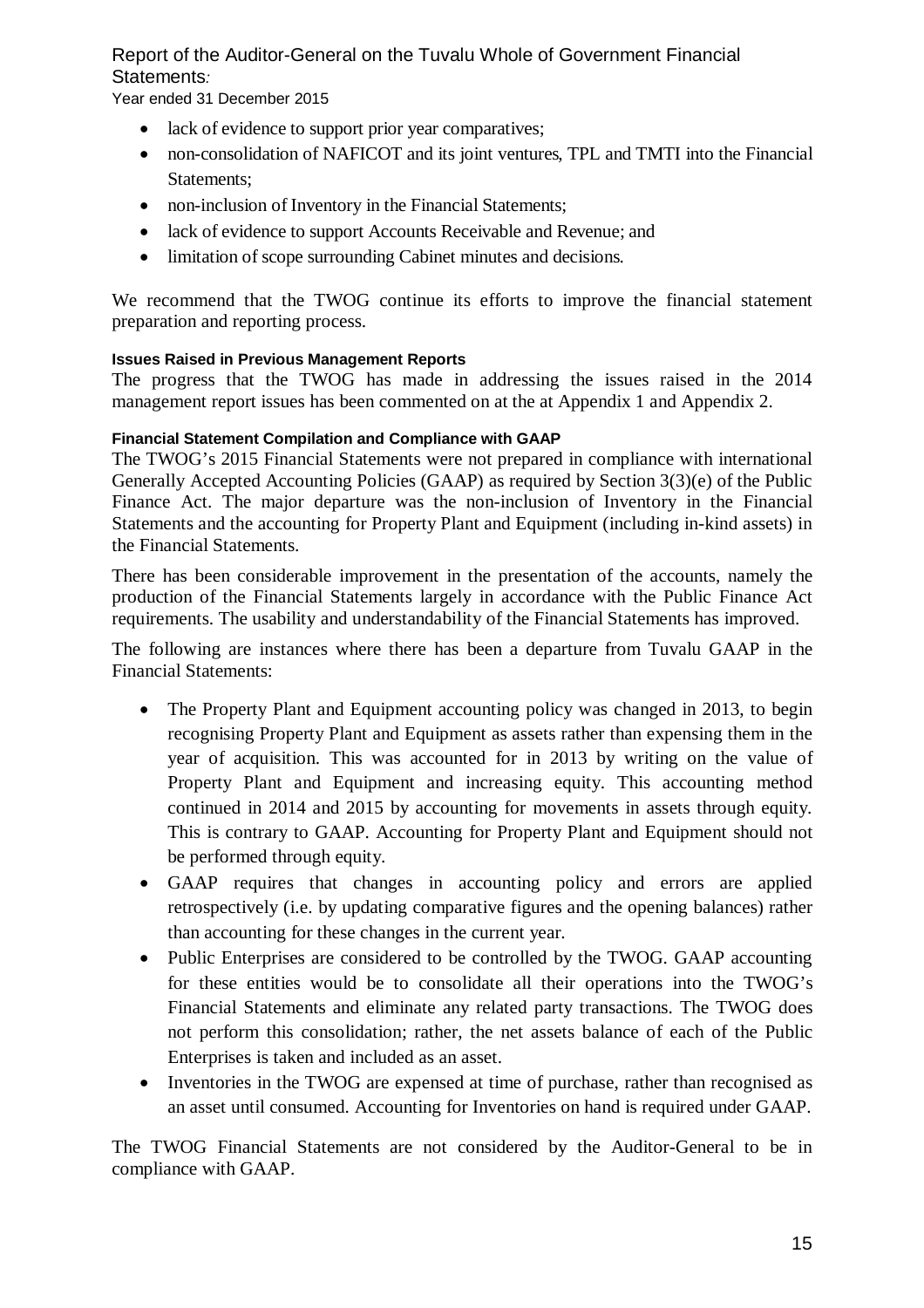Year ended 31 December 2015

- lack of evidence to support prior year comparatives;
- non-consolidation of NAFICOT and its joint ventures, TPL and TMTI into the Financial Statements;
- non-inclusion of Inventory in the Financial Statements:
- lack of evidence to support Accounts Receivable and Revenue; and
- limitation of scope surrounding Cabinet minutes and decisions.

We recommend that the TWOG continue its efforts to improve the financial statement preparation and reporting process.

# **Issues Raised in Previous Management Reports**

The progress that the TWOG has made in addressing the issues raised in the 2014 management report issues has been commented on at the at Appendix 1 and Appendix 2.

# **Financial Statement Compilation and Compliance with GAAP**

The TWOG's 2015 Financial Statements were not prepared in compliance with international Generally Accepted Accounting Policies (GAAP) as required by Section 3(3)(e) of the Public Finance Act. The major departure was the non-inclusion of Inventory in the Financial Statements and the accounting for Property Plant and Equipment (including in-kind assets) in the Financial Statements.

There has been considerable improvement in the presentation of the accounts, namely the production of the Financial Statements largely in accordance with the Public Finance Act requirements. The usability and understandability of the Financial Statements has improved.

The following are instances where there has been a departure from Tuvalu GAAP in the Financial Statements:

- The Property Plant and Equipment accounting policy was changed in 2013, to begin recognising Property Plant and Equipment as assets rather than expensing them in the year of acquisition. This was accounted for in 2013 by writing on the value of Property Plant and Equipment and increasing equity. This accounting method continued in 2014 and 2015 by accounting for movements in assets through equity. This is contrary to GAAP. Accounting for Property Plant and Equipment should not be performed through equity.
- GAAP requires that changes in accounting policy and errors are applied retrospectively (i.e. by updating comparative figures and the opening balances) rather than accounting for these changes in the current year.
- Public Enterprises are considered to be controlled by the TWOG. GAAP accounting for these entities would be to consolidate all their operations into the TWOG's Financial Statements and eliminate any related party transactions. The TWOG does not perform this consolidation; rather, the net assets balance of each of the Public Enterprises is taken and included as an asset.
- Inventories in the TWOG are expensed at time of purchase, rather than recognised as an asset until consumed. Accounting for Inventories on hand is required under GAAP.

The TWOG Financial Statements are not considered by the Auditor-General to be in compliance with GAAP.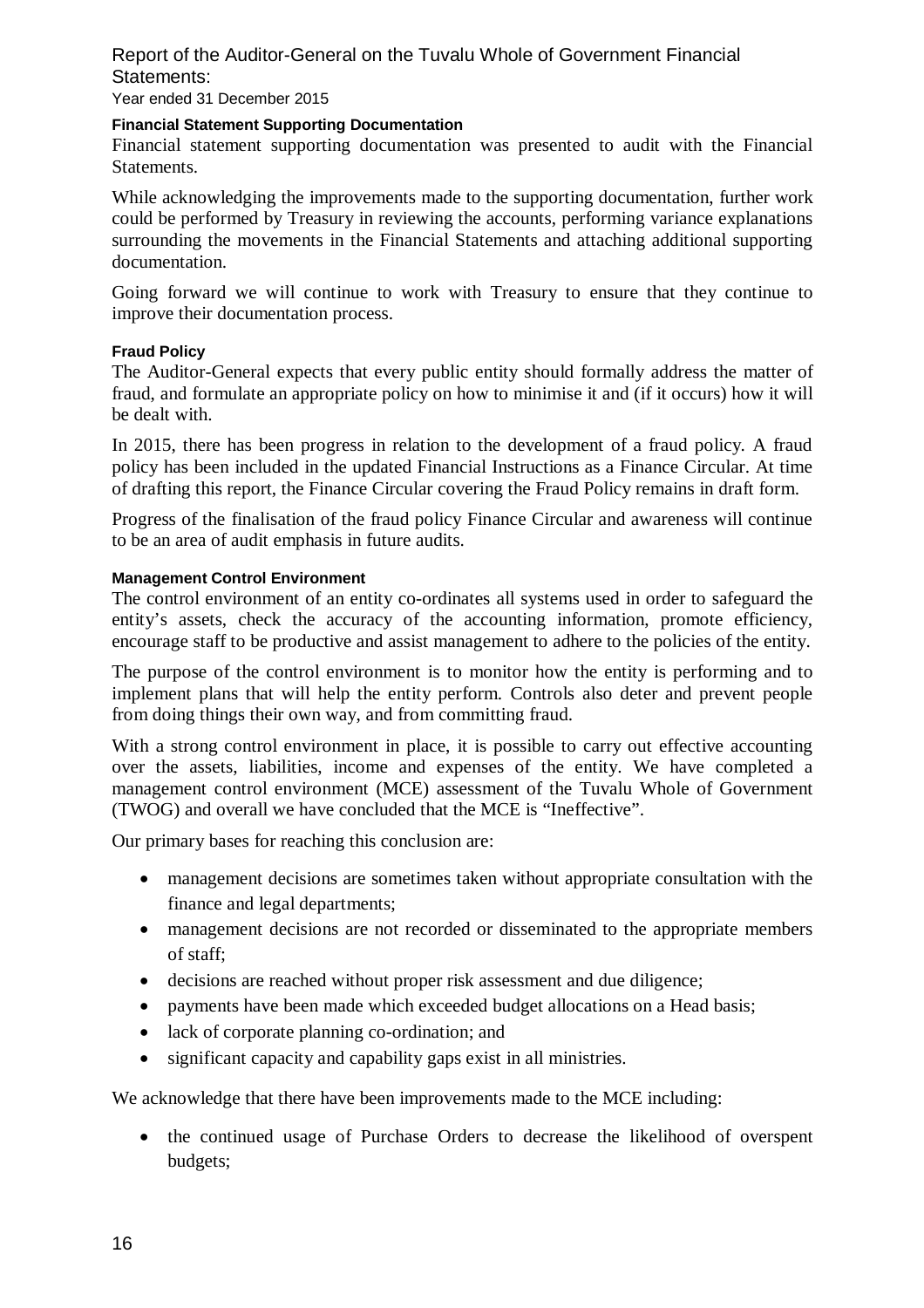Year ended 31 December 2015

### **Financial Statement Supporting Documentation**

Financial statement supporting documentation was presented to audit with the Financial **Statements** 

While acknowledging the improvements made to the supporting documentation, further work could be performed by Treasury in reviewing the accounts, performing variance explanations surrounding the movements in the Financial Statements and attaching additional supporting documentation.

Going forward we will continue to work with Treasury to ensure that they continue to improve their documentation process.

### **Fraud Policy**

The Auditor-General expects that every public entity should formally address the matter of fraud, and formulate an appropriate policy on how to minimise it and (if it occurs) how it will be dealt with.

In 2015, there has been progress in relation to the development of a fraud policy. A fraud policy has been included in the updated Financial Instructions as a Finance Circular. At time of drafting this report, the Finance Circular covering the Fraud Policy remains in draft form.

Progress of the finalisation of the fraud policy Finance Circular and awareness will continue to be an area of audit emphasis in future audits.

#### **Management Control Environment**

The control environment of an entity co-ordinates all systems used in order to safeguard the entity's assets, check the accuracy of the accounting information, promote efficiency, encourage staff to be productive and assist management to adhere to the policies of the entity.

The purpose of the control environment is to monitor how the entity is performing and to implement plans that will help the entity perform. Controls also deter and prevent people from doing things their own way, and from committing fraud.

With a strong control environment in place, it is possible to carry out effective accounting over the assets, liabilities, income and expenses of the entity. We have completed a management control environment (MCE) assessment of the Tuvalu Whole of Government (TWOG) and overall we have concluded that the MCE is "Ineffective".

Our primary bases for reaching this conclusion are:

- management decisions are sometimes taken without appropriate consultation with the finance and legal departments;
- management decisions are not recorded or disseminated to the appropriate members of staff;
- decisions are reached without proper risk assessment and due diligence;
- payments have been made which exceeded budget allocations on a Head basis;
- lack of corporate planning co-ordination; and
- significant capacity and capability gaps exist in all ministries.

We acknowledge that there have been improvements made to the MCE including:

 the continued usage of Purchase Orders to decrease the likelihood of overspent budgets;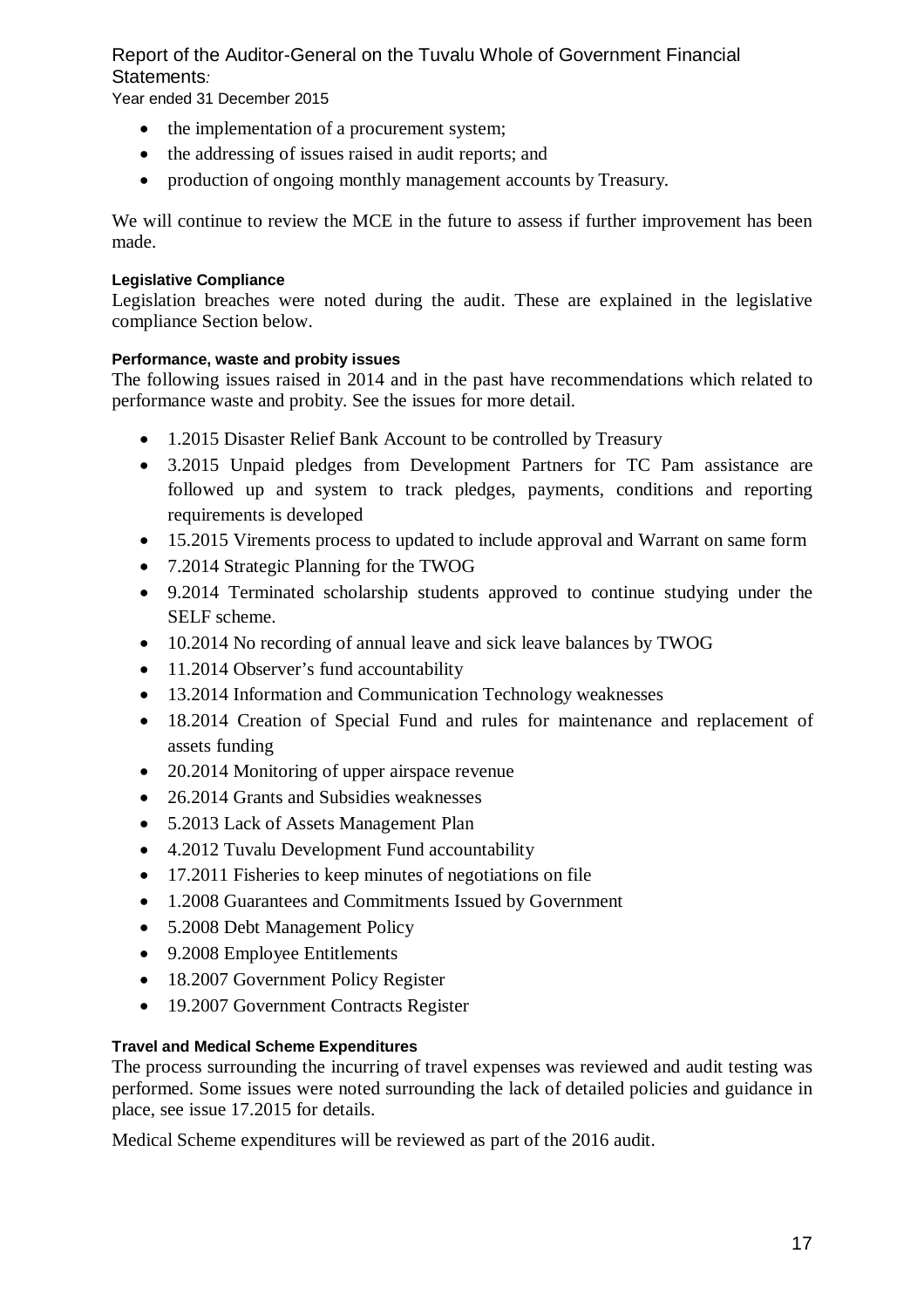Year ended 31 December 2015

- the implementation of a procurement system:
- the addressing of issues raised in audit reports; and
- production of ongoing monthly management accounts by Treasury.

We will continue to review the MCE in the future to assess if further improvement has been made.

# **Legislative Compliance**

Legislation breaches were noted during the audit. These are explained in the legislative compliance Section below.

# **Performance, waste and probity issues**

The following issues raised in 2014 and in the past have recommendations which related to performance waste and probity. See the issues for more detail.

- 1.2015 Disaster Relief Bank Account to be controlled by Treasury
- 3.2015 Unpaid pledges from Development Partners for TC Pam assistance are followed up and system to track pledges, payments, conditions and reporting requirements is developed
- 15.2015 Virements process to updated to include approval and Warrant on same form
- 7.2014 Strategic Planning for the TWOG
- 9.2014 Terminated scholarship students approved to continue studying under the SELF scheme.
- 10.2014 No recording of annual leave and sick leave balances by TWOG
- 11.2014 Observer's fund accountability
- 13.2014 Information and Communication Technology weaknesses
- 18.2014 Creation of Special Fund and rules for maintenance and replacement of assets funding
- 20.2014 Monitoring of upper airspace revenue
- 26.2014 Grants and Subsidies weaknesses
- 5.2013 Lack of Assets Management Plan
- 4.2012 Tuvalu Development Fund accountability
- 17.2011 Fisheries to keep minutes of negotiations on file
- 1.2008 Guarantees and Commitments Issued by Government
- 5.2008 Debt Management Policy
- 9.2008 Employee Entitlements
- 18.2007 Government Policy Register
- 19.2007 Government Contracts Register

# **Travel and Medical Scheme Expenditures**

The process surrounding the incurring of travel expenses was reviewed and audit testing was performed. Some issues were noted surrounding the lack of detailed policies and guidance in place, see issue 17.2015 for details.

Medical Scheme expenditures will be reviewed as part of the 2016 audit.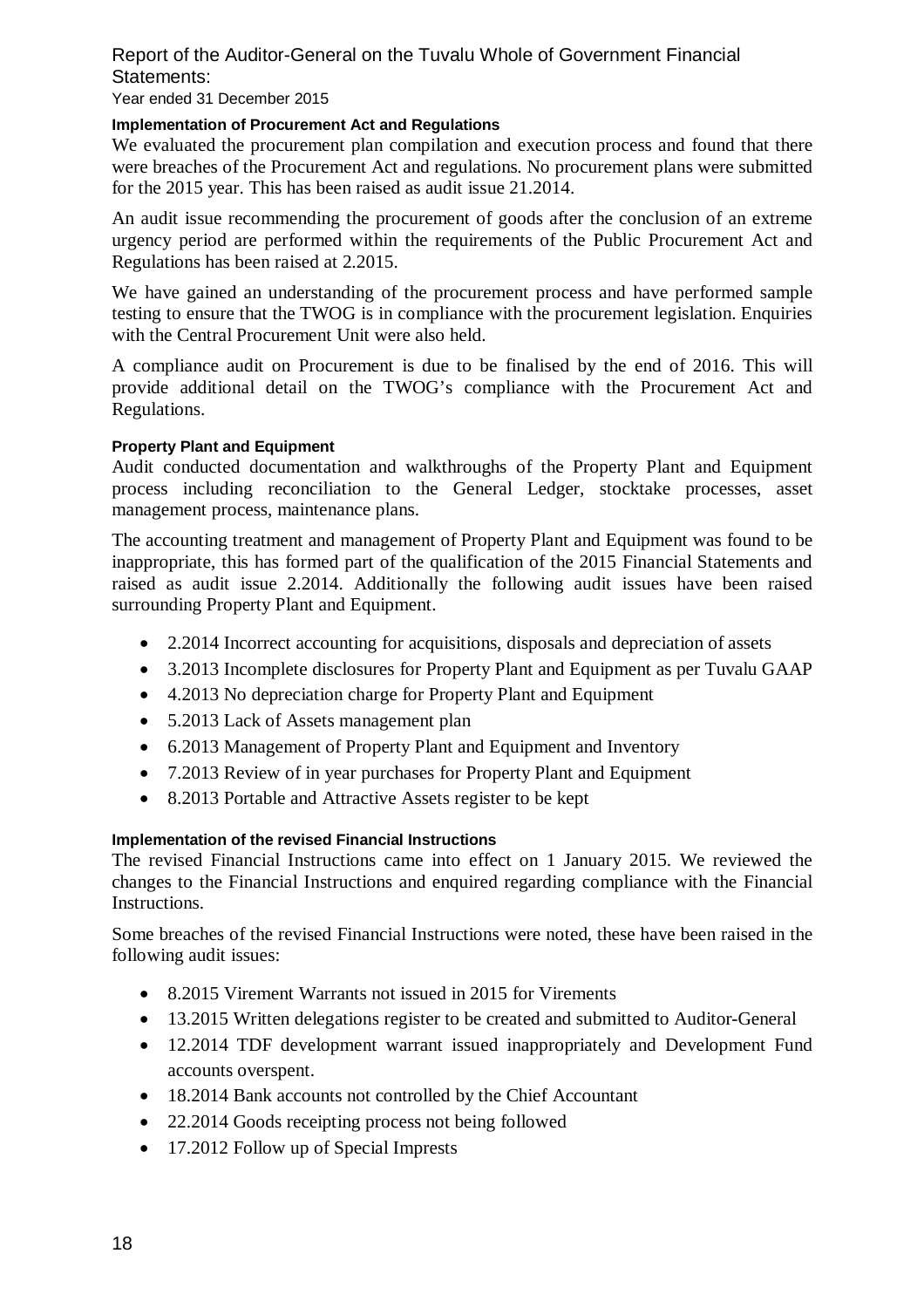Year ended 31 December 2015

### **Implementation of Procurement Act and Regulations**

We evaluated the procurement plan compilation and execution process and found that there were breaches of the Procurement Act and regulations. No procurement plans were submitted for the 2015 year. This has been raised as audit issue 21.2014.

An audit issue recommending the procurement of goods after the conclusion of an extreme urgency period are performed within the requirements of the Public Procurement Act and Regulations has been raised at 2.2015.

We have gained an understanding of the procurement process and have performed sample testing to ensure that the TWOG is in compliance with the procurement legislation. Enquiries with the Central Procurement Unit were also held.

A compliance audit on Procurement is due to be finalised by the end of 2016. This will provide additional detail on the TWOG's compliance with the Procurement Act and Regulations.

### **Property Plant and Equipment**

Audit conducted documentation and walkthroughs of the Property Plant and Equipment process including reconciliation to the General Ledger, stocktake processes, asset management process, maintenance plans.

The accounting treatment and management of Property Plant and Equipment was found to be inappropriate, this has formed part of the qualification of the 2015 Financial Statements and raised as audit issue 2.2014. Additionally the following audit issues have been raised surrounding Property Plant and Equipment.

- 2.2014 Incorrect accounting for acquisitions, disposals and depreciation of assets
- 3.2013 Incomplete disclosures for Property Plant and Equipment as per Tuvalu GAAP
- 4.2013 No depreciation charge for Property Plant and Equipment
- 5.2013 Lack of Assets management plan
- 6.2013 Management of Property Plant and Equipment and Inventory
- 7.2013 Review of in year purchases for Property Plant and Equipment
- 8.2013 Portable and Attractive Assets register to be kept

### **Implementation of the revised Financial Instructions**

The revised Financial Instructions came into effect on 1 January 2015. We reviewed the changes to the Financial Instructions and enquired regarding compliance with the Financial Instructions.

Some breaches of the revised Financial Instructions were noted, these have been raised in the following audit issues:

- 8.2015 Virement Warrants not issued in 2015 for Virements
- 13.2015 Written delegations register to be created and submitted to Auditor-General
- 12.2014 TDF development warrant issued inappropriately and Development Fund accounts overspent.
- 18.2014 Bank accounts not controlled by the Chief Accountant
- 22.2014 Goods receipting process not being followed
- 17.2012 Follow up of Special Imprests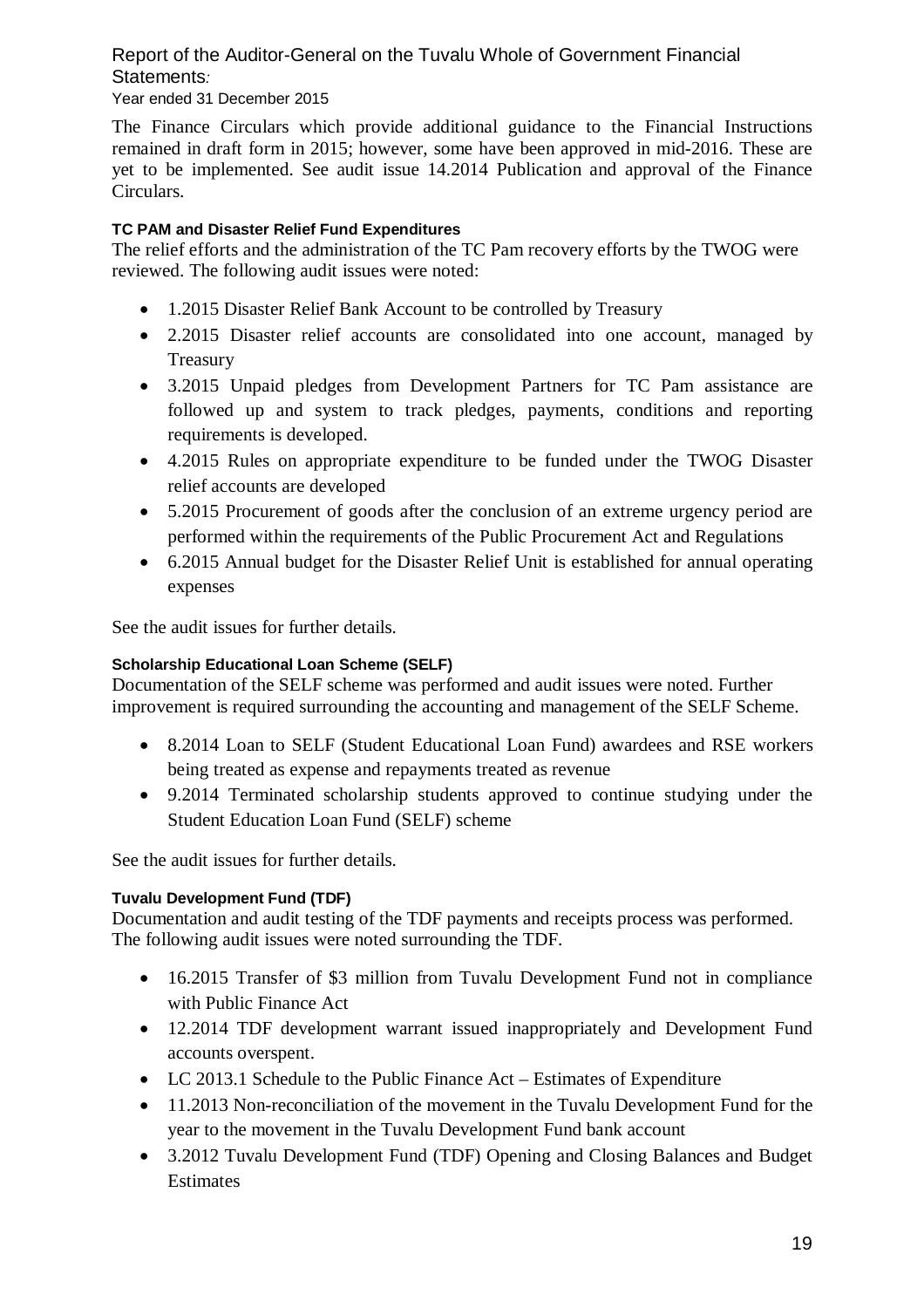Year ended 31 December 2015

The Finance Circulars which provide additional guidance to the Financial Instructions remained in draft form in 2015; however, some have been approved in mid-2016. These are yet to be implemented. See audit issue 14.2014 Publication and approval of the Finance Circulars.

# **TC PAM and Disaster Relief Fund Expenditures**

The relief efforts and the administration of the TC Pam recovery efforts by the TWOG were reviewed. The following audit issues were noted:

- 1.2015 Disaster Relief Bank Account to be controlled by Treasury
- 2.2015 Disaster relief accounts are consolidated into one account, managed by Treasury
- 3.2015 Unpaid pledges from Development Partners for TC Pam assistance are followed up and system to track pledges, payments, conditions and reporting requirements is developed.
- 4.2015 Rules on appropriate expenditure to be funded under the TWOG Disaster relief accounts are developed
- 5.2015 Procurement of goods after the conclusion of an extreme urgency period are performed within the requirements of the Public Procurement Act and Regulations
- 6.2015 Annual budget for the Disaster Relief Unit is established for annual operating expenses

See the audit issues for further details.

### **Scholarship Educational Loan Scheme (SELF)**

Documentation of the SELF scheme was performed and audit issues were noted. Further improvement is required surrounding the accounting and management of the SELF Scheme.

- 8.2014 Loan to SELF (Student Educational Loan Fund) awardees and RSE workers being treated as expense and repayments treated as revenue
- 9.2014 Terminated scholarship students approved to continue studying under the Student Education Loan Fund (SELF) scheme

See the audit issues for further details.

### **Tuvalu Development Fund (TDF)**

Documentation and audit testing of the TDF payments and receipts process was performed. The following audit issues were noted surrounding the TDF.

- 16.2015 Transfer of \$3 million from Tuvalu Development Fund not in compliance with Public Finance Act
- 12.2014 TDF development warrant issued inappropriately and Development Fund accounts overspent.
- LC 2013.1 Schedule to the Public Finance Act Estimates of Expenditure
- 11.2013 Non-reconciliation of the movement in the Tuvalu Development Fund for the year to the movement in the Tuvalu Development Fund bank account
- 3.2012 Tuvalu Development Fund (TDF) Opening and Closing Balances and Budget Estimates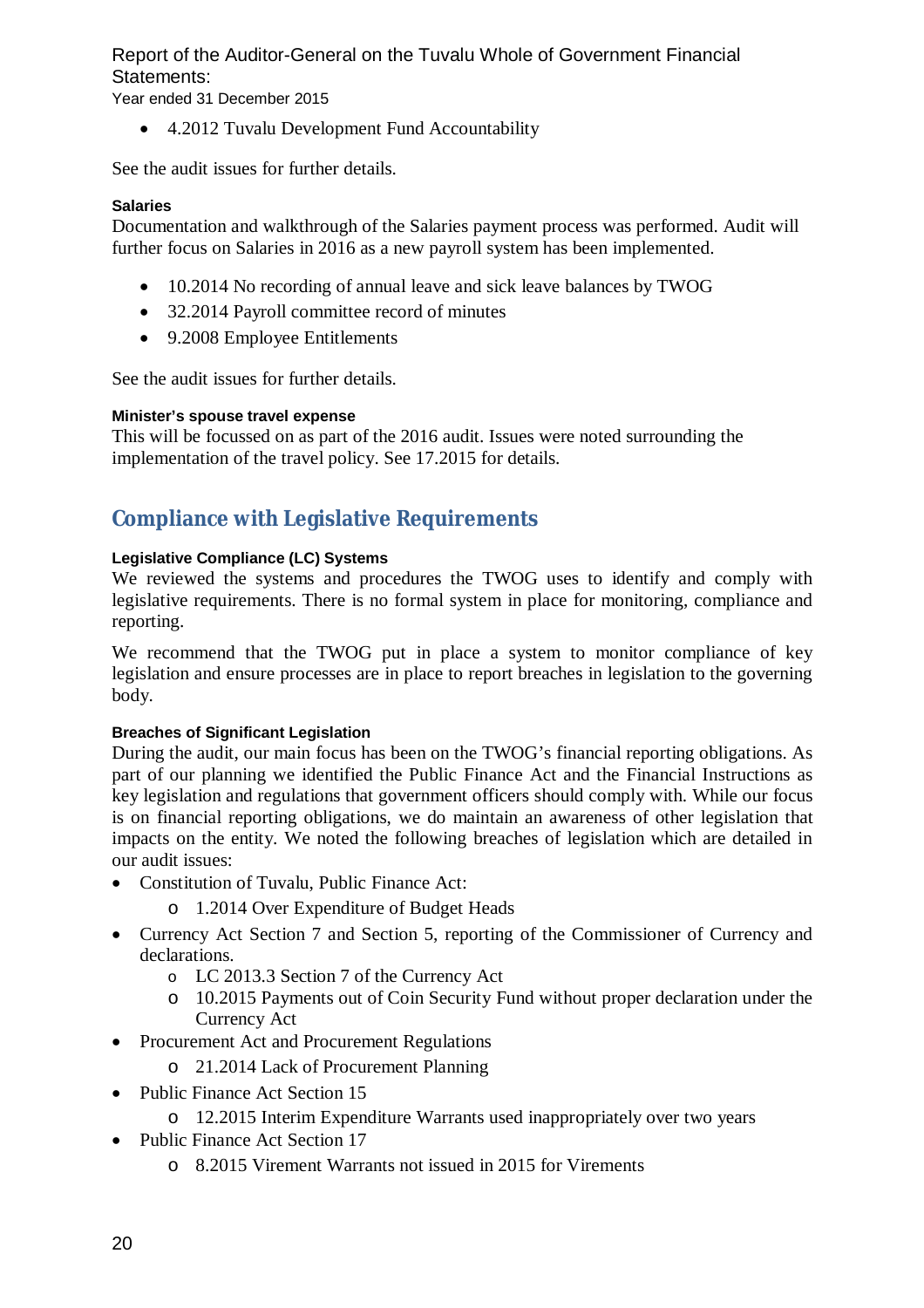Year ended 31 December 2015

• 4.2012 Tuvalu Development Fund Accountability

See the audit issues for further details.

# **Salaries**

Documentation and walkthrough of the Salaries payment process was performed. Audit will further focus on Salaries in 2016 as a new payroll system has been implemented.

- 10.2014 No recording of annual leave and sick leave balances by TWOG
- 32.2014 Payroll committee record of minutes
- 9.2008 Employee Entitlements

See the audit issues for further details.

### **Minister's spouse travel expense**

This will be focussed on as part of the 2016 audit. Issues were noted surrounding the implementation of the travel policy. See 17.2015 for details.

# **Compliance with Legislative Requirements**

# **Legislative Compliance (LC) Systems**

We reviewed the systems and procedures the TWOG uses to identify and comply with legislative requirements. There is no formal system in place for monitoring, compliance and reporting.

We recommend that the TWOG put in place a system to monitor compliance of key legislation and ensure processes are in place to report breaches in legislation to the governing body.

# **Breaches of Significant Legislation**

During the audit, our main focus has been on the TWOG's financial reporting obligations. As part of our planning we identified the Public Finance Act and the Financial Instructions as key legislation and regulations that government officers should comply with. While our focus is on financial reporting obligations, we do maintain an awareness of other legislation that impacts on the entity. We noted the following breaches of legislation which are detailed in our audit issues:

- Constitution of Tuvalu, Public Finance Act:
	- o 1.2014 Over Expenditure of Budget Heads
- Currency Act Section 7 and Section 5, reporting of the Commissioner of Currency and declarations.
	- o LC 2013.3 Section 7 of the Currency Act
	- o 10.2015 Payments out of Coin Security Fund without proper declaration under the Currency Act
- Procurement Act and Procurement Regulations
	- o 21.2014 Lack of Procurement Planning
- Public Finance Act Section 15
	- o 12.2015 Interim Expenditure Warrants used inappropriately over two years
- Public Finance Act Section 17
	- o 8.2015 Virement Warrants not issued in 2015 for Virements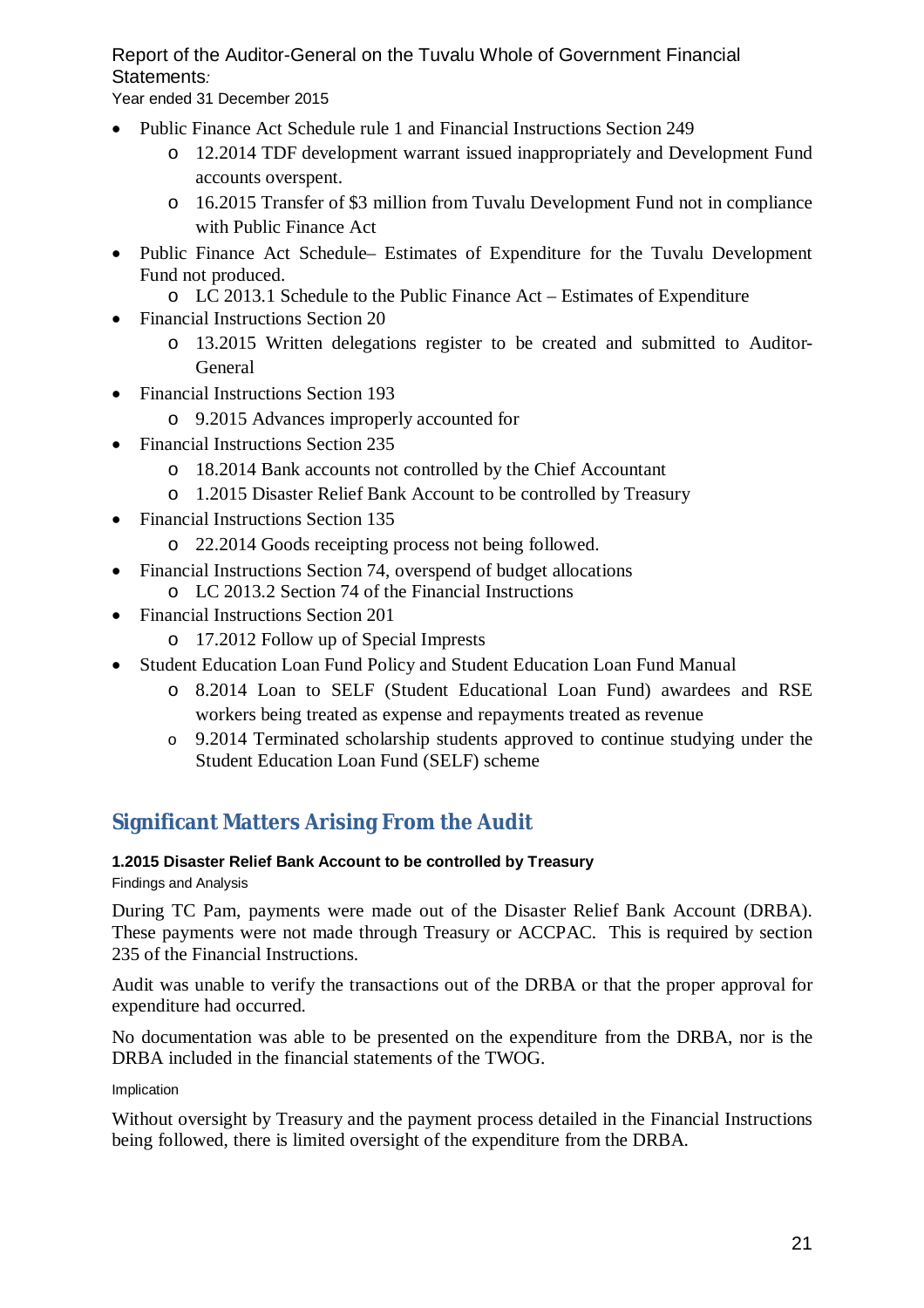Year ended 31 December 2015

- Public Finance Act Schedule rule 1 and Financial Instructions Section 249
	- o 12.2014 TDF development warrant issued inappropriately and Development Fund accounts overspent.
	- o 16.2015 Transfer of \$3 million from Tuvalu Development Fund not in compliance with Public Finance Act
- Public Finance Act Schedule– Estimates of Expenditure for the Tuvalu Development Fund not produced.
	- o LC 2013.1 Schedule to the Public Finance Act Estimates of Expenditure
- Financial Instructions Section 20
	- o 13.2015 Written delegations register to be created and submitted to Auditor-General
- Financial Instructions Section 193
	- o 9.2015 Advances improperly accounted for
- Financial Instructions Section 235
	- o 18.2014 Bank accounts not controlled by the Chief Accountant
	- o 1.2015 Disaster Relief Bank Account to be controlled by Treasury
- Financial Instructions Section 135
	- o 22.2014 Goods receipting process not being followed.
- Financial Instructions Section 74, overspend of budget allocations
	- o LC 2013.2 Section 74 of the Financial Instructions
- Financial Instructions Section 201
	- o 17.2012 Follow up of Special Imprests
- Student Education Loan Fund Policy and Student Education Loan Fund Manual
	- o 8.2014 Loan to SELF (Student Educational Loan Fund) awardees and RSE workers being treated as expense and repayments treated as revenue
	- o 9.2014 Terminated scholarship students approved to continue studying under the Student Education Loan Fund (SELF) scheme

# **Significant Matters Arising From the Audit**

# **1.2015 Disaster Relief Bank Account to be controlled by Treasury**

Findings and Analysis

During TC Pam, payments were made out of the Disaster Relief Bank Account (DRBA). These payments were not made through Treasury or ACCPAC. This is required by section 235 of the Financial Instructions.

Audit was unable to verify the transactions out of the DRBA or that the proper approval for expenditure had occurred.

No documentation was able to be presented on the expenditure from the DRBA, nor is the DRBA included in the financial statements of the TWOG.

### Implication

Without oversight by Treasury and the payment process detailed in the Financial Instructions being followed, there is limited oversight of the expenditure from the DRBA.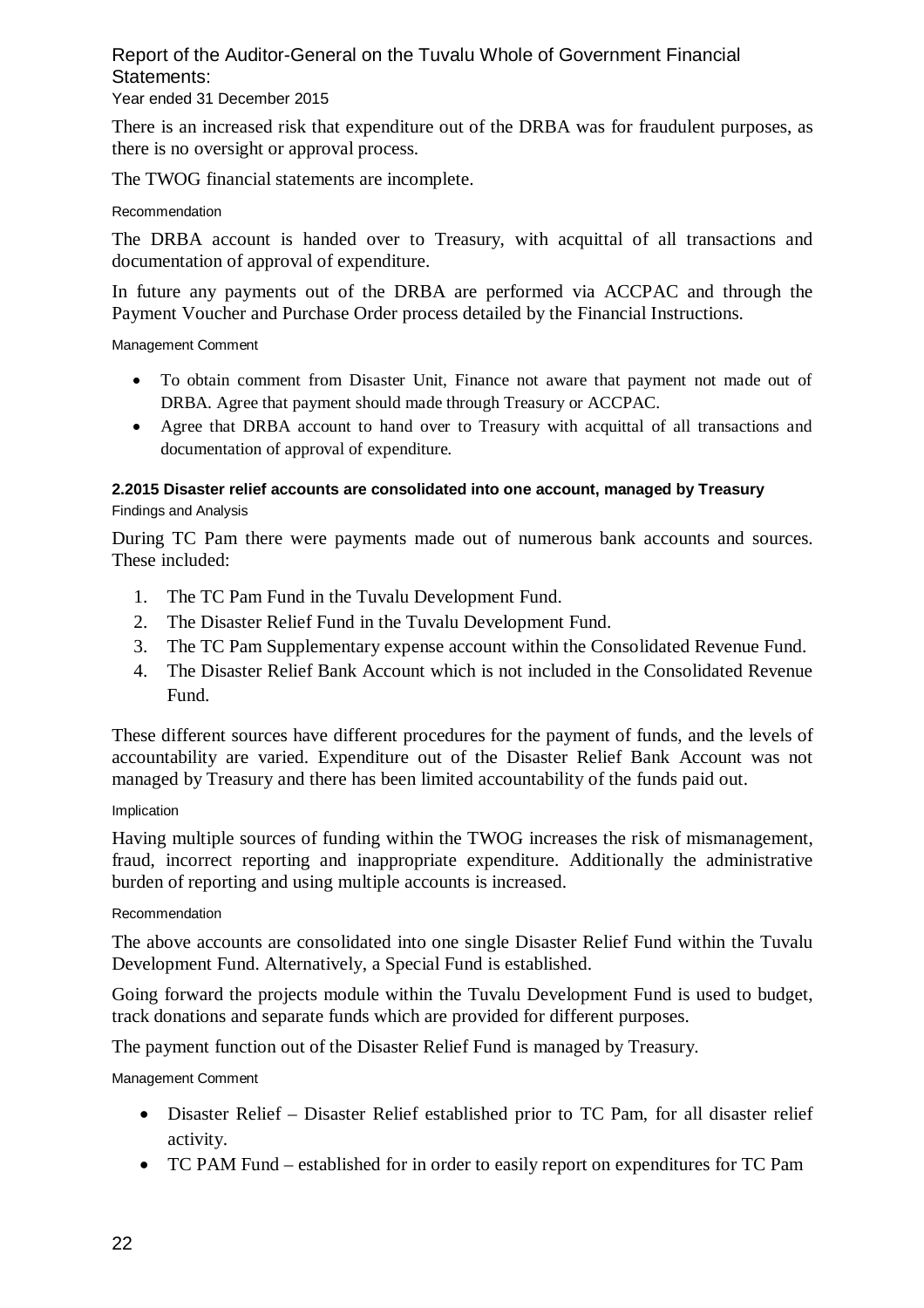# Year ended 31 December 2015

There is an increased risk that expenditure out of the DRBA was for fraudulent purposes, as there is no oversight or approval process.

The TWOG financial statements are incomplete.

#### Recommendation

The DRBA account is handed over to Treasury, with acquittal of all transactions and documentation of approval of expenditure.

In future any payments out of the DRBA are performed via ACCPAC and through the Payment Voucher and Purchase Order process detailed by the Financial Instructions.

Management Comment

- To obtain comment from Disaster Unit, Finance not aware that payment not made out of DRBA. Agree that payment should made through Treasury or ACCPAC.
- Agree that DRBA account to hand over to Treasury with acquittal of all transactions and documentation of approval of expenditure.

# **2.2015 Disaster relief accounts are consolidated into one account, managed by Treasury** Findings and Analysis

During TC Pam there were payments made out of numerous bank accounts and sources. These included:

- 1. The TC Pam Fund in the Tuvalu Development Fund.
- 2. The Disaster Relief Fund in the Tuvalu Development Fund.
- 3. The TC Pam Supplementary expense account within the Consolidated Revenue Fund.
- 4. The Disaster Relief Bank Account which is not included in the Consolidated Revenue Fund.

These different sources have different procedures for the payment of funds, and the levels of accountability are varied. Expenditure out of the Disaster Relief Bank Account was not managed by Treasury and there has been limited accountability of the funds paid out.

### Implication

Having multiple sources of funding within the TWOG increases the risk of mismanagement, fraud, incorrect reporting and inappropriate expenditure. Additionally the administrative burden of reporting and using multiple accounts is increased.

### Recommendation

The above accounts are consolidated into one single Disaster Relief Fund within the Tuvalu Development Fund. Alternatively, a Special Fund is established.

Going forward the projects module within the Tuvalu Development Fund is used to budget, track donations and separate funds which are provided for different purposes.

The payment function out of the Disaster Relief Fund is managed by Treasury.

Management Comment

- Disaster Relief Disaster Relief established prior to TC Pam, for all disaster relief activity.
- TC PAM Fund established for in order to easily report on expenditures for TC Pam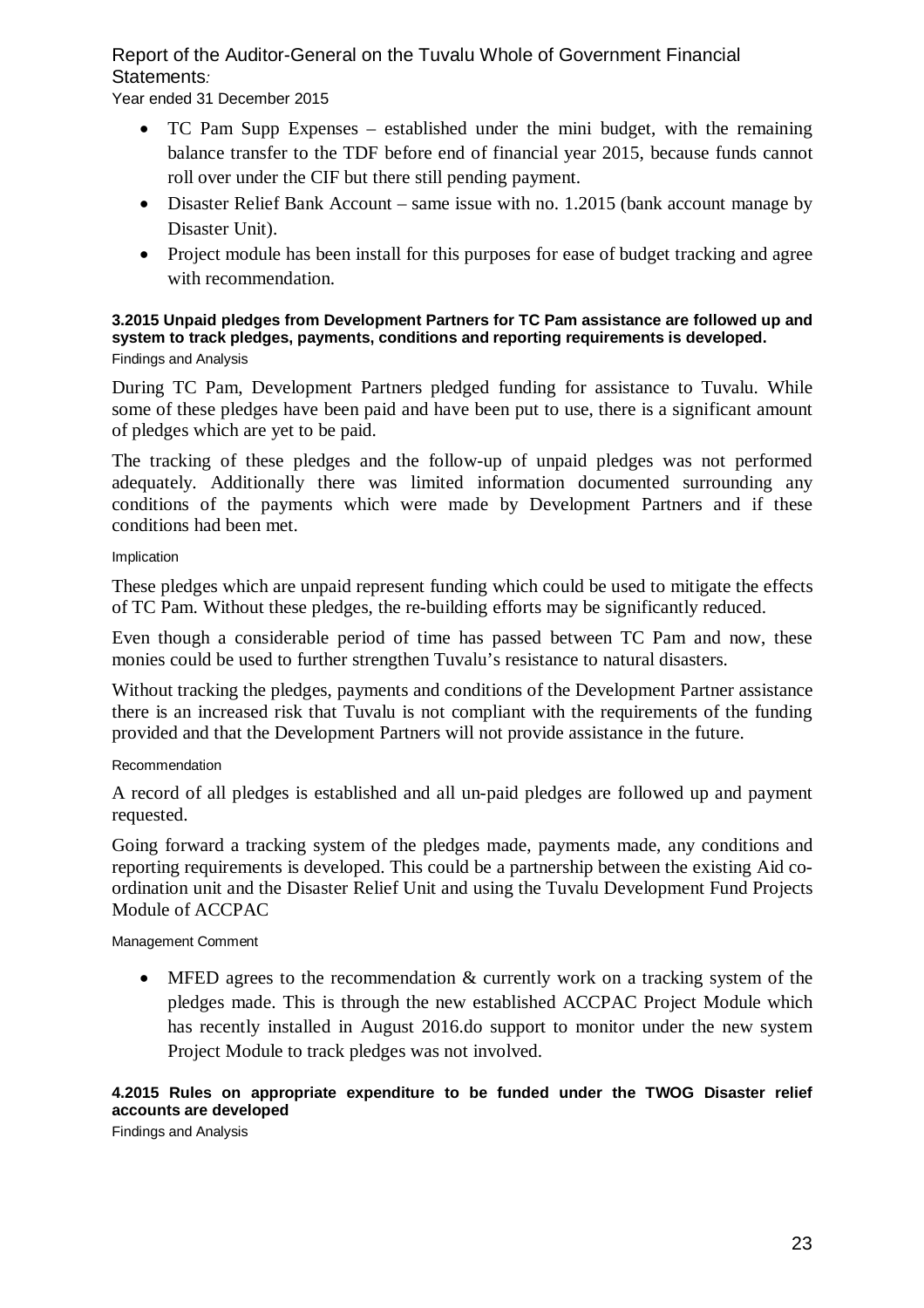Year ended 31 December 2015

- TC Pam Supp Expenses established under the mini budget, with the remaining balance transfer to the TDF before end of financial year 2015, because funds cannot roll over under the CIF but there still pending payment.
- Disaster Relief Bank Account same issue with no. 1.2015 (bank account manage by Disaster Unit).
- Project module has been install for this purposes for ease of budget tracking and agree with recommendation.

#### **3.2015 Unpaid pledges from Development Partners for TC Pam assistance are followed up and system to track pledges, payments, conditions and reporting requirements is developed.**  Findings and Analysis

During TC Pam, Development Partners pledged funding for assistance to Tuvalu. While some of these pledges have been paid and have been put to use, there is a significant amount of pledges which are yet to be paid.

The tracking of these pledges and the follow-up of unpaid pledges was not performed adequately. Additionally there was limited information documented surrounding any conditions of the payments which were made by Development Partners and if these conditions had been met.

Implication

These pledges which are unpaid represent funding which could be used to mitigate the effects of TC Pam. Without these pledges, the re-building efforts may be significantly reduced.

Even though a considerable period of time has passed between TC Pam and now, these monies could be used to further strengthen Tuvalu's resistance to natural disasters.

Without tracking the pledges, payments and conditions of the Development Partner assistance there is an increased risk that Tuvalu is not compliant with the requirements of the funding provided and that the Development Partners will not provide assistance in the future.

# Recommendation

A record of all pledges is established and all un-paid pledges are followed up and payment requested.

Going forward a tracking system of the pledges made, payments made, any conditions and reporting requirements is developed. This could be a partnership between the existing Aid coordination unit and the Disaster Relief Unit and using the Tuvalu Development Fund Projects Module of ACCPAC

### Management Comment

 MFED agrees to the recommendation & currently work on a tracking system of the pledges made. This is through the new established ACCPAC Project Module which has recently installed in August 2016.do support to monitor under the new system Project Module to track pledges was not involved.

# **4.2015 Rules on appropriate expenditure to be funded under the TWOG Disaster relief accounts are developed**

Findings and Analysis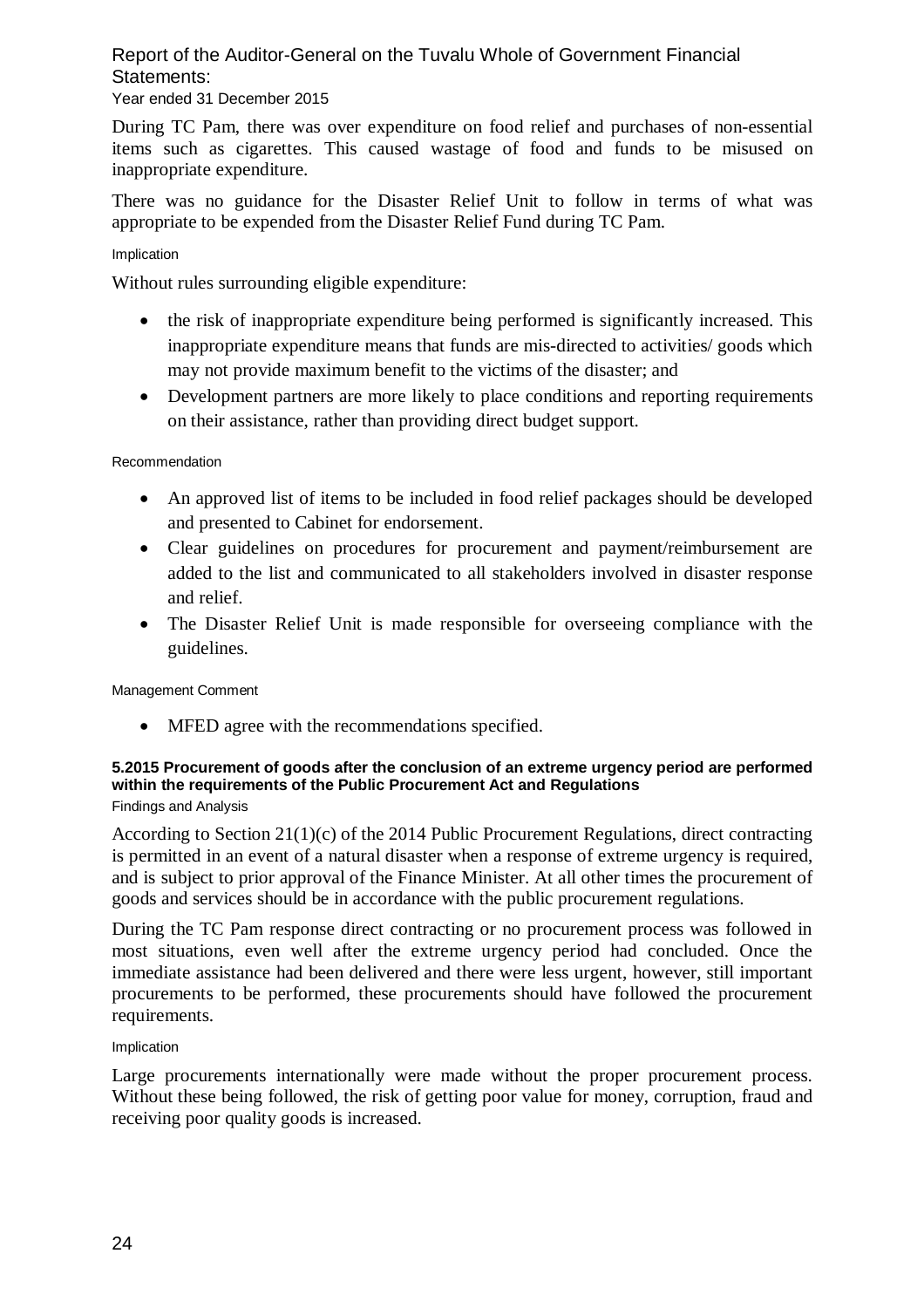# Year ended 31 December 2015

During TC Pam, there was over expenditure on food relief and purchases of non-essential items such as cigarettes. This caused wastage of food and funds to be misused on inappropriate expenditure.

There was no guidance for the Disaster Relief Unit to follow in terms of what was appropriate to be expended from the Disaster Relief Fund during TC Pam.

#### Implication

Without rules surrounding eligible expenditure:

- the risk of inappropriate expenditure being performed is significantly increased. This inappropriate expenditure means that funds are mis-directed to activities/ goods which may not provide maximum benefit to the victims of the disaster; and
- Development partners are more likely to place conditions and reporting requirements on their assistance, rather than providing direct budget support.

#### Recommendation

- An approved list of items to be included in food relief packages should be developed and presented to Cabinet for endorsement.
- Clear guidelines on procedures for procurement and payment/reimbursement are added to the list and communicated to all stakeholders involved in disaster response and relief.
- The Disaster Relief Unit is made responsible for overseeing compliance with the guidelines.

Management Comment

• MFED agree with the recommendations specified.

# **5.2015 Procurement of goods after the conclusion of an extreme urgency period are performed within the requirements of the Public Procurement Act and Regulations**

Findings and Analysis

According to Section 21(1)(c) of the 2014 Public Procurement Regulations, direct contracting is permitted in an event of a natural disaster when a response of extreme urgency is required, and is subject to prior approval of the Finance Minister. At all other times the procurement of goods and services should be in accordance with the public procurement regulations.

During the TC Pam response direct contracting or no procurement process was followed in most situations, even well after the extreme urgency period had concluded. Once the immediate assistance had been delivered and there were less urgent, however, still important procurements to be performed, these procurements should have followed the procurement requirements.

Implication

Large procurements internationally were made without the proper procurement process. Without these being followed, the risk of getting poor value for money, corruption, fraud and receiving poor quality goods is increased.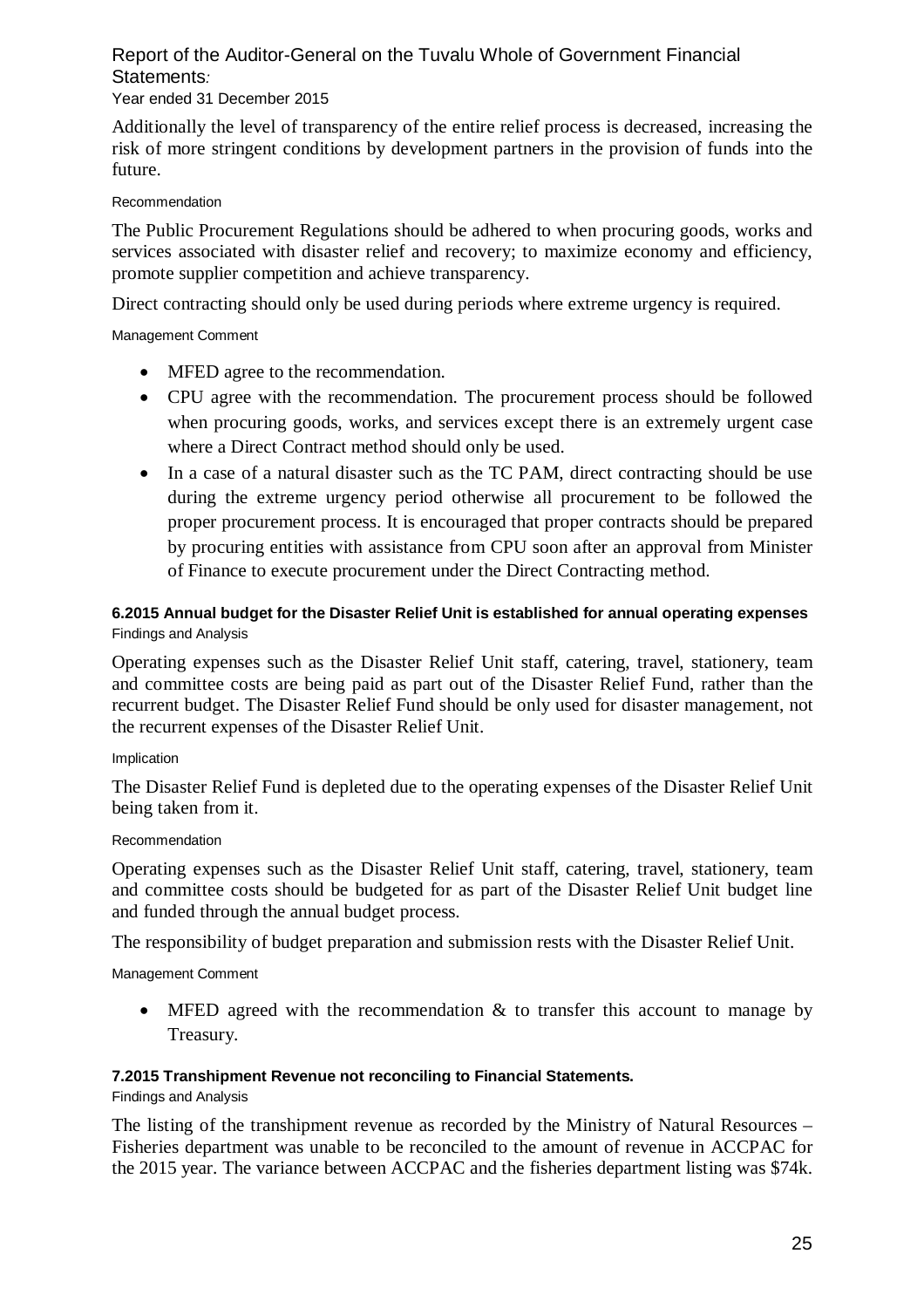# Year ended 31 December 2015

Additionally the level of transparency of the entire relief process is decreased, increasing the risk of more stringent conditions by development partners in the provision of funds into the future.

### Recommendation

The Public Procurement Regulations should be adhered to when procuring goods, works and services associated with disaster relief and recovery; to maximize economy and efficiency, promote supplier competition and achieve transparency.

Direct contracting should only be used during periods where extreme urgency is required.

### Management Comment

- MFED agree to the recommendation.
- CPU agree with the recommendation. The procurement process should be followed when procuring goods, works, and services except there is an extremely urgent case where a Direct Contract method should only be used.
- In a case of a natural disaster such as the TC PAM, direct contracting should be use during the extreme urgency period otherwise all procurement to be followed the proper procurement process. It is encouraged that proper contracts should be prepared by procuring entities with assistance from CPU soon after an approval from Minister of Finance to execute procurement under the Direct Contracting method.

# **6.2015 Annual budget for the Disaster Relief Unit is established for annual operating expenses** Findings and Analysis

Operating expenses such as the Disaster Relief Unit staff, catering, travel, stationery, team and committee costs are being paid as part out of the Disaster Relief Fund, rather than the recurrent budget. The Disaster Relief Fund should be only used for disaster management, not the recurrent expenses of the Disaster Relief Unit.

#### Implication

The Disaster Relief Fund is depleted due to the operating expenses of the Disaster Relief Unit being taken from it.

### Recommendation

Operating expenses such as the Disaster Relief Unit staff, catering, travel, stationery, team and committee costs should be budgeted for as part of the Disaster Relief Unit budget line and funded through the annual budget process.

The responsibility of budget preparation and submission rests with the Disaster Relief Unit.

Management Comment

• MFED agreed with the recommendation  $\&$  to transfer this account to manage by Treasury.

### **7.2015 Transhipment Revenue not reconciling to Financial Statements.**

Findings and Analysis

The listing of the transhipment revenue as recorded by the Ministry of Natural Resources – Fisheries department was unable to be reconciled to the amount of revenue in ACCPAC for the 2015 year. The variance between ACCPAC and the fisheries department listing was \$74k.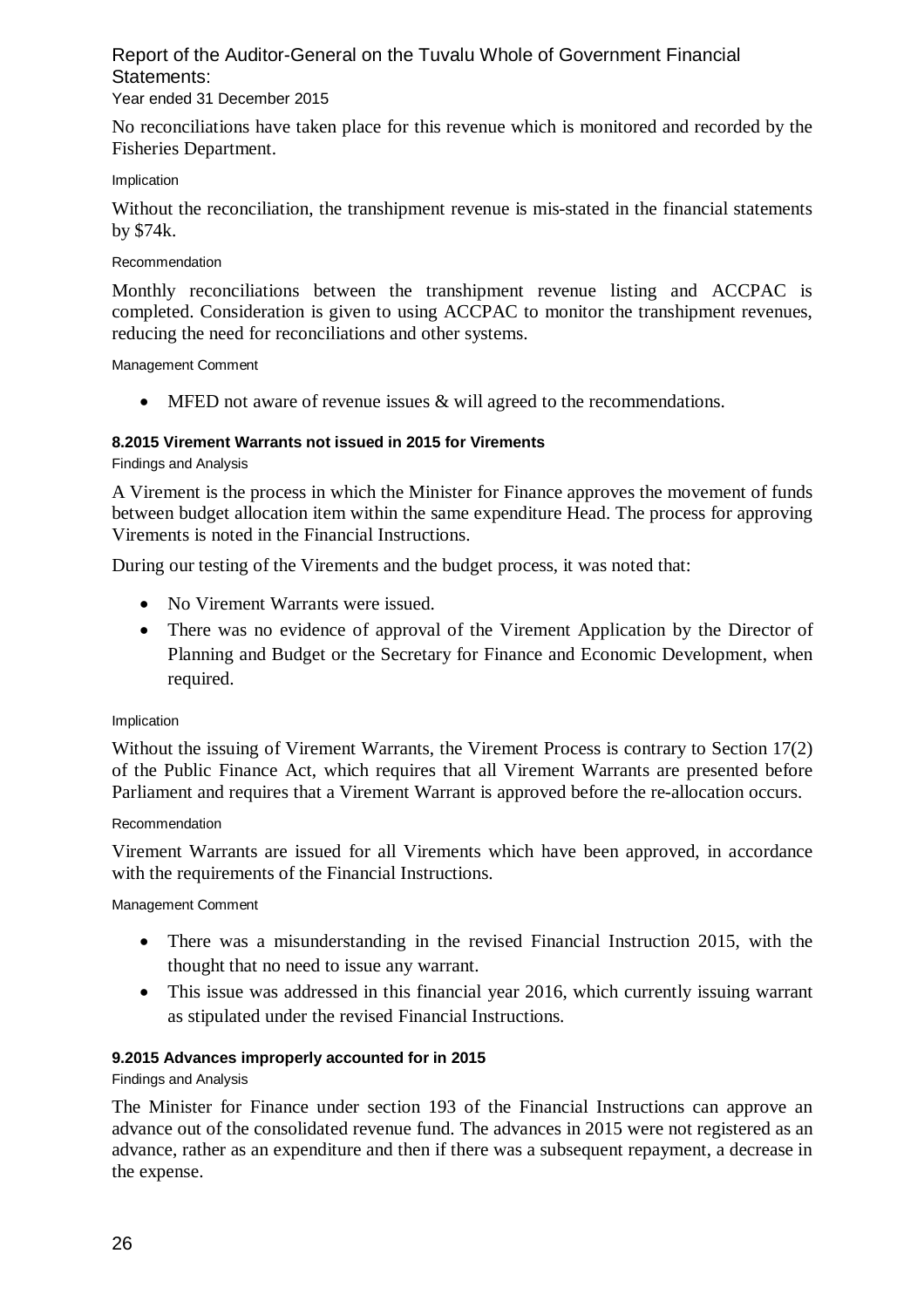# Year ended 31 December 2015

No reconciliations have taken place for this revenue which is monitored and recorded by the Fisheries Department.

#### Implication

Without the reconciliation, the transhipment revenue is mis-stated in the financial statements by \$74k.

#### Recommendation

Monthly reconciliations between the transhipment revenue listing and ACCPAC is completed. Consideration is given to using ACCPAC to monitor the transhipment revenues, reducing the need for reconciliations and other systems.

#### Management Comment

 $\bullet$  MFED not aware of revenue issues & will agreed to the recommendations.

### **8.2015 Virement Warrants not issued in 2015 for Virements**

Findings and Analysis

A Virement is the process in which the Minister for Finance approves the movement of funds between budget allocation item within the same expenditure Head. The process for approving Virements is noted in the Financial Instructions.

During our testing of the Virements and the budget process, it was noted that:

- No Virement Warrants were issued.
- There was no evidence of approval of the Virement Application by the Director of Planning and Budget or the Secretary for Finance and Economic Development, when required.

#### Implication

Without the issuing of Virement Warrants, the Virement Process is contrary to Section 17(2) of the Public Finance Act, which requires that all Virement Warrants are presented before Parliament and requires that a Virement Warrant is approved before the re-allocation occurs.

#### Recommendation

Virement Warrants are issued for all Virements which have been approved, in accordance with the requirements of the Financial Instructions.

#### Management Comment

- There was a misunderstanding in the revised Financial Instruction 2015, with the thought that no need to issue any warrant.
- This issue was addressed in this financial year 2016, which currently issuing warrant as stipulated under the revised Financial Instructions.

### **9.2015 Advances improperly accounted for in 2015**

### Findings and Analysis

The Minister for Finance under section 193 of the Financial Instructions can approve an advance out of the consolidated revenue fund. The advances in 2015 were not registered as an advance, rather as an expenditure and then if there was a subsequent repayment, a decrease in the expense.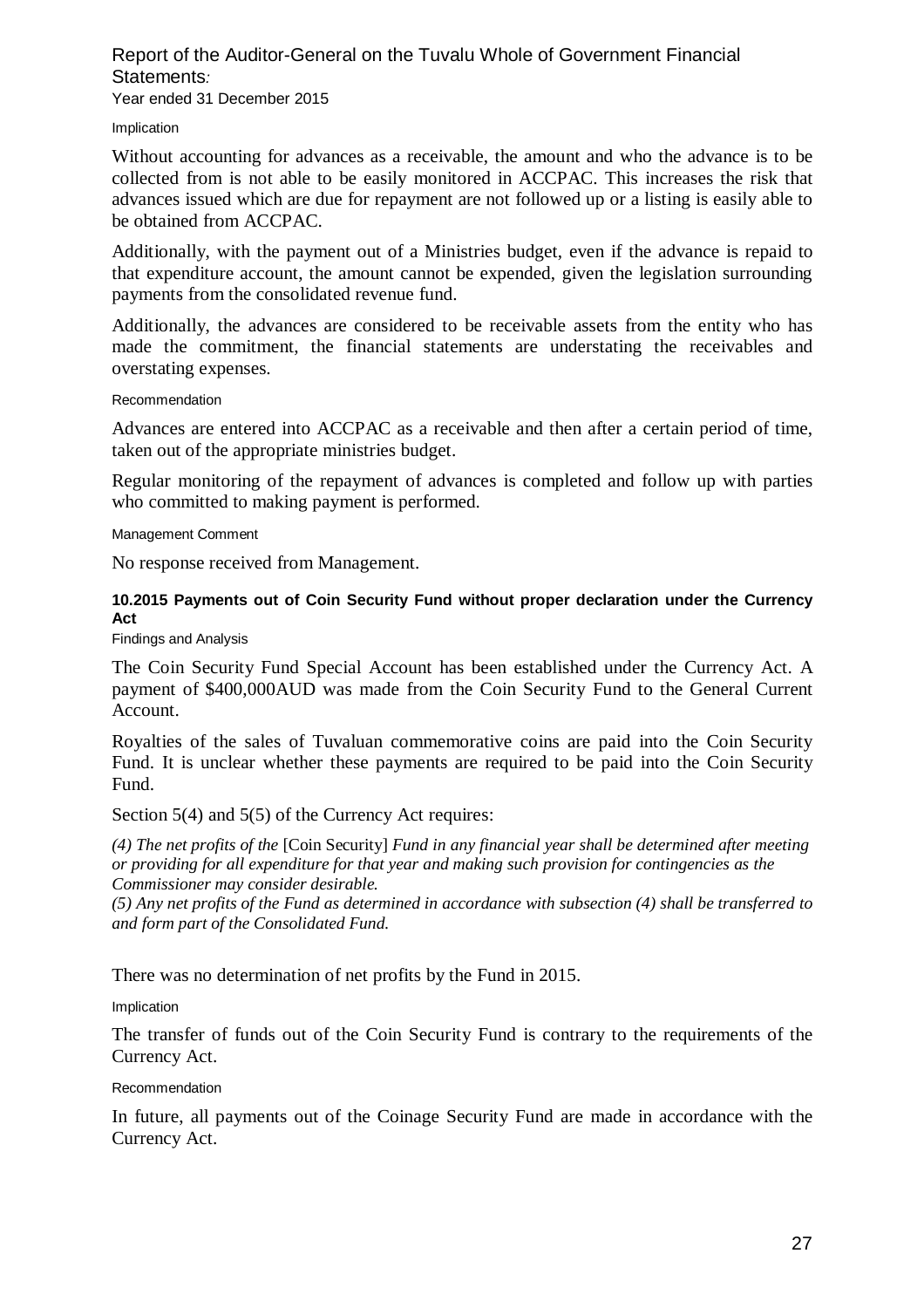#### Report of the Auditor-General on the Tuvalu Whole of Government Financial Statements*:*  Year ended 31 December 2015

Implication

Without accounting for advances as a receivable, the amount and who the advance is to be collected from is not able to be easily monitored in ACCPAC. This increases the risk that advances issued which are due for repayment are not followed up or a listing is easily able to be obtained from ACCPAC.

Additionally, with the payment out of a Ministries budget, even if the advance is repaid to that expenditure account, the amount cannot be expended, given the legislation surrounding payments from the consolidated revenue fund.

Additionally, the advances are considered to be receivable assets from the entity who has made the commitment, the financial statements are understating the receivables and overstating expenses.

#### Recommendation

Advances are entered into ACCPAC as a receivable and then after a certain period of time, taken out of the appropriate ministries budget.

Regular monitoring of the repayment of advances is completed and follow up with parties who committed to making payment is performed.

#### Management Comment

No response received from Management.

# **10.2015 Payments out of Coin Security Fund without proper declaration under the Currency Act**

Findings and Analysis

The Coin Security Fund Special Account has been established under the Currency Act. A payment of \$400,000AUD was made from the Coin Security Fund to the General Current Account.

Royalties of the sales of Tuvaluan commemorative coins are paid into the Coin Security Fund. It is unclear whether these payments are required to be paid into the Coin Security Fund.

Section 5(4) and 5(5) of the Currency Act requires:

*(4) The net profits of the* [Coin Security] *Fund in any financial year shall be determined after meeting or providing for all expenditure for that year and making such provision for contingencies as the Commissioner may consider desirable.*

*(5) Any net profits of the Fund as determined in accordance with subsection (4) shall be transferred to and form part of the Consolidated Fund.*

There was no determination of net profits by the Fund in 2015.

Implication

The transfer of funds out of the Coin Security Fund is contrary to the requirements of the Currency Act.

#### Recommendation

In future, all payments out of the Coinage Security Fund are made in accordance with the Currency Act.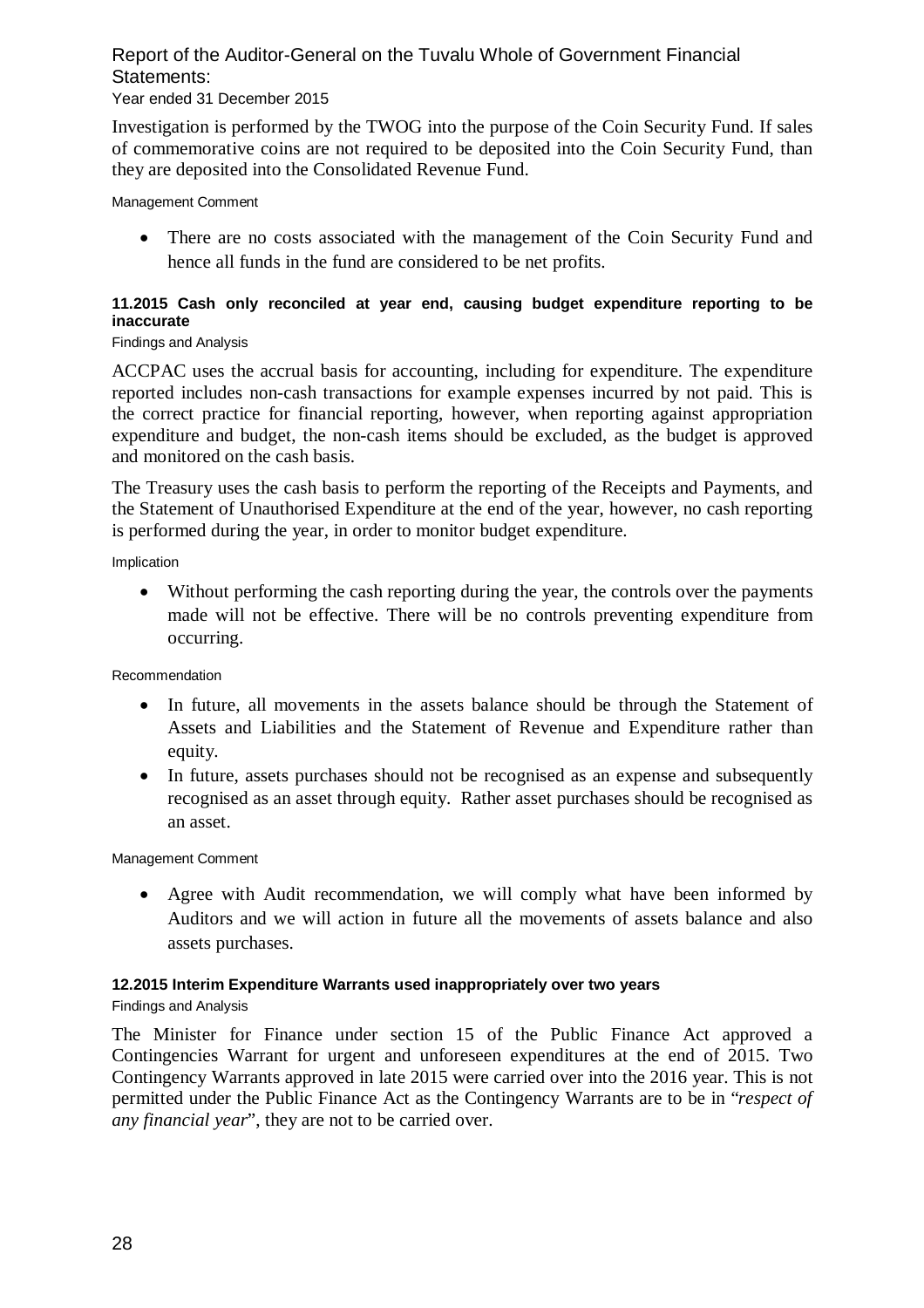# Year ended 31 December 2015

Investigation is performed by the TWOG into the purpose of the Coin Security Fund. If sales of commemorative coins are not required to be deposited into the Coin Security Fund, than they are deposited into the Consolidated Revenue Fund.

Management Comment

• There are no costs associated with the management of the Coin Security Fund and hence all funds in the fund are considered to be net profits.

# **11.2015 Cash only reconciled at year end, causing budget expenditure reporting to be inaccurate**

#### Findings and Analysis

ACCPAC uses the accrual basis for accounting, including for expenditure. The expenditure reported includes non-cash transactions for example expenses incurred by not paid. This is the correct practice for financial reporting, however, when reporting against appropriation expenditure and budget, the non-cash items should be excluded, as the budget is approved and monitored on the cash basis.

The Treasury uses the cash basis to perform the reporting of the Receipts and Payments, and the Statement of Unauthorised Expenditure at the end of the year, however, no cash reporting is performed during the year, in order to monitor budget expenditure.

Implication

 Without performing the cash reporting during the year, the controls over the payments made will not be effective. There will be no controls preventing expenditure from occurring.

Recommendation

- In future, all movements in the assets balance should be through the Statement of Assets and Liabilities and the Statement of Revenue and Expenditure rather than equity.
- In future, assets purchases should not be recognised as an expense and subsequently recognised as an asset through equity. Rather asset purchases should be recognised as an asset.

Management Comment

 Agree with Audit recommendation, we will comply what have been informed by Auditors and we will action in future all the movements of assets balance and also assets purchases.

### **12.2015 Interim Expenditure Warrants used inappropriately over two years**

Findings and Analysis

The Minister for Finance under section 15 of the Public Finance Act approved a Contingencies Warrant for urgent and unforeseen expenditures at the end of 2015. Two Contingency Warrants approved in late 2015 were carried over into the 2016 year. This is not permitted under the Public Finance Act as the Contingency Warrants are to be in "*respect of any financial year*", they are not to be carried over.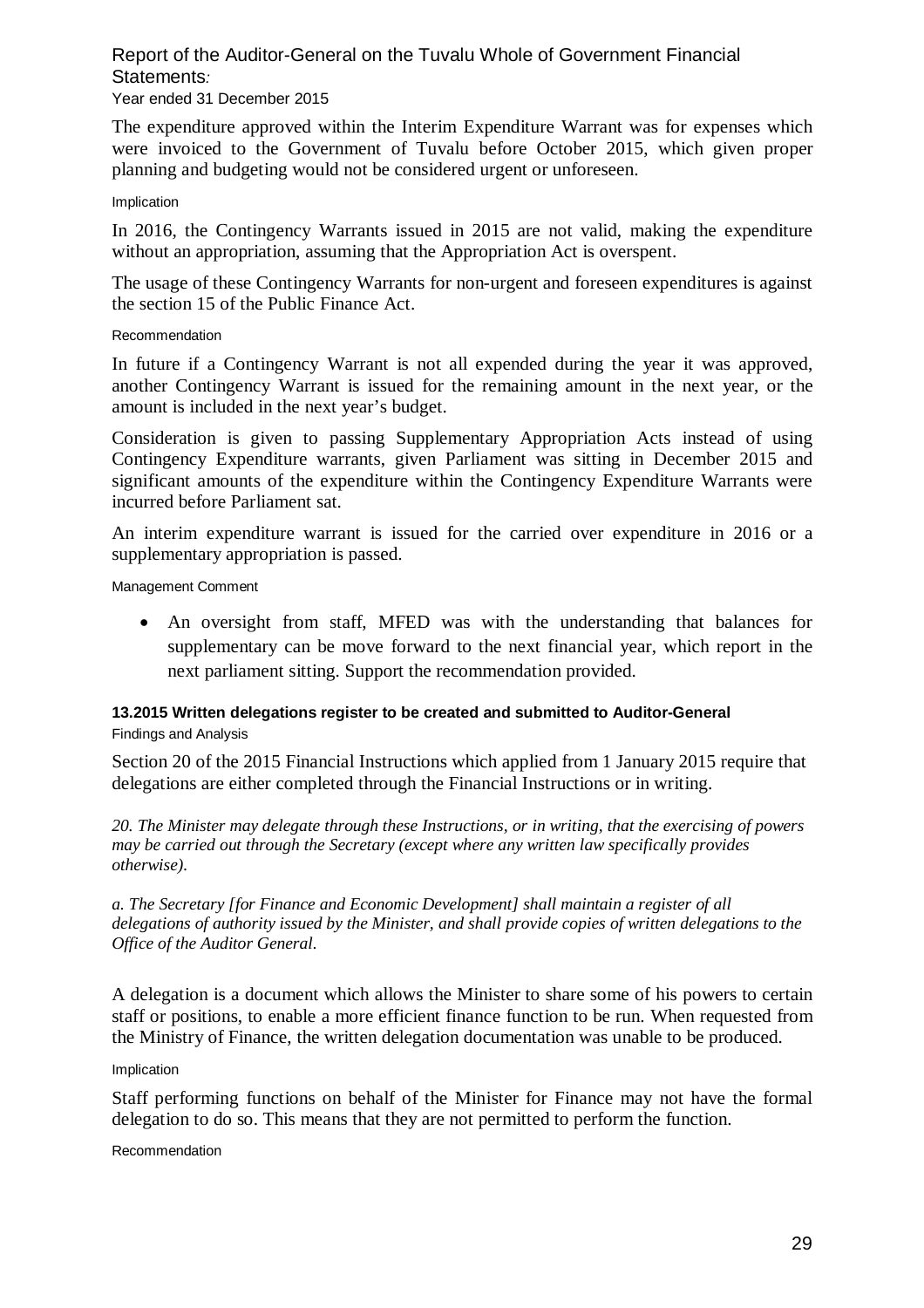# Year ended 31 December 2015

The expenditure approved within the Interim Expenditure Warrant was for expenses which were invoiced to the Government of Tuvalu before October 2015, which given proper planning and budgeting would not be considered urgent or unforeseen.

#### Implication

In 2016, the Contingency Warrants issued in 2015 are not valid, making the expenditure without an appropriation, assuming that the Appropriation Act is overspent.

The usage of these Contingency Warrants for non-urgent and foreseen expenditures is against the section 15 of the Public Finance Act.

#### Recommendation

In future if a Contingency Warrant is not all expended during the year it was approved, another Contingency Warrant is issued for the remaining amount in the next year, or the amount is included in the next year's budget.

Consideration is given to passing Supplementary Appropriation Acts instead of using Contingency Expenditure warrants, given Parliament was sitting in December 2015 and significant amounts of the expenditure within the Contingency Expenditure Warrants were incurred before Parliament sat.

An interim expenditure warrant is issued for the carried over expenditure in 2016 or a supplementary appropriation is passed.

Management Comment

 An oversight from staff, MFED was with the understanding that balances for supplementary can be move forward to the next financial year, which report in the next parliament sitting. Support the recommendation provided.

# **13.2015 Written delegations register to be created and submitted to Auditor-General**

Findings and Analysis

Section 20 of the 2015 Financial Instructions which applied from 1 January 2015 require that delegations are either completed through the Financial Instructions or in writing.

*20. The Minister may delegate through these Instructions, or in writing, that the exercising of powers may be carried out through the Secretary (except where any written law specifically provides otherwise).*

*a. The Secretary [for Finance and Economic Development] shall maintain a register of all delegations of authority issued by the Minister, and shall provide copies of written delegations to the Office of the Auditor General.*

A delegation is a document which allows the Minister to share some of his powers to certain staff or positions, to enable a more efficient finance function to be run. When requested from the Ministry of Finance, the written delegation documentation was unable to be produced.

#### Implication

Staff performing functions on behalf of the Minister for Finance may not have the formal delegation to do so. This means that they are not permitted to perform the function.

Recommendation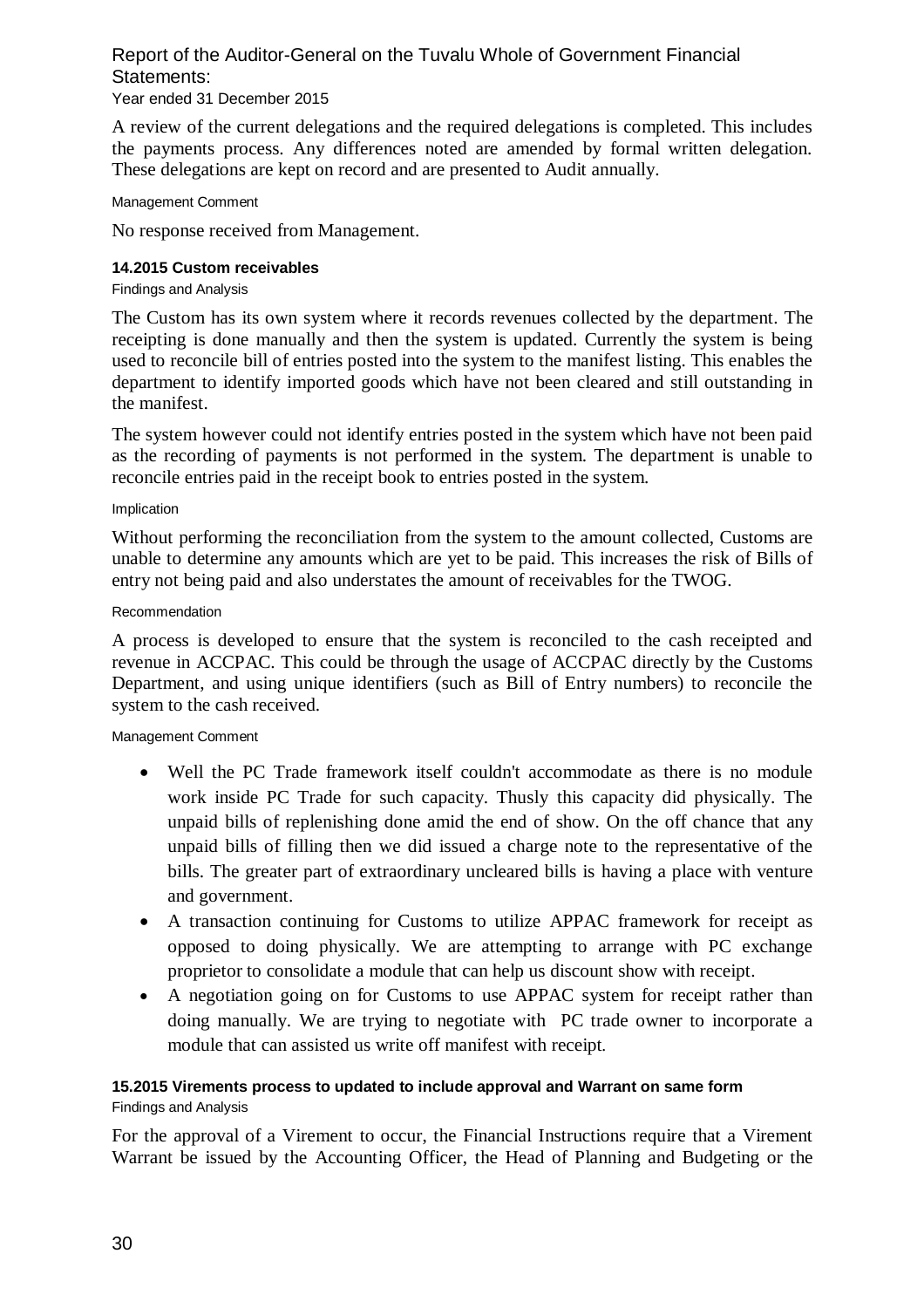# Year ended 31 December 2015

A review of the current delegations and the required delegations is completed. This includes the payments process. Any differences noted are amended by formal written delegation. These delegations are kept on record and are presented to Audit annually.

#### Management Comment

No response received from Management.

# **14.2015 Custom receivables**

#### Findings and Analysis

The Custom has its own system where it records revenues collected by the department. The receipting is done manually and then the system is updated. Currently the system is being used to reconcile bill of entries posted into the system to the manifest listing. This enables the department to identify imported goods which have not been cleared and still outstanding in the manifest.

The system however could not identify entries posted in the system which have not been paid as the recording of payments is not performed in the system. The department is unable to reconcile entries paid in the receipt book to entries posted in the system.

#### Implication

Without performing the reconciliation from the system to the amount collected, Customs are unable to determine any amounts which are yet to be paid. This increases the risk of Bills of entry not being paid and also understates the amount of receivables for the TWOG.

#### Recommendation

A process is developed to ensure that the system is reconciled to the cash receipted and revenue in ACCPAC. This could be through the usage of ACCPAC directly by the Customs Department, and using unique identifiers (such as Bill of Entry numbers) to reconcile the system to the cash received.

#### Management Comment

- Well the PC Trade framework itself couldn't accommodate as there is no module work inside PC Trade for such capacity. Thusly this capacity did physically. The unpaid bills of replenishing done amid the end of show. On the off chance that any unpaid bills of filling then we did issued a charge note to the representative of the bills. The greater part of extraordinary uncleared bills is having a place with venture and government.
- A transaction continuing for Customs to utilize APPAC framework for receipt as opposed to doing physically. We are attempting to arrange with PC exchange proprietor to consolidate a module that can help us discount show with receipt.
- A negotiation going on for Customs to use APPAC system for receipt rather than doing manually. We are trying to negotiate with PC trade owner to incorporate a module that can assisted us write off manifest with receipt.

# **15.2015 Virements process to updated to include approval and Warrant on same form** Findings and Analysis

For the approval of a Virement to occur, the Financial Instructions require that a Virement Warrant be issued by the Accounting Officer, the Head of Planning and Budgeting or the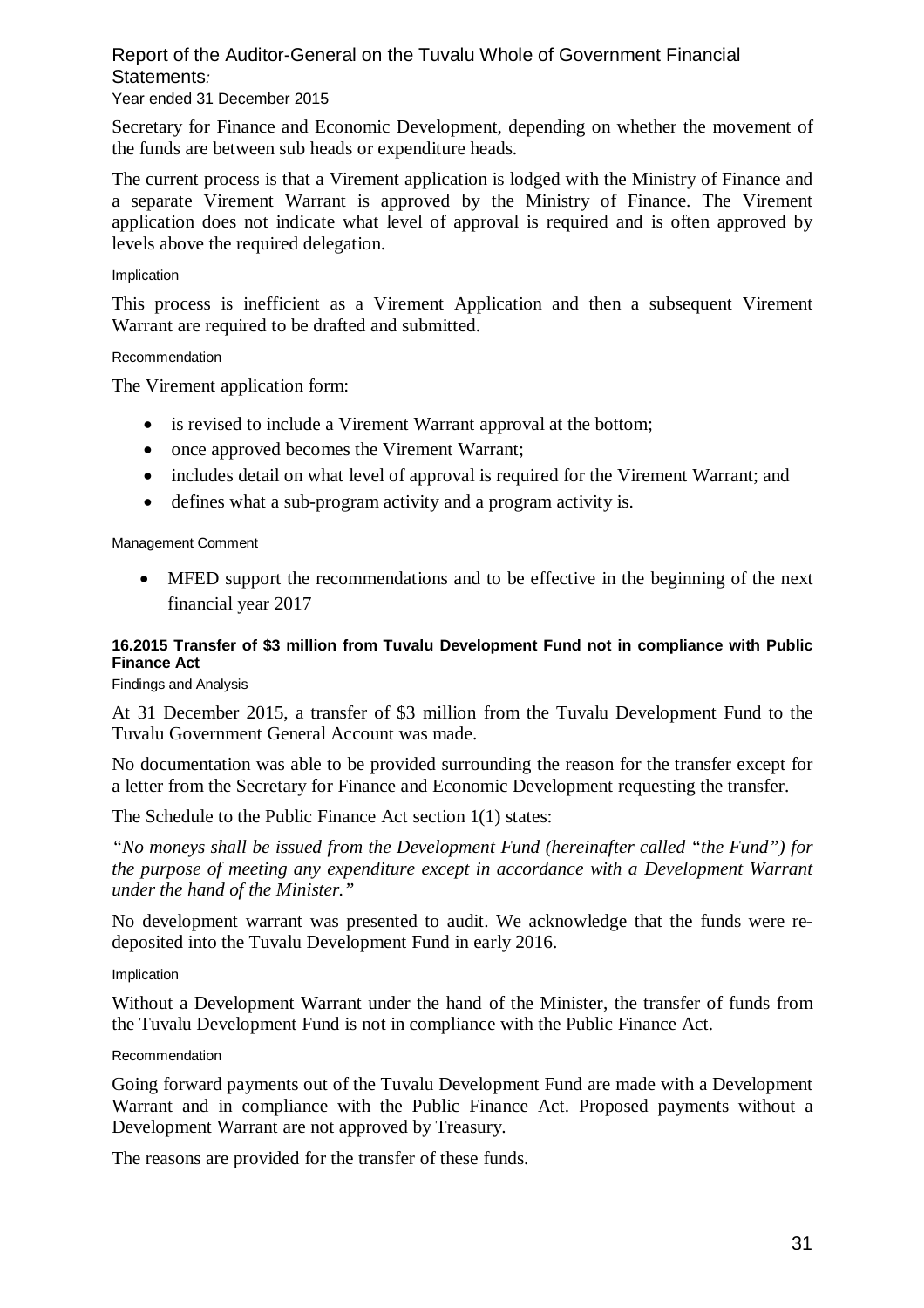# Year ended 31 December 2015

Secretary for Finance and Economic Development, depending on whether the movement of the funds are between sub heads or expenditure heads.

The current process is that a Virement application is lodged with the Ministry of Finance and a separate Virement Warrant is approved by the Ministry of Finance. The Virement application does not indicate what level of approval is required and is often approved by levels above the required delegation.

#### Implication

This process is inefficient as a Virement Application and then a subsequent Virement Warrant are required to be drafted and submitted.

#### Recommendation

The Virement application form:

- is revised to include a Virement Warrant approval at the bottom;
- once approved becomes the Virement Warrant;
- includes detail on what level of approval is required for the Virement Warrant; and
- defines what a sub-program activity and a program activity is.

#### Management Comment

 MFED support the recommendations and to be effective in the beginning of the next financial year 2017

# **16.2015 Transfer of \$3 million from Tuvalu Development Fund not in compliance with Public Finance Act**

Findings and Analysis

At 31 December 2015, a transfer of \$3 million from the Tuvalu Development Fund to the Tuvalu Government General Account was made.

No documentation was able to be provided surrounding the reason for the transfer except for a letter from the Secretary for Finance and Economic Development requesting the transfer.

The Schedule to the Public Finance Act section 1(1) states:

*"No moneys shall be issued from the Development Fund (hereinafter called "the Fund") for the purpose of meeting any expenditure except in accordance with a Development Warrant under the hand of the Minister."*

No development warrant was presented to audit. We acknowledge that the funds were redeposited into the Tuvalu Development Fund in early 2016.

#### Implication

Without a Development Warrant under the hand of the Minister, the transfer of funds from the Tuvalu Development Fund is not in compliance with the Public Finance Act.

#### Recommendation

Going forward payments out of the Tuvalu Development Fund are made with a Development Warrant and in compliance with the Public Finance Act. Proposed payments without a Development Warrant are not approved by Treasury.

The reasons are provided for the transfer of these funds.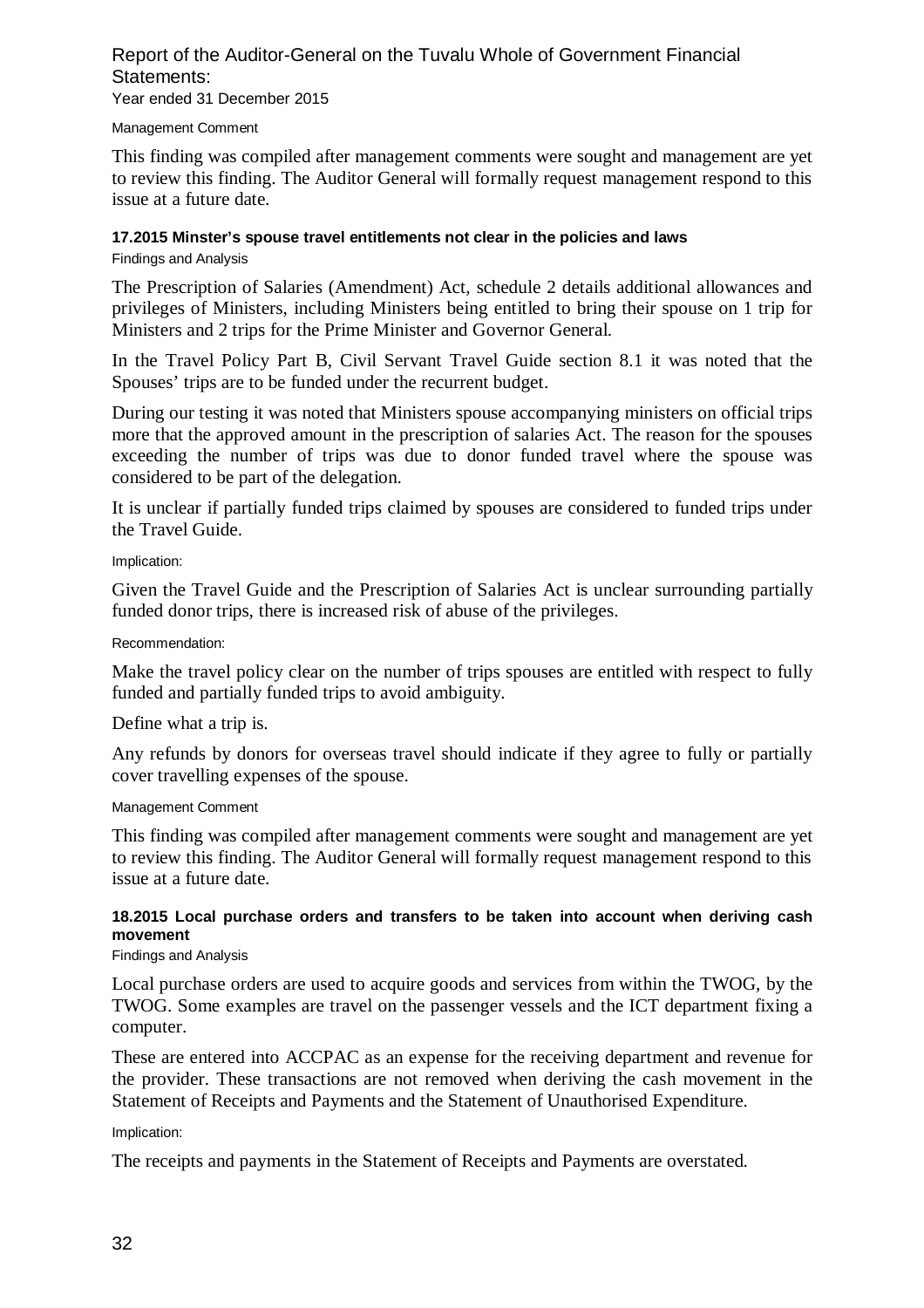### Report of the Auditor-General on the Tuvalu Whole of Government Financial Statements: Year ended 31 December 2015

#### Management Comment

This finding was compiled after management comments were sought and management are yet to review this finding. The Auditor General will formally request management respond to this issue at a future date.

#### **17.2015 Minster's spouse travel entitlements not clear in the policies and laws**

#### Findings and Analysis

The Prescription of Salaries (Amendment) Act, schedule 2 details additional allowances and privileges of Ministers, including Ministers being entitled to bring their spouse on 1 trip for Ministers and 2 trips for the Prime Minister and Governor General.

In the Travel Policy Part B, Civil Servant Travel Guide section 8.1 it was noted that the Spouses' trips are to be funded under the recurrent budget.

During our testing it was noted that Ministers spouse accompanying ministers on official trips more that the approved amount in the prescription of salaries Act. The reason for the spouses exceeding the number of trips was due to donor funded travel where the spouse was considered to be part of the delegation.

It is unclear if partially funded trips claimed by spouses are considered to funded trips under the Travel Guide.

Implication:

Given the Travel Guide and the Prescription of Salaries Act is unclear surrounding partially funded donor trips, there is increased risk of abuse of the privileges.

Recommendation:

Make the travel policy clear on the number of trips spouses are entitled with respect to fully funded and partially funded trips to avoid ambiguity.

Define what a trip is.

Any refunds by donors for overseas travel should indicate if they agree to fully or partially cover travelling expenses of the spouse.

#### Management Comment

This finding was compiled after management comments were sought and management are yet to review this finding. The Auditor General will formally request management respond to this issue at a future date.

### **18.2015 Local purchase orders and transfers to be taken into account when deriving cash movement**

#### Findings and Analysis

Local purchase orders are used to acquire goods and services from within the TWOG, by the TWOG. Some examples are travel on the passenger vessels and the ICT department fixing a computer.

These are entered into ACCPAC as an expense for the receiving department and revenue for the provider. These transactions are not removed when deriving the cash movement in the Statement of Receipts and Payments and the Statement of Unauthorised Expenditure.

#### Implication:

The receipts and payments in the Statement of Receipts and Payments are overstated.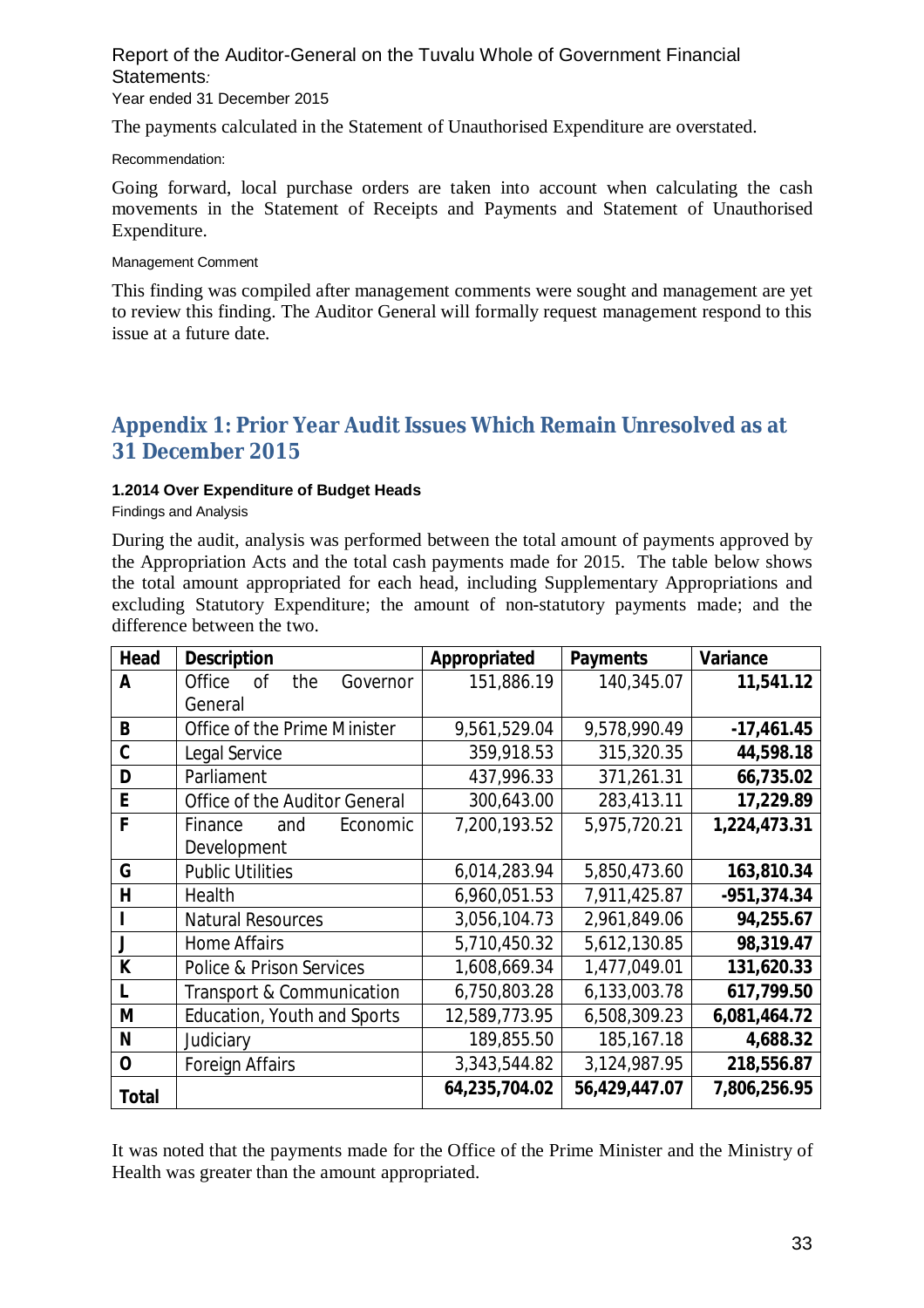#### Report of the Auditor-General on the Tuvalu Whole of Government Financial Statements*:*  Year ended 31 December 2015

The payments calculated in the Statement of Unauthorised Expenditure are overstated.

Recommendation:

Going forward, local purchase orders are taken into account when calculating the cash movements in the Statement of Receipts and Payments and Statement of Unauthorised Expenditure.

Management Comment

This finding was compiled after management comments were sought and management are yet to review this finding. The Auditor General will formally request management respond to this issue at a future date.

# **Appendix 1: Prior Year Audit Issues Which Remain Unresolved as at 31 December 2015**

### **1.2014 Over Expenditure of Budget Heads**

Findings and Analysis

During the audit, analysis was performed between the total amount of payments approved by the Appropriation Acts and the total cash payments made for 2015. The table below shows the total amount appropriated for each head, including Supplementary Appropriations and excluding Statutory Expenditure; the amount of non-statutory payments made; and the difference between the two.

| <b>Head</b>  | <b>Description</b>                  | Appropriated  | <b>Payments</b> | <b>Variance</b> |
|--------------|-------------------------------------|---------------|-----------------|-----------------|
| A            | Office<br>the<br>Governor<br>οf     | 151,886.19    | 140,345.07      | 11,541.12       |
|              | General                             |               |                 |                 |
| B            | Office of the Prime Minister        | 9,561,529.04  | 9,578,990.49    | $-17,461.45$    |
| $\mathbf c$  | Legal Service                       | 359,918.53    | 315,320.35      | 44,598.18       |
| D            | Parliament                          | 437,996.33    | 371,261.31      | 66,735.02       |
| E            | Office of the Auditor General       | 300,643.00    | 283,413.11      | 17,229.89       |
| F            | Finance<br>and<br>Economic          | 7,200,193.52  | 5,975,720.21    | 1,224,473.31    |
|              | Development                         |               |                 |                 |
| G            | <b>Public Utilities</b>             | 6,014,283.94  | 5,850,473.60    | 163,810.34      |
| H            | Health                              | 6,960,051.53  | 7,911,425.87    | $-951,374.34$   |
|              | <b>Natural Resources</b>            | 3,056,104.73  | 2,961,849.06    | 94,255.67       |
| J            | <b>Home Affairs</b>                 | 5,710,450.32  | 5,612,130.85    | 98,319.47       |
| K            | <b>Police &amp; Prison Services</b> | 1,608,669.34  | 1,477,049.01    | 131,620.33      |
| L            | Transport & Communication           | 6,750,803.28  | 6,133,003.78    | 617,799.50      |
| M            | Education, Youth and Sports         | 12,589,773.95 | 6,508,309.23    | 6,081,464.72    |
| N            | Judiciary                           | 189,855.50    | 185, 167. 18    | 4,688.32        |
| $\mathbf 0$  | <b>Foreign Affairs</b>              | 3,343,544.82  | 3,124,987.95    | 218,556.87      |
| <b>Total</b> |                                     | 64,235,704.02 | 56,429,447.07   | 7,806,256.95    |

It was noted that the payments made for the Office of the Prime Minister and the Ministry of Health was greater than the amount appropriated.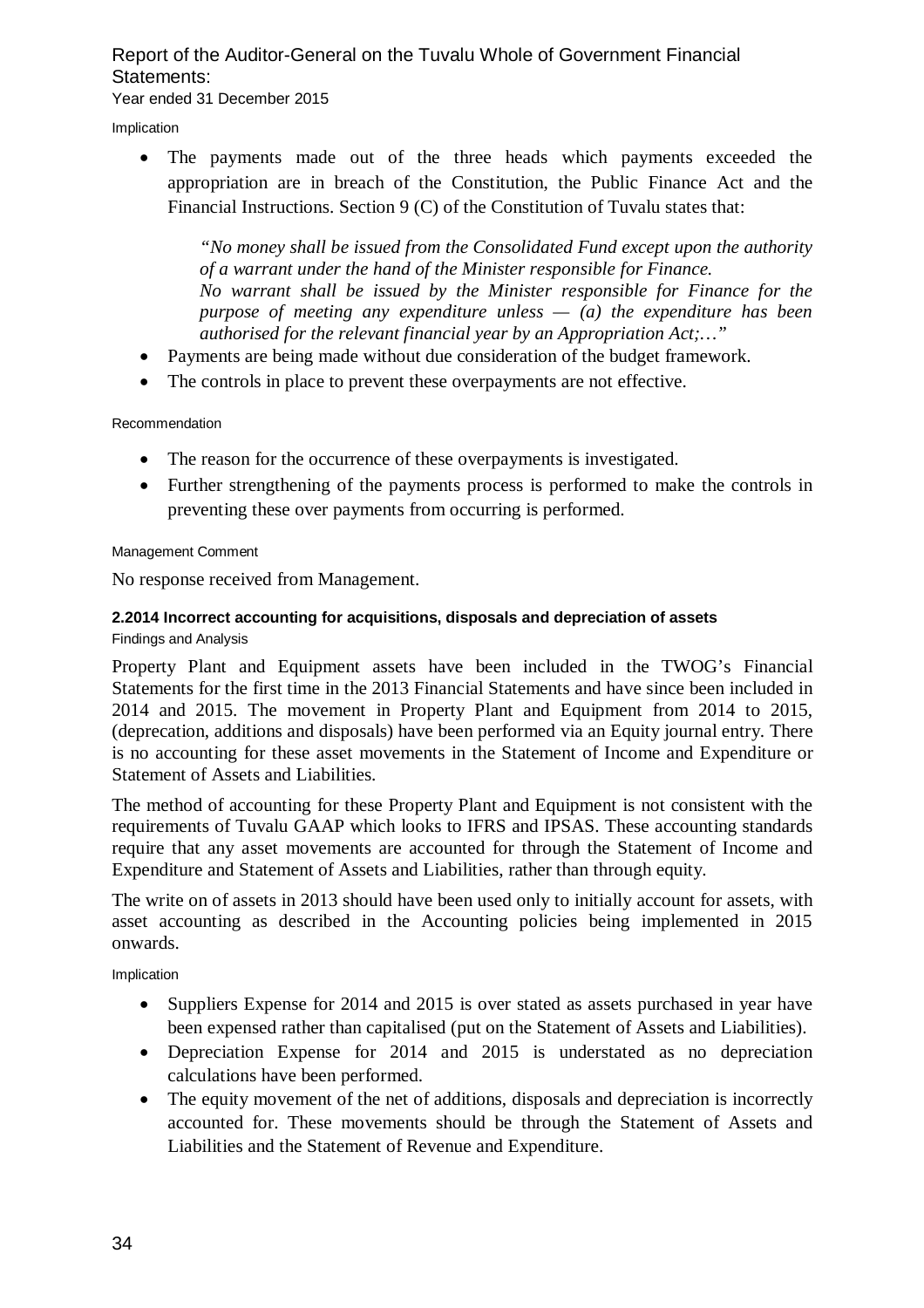# Report of the Auditor-General on the Tuvalu Whole of Government Financial Statements: Year ended 31 December 2015

Implication

 The payments made out of the three heads which payments exceeded the appropriation are in breach of the Constitution, the Public Finance Act and the Financial Instructions. Section 9 (C) of the Constitution of Tuvalu states that:

*"No money shall be issued from the Consolidated Fund except upon the authority of a warrant under the hand of the Minister responsible for Finance. No warrant shall be issued by the Minister responsible for Finance for the purpose of meeting any expenditure unless — (a) the expenditure has been authorised for the relevant financial year by an Appropriation Act;…"*

- Payments are being made without due consideration of the budget framework.
- The controls in place to prevent these overpayments are not effective.

### Recommendation

- The reason for the occurrence of these overpayments is investigated.
- Further strengthening of the payments process is performed to make the controls in preventing these over payments from occurring is performed.

#### Management Comment

No response received from Management.

#### **2.2014 Incorrect accounting for acquisitions, disposals and depreciation of assets** Findings and Analysis

Property Plant and Equipment assets have been included in the TWOG's Financial Statements for the first time in the 2013 Financial Statements and have since been included in 2014 and 2015. The movement in Property Plant and Equipment from 2014 to 2015, (deprecation, additions and disposals) have been performed via an Equity journal entry. There is no accounting for these asset movements in the Statement of Income and Expenditure or Statement of Assets and Liabilities.

The method of accounting for these Property Plant and Equipment is not consistent with the requirements of Tuvalu GAAP which looks to IFRS and IPSAS. These accounting standards require that any asset movements are accounted for through the Statement of Income and Expenditure and Statement of Assets and Liabilities, rather than through equity.

The write on of assets in 2013 should have been used only to initially account for assets, with asset accounting as described in the Accounting policies being implemented in 2015 onwards.

Implication

- Suppliers Expense for 2014 and 2015 is over stated as assets purchased in year have been expensed rather than capitalised (put on the Statement of Assets and Liabilities).
- Depreciation Expense for 2014 and 2015 is understated as no depreciation calculations have been performed.
- The equity movement of the net of additions, disposals and depreciation is incorrectly accounted for. These movements should be through the Statement of Assets and Liabilities and the Statement of Revenue and Expenditure.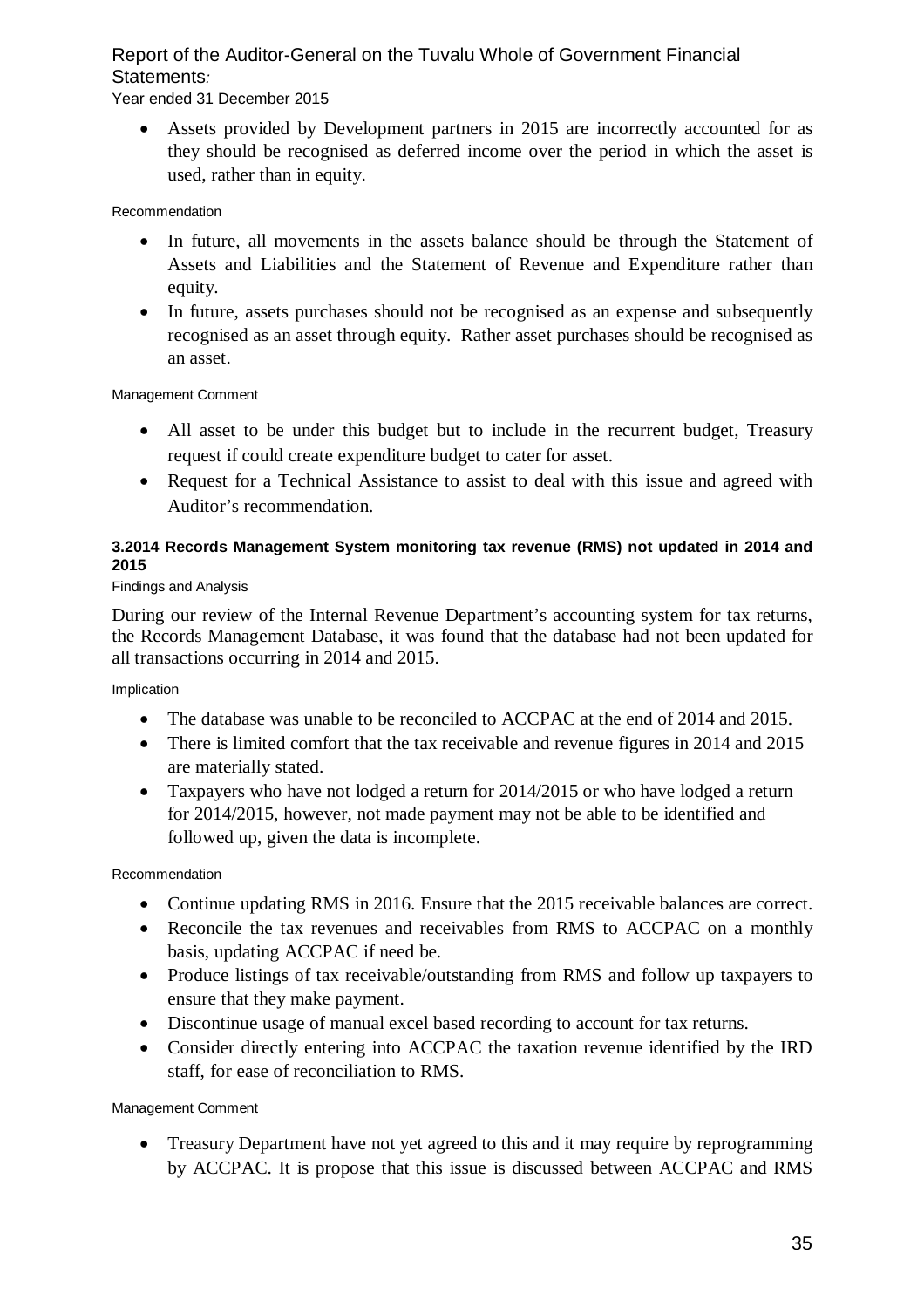Year ended 31 December 2015

 Assets provided by Development partners in 2015 are incorrectly accounted for as they should be recognised as deferred income over the period in which the asset is used, rather than in equity.

# Recommendation

- In future, all movements in the assets balance should be through the Statement of Assets and Liabilities and the Statement of Revenue and Expenditure rather than equity.
- In future, assets purchases should not be recognised as an expense and subsequently recognised as an asset through equity. Rather asset purchases should be recognised as an asset.

Management Comment

- All asset to be under this budget but to include in the recurrent budget, Treasury request if could create expenditure budget to cater for asset.
- Request for a Technical Assistance to assist to deal with this issue and agreed with Auditor's recommendation.

# **3.2014 Records Management System monitoring tax revenue (RMS) not updated in 2014 and 2015**

# Findings and Analysis

During our review of the Internal Revenue Department's accounting system for tax returns, the Records Management Database, it was found that the database had not been updated for all transactions occurring in 2014 and 2015.

Implication

- The database was unable to be reconciled to ACCPAC at the end of 2014 and 2015.
- There is limited comfort that the tax receivable and revenue figures in 2014 and 2015 are materially stated.
- Taxpayers who have not lodged a return for 2014/2015 or who have lodged a return for 2014/2015, however, not made payment may not be able to be identified and followed up, given the data is incomplete.

Recommendation

- Continue updating RMS in 2016. Ensure that the 2015 receivable balances are correct.
- Reconcile the tax revenues and receivables from RMS to ACCPAC on a monthly basis, updating ACCPAC if need be.
- Produce listings of tax receivable/outstanding from RMS and follow up taxpayers to ensure that they make payment.
- Discontinue usage of manual excel based recording to account for tax returns.
- Consider directly entering into ACCPAC the taxation revenue identified by the IRD staff, for ease of reconciliation to RMS.

Management Comment

• Treasury Department have not yet agreed to this and it may require by reprogramming by ACCPAC. It is propose that this issue is discussed between ACCPAC and RMS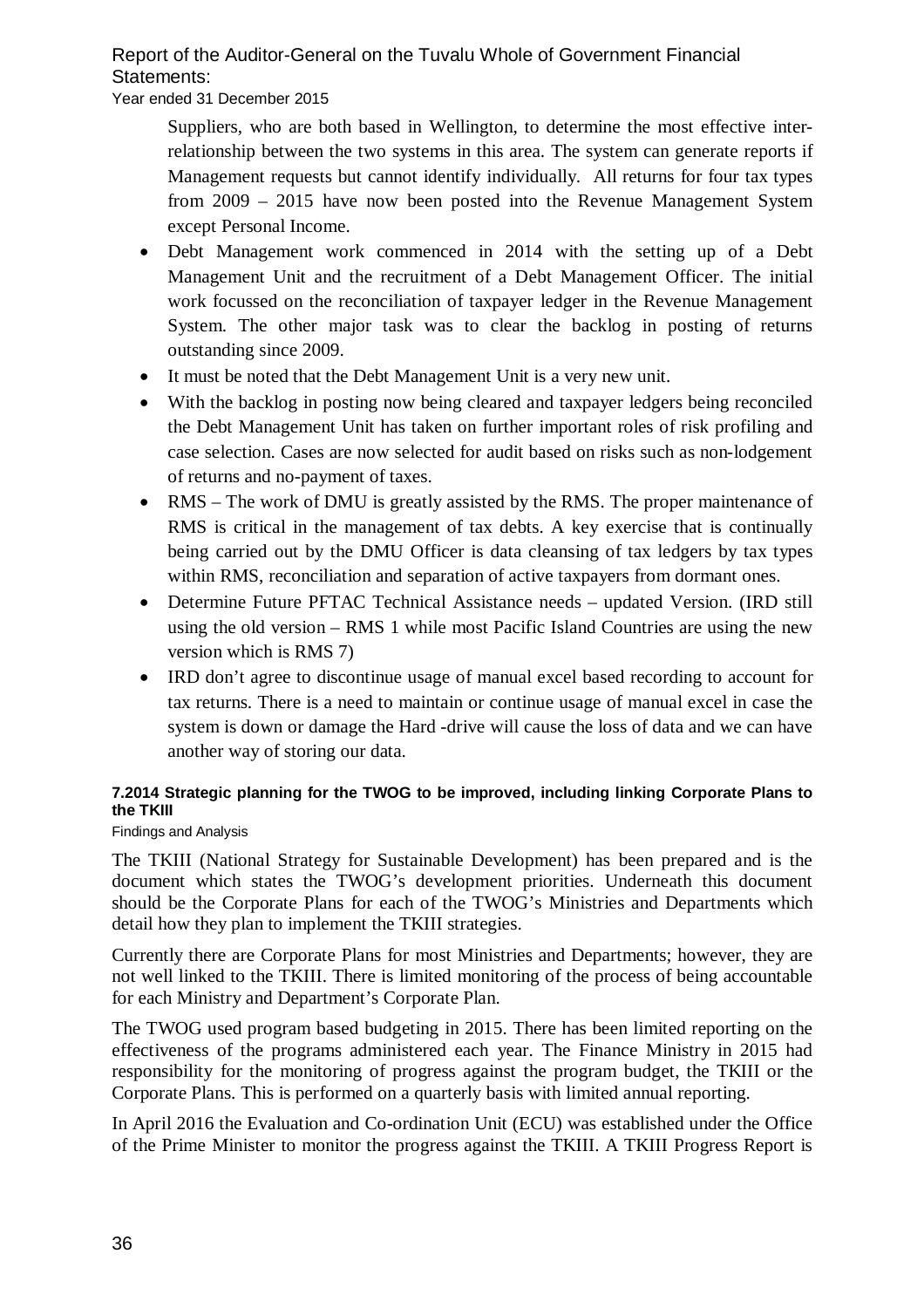Year ended 31 December 2015

Suppliers, who are both based in Wellington, to determine the most effective interrelationship between the two systems in this area. The system can generate reports if Management requests but cannot identify individually. All returns for four tax types from 2009 – 2015 have now been posted into the Revenue Management System except Personal Income.

- Debt Management work commenced in 2014 with the setting up of a Debt Management Unit and the recruitment of a Debt Management Officer. The initial work focussed on the reconciliation of taxpayer ledger in the Revenue Management System. The other major task was to clear the backlog in posting of returns outstanding since 2009.
- It must be noted that the Debt Management Unit is a very new unit.
- With the backlog in posting now being cleared and taxpayer ledgers being reconciled the Debt Management Unit has taken on further important roles of risk profiling and case selection. Cases are now selected for audit based on risks such as non-lodgement of returns and no-payment of taxes.
- RMS The work of DMU is greatly assisted by the RMS. The proper maintenance of RMS is critical in the management of tax debts. A key exercise that is continually being carried out by the DMU Officer is data cleansing of tax ledgers by tax types within RMS, reconciliation and separation of active taxpayers from dormant ones.
- Determine Future PFTAC Technical Assistance needs updated Version. (IRD still using the old version – RMS 1 while most Pacific Island Countries are using the new version which is RMS 7)
- IRD don't agree to discontinue usage of manual excel based recording to account for tax returns. There is a need to maintain or continue usage of manual excel in case the system is down or damage the Hard -drive will cause the loss of data and we can have another way of storing our data.

# **7.2014 Strategic planning for the TWOG to be improved, including linking Corporate Plans to the TKIII**

# Findings and Analysis

The TKIII (National Strategy for Sustainable Development) has been prepared and is the document which states the TWOG's development priorities. Underneath this document should be the Corporate Plans for each of the TWOG's Ministries and Departments which detail how they plan to implement the TKIII strategies.

Currently there are Corporate Plans for most Ministries and Departments; however, they are not well linked to the TKIII. There is limited monitoring of the process of being accountable for each Ministry and Department's Corporate Plan.

The TWOG used program based budgeting in 2015. There has been limited reporting on the effectiveness of the programs administered each year. The Finance Ministry in 2015 had responsibility for the monitoring of progress against the program budget, the TKIII or the Corporate Plans. This is performed on a quarterly basis with limited annual reporting.

In April 2016 the Evaluation and Co-ordination Unit (ECU) was established under the Office of the Prime Minister to monitor the progress against the TKIII. A TKIII Progress Report is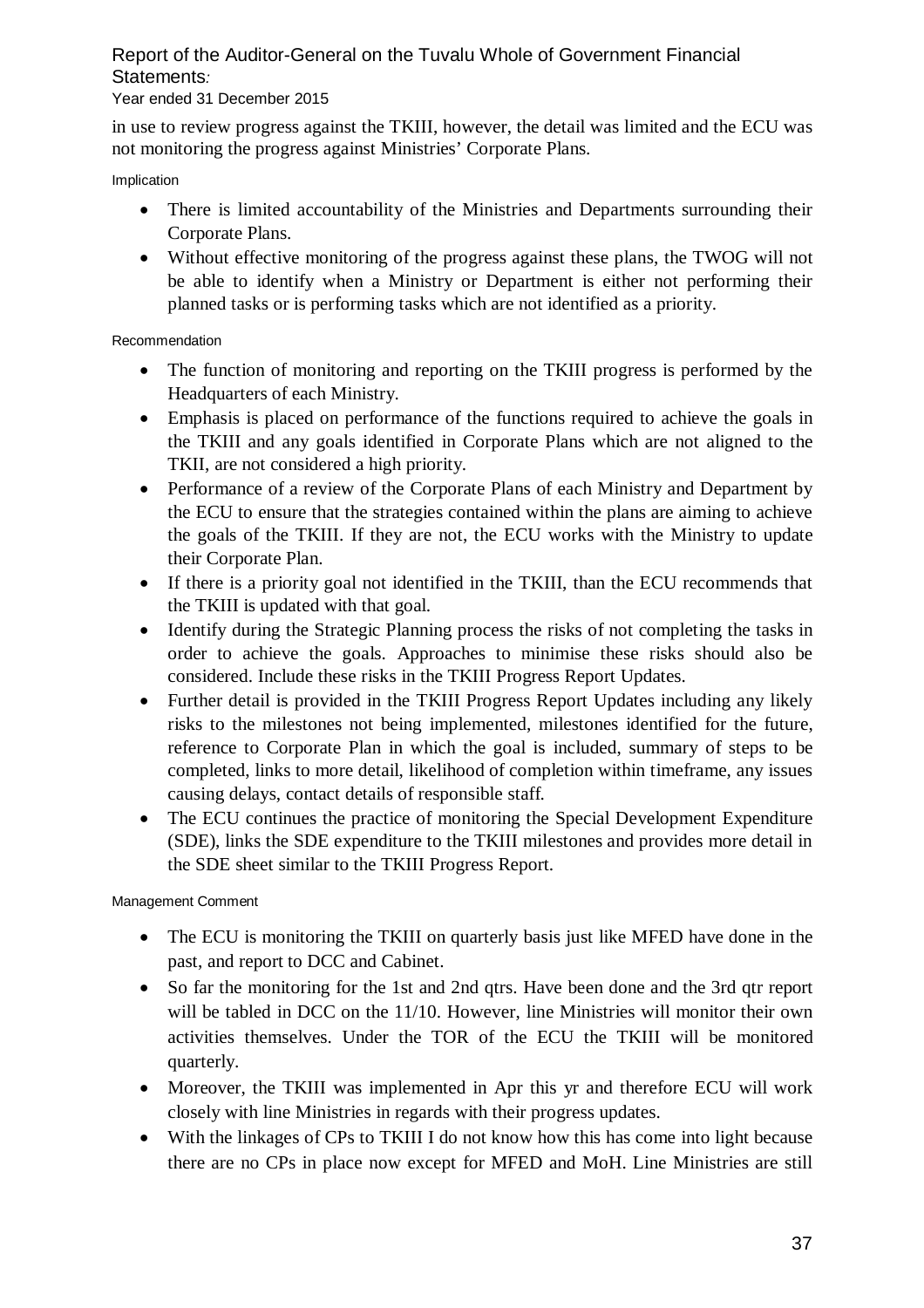### Year ended 31 December 2015

in use to review progress against the TKIII, however, the detail was limited and the ECU was not monitoring the progress against Ministries' Corporate Plans.

Implication

- There is limited accountability of the Ministries and Departments surrounding their Corporate Plans.
- Without effective monitoring of the progress against these plans, the TWOG will not be able to identify when a Ministry or Department is either not performing their planned tasks or is performing tasks which are not identified as a priority.

### Recommendation

- The function of monitoring and reporting on the TKIII progress is performed by the Headquarters of each Ministry.
- Emphasis is placed on performance of the functions required to achieve the goals in the TKIII and any goals identified in Corporate Plans which are not aligned to the TKII, are not considered a high priority.
- Performance of a review of the Corporate Plans of each Ministry and Department by the ECU to ensure that the strategies contained within the plans are aiming to achieve the goals of the TKIII. If they are not, the ECU works with the Ministry to update their Corporate Plan.
- If there is a priority goal not identified in the TKIII, than the ECU recommends that the TKIII is updated with that goal.
- Identify during the Strategic Planning process the risks of not completing the tasks in order to achieve the goals. Approaches to minimise these risks should also be considered. Include these risks in the TKIII Progress Report Updates.
- Further detail is provided in the TKIII Progress Report Updates including any likely risks to the milestones not being implemented, milestones identified for the future, reference to Corporate Plan in which the goal is included, summary of steps to be completed, links to more detail, likelihood of completion within timeframe, any issues causing delays, contact details of responsible staff.
- The ECU continues the practice of monitoring the Special Development Expenditure (SDE), links the SDE expenditure to the TKIII milestones and provides more detail in the SDE sheet similar to the TKIII Progress Report.

- The ECU is monitoring the TKIII on quarterly basis just like MFED have done in the past, and report to DCC and Cabinet.
- So far the monitoring for the 1st and 2nd qtrs. Have been done and the 3rd qtr report will be tabled in DCC on the 11/10. However, line Ministries will monitor their own activities themselves. Under the TOR of the ECU the TKIII will be monitored quarterly.
- Moreover, the TKIII was implemented in Apr this yr and therefore ECU will work closely with line Ministries in regards with their progress updates.
- With the linkages of CPs to TKIII I do not know how this has come into light because there are no CPs in place now except for MFED and MoH. Line Ministries are still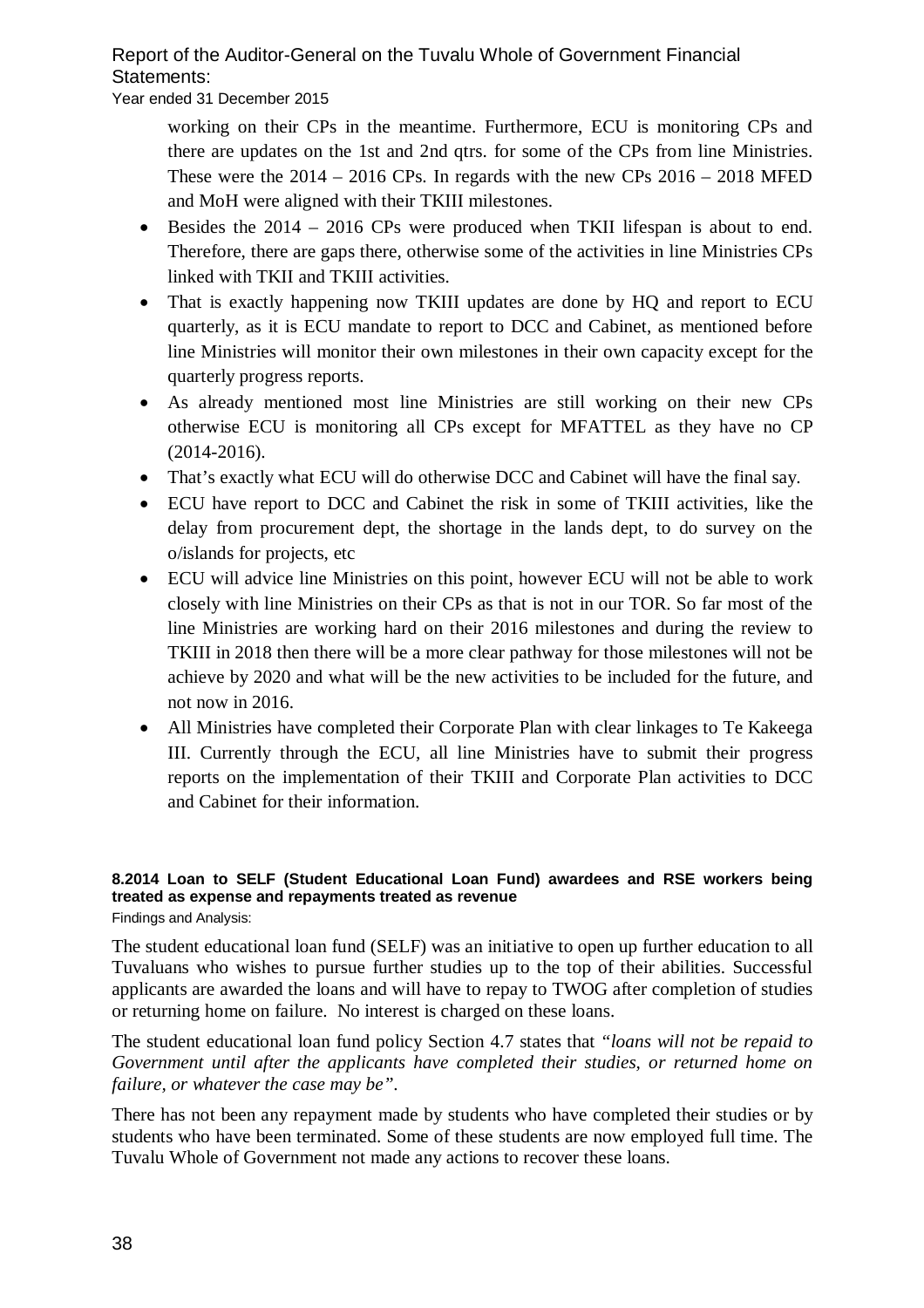Year ended 31 December 2015

working on their CPs in the meantime. Furthermore, ECU is monitoring CPs and there are updates on the 1st and 2nd qtrs. for some of the CPs from line Ministries. These were the  $2014 - 2016$  CPs. In regards with the new CPs  $2016 - 2018$  MFED and MoH were aligned with their TKIII milestones.

- Besides the 2014 2016 CPs were produced when TKII lifespan is about to end. Therefore, there are gaps there, otherwise some of the activities in line Ministries CPs linked with TKII and TKIII activities.
- That is exactly happening now TKIII updates are done by HQ and report to ECU quarterly, as it is ECU mandate to report to DCC and Cabinet, as mentioned before line Ministries will monitor their own milestones in their own capacity except for the quarterly progress reports.
- As already mentioned most line Ministries are still working on their new CPs otherwise ECU is monitoring all CPs except for MFATTEL as they have no CP (2014-2016).
- That's exactly what ECU will do otherwise DCC and Cabinet will have the final say.
- ECU have report to DCC and Cabinet the risk in some of TKIII activities, like the delay from procurement dept, the shortage in the lands dept, to do survey on the o/islands for projects, etc
- ECU will advice line Ministries on this point, however ECU will not be able to work closely with line Ministries on their CPs as that is not in our TOR. So far most of the line Ministries are working hard on their 2016 milestones and during the review to TKIII in 2018 then there will be a more clear pathway for those milestones will not be achieve by 2020 and what will be the new activities to be included for the future, and not now in 2016.
- All Ministries have completed their Corporate Plan with clear linkages to Te Kakeega III. Currently through the ECU, all line Ministries have to submit their progress reports on the implementation of their TKIII and Corporate Plan activities to DCC and Cabinet for their information.

# **8.2014 Loan to SELF (Student Educational Loan Fund) awardees and RSE workers being treated as expense and repayments treated as revenue**

Findings and Analysis:

The student educational loan fund (SELF) was an initiative to open up further education to all Tuvaluans who wishes to pursue further studies up to the top of their abilities. Successful applicants are awarded the loans and will have to repay to TWOG after completion of studies or returning home on failure. No interest is charged on these loans.

The student educational loan fund policy Section 4.7 states that *"loans will not be repaid to Government until after the applicants have completed their studies, or returned home on failure, or whatever the case may be".* 

There has not been any repayment made by students who have completed their studies or by students who have been terminated. Some of these students are now employed full time. The Tuvalu Whole of Government not made any actions to recover these loans.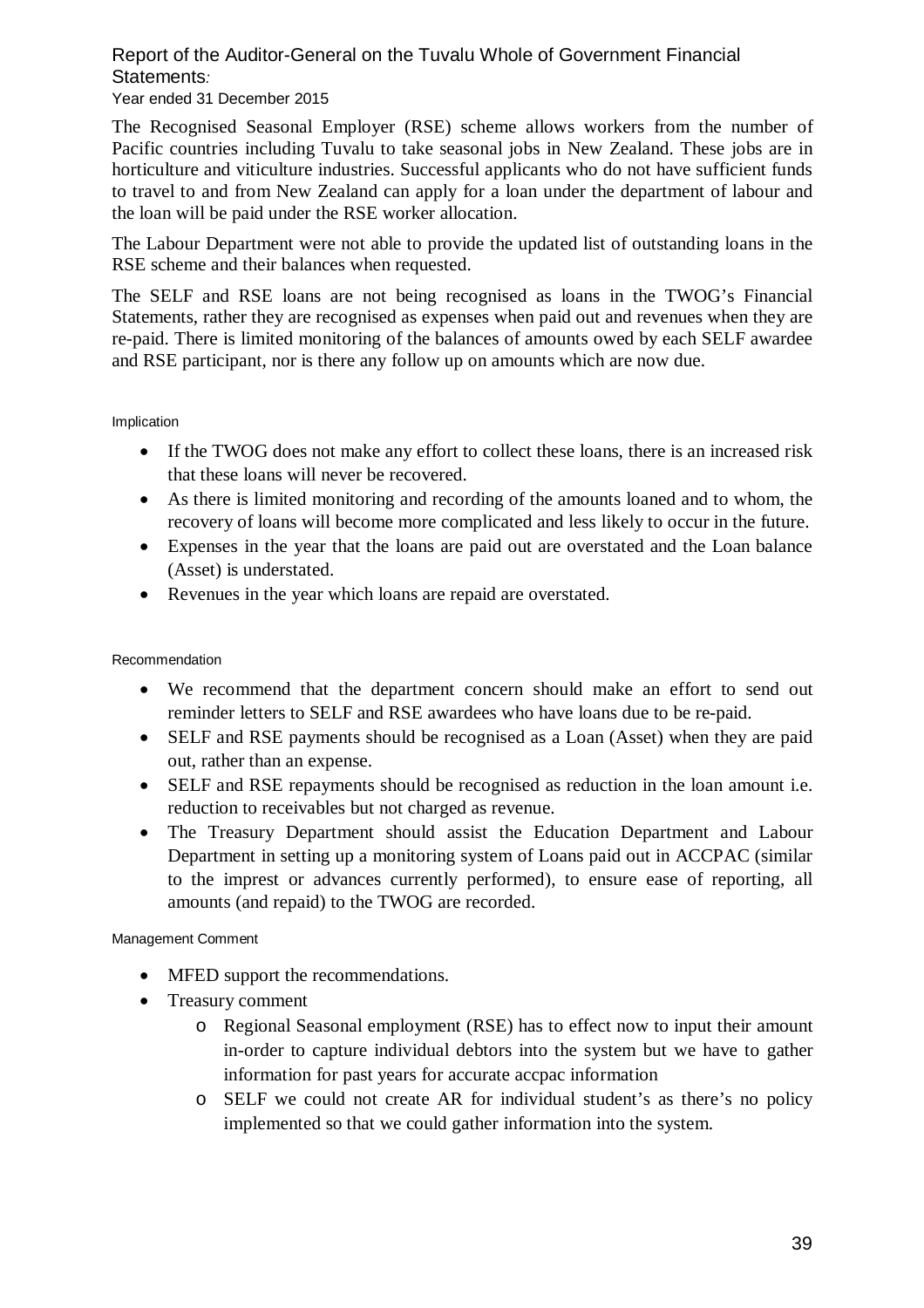### Year ended 31 December 2015

The Recognised Seasonal Employer (RSE) scheme allows workers from the number of Pacific countries including Tuvalu to take seasonal jobs in New Zealand. These jobs are in horticulture and viticulture industries. Successful applicants who do not have sufficient funds to travel to and from New Zealand can apply for a loan under the department of labour and the loan will be paid under the RSE worker allocation.

The Labour Department were not able to provide the updated list of outstanding loans in the RSE scheme and their balances when requested.

The SELF and RSE loans are not being recognised as loans in the TWOG's Financial Statements, rather they are recognised as expenses when paid out and revenues when they are re-paid. There is limited monitoring of the balances of amounts owed by each SELF awardee and RSE participant, nor is there any follow up on amounts which are now due.

#### Implication

- If the TWOG does not make any effort to collect these loans, there is an increased risk that these loans will never be recovered.
- As there is limited monitoring and recording of the amounts loaned and to whom, the recovery of loans will become more complicated and less likely to occur in the future.
- Expenses in the year that the loans are paid out are overstated and the Loan balance (Asset) is understated.
- Revenues in the year which loans are repaid are overstated.

### Recommendation

- We recommend that the department concern should make an effort to send out reminder letters to SELF and RSE awardees who have loans due to be re-paid.
- SELF and RSE payments should be recognised as a Loan (Asset) when they are paid out, rather than an expense.
- SELF and RSE repayments should be recognised as reduction in the loan amount i.e. reduction to receivables but not charged as revenue.
- The Treasury Department should assist the Education Department and Labour Department in setting up a monitoring system of Loans paid out in ACCPAC (similar to the imprest or advances currently performed), to ensure ease of reporting, all amounts (and repaid) to the TWOG are recorded.

- MFED support the recommendations.
- Treasury comment
	- o Regional Seasonal employment (RSE) has to effect now to input their amount in-order to capture individual debtors into the system but we have to gather information for past years for accurate accpac information
	- o SELF we could not create AR for individual student's as there's no policy implemented so that we could gather information into the system.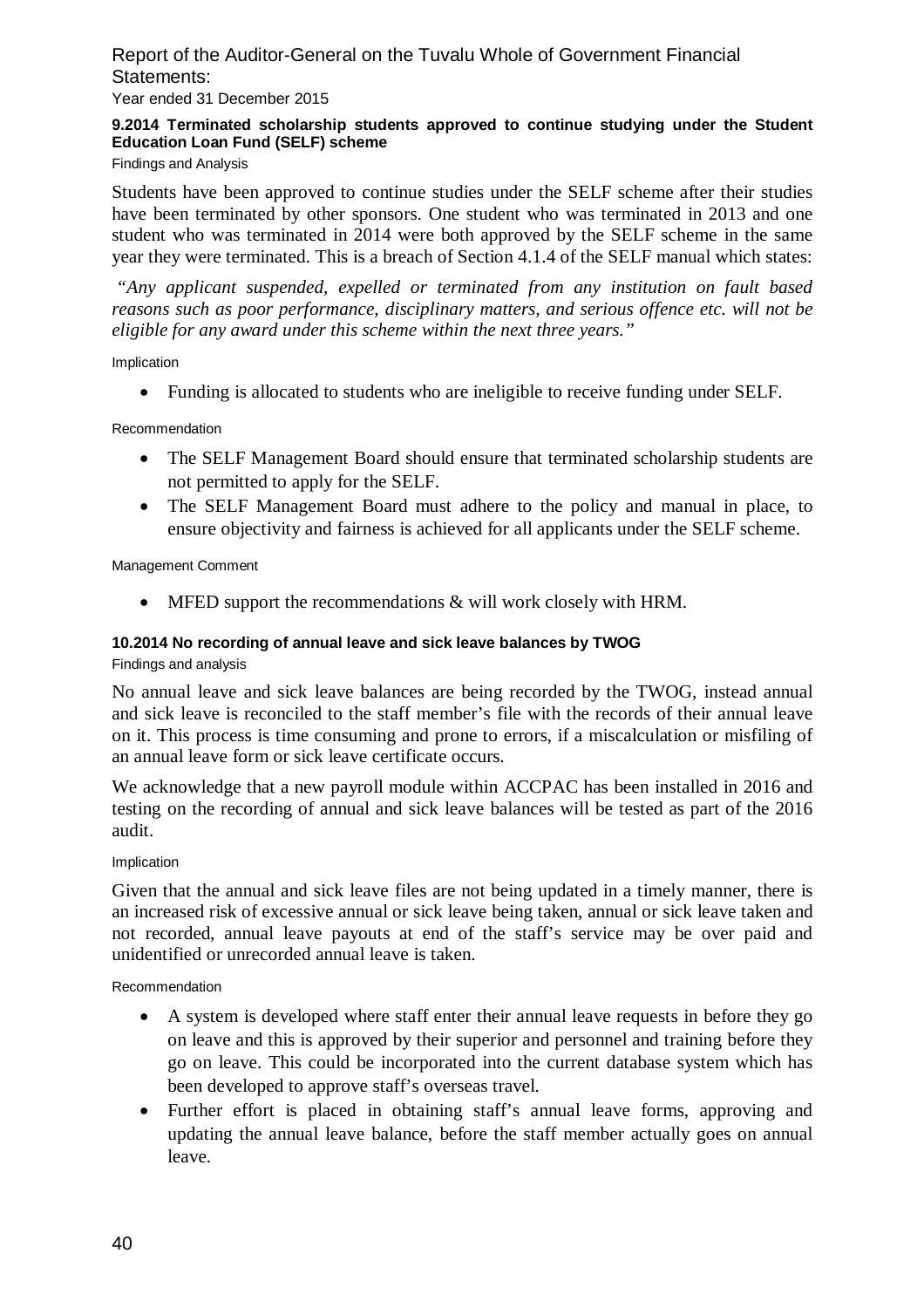Year ended 31 December 2015

### **9.2014 Terminated scholarship students approved to continue studying under the Student Education Loan Fund (SELF) scheme**

Findings and Analysis

Students have been approved to continue studies under the SELF scheme after their studies have been terminated by other sponsors. One student who was terminated in 2013 and one student who was terminated in 2014 were both approved by the SELF scheme in the same year they were terminated. This is a breach of Section 4.1.4 of the SELF manual which states:

*"Any applicant suspended, expelled or terminated from any institution on fault based reasons such as poor performance, disciplinary matters, and serious offence etc. will not be eligible for any award under this scheme within the next three years."*

#### Implication

Funding is allocated to students who are ineligible to receive funding under SELF.

Recommendation

- The SELF Management Board should ensure that terminated scholarship students are not permitted to apply for the SELF.
- The SELF Management Board must adhere to the policy and manual in place, to ensure objectivity and fairness is achieved for all applicants under the SELF scheme.

Management Comment

• MFED support the recommendations & will work closely with HRM.

#### **10.2014 No recording of annual leave and sick leave balances by TWOG**

Findings and analysis

No annual leave and sick leave balances are being recorded by the TWOG, instead annual and sick leave is reconciled to the staff member's file with the records of their annual leave on it. This process is time consuming and prone to errors, if a miscalculation or misfiling of an annual leave form or sick leave certificate occurs.

We acknowledge that a new payroll module within ACCPAC has been installed in 2016 and testing on the recording of annual and sick leave balances will be tested as part of the 2016 audit.

#### Implication

Given that the annual and sick leave files are not being updated in a timely manner, there is an increased risk of excessive annual or sick leave being taken, annual or sick leave taken and not recorded, annual leave payouts at end of the staff's service may be over paid and unidentified or unrecorded annual leave is taken.

Recommendation

- A system is developed where staff enter their annual leave requests in before they go on leave and this is approved by their superior and personnel and training before they go on leave. This could be incorporated into the current database system which has been developed to approve staff's overseas travel.
- Further effort is placed in obtaining staff's annual leave forms, approving and updating the annual leave balance, before the staff member actually goes on annual leave.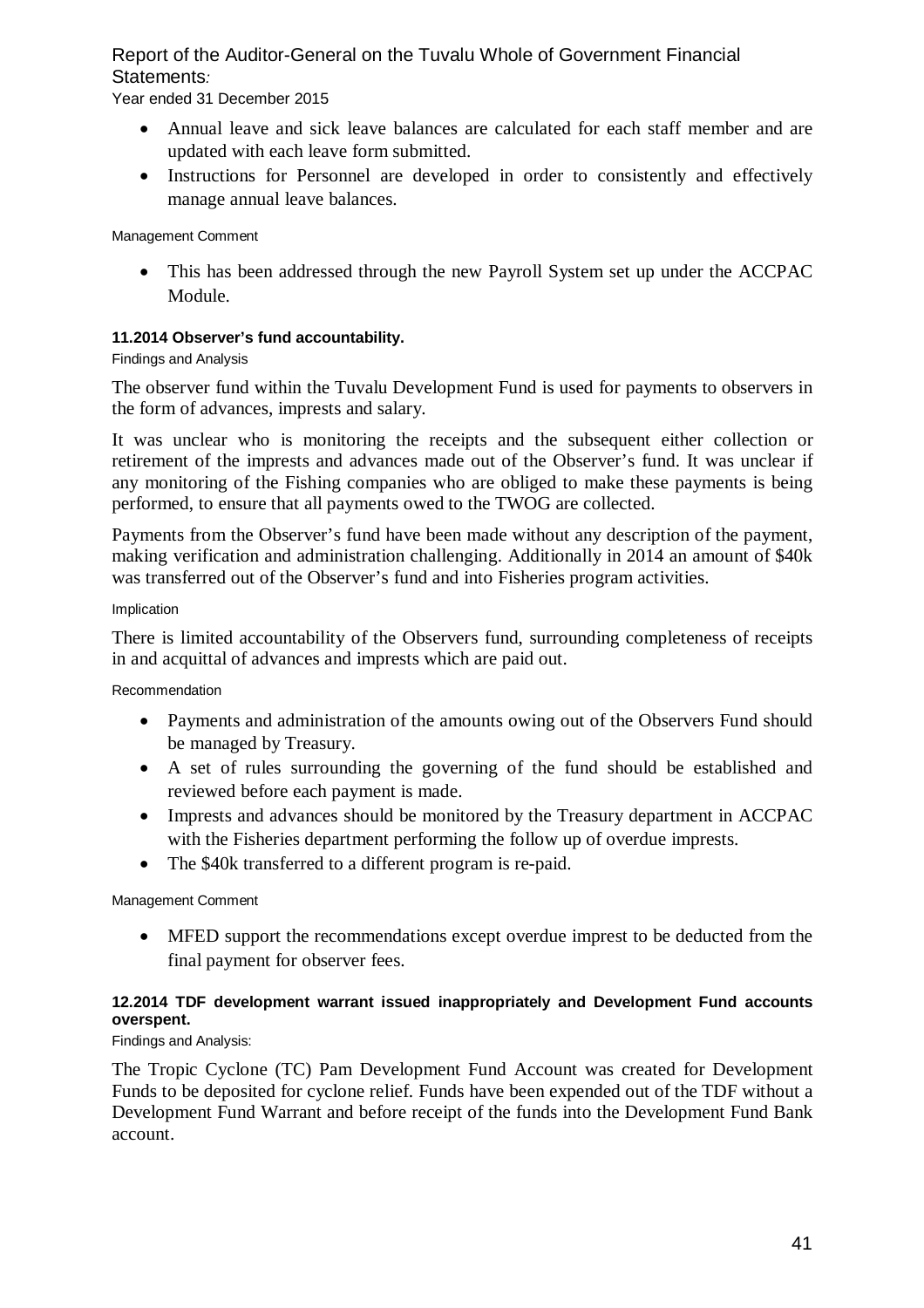Year ended 31 December 2015

- Annual leave and sick leave balances are calculated for each staff member and are updated with each leave form submitted.
- Instructions for Personnel are developed in order to consistently and effectively manage annual leave balances.

Management Comment

• This has been addressed through the new Payroll System set up under the ACCPAC Module.

### **11.2014 Observer's fund accountability.**

### Findings and Analysis

The observer fund within the Tuvalu Development Fund is used for payments to observers in the form of advances, imprests and salary.

It was unclear who is monitoring the receipts and the subsequent either collection or retirement of the imprests and advances made out of the Observer's fund. It was unclear if any monitoring of the Fishing companies who are obliged to make these payments is being performed, to ensure that all payments owed to the TWOG are collected.

Payments from the Observer's fund have been made without any description of the payment, making verification and administration challenging. Additionally in 2014 an amount of \$40k was transferred out of the Observer's fund and into Fisheries program activities.

### Implication

There is limited accountability of the Observers fund, surrounding completeness of receipts in and acquittal of advances and imprests which are paid out.

### Recommendation

- Payments and administration of the amounts owing out of the Observers Fund should be managed by Treasury.
- A set of rules surrounding the governing of the fund should be established and reviewed before each payment is made.
- Imprests and advances should be monitored by the Treasury department in ACCPAC with the Fisheries department performing the follow up of overdue imprests.
- The \$40k transferred to a different program is re-paid.

### Management Comment

 MFED support the recommendations except overdue imprest to be deducted from the final payment for observer fees.

### **12.2014 TDF development warrant issued inappropriately and Development Fund accounts overspent.**

### Findings and Analysis:

The Tropic Cyclone (TC) Pam Development Fund Account was created for Development Funds to be deposited for cyclone relief. Funds have been expended out of the TDF without a Development Fund Warrant and before receipt of the funds into the Development Fund Bank account.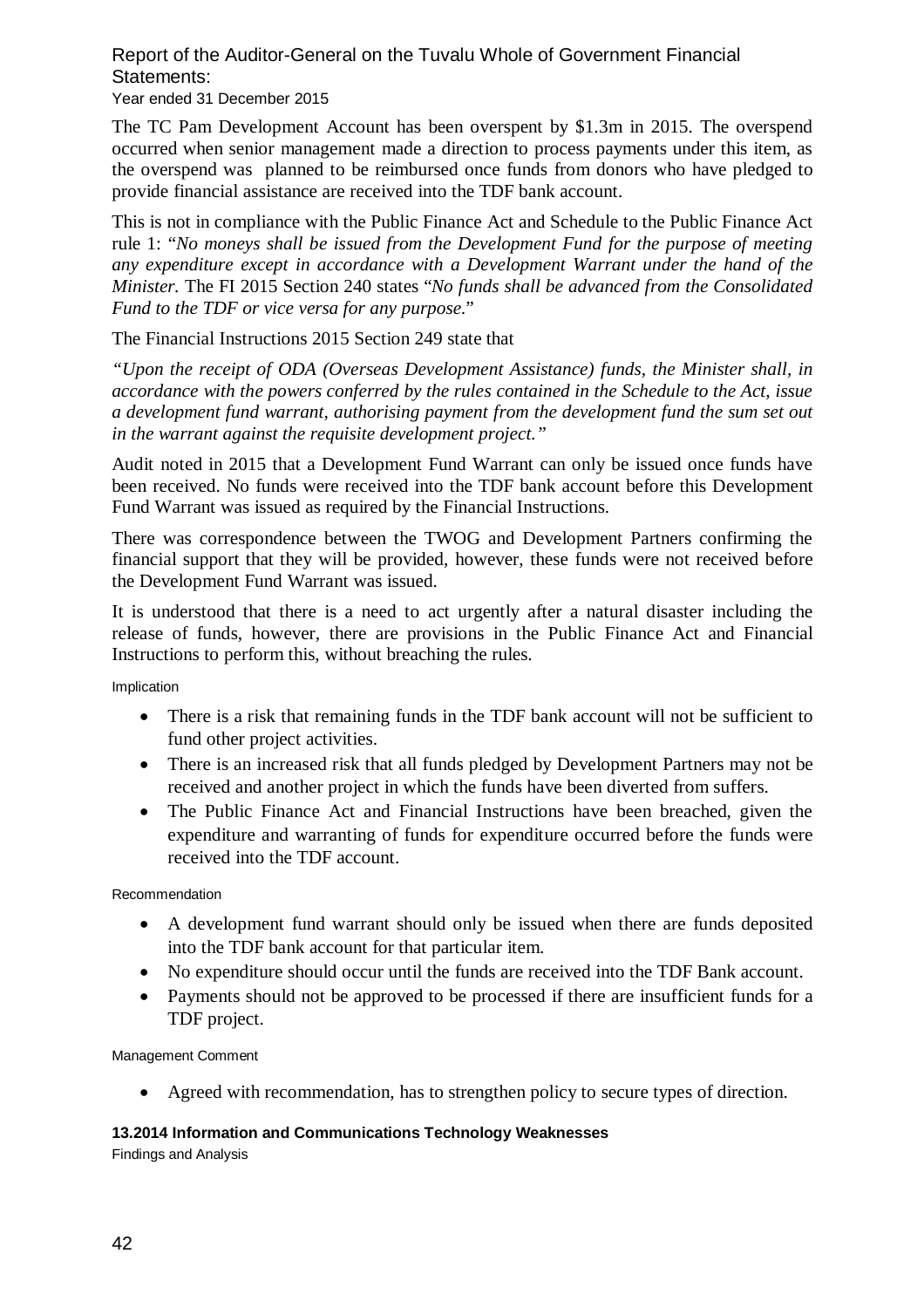Year ended 31 December 2015

The TC Pam Development Account has been overspent by \$1.3m in 2015. The overspend occurred when senior management made a direction to process payments under this item, as the overspend was planned to be reimbursed once funds from donors who have pledged to provide financial assistance are received into the TDF bank account.

This is not in compliance with the Public Finance Act and Schedule to the Public Finance Act rule 1: "*No moneys shall be issued from the Development Fund for the purpose of meeting any expenditure except in accordance with a Development Warrant under the hand of the Minister.* The FI 2015 Section 240 states "*No funds shall be advanced from the Consolidated Fund to the TDF or vice versa for any purpose*."

The Financial Instructions 2015 Section 249 state that

*"Upon the receipt of ODA (Overseas Development Assistance) funds, the Minister shall, in accordance with the powers conferred by the rules contained in the Schedule to the Act, issue a development fund warrant, authorising payment from the development fund the sum set out in the warrant against the requisite development project."*

Audit noted in 2015 that a Development Fund Warrant can only be issued once funds have been received. No funds were received into the TDF bank account before this Development Fund Warrant was issued as required by the Financial Instructions.

There was correspondence between the TWOG and Development Partners confirming the financial support that they will be provided, however, these funds were not received before the Development Fund Warrant was issued.

It is understood that there is a need to act urgently after a natural disaster including the release of funds, however, there are provisions in the Public Finance Act and Financial Instructions to perform this, without breaching the rules.

Implication

- There is a risk that remaining funds in the TDF bank account will not be sufficient to fund other project activities.
- There is an increased risk that all funds pledged by Development Partners may not be received and another project in which the funds have been diverted from suffers.
- The Public Finance Act and Financial Instructions have been breached, given the expenditure and warranting of funds for expenditure occurred before the funds were received into the TDF account.

Recommendation

- A development fund warrant should only be issued when there are funds deposited into the TDF bank account for that particular item.
- No expenditure should occur until the funds are received into the TDF Bank account.
- Payments should not be approved to be processed if there are insufficient funds for a TDF project.

Management Comment

Agreed with recommendation, has to strengthen policy to secure types of direction.

### **13.2014 Information and Communications Technology Weaknesses**

Findings and Analysis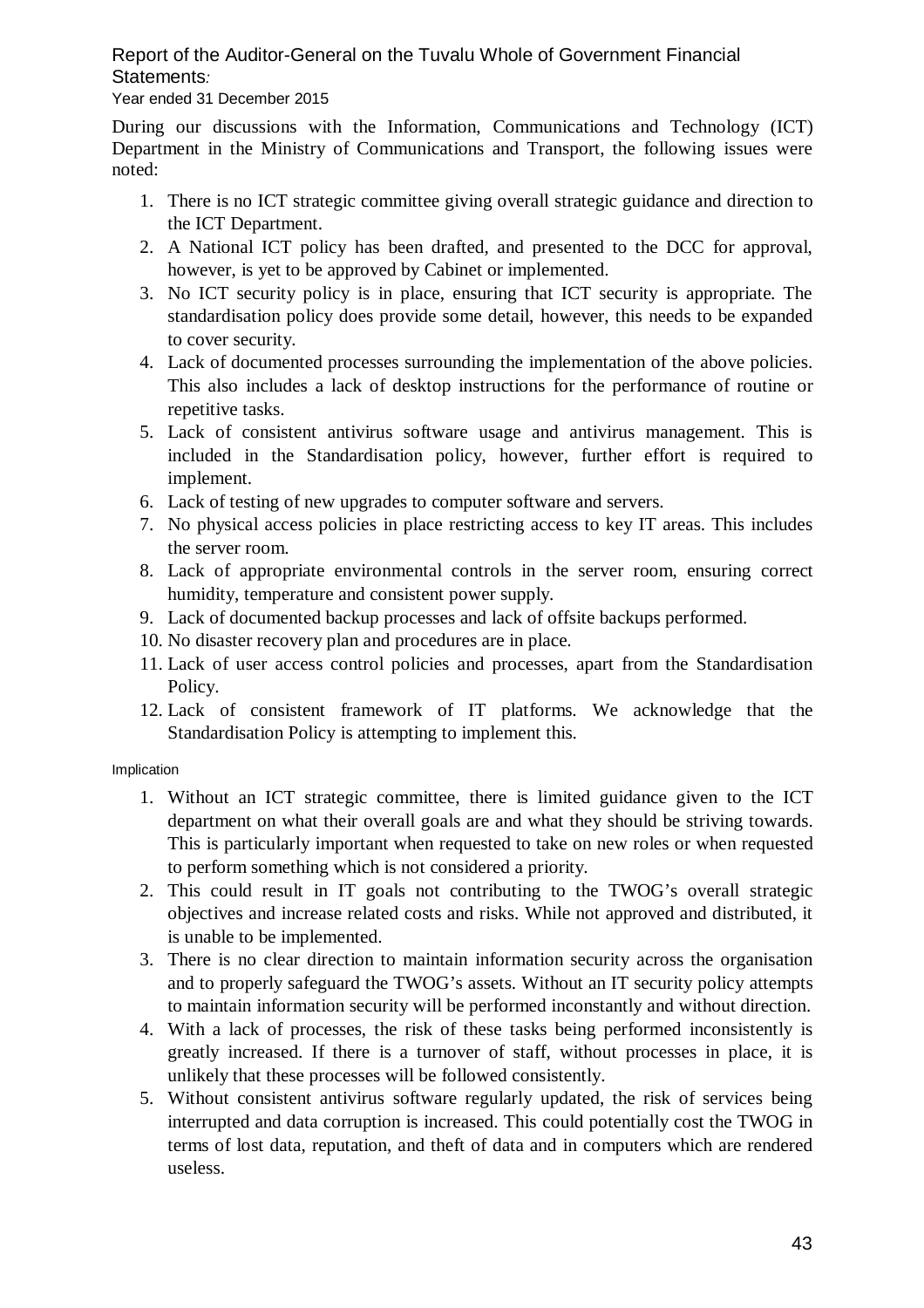### Year ended 31 December 2015

During our discussions with the Information, Communications and Technology (ICT) Department in the Ministry of Communications and Transport, the following issues were noted:

- 1. There is no ICT strategic committee giving overall strategic guidance and direction to the ICT Department.
- 2. A National ICT policy has been drafted, and presented to the DCC for approval, however, is yet to be approved by Cabinet or implemented.
- 3. No ICT security policy is in place, ensuring that ICT security is appropriate. The standardisation policy does provide some detail, however, this needs to be expanded to cover security.
- 4. Lack of documented processes surrounding the implementation of the above policies. This also includes a lack of desktop instructions for the performance of routine or repetitive tasks.
- 5. Lack of consistent antivirus software usage and antivirus management. This is included in the Standardisation policy, however, further effort is required to implement.
- 6. Lack of testing of new upgrades to computer software and servers.
- 7. No physical access policies in place restricting access to key IT areas. This includes the server room.
- 8. Lack of appropriate environmental controls in the server room, ensuring correct humidity, temperature and consistent power supply.
- 9. Lack of documented backup processes and lack of offsite backups performed.
- 10. No disaster recovery plan and procedures are in place.
- 11. Lack of user access control policies and processes, apart from the Standardisation Policy.
- 12. Lack of consistent framework of IT platforms. We acknowledge that the Standardisation Policy is attempting to implement this.

### Implication

- 1. Without an ICT strategic committee, there is limited guidance given to the ICT department on what their overall goals are and what they should be striving towards. This is particularly important when requested to take on new roles or when requested to perform something which is not considered a priority.
- 2. This could result in IT goals not contributing to the TWOG's overall strategic objectives and increase related costs and risks. While not approved and distributed, it is unable to be implemented.
- 3. There is no clear direction to maintain information security across the organisation and to properly safeguard the TWOG's assets. Without an IT security policy attempts to maintain information security will be performed inconstantly and without direction.
- 4. With a lack of processes, the risk of these tasks being performed inconsistently is greatly increased. If there is a turnover of staff, without processes in place, it is unlikely that these processes will be followed consistently.
- 5. Without consistent antivirus software regularly updated, the risk of services being interrupted and data corruption is increased. This could potentially cost the TWOG in terms of lost data, reputation, and theft of data and in computers which are rendered useless.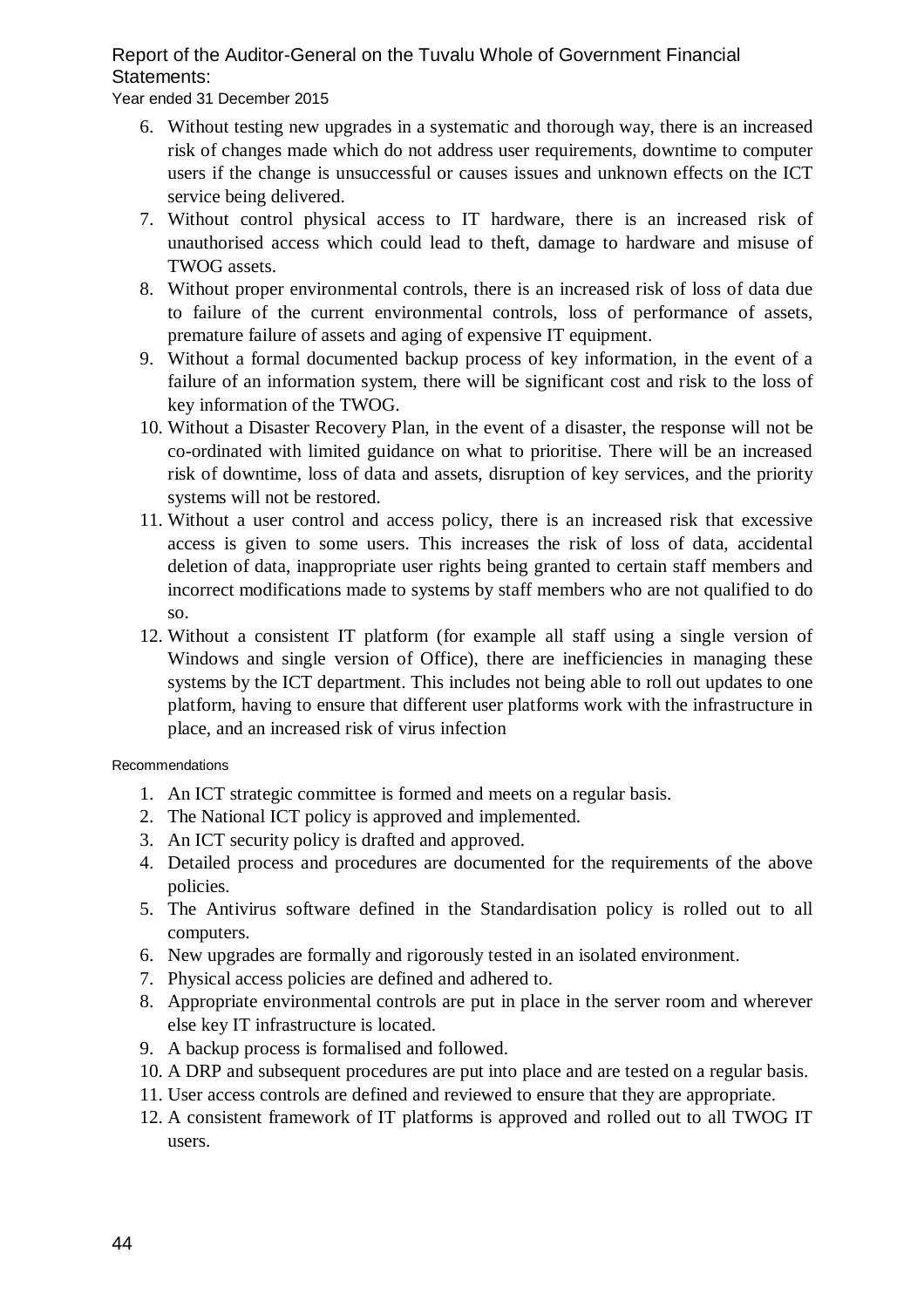Year ended 31 December 2015

- 6. Without testing new upgrades in a systematic and thorough way, there is an increased risk of changes made which do not address user requirements, downtime to computer users if the change is unsuccessful or causes issues and unknown effects on the ICT service being delivered.
- 7. Without control physical access to IT hardware, there is an increased risk of unauthorised access which could lead to theft, damage to hardware and misuse of TWOG assets.
- 8. Without proper environmental controls, there is an increased risk of loss of data due to failure of the current environmental controls, loss of performance of assets, premature failure of assets and aging of expensive IT equipment.
- 9. Without a formal documented backup process of key information, in the event of a failure of an information system, there will be significant cost and risk to the loss of key information of the TWOG.
- 10. Without a Disaster Recovery Plan, in the event of a disaster, the response will not be co-ordinated with limited guidance on what to prioritise. There will be an increased risk of downtime, loss of data and assets, disruption of key services, and the priority systems will not be restored.
- 11. Without a user control and access policy, there is an increased risk that excessive access is given to some users. This increases the risk of loss of data, accidental deletion of data, inappropriate user rights being granted to certain staff members and incorrect modifications made to systems by staff members who are not qualified to do so.
- 12. Without a consistent IT platform (for example all staff using a single version of Windows and single version of Office), there are inefficiencies in managing these systems by the ICT department. This includes not being able to roll out updates to one platform, having to ensure that different user platforms work with the infrastructure in place, and an increased risk of virus infection

### Recommendations

- 1. An ICT strategic committee is formed and meets on a regular basis.
- 2. The National ICT policy is approved and implemented.
- 3. An ICT security policy is drafted and approved.
- 4. Detailed process and procedures are documented for the requirements of the above policies.
- 5. The Antivirus software defined in the Standardisation policy is rolled out to all computers.
- 6. New upgrades are formally and rigorously tested in an isolated environment.
- 7. Physical access policies are defined and adhered to.
- 8. Appropriate environmental controls are put in place in the server room and wherever else key IT infrastructure is located.
- 9. A backup process is formalised and followed.
- 10. A DRP and subsequent procedures are put into place and are tested on a regular basis.
- 11. User access controls are defined and reviewed to ensure that they are appropriate.
- 12. A consistent framework of IT platforms is approved and rolled out to all TWOG IT users.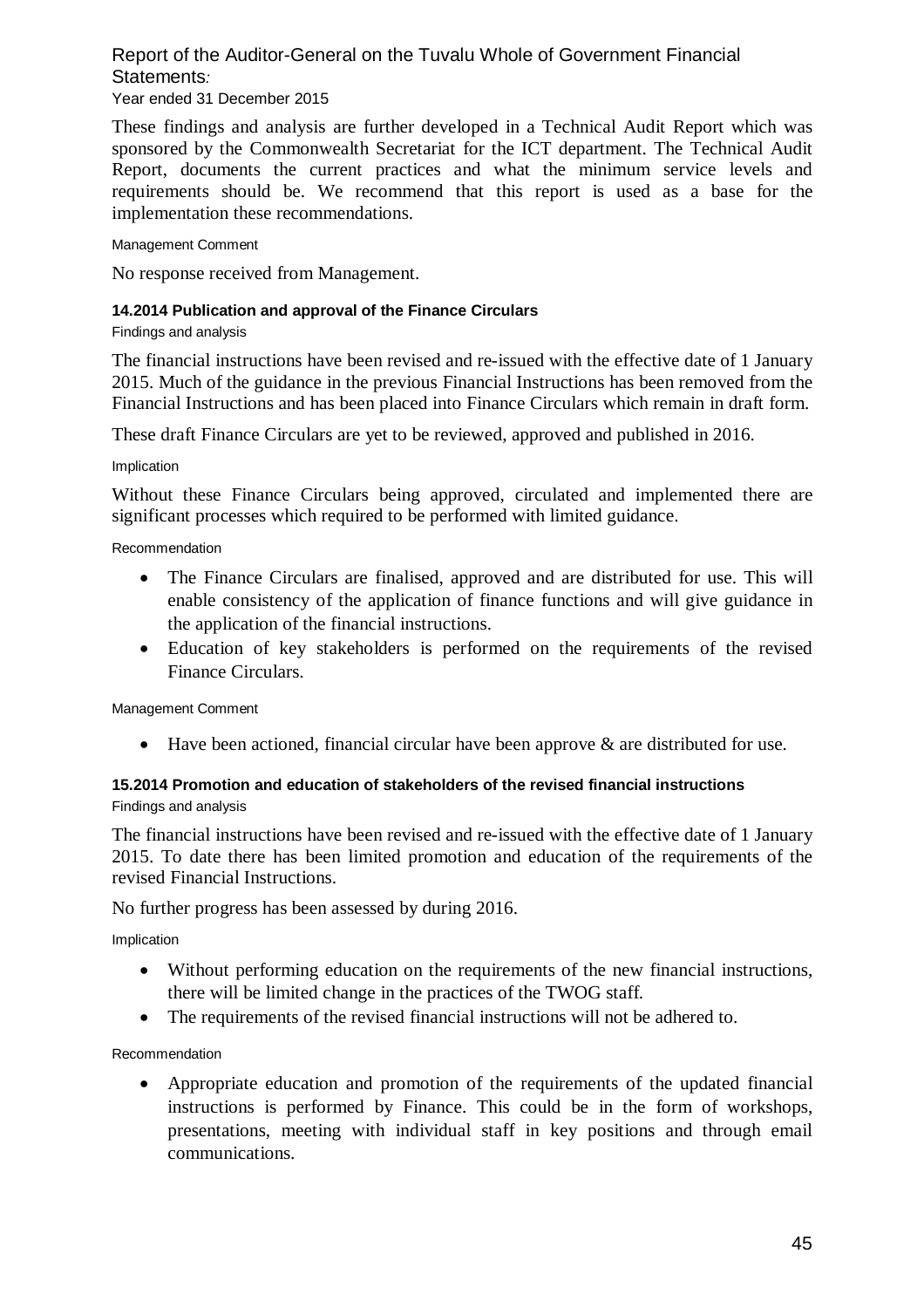#### Report of the Auditor-General on the Tuvalu Whole of Government Financial Statements*:*  Year ended 31 December 2015

These findings and analysis are further developed in a Technical Audit Report which was sponsored by the Commonwealth Secretariat for the ICT department. The Technical Audit Report, documents the current practices and what the minimum service levels and requirements should be. We recommend that this report is used as a base for the implementation these recommendations.

#### Management Comment

No response received from Management.

### **14.2014 Publication and approval of the Finance Circulars**

Findings and analysis

The financial instructions have been revised and re-issued with the effective date of 1 January 2015. Much of the guidance in the previous Financial Instructions has been removed from the Financial Instructions and has been placed into Finance Circulars which remain in draft form.

These draft Finance Circulars are yet to be reviewed, approved and published in 2016.

#### Implication

Without these Finance Circulars being approved, circulated and implemented there are significant processes which required to be performed with limited guidance.

Recommendation

- The Finance Circulars are finalised, approved and are distributed for use. This will enable consistency of the application of finance functions and will give guidance in the application of the financial instructions.
- Education of key stakeholders is performed on the requirements of the revised Finance Circulars.

Management Comment

Have been actioned, financial circular have been approve & are distributed for use.

#### **15.2014 Promotion and education of stakeholders of the revised financial instructions** Findings and analysis

The financial instructions have been revised and re-issued with the effective date of 1 January 2015. To date there has been limited promotion and education of the requirements of the revised Financial Instructions.

No further progress has been assessed by during 2016.

Implication

- Without performing education on the requirements of the new financial instructions, there will be limited change in the practices of the TWOG staff.
- The requirements of the revised financial instructions will not be adhered to.

Recommendation

 Appropriate education and promotion of the requirements of the updated financial instructions is performed by Finance. This could be in the form of workshops, presentations, meeting with individual staff in key positions and through email communications.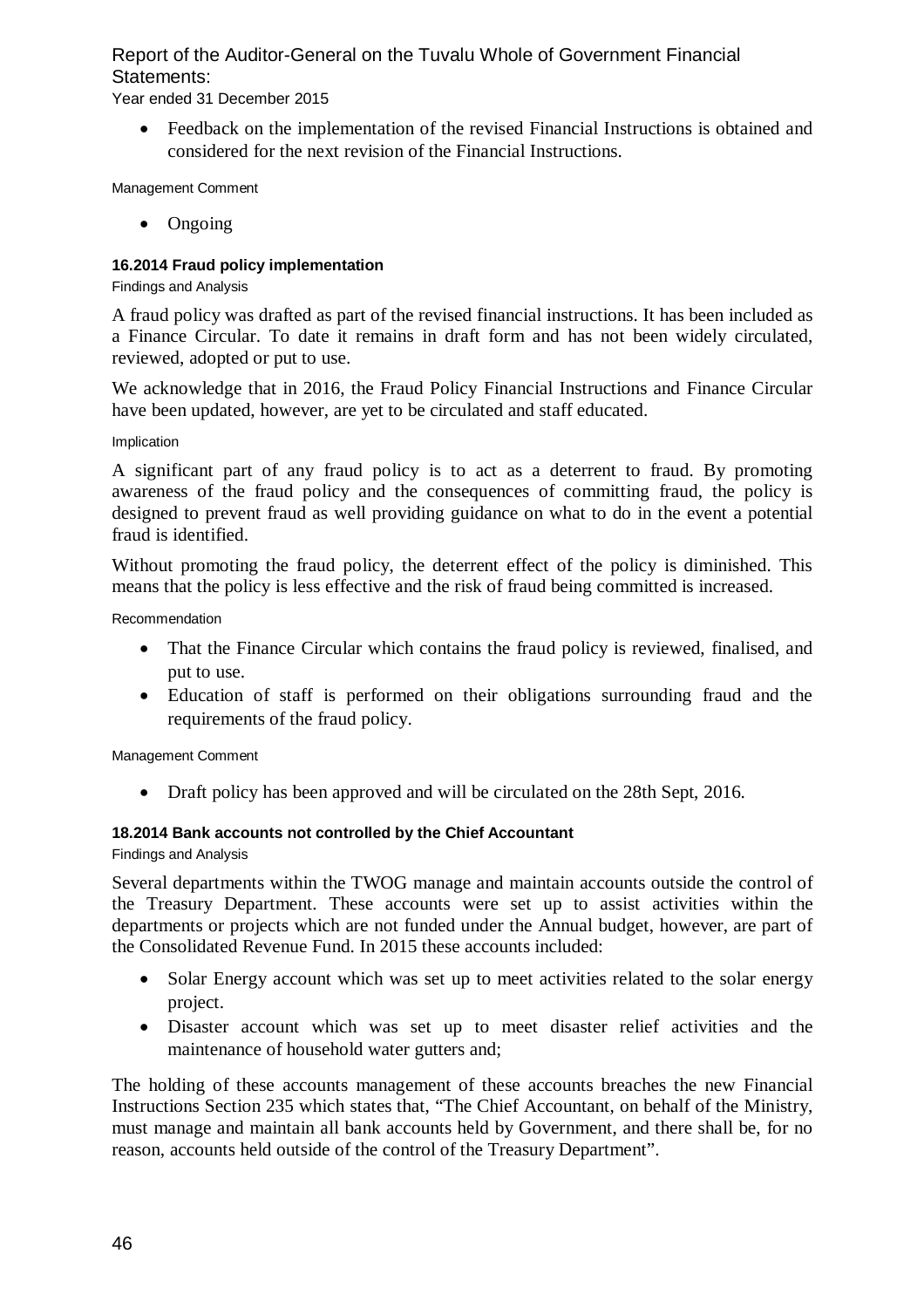Year ended 31 December 2015

 Feedback on the implementation of the revised Financial Instructions is obtained and considered for the next revision of the Financial Instructions.

Management Comment

• Ongoing

### **16.2014 Fraud policy implementation**

Findings and Analysis

A fraud policy was drafted as part of the revised financial instructions. It has been included as a Finance Circular. To date it remains in draft form and has not been widely circulated, reviewed, adopted or put to use.

We acknowledge that in 2016, the Fraud Policy Financial Instructions and Finance Circular have been updated, however, are yet to be circulated and staff educated.

Implication

A significant part of any fraud policy is to act as a deterrent to fraud. By promoting awareness of the fraud policy and the consequences of committing fraud, the policy is designed to prevent fraud as well providing guidance on what to do in the event a potential fraud is identified.

Without promoting the fraud policy, the deterrent effect of the policy is diminished. This means that the policy is less effective and the risk of fraud being committed is increased.

Recommendation

- That the Finance Circular which contains the fraud policy is reviewed, finalised, and put to use.
- Education of staff is performed on their obligations surrounding fraud and the requirements of the fraud policy.

Management Comment

• Draft policy has been approved and will be circulated on the 28th Sept, 2016.

### **18.2014 Bank accounts not controlled by the Chief Accountant**

Findings and Analysis

Several departments within the TWOG manage and maintain accounts outside the control of the Treasury Department. These accounts were set up to assist activities within the departments or projects which are not funded under the Annual budget, however, are part of the Consolidated Revenue Fund. In 2015 these accounts included:

- Solar Energy account which was set up to meet activities related to the solar energy project.
- Disaster account which was set up to meet disaster relief activities and the maintenance of household water gutters and;

The holding of these accounts management of these accounts breaches the new Financial Instructions Section 235 which states that, "The Chief Accountant, on behalf of the Ministry, must manage and maintain all bank accounts held by Government, and there shall be, for no reason, accounts held outside of the control of the Treasury Department".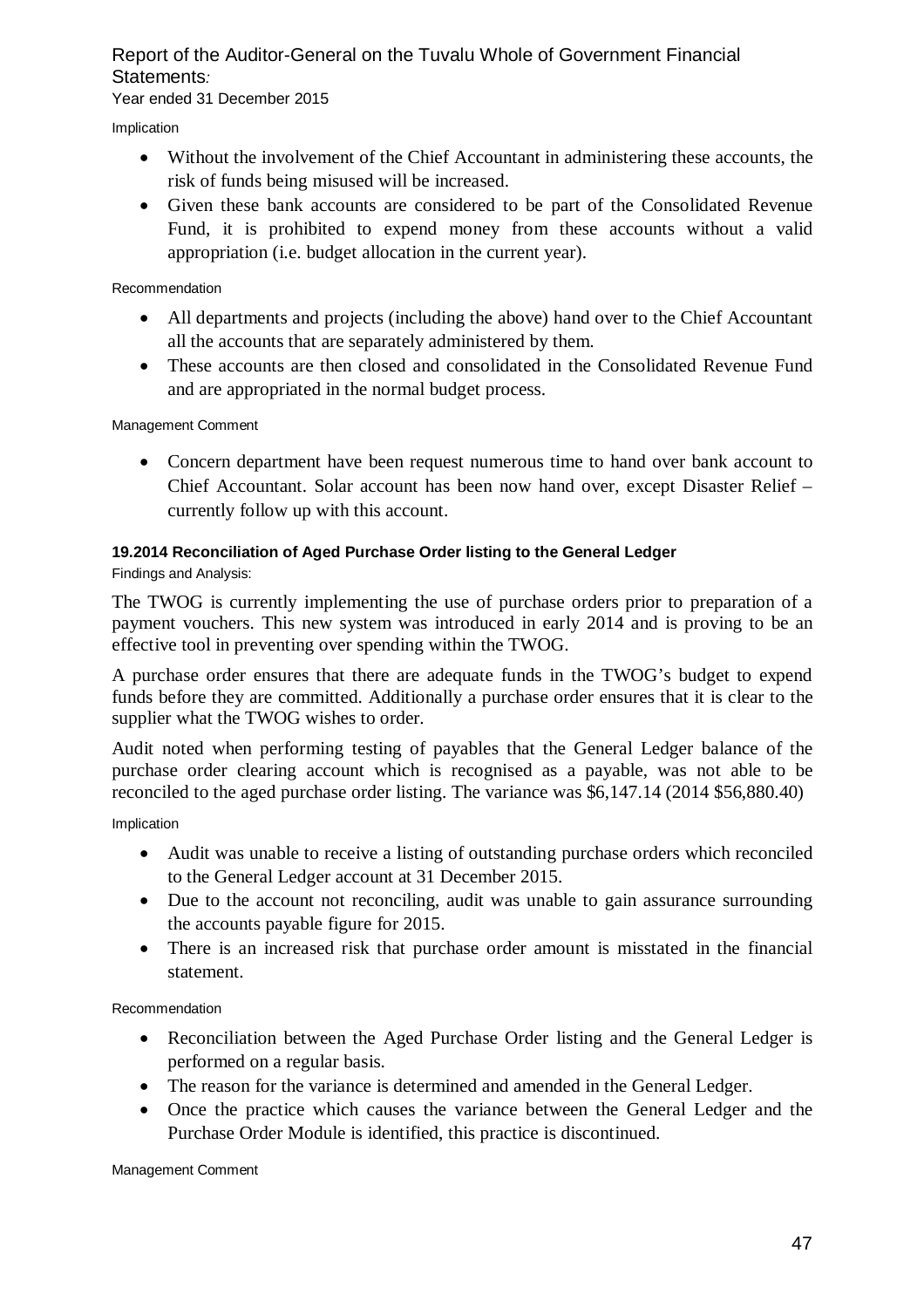Year ended 31 December 2015

Implication

- Without the involvement of the Chief Accountant in administering these accounts, the risk of funds being misused will be increased.
- Given these bank accounts are considered to be part of the Consolidated Revenue Fund, it is prohibited to expend money from these accounts without a valid appropriation (i.e. budget allocation in the current year).

Recommendation

- All departments and projects (including the above) hand over to the Chief Accountant all the accounts that are separately administered by them.
- These accounts are then closed and consolidated in the Consolidated Revenue Fund and are appropriated in the normal budget process.

Management Comment

 Concern department have been request numerous time to hand over bank account to Chief Accountant. Solar account has been now hand over, except Disaster Relief – currently follow up with this account.

### **19.2014 Reconciliation of Aged Purchase Order listing to the General Ledger**

Findings and Analysis:

The TWOG is currently implementing the use of purchase orders prior to preparation of a payment vouchers. This new system was introduced in early 2014 and is proving to be an effective tool in preventing over spending within the TWOG.

A purchase order ensures that there are adequate funds in the TWOG's budget to expend funds before they are committed. Additionally a purchase order ensures that it is clear to the supplier what the TWOG wishes to order.

Audit noted when performing testing of payables that the General Ledger balance of the purchase order clearing account which is recognised as a payable, was not able to be reconciled to the aged purchase order listing. The variance was \$6,147.14 (2014 \$56,880.40)

Implication

- Audit was unable to receive a listing of outstanding purchase orders which reconciled to the General Ledger account at 31 December 2015.
- Due to the account not reconciling, audit was unable to gain assurance surrounding the accounts payable figure for 2015.
- There is an increased risk that purchase order amount is misstated in the financial statement.

Recommendation

- Reconciliation between the Aged Purchase Order listing and the General Ledger is performed on a regular basis.
- The reason for the variance is determined and amended in the General Ledger.
- Once the practice which causes the variance between the General Ledger and the Purchase Order Module is identified, this practice is discontinued.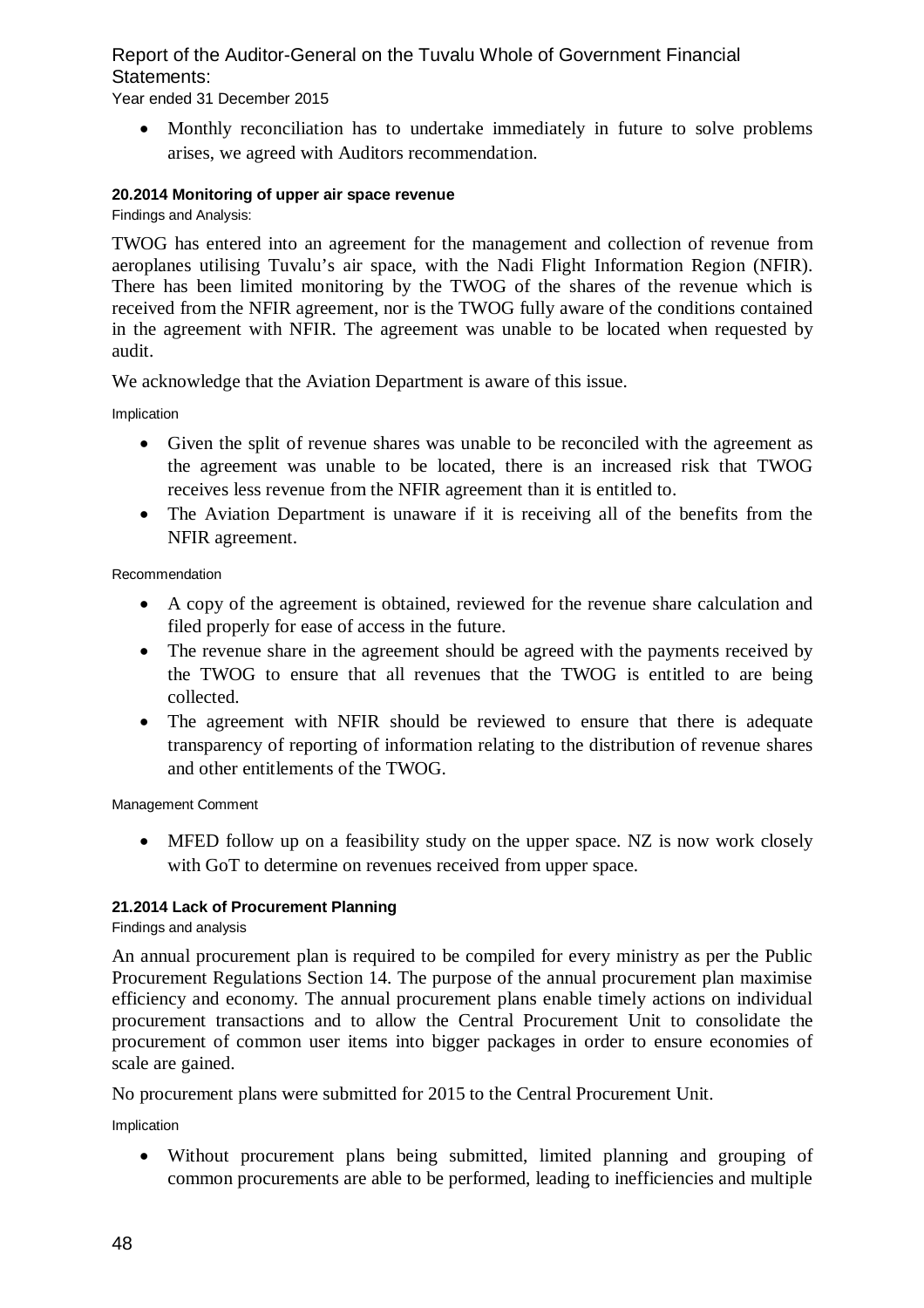Year ended 31 December 2015

 Monthly reconciliation has to undertake immediately in future to solve problems arises, we agreed with Auditors recommendation.

### **20.2014 Monitoring of upper air space revenue**

Findings and Analysis:

TWOG has entered into an agreement for the management and collection of revenue from aeroplanes utilising Tuvalu's air space, with the Nadi Flight Information Region (NFIR). There has been limited monitoring by the TWOG of the shares of the revenue which is received from the NFIR agreement, nor is the TWOG fully aware of the conditions contained in the agreement with NFIR. The agreement was unable to be located when requested by audit.

We acknowledge that the Aviation Department is aware of this issue.

Implication

- Given the split of revenue shares was unable to be reconciled with the agreement as the agreement was unable to be located, there is an increased risk that TWOG receives less revenue from the NFIR agreement than it is entitled to.
- The Aviation Department is unaware if it is receiving all of the benefits from the NFIR agreement.

Recommendation

- A copy of the agreement is obtained, reviewed for the revenue share calculation and filed properly for ease of access in the future.
- The revenue share in the agreement should be agreed with the payments received by the TWOG to ensure that all revenues that the TWOG is entitled to are being collected.
- The agreement with NFIR should be reviewed to ensure that there is adequate transparency of reporting of information relating to the distribution of revenue shares and other entitlements of the TWOG.

Management Comment

• MFED follow up on a feasibility study on the upper space. NZ is now work closely with GoT to determine on revenues received from upper space.

### **21.2014 Lack of Procurement Planning**

Findings and analysis

An annual procurement plan is required to be compiled for every ministry as per the Public Procurement Regulations Section 14. The purpose of the annual procurement plan maximise efficiency and economy. The annual procurement plans enable timely actions on individual procurement transactions and to allow the Central Procurement Unit to consolidate the procurement of common user items into bigger packages in order to ensure economies of scale are gained.

No procurement plans were submitted for 2015 to the Central Procurement Unit.

Implication

 Without procurement plans being submitted, limited planning and grouping of common procurements are able to be performed, leading to inefficiencies and multiple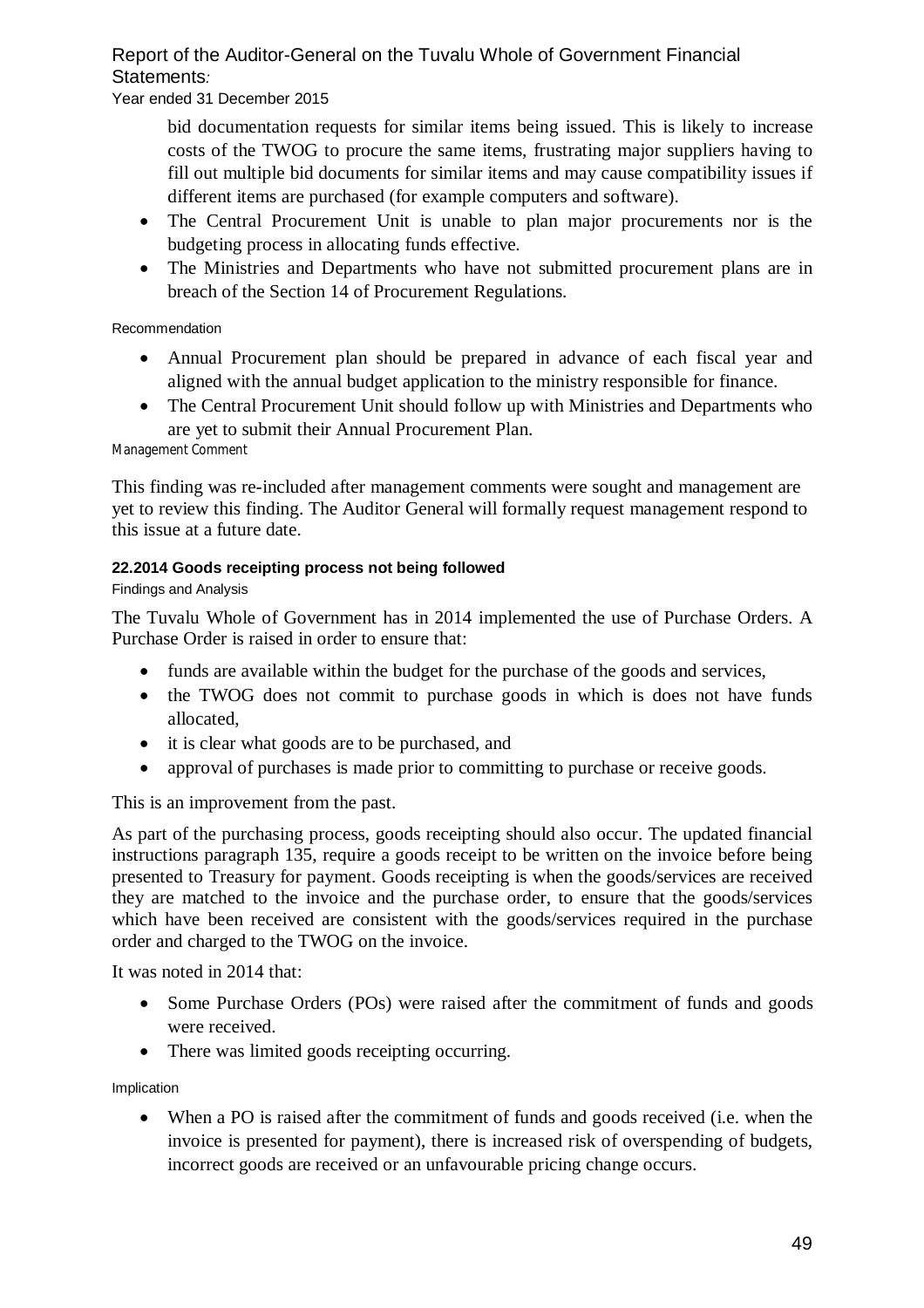Year ended 31 December 2015

bid documentation requests for similar items being issued. This is likely to increase costs of the TWOG to procure the same items, frustrating major suppliers having to fill out multiple bid documents for similar items and may cause compatibility issues if different items are purchased (for example computers and software).

- The Central Procurement Unit is unable to plan major procurements nor is the budgeting process in allocating funds effective.
- The Ministries and Departments who have not submitted procurement plans are in breach of the Section 14 of Procurement Regulations.

### Recommendation

- Annual Procurement plan should be prepared in advance of each fiscal year and aligned with the annual budget application to the ministry responsible for finance.
- The Central Procurement Unit should follow up with Ministries and Departments who are yet to submit their Annual Procurement Plan.

Management Comment

This finding was re-included after management comments were sought and management are yet to review this finding. The Auditor General will formally request management respond to this issue at a future date.

### **22.2014 Goods receipting process not being followed**

### Findings and Analysis

The Tuvalu Whole of Government has in 2014 implemented the use of Purchase Orders. A Purchase Order is raised in order to ensure that:

- funds are available within the budget for the purchase of the goods and services,
- the TWOG does not commit to purchase goods in which is does not have funds allocated,
- it is clear what goods are to be purchased, and
- approval of purchases is made prior to committing to purchase or receive goods.

This is an improvement from the past.

As part of the purchasing process, goods receipting should also occur. The updated financial instructions paragraph 135, require a goods receipt to be written on the invoice before being presented to Treasury for payment. Goods receipting is when the goods/services are received they are matched to the invoice and the purchase order, to ensure that the goods/services which have been received are consistent with the goods/services required in the purchase order and charged to the TWOG on the invoice.

It was noted in 2014 that:

- Some Purchase Orders (POs) were raised after the commitment of funds and goods were received.
- There was limited goods receipting occurring.

Implication

 When a PO is raised after the commitment of funds and goods received (i.e. when the invoice is presented for payment), there is increased risk of overspending of budgets, incorrect goods are received or an unfavourable pricing change occurs.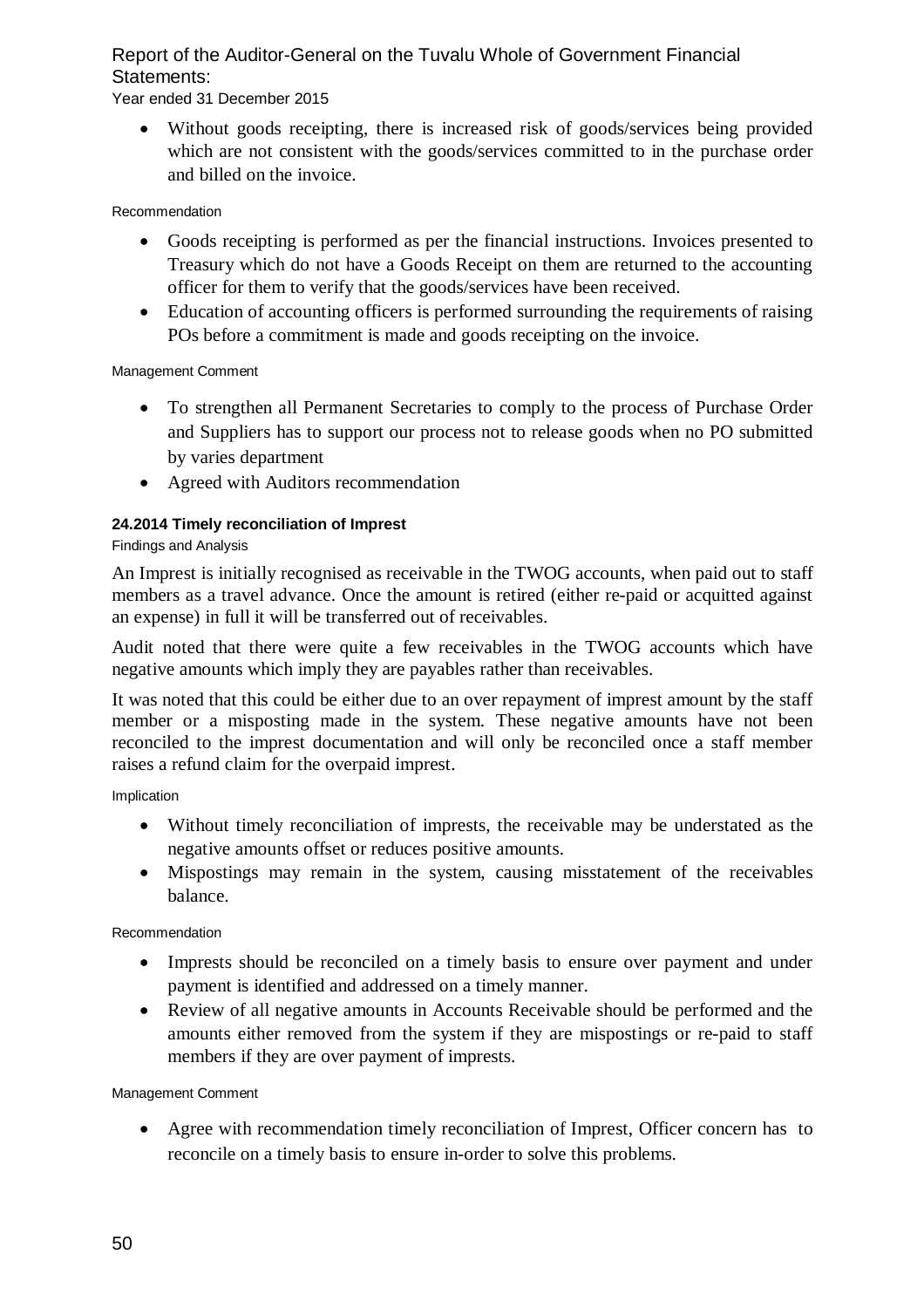Year ended 31 December 2015

Without goods receipting, there is increased risk of goods/services being provided which are not consistent with the goods/services committed to in the purchase order and billed on the invoice.

### Recommendation

- Goods receipting is performed as per the financial instructions. Invoices presented to Treasury which do not have a Goods Receipt on them are returned to the accounting officer for them to verify that the goods/services have been received.
- Education of accounting officers is performed surrounding the requirements of raising POs before a commitment is made and goods receipting on the invoice.

Management Comment

- To strengthen all Permanent Secretaries to comply to the process of Purchase Order and Suppliers has to support our process not to release goods when no PO submitted by varies department
- Agreed with Auditors recommendation

### **24.2014 Timely reconciliation of Imprest**

### Findings and Analysis

An Imprest is initially recognised as receivable in the TWOG accounts, when paid out to staff members as a travel advance. Once the amount is retired (either re-paid or acquitted against an expense) in full it will be transferred out of receivables.

Audit noted that there were quite a few receivables in the TWOG accounts which have negative amounts which imply they are payables rather than receivables.

It was noted that this could be either due to an over repayment of imprest amount by the staff member or a misposting made in the system. These negative amounts have not been reconciled to the imprest documentation and will only be reconciled once a staff member raises a refund claim for the overpaid imprest.

Implication

- Without timely reconciliation of imprests, the receivable may be understated as the negative amounts offset or reduces positive amounts.
- Mispostings may remain in the system, causing misstatement of the receivables balance.

Recommendation

- Imprests should be reconciled on a timely basis to ensure over payment and under payment is identified and addressed on a timely manner.
- Review of all negative amounts in Accounts Receivable should be performed and the amounts either removed from the system if they are mispostings or re-paid to staff members if they are over payment of imprests.

Management Comment

 Agree with recommendation timely reconciliation of Imprest, Officer concern has to reconcile on a timely basis to ensure in-order to solve this problems.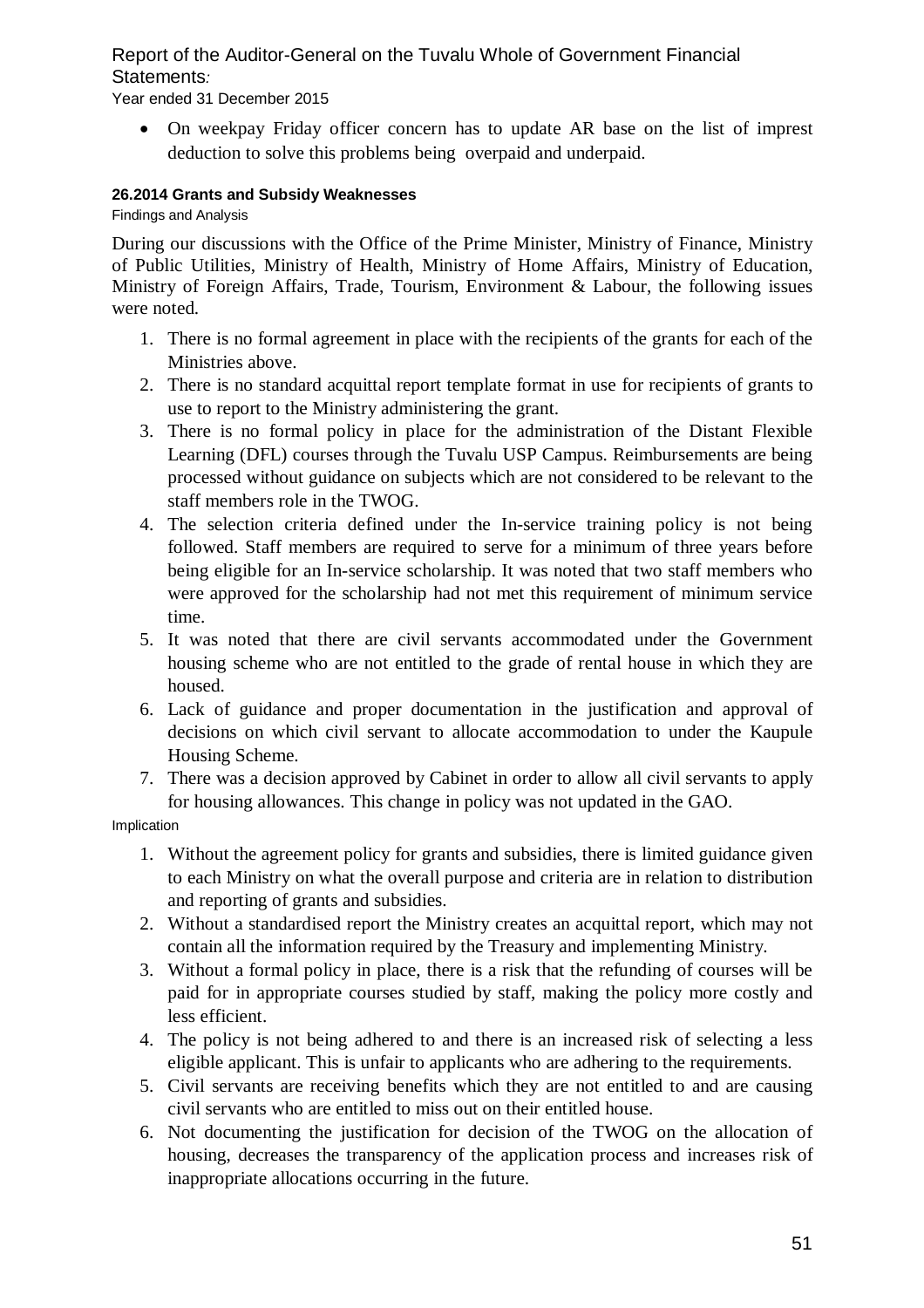Year ended 31 December 2015

 On weekpay Friday officer concern has to update AR base on the list of imprest deduction to solve this problems being overpaid and underpaid.

### **26.2014 Grants and Subsidy Weaknesses**

Findings and Analysis

During our discussions with the Office of the Prime Minister, Ministry of Finance, Ministry of Public Utilities, Ministry of Health, Ministry of Home Affairs, Ministry of Education, Ministry of Foreign Affairs, Trade, Tourism, Environment & Labour, the following issues were noted.

- 1. There is no formal agreement in place with the recipients of the grants for each of the Ministries above.
- 2. There is no standard acquittal report template format in use for recipients of grants to use to report to the Ministry administering the grant.
- 3. There is no formal policy in place for the administration of the Distant Flexible Learning (DFL) courses through the Tuvalu USP Campus. Reimbursements are being processed without guidance on subjects which are not considered to be relevant to the staff members role in the TWOG.
- 4. The selection criteria defined under the In-service training policy is not being followed. Staff members are required to serve for a minimum of three years before being eligible for an In-service scholarship. It was noted that two staff members who were approved for the scholarship had not met this requirement of minimum service time.
- 5. It was noted that there are civil servants accommodated under the Government housing scheme who are not entitled to the grade of rental house in which they are housed.
- 6. Lack of guidance and proper documentation in the justification and approval of decisions on which civil servant to allocate accommodation to under the Kaupule Housing Scheme.
- 7. There was a decision approved by Cabinet in order to allow all civil servants to apply for housing allowances. This change in policy was not updated in the GAO.

Implication

- 1. Without the agreement policy for grants and subsidies, there is limited guidance given to each Ministry on what the overall purpose and criteria are in relation to distribution and reporting of grants and subsidies.
- 2. Without a standardised report the Ministry creates an acquittal report, which may not contain all the information required by the Treasury and implementing Ministry.
- 3. Without a formal policy in place, there is a risk that the refunding of courses will be paid for in appropriate courses studied by staff, making the policy more costly and less efficient.
- 4. The policy is not being adhered to and there is an increased risk of selecting a less eligible applicant. This is unfair to applicants who are adhering to the requirements.
- 5. Civil servants are receiving benefits which they are not entitled to and are causing civil servants who are entitled to miss out on their entitled house.
- 6. Not documenting the justification for decision of the TWOG on the allocation of housing, decreases the transparency of the application process and increases risk of inappropriate allocations occurring in the future.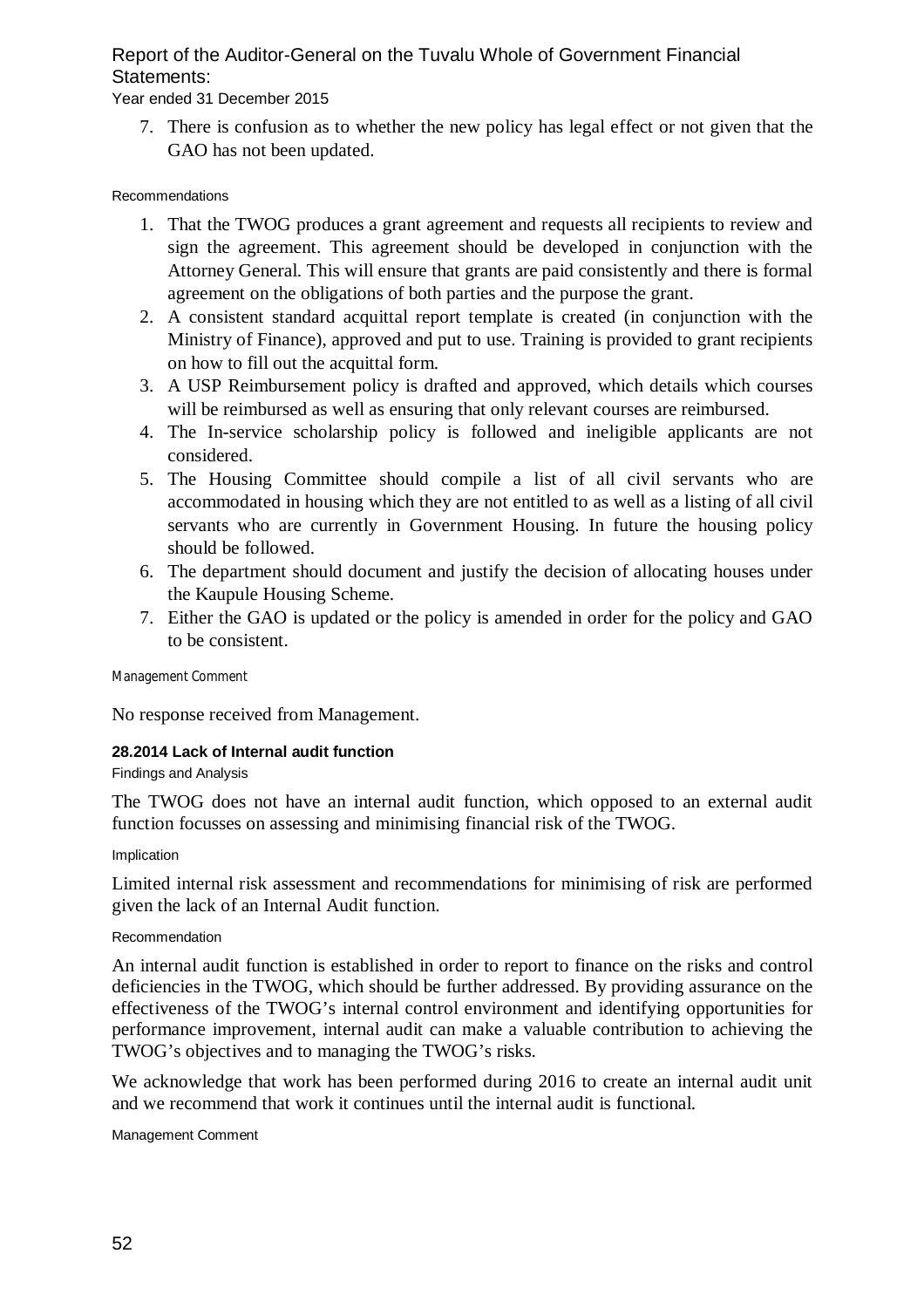### Year ended 31 December 2015

7. There is confusion as to whether the new policy has legal effect or not given that the GAO has not been updated.

#### Recommendations

- 1. That the TWOG produces a grant agreement and requests all recipients to review and sign the agreement. This agreement should be developed in conjunction with the Attorney General. This will ensure that grants are paid consistently and there is formal agreement on the obligations of both parties and the purpose the grant.
- 2. A consistent standard acquittal report template is created (in conjunction with the Ministry of Finance), approved and put to use. Training is provided to grant recipients on how to fill out the acquittal form.
- 3. A USP Reimbursement policy is drafted and approved, which details which courses will be reimbursed as well as ensuring that only relevant courses are reimbursed.
- 4. The In-service scholarship policy is followed and ineligible applicants are not considered.
- 5. The Housing Committee should compile a list of all civil servants who are accommodated in housing which they are not entitled to as well as a listing of all civil servants who are currently in Government Housing. In future the housing policy should be followed.
- 6. The department should document and justify the decision of allocating houses under the Kaupule Housing Scheme.
- 7. Either the GAO is updated or the policy is amended in order for the policy and GAO to be consistent.

Management Comment

No response received from Management.

### **28.2014 Lack of Internal audit function**

#### Findings and Analysis

The TWOG does not have an internal audit function, which opposed to an external audit function focusses on assessing and minimising financial risk of the TWOG.

#### Implication

Limited internal risk assessment and recommendations for minimising of risk are performed given the lack of an Internal Audit function.

#### Recommendation

An internal audit function is established in order to report to finance on the risks and control deficiencies in the TWOG, which should be further addressed. By providing assurance on the effectiveness of the TWOG's internal control environment and identifying opportunities for performance improvement, internal audit can make a valuable contribution to achieving the TWOG's objectives and to managing the TWOG's risks.

We acknowledge that work has been performed during 2016 to create an internal audit unit and we recommend that work it continues until the internal audit is functional.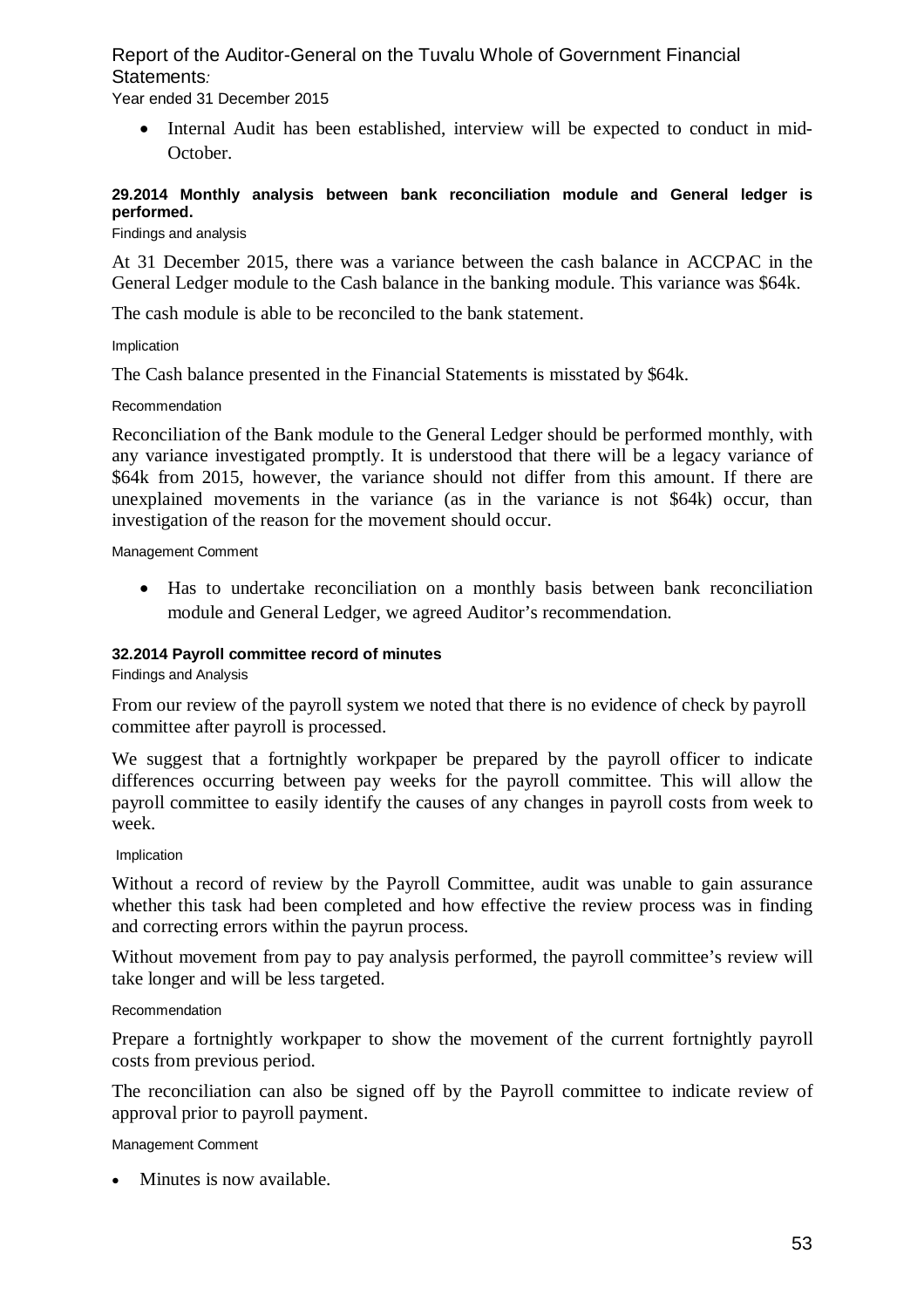Year ended 31 December 2015

 Internal Audit has been established, interview will be expected to conduct in mid-October.

### **29.2014 Monthly analysis between bank reconciliation module and General ledger is performed.**

Findings and analysis

At 31 December 2015, there was a variance between the cash balance in ACCPAC in the General Ledger module to the Cash balance in the banking module. This variance was \$64k.

The cash module is able to be reconciled to the bank statement.

Implication

The Cash balance presented in the Financial Statements is misstated by \$64k.

#### Recommendation

Reconciliation of the Bank module to the General Ledger should be performed monthly, with any variance investigated promptly. It is understood that there will be a legacy variance of \$64k from 2015, however, the variance should not differ from this amount. If there are unexplained movements in the variance (as in the variance is not \$64k) occur, than investigation of the reason for the movement should occur.

Management Comment

 Has to undertake reconciliation on a monthly basis between bank reconciliation module and General Ledger, we agreed Auditor's recommendation.

#### **32.2014 Payroll committee record of minutes**

Findings and Analysis

From our review of the payroll system we noted that there is no evidence of check by payroll committee after payroll is processed.

We suggest that a fortnightly workpaper be prepared by the payroll officer to indicate differences occurring between pay weeks for the payroll committee. This will allow the payroll committee to easily identify the causes of any changes in payroll costs from week to week.

Implication

Without a record of review by the Payroll Committee, audit was unable to gain assurance whether this task had been completed and how effective the review process was in finding and correcting errors within the payrun process.

Without movement from pay to pay analysis performed, the payroll committee's review will take longer and will be less targeted.

Recommendation

Prepare a fortnightly workpaper to show the movement of the current fortnightly payroll costs from previous period.

The reconciliation can also be signed off by the Payroll committee to indicate review of approval prior to payroll payment.

Management Comment

• Minutes is now available.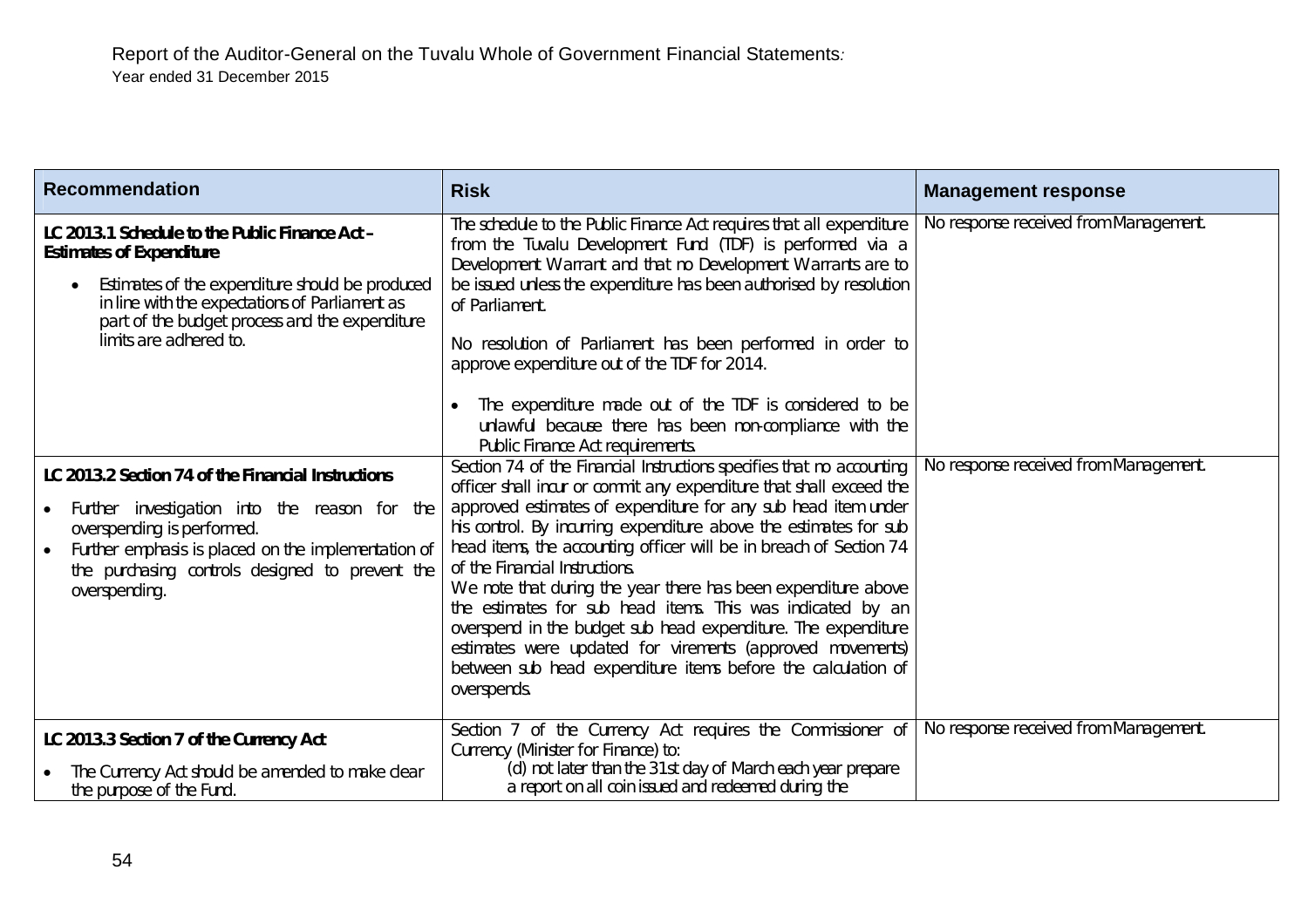| <b>Recommendation</b>                                                                                                                                                                                                                                                     | <b>Risk</b>                                                                                                                                                                                                                                                                                                                                                                                                                                                                                                                                                                                                                                                   | <b>Management response</b>                                                     |
|---------------------------------------------------------------------------------------------------------------------------------------------------------------------------------------------------------------------------------------------------------------------------|---------------------------------------------------------------------------------------------------------------------------------------------------------------------------------------------------------------------------------------------------------------------------------------------------------------------------------------------------------------------------------------------------------------------------------------------------------------------------------------------------------------------------------------------------------------------------------------------------------------------------------------------------------------|--------------------------------------------------------------------------------|
| LC 2013.1 Schedule to the Public Finance Act -<br><b>Estimates of Expenditure</b><br>Estimates of the expenditure should be produced<br>in line with the expectations of Parliament as<br>part of the budget process and the expenditure<br>limits are adhered to.        | The schedule to the Public Finance Act requires that all expenditure<br>from the Tuvalu Development Fund (TDF) is performed via a<br>Development Warrant and that no Development Warrants are to<br>be issued unless the expenditure has been authorised by resolution<br>of Parliament.<br>No resolution of Parliament has been performed in order to<br>approve expenditure out of the TDF for 2014.<br>The expenditure made out of the TDF is considered to be<br>unlawful because there has been non-compliance with the<br>Public Finance Act requirements.<br>Section 74 of the Financial Instructions specifies that no accounting                     | No response received from Management.<br>No response received from Management. |
| LC 2013.2 Section 74 of the Financial Instructions<br>Further investigation into the reason for the<br>overspending is performed.<br>Further emphasis is placed on the implementation of<br>$\bullet$<br>the purchasing controls designed to prevent the<br>overspending. | officer shall incur or commit any expenditure that shall exceed the<br>approved estimates of expenditure for any sub head item under<br>his control. By incurring expenditure above the estimates for sub<br>head items, the accounting officer will be in breach of Section 74<br>of the Financial Instructions.<br>We note that during the year there has been expenditure above<br>the estimates for sub head items. This was indicated by an<br>overspend in the budget sub head expenditure. The expenditure<br>estimates were updated for virements (approved movements)<br>between sub head expenditure items before the calculation of<br>overspends. |                                                                                |
| LC 2013.3 Section 7 of the Currency Act<br>The Currency Act should be amended to make clear<br>the purpose of the Fund.                                                                                                                                                   | Section 7 of the Currency Act requires the Commissioner of<br>Currency (Minister for Finance) to:<br>(d) not later than the 31st day of March each year prepare<br>a report on all coin issued and redeemed during the                                                                                                                                                                                                                                                                                                                                                                                                                                        | No response received from Management.                                          |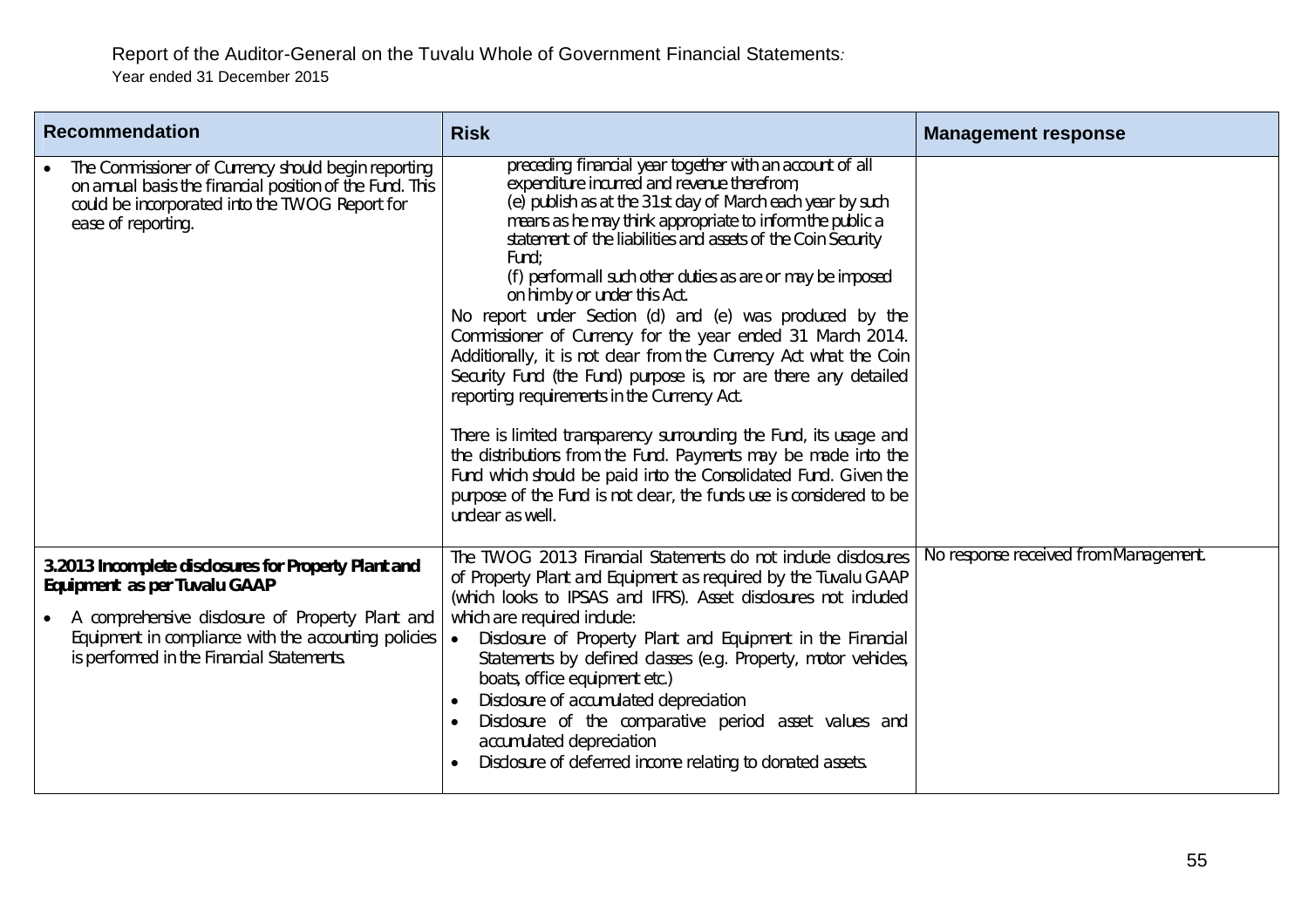| <b>Recommendation</b>                                                                                                                                                                                                                         | <b>Risk</b>                                                                                                                                                                                                                                                                                                                                                                                                                                                                                                                                                                                                                                                                                                                                                                                                                                                                                                                                                                                                                  | <b>Management response</b>            |
|-----------------------------------------------------------------------------------------------------------------------------------------------------------------------------------------------------------------------------------------------|------------------------------------------------------------------------------------------------------------------------------------------------------------------------------------------------------------------------------------------------------------------------------------------------------------------------------------------------------------------------------------------------------------------------------------------------------------------------------------------------------------------------------------------------------------------------------------------------------------------------------------------------------------------------------------------------------------------------------------------------------------------------------------------------------------------------------------------------------------------------------------------------------------------------------------------------------------------------------------------------------------------------------|---------------------------------------|
| The Commissioner of Currency should begin reporting<br>on annual basis the financial position of the Fund. This<br>could be incorporated into the TWOG Report for<br>ease of reporting.                                                       | preceding financial year together with an account of all<br>expenditure incurred and revenue therefrom;<br>(e) publish as at the 31st day of March each year by such<br>means as he may think appropriate to inform the public a<br>statement of the liabilities and assets of the Coin Security<br>Fund:<br>(f) perform all such other duties as are or may be imposed<br>on him by or under this Act.<br>No report under Section (d) and (e) was produced by the<br>Commissioner of Currency for the year ended 31 March 2014.<br>Additionally, it is not clear from the Currency Act what the Coin<br>Security Fund (the Fund) purpose is, nor are there any detailed<br>reporting requirements in the Currency Act.<br>There is limited transparency surrounding the Fund, its usage and<br>the distributions from the Fund. Payments may be made into the<br>Fund which should be paid into the Consolidated Fund. Given the<br>purpose of the Fund is not clear, the funds use is considered to be<br>unclear as well. |                                       |
| 3.2013 Incomplete disclosures for Property Plant and<br>Equipment as per Tuvalu GAAP<br>A comprehensive disclosure of Property Plant and<br>Equipment in compliance with the accounting policies<br>is performed in the Financial Statements. | The TWOG 2013 Financial Statements do not include disclosures<br>of Property Plant and Equipment as required by the Tuvalu GAAP<br>(which looks to IPSAS and IFRS). Asset disclosures not included<br>which are required include:<br>Disclosure of Property Plant and Equipment in the Financial<br>$\bullet$<br>Statements by defined classes (e.g. Property, motor vehicles,<br>boats, office equipment etc.)<br>Disclosure of accumulated depreciation<br>Disclosure of the comparative period asset values and<br>accumulated depreciation<br>Disclosure of deferred income relating to donated assets.                                                                                                                                                                                                                                                                                                                                                                                                                  | No response received from Management. |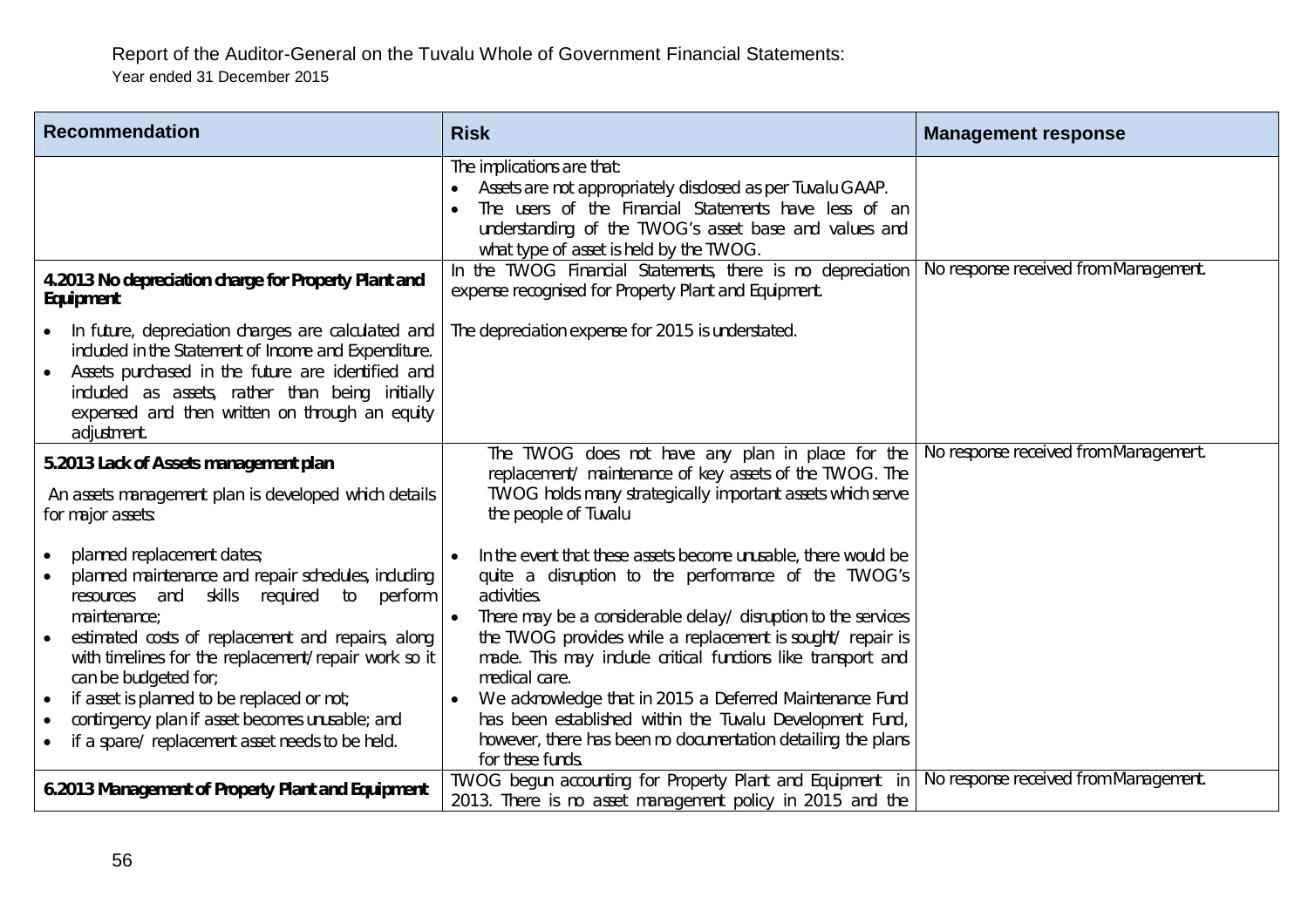| <b>Recommendation</b>                                                                                                                                                                                                                                                                                                                                                                                                                                        | <b>Risk</b>                                                                                                                                                                                                                                                                                                                                                                                                                                                                                                                                                     | <b>Management response</b>            |
|--------------------------------------------------------------------------------------------------------------------------------------------------------------------------------------------------------------------------------------------------------------------------------------------------------------------------------------------------------------------------------------------------------------------------------------------------------------|-----------------------------------------------------------------------------------------------------------------------------------------------------------------------------------------------------------------------------------------------------------------------------------------------------------------------------------------------------------------------------------------------------------------------------------------------------------------------------------------------------------------------------------------------------------------|---------------------------------------|
|                                                                                                                                                                                                                                                                                                                                                                                                                                                              | The implications are that:<br>Assets are not appropriately disclosed as per Tuvalu GAAP.<br>The users of the Financial Statements have less of an<br>understanding of the TWOG's asset base and values and<br>what type of asset is held by the TWOG.                                                                                                                                                                                                                                                                                                           |                                       |
| 4.2013 No depreciation charge for Property Plant and<br>Equipment                                                                                                                                                                                                                                                                                                                                                                                            | In the TWOG Financial Statements, there is no depreciation<br>expense recognised for Property Plant and Equipment.                                                                                                                                                                                                                                                                                                                                                                                                                                              | No response received from Management. |
| In future, depreciation charges are calculated and<br>included in the Statement of Income and Expenditure.<br>Assets purchased in the future are identified and<br>included as assets, rather than being initially<br>expensed and then written on through an equity<br>adjustment.                                                                                                                                                                          | The depreciation expense for 2015 is understated.                                                                                                                                                                                                                                                                                                                                                                                                                                                                                                               |                                       |
| 5.2013 Lack of Assets management plan<br>An assets management plan is developed which details<br>for major assets:                                                                                                                                                                                                                                                                                                                                           | The TWOG does not have any plan in place for the<br>replacement/ maintenance of key assets of the TWOG. The<br>TWOG holds many strategically important assets which serve<br>the people of Tuvalu                                                                                                                                                                                                                                                                                                                                                               | No response received from Management. |
| planned replacement dates;<br>planned maintenance and repair schedules, including<br>and<br>skills required to<br>perform<br>resources<br>maintenance:<br>estimated costs of replacement and repairs, along<br>with timelines for the replacement/repair work so it<br>can be budgeted for;<br>if asset is planned to be replaced or not;<br>$\bullet$<br>contingency plan if asset becomes unusable; and<br>if a spare/ replacement asset needs to be held. | In the event that these assets become unusable, there would be<br>quite a disruption to the performance of the TWOG's<br>activities.<br>There may be a considerable delay/ disruption to the services<br>the TWOG provides while a replacement is sought/ repair is<br>made. This may include critical functions like transport and<br>medical care.<br>We acknowledge that in 2015 a Deferred Maintenance Fund<br>has been established within the Tuvalu Development Fund,<br>however, there has been no documentation detailing the plans<br>for these funds. |                                       |
| 6.2013 Management of Property Plant and Equipment                                                                                                                                                                                                                                                                                                                                                                                                            | TWOG begun accounting for Property Plant and Equipment in<br>2013. There is no asset management policy in 2015 and the                                                                                                                                                                                                                                                                                                                                                                                                                                          | No response received from Management. |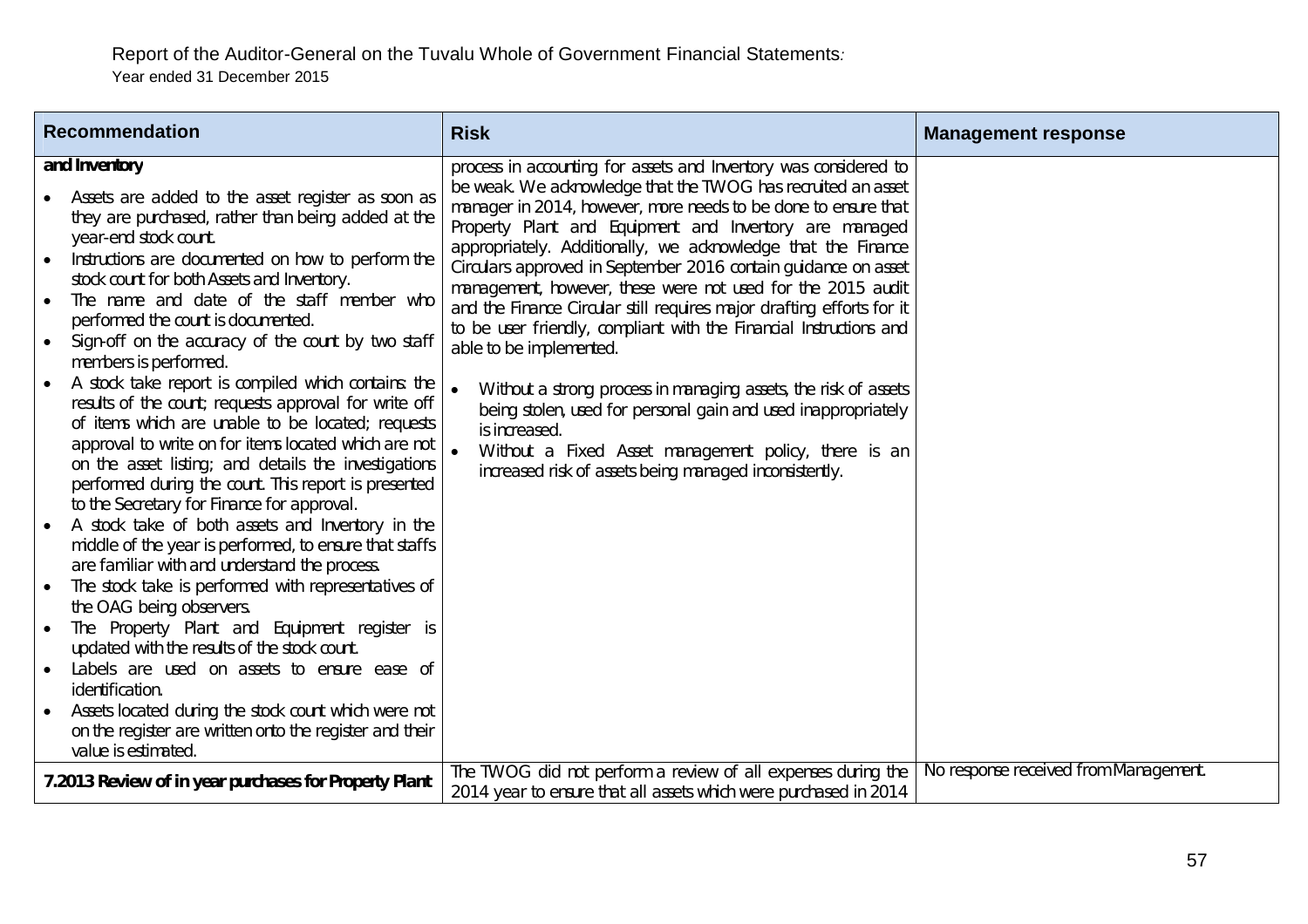| <b>Recommendation</b>                                                                                                                                                                                                                                                                                                                                                                                                                                                                                                                                                                                                                                                                                                                                                                                                                                                                                                                                                                                                                                                                                                                                                                                                                                                                                                                                                                        | <b>Risk</b>                                                                                                                                                                                                                                                                                                                                                                                                                                                                                                                                                                                                                                                                                                                                                                                                                                                                                                    | <b>Management response</b>            |
|----------------------------------------------------------------------------------------------------------------------------------------------------------------------------------------------------------------------------------------------------------------------------------------------------------------------------------------------------------------------------------------------------------------------------------------------------------------------------------------------------------------------------------------------------------------------------------------------------------------------------------------------------------------------------------------------------------------------------------------------------------------------------------------------------------------------------------------------------------------------------------------------------------------------------------------------------------------------------------------------------------------------------------------------------------------------------------------------------------------------------------------------------------------------------------------------------------------------------------------------------------------------------------------------------------------------------------------------------------------------------------------------|----------------------------------------------------------------------------------------------------------------------------------------------------------------------------------------------------------------------------------------------------------------------------------------------------------------------------------------------------------------------------------------------------------------------------------------------------------------------------------------------------------------------------------------------------------------------------------------------------------------------------------------------------------------------------------------------------------------------------------------------------------------------------------------------------------------------------------------------------------------------------------------------------------------|---------------------------------------|
| and Inventory<br>Assets are added to the asset register as soon as<br>they are purchased, rather than being added at the<br>year-end stock count.<br>Instructions are documented on how to perform the<br>stock count for both Assets and Inventory.<br>The name and date of the staff member who<br>performed the count is documented.<br>Sign-off on the accuracy of the count by two staff<br>members is performed.<br>A stock take report is compiled which contains: the<br>results of the count; requests approval for write off<br>of items which are unable to be located; requests<br>approval to write on for items located which are not<br>on the asset listing; and details the investigations<br>performed during the count. This report is presented<br>to the Secretary for Finance for approval.<br>A stock take of both assets and Inventory in the<br>middle of the year is performed, to ensure that staffs<br>are familiar with and understand the process.<br>The stock take is performed with representatives of<br>the OAG being observers.<br>The Property Plant and Equipment register is<br>$\bullet$<br>updated with the results of the stock count.<br>Labels are used on assets to ensure ease of<br>identification.<br>Assets located during the stock count which were not<br>on the register are written onto the register and their<br>value is estimated. | process in accounting for assets and Inventory was considered to<br>be weak. We acknowledge that the TWOG has recruited an asset<br>manager in 2014, however, more needs to be done to ensure that<br>Property Plant and Equipment and Inventory are managed<br>appropriately. Additionally, we acknowledge that the Finance<br>Circulars approved in September 2016 contain guidance on asset<br>management, however, these were not used for the 2015 audit<br>and the Finance Circular still requires major drafting efforts for it<br>to be user friendly, compliant with the Financial Instructions and<br>able to be implemented.<br>Without a strong process in managing assets, the risk of assets<br>being stolen, used for personal gain and used inappropriately<br>is increased.<br>Without a Fixed Asset management policy, there is an<br>increased risk of assets being managed inconsistently. |                                       |
| 7.2013 Review of in year purchases for Property Plant                                                                                                                                                                                                                                                                                                                                                                                                                                                                                                                                                                                                                                                                                                                                                                                                                                                                                                                                                                                                                                                                                                                                                                                                                                                                                                                                        | The TWOG did not perform a review of all expenses during the<br>2014 year to ensure that all assets which were purchased in 2014                                                                                                                                                                                                                                                                                                                                                                                                                                                                                                                                                                                                                                                                                                                                                                               | No response received from Management. |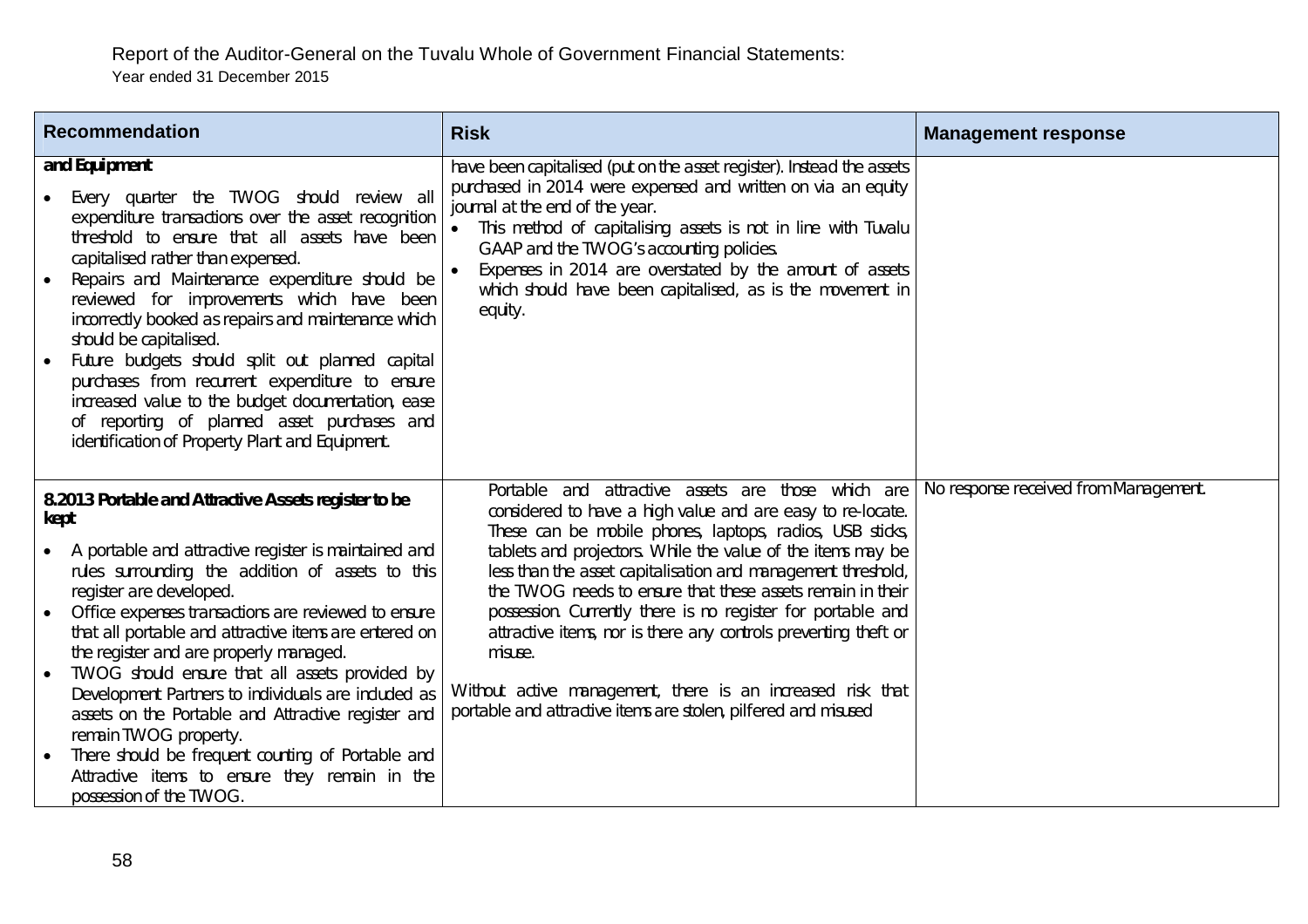| <b>Recommendation</b>                                                                                                                                                                                                                                                                                                                                                                                                                                                                                                                                                                                                                                                                                            | <b>Risk</b>                                                                                                                                                                                                                                                                                                                                                                                                                                                                                                                                                                                                                                            | <b>Management response</b>            |
|------------------------------------------------------------------------------------------------------------------------------------------------------------------------------------------------------------------------------------------------------------------------------------------------------------------------------------------------------------------------------------------------------------------------------------------------------------------------------------------------------------------------------------------------------------------------------------------------------------------------------------------------------------------------------------------------------------------|--------------------------------------------------------------------------------------------------------------------------------------------------------------------------------------------------------------------------------------------------------------------------------------------------------------------------------------------------------------------------------------------------------------------------------------------------------------------------------------------------------------------------------------------------------------------------------------------------------------------------------------------------------|---------------------------------------|
| and Equipment<br>Every quarter the TWOG should review all<br>expenditure transactions over the asset recognition<br>threshold to ensure that all assets have been<br>capitalised rather than expensed.<br>Repairs and Maintenance expenditure should be<br>reviewed for improvements which have been<br>incorrectly booked as repairs and maintenance which<br>should be capitalised.<br>Future budgets should split out planned capital<br>purchases from recurrent expenditure to ensure<br>increased value to the budget documentation, ease<br>of reporting of planned asset purchases and<br>identification of Property Plant and Equipment.                                                                | have been capitalised (put on the asset register). Instead the assets<br>purchased in 2014 were expensed and written on via an equity<br>journal at the end of the year.<br>This method of capitalising assets is not in line with Tuvalu<br>GAAP and the TWOG's accounting policies.<br>Expenses in 2014 are overstated by the amount of assets<br>which should have been capitalised, as is the movement in<br>equity.                                                                                                                                                                                                                               |                                       |
| 8.2013 Portable and Attractive Assets register to be<br>kept<br>A portable and attractive register is maintained and<br>$\bullet$<br>rules surrounding the addition of assets to this<br>register are developed.<br>Office expenses transactions are reviewed to ensure<br>$\bullet$<br>that all portable and attractive items are entered on<br>the register and are properly managed.<br>TWOG should ensure that all assets provided by<br>Development Partners to individuals are included as<br>assets on the Portable and Attractive register and<br>remain TWOG property.<br>There should be frequent counting of Portable and<br>Attractive items to ensure they remain in the<br>possession of the TWOG. | Portable and attractive assets are those which are<br>considered to have a high value and are easy to re-locate.<br>These can be mobile phones, laptops, radios, USB sticks,<br>tablets and projectors. While the value of the items may be<br>less than the asset capitalisation and management threshold,<br>the TWOG needs to ensure that these assets remain in their<br>possession. Currently there is no register for portable and<br>attractive items, nor is there any controls preventing theft or<br>misuse.<br>Without active management, there is an increased risk that<br>portable and attractive items are stolen, pilfered and misused | No response received from Management. |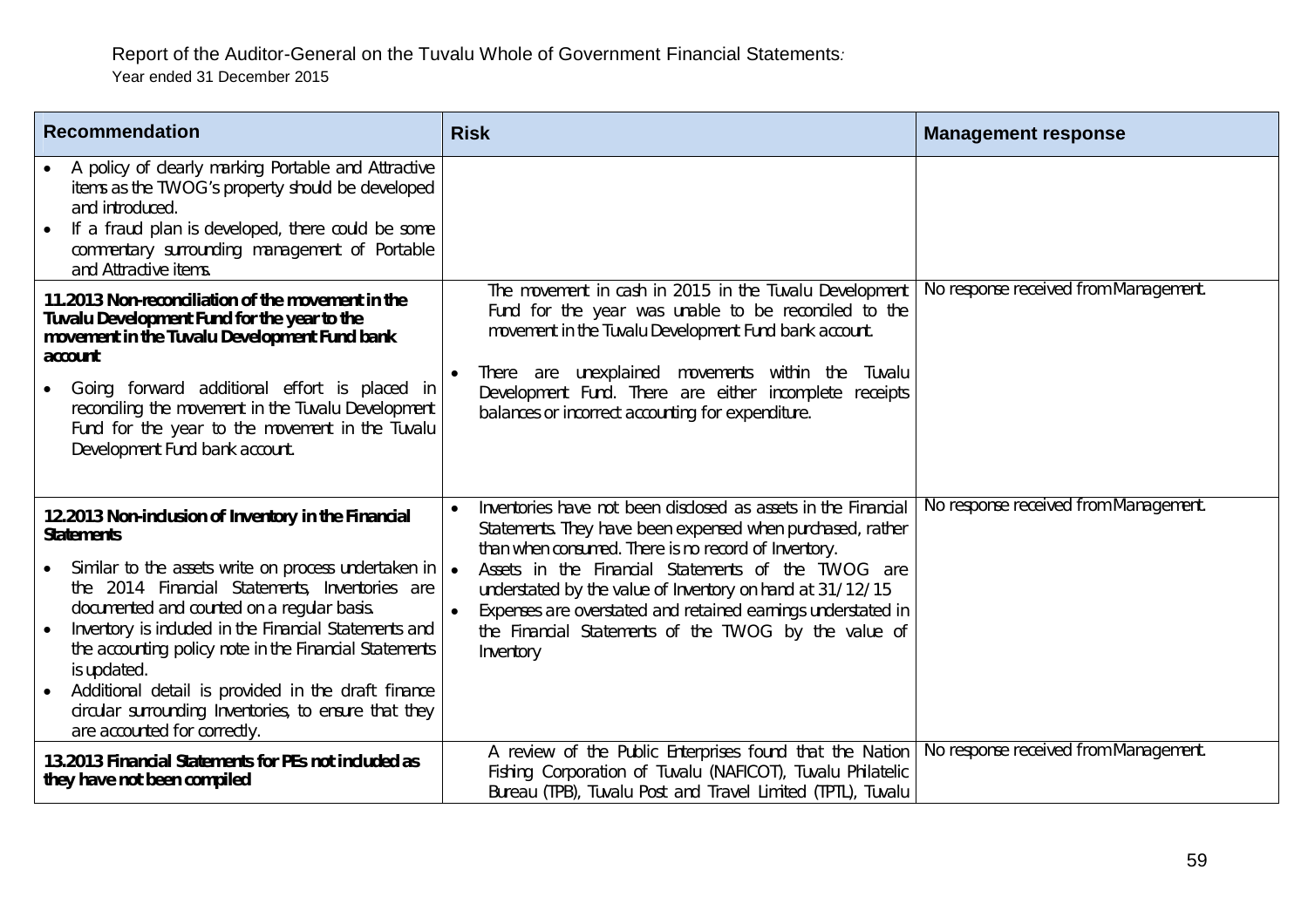| <b>Recommendation</b>                                                                                                                                                                                                                                                                                                                                                                                                                                                                                             | <b>Risk</b>                                                                                                                                                                                                                                                                                                                                                                                                                                               | <b>Management response</b>            |
|-------------------------------------------------------------------------------------------------------------------------------------------------------------------------------------------------------------------------------------------------------------------------------------------------------------------------------------------------------------------------------------------------------------------------------------------------------------------------------------------------------------------|-----------------------------------------------------------------------------------------------------------------------------------------------------------------------------------------------------------------------------------------------------------------------------------------------------------------------------------------------------------------------------------------------------------------------------------------------------------|---------------------------------------|
| A policy of clearly marking Portable and Attractive<br>items as the TWOG's property should be developed<br>and introduced.<br>If a fraud plan is developed, there could be some<br>commentary surrounding management of Portable<br>and Attractive items.                                                                                                                                                                                                                                                         |                                                                                                                                                                                                                                                                                                                                                                                                                                                           |                                       |
| 11.2013 Non-reconciliation of the movement in the<br>Tuvalu Development Fund for the year to the<br>movement in the Tuvalu Development Fund bank<br>account<br>Going forward additional effort is placed in<br>reconciling the movement in the Tuvalu Development<br>Fund for the year to the movement in the Tuvalu<br>Development Fund bank account.                                                                                                                                                            | The movement in cash in 2015 in the Tuvalu Development<br>Fund for the year was unable to be reconciled to the<br>movement in the Tuvalu Development Fund bank account.<br>There are unexplained movements within the<br>Tuvalu<br>$\bullet$<br>Development Fund. There are either incomplete receipts<br>balances or incorrect accounting for expenditure.                                                                                               | No response received from Management. |
| 12.2013 Non-inclusion of Inventory in the Financial<br><b>Statements</b><br>Similar to the assets write on process undertaken in<br>the 2014 Financial Statements, Inventories are<br>documented and counted on a regular basis.<br>Inventory is included in the Financial Statements and<br>the accounting policy note in the Financial Statements<br>is updated.<br>Additional detail is provided in the draft finance<br>circular surrounding Inventories, to ensure that they<br>are accounted for correctly. | Inventories have not been disclosed as assets in the Financial<br>Statements. They have been expensed when purchased, rather<br>than when consumed. There is no record of Inventory.<br>Assets in the Financial Statements of the TWOG are<br>$\bullet$<br>understated by the value of Inventory on hand at 31/12/15<br>Expenses are overstated and retained earnings understated in<br>the Financial Statements of the TWOG by the value of<br>Inventory | No response received from Management. |
| 13.2013 Financial Statements for PEs not included as<br>they have not been compiled                                                                                                                                                                                                                                                                                                                                                                                                                               | A review of the Public Enterprises found that the Nation<br>Fishing Corporation of Tuvalu (NAFICOT), Tuvalu Philatelic<br>Bureau (TPB), Tuvalu Post and Travel Limited (TPTL), Tuvalu                                                                                                                                                                                                                                                                     | No response received from Management. |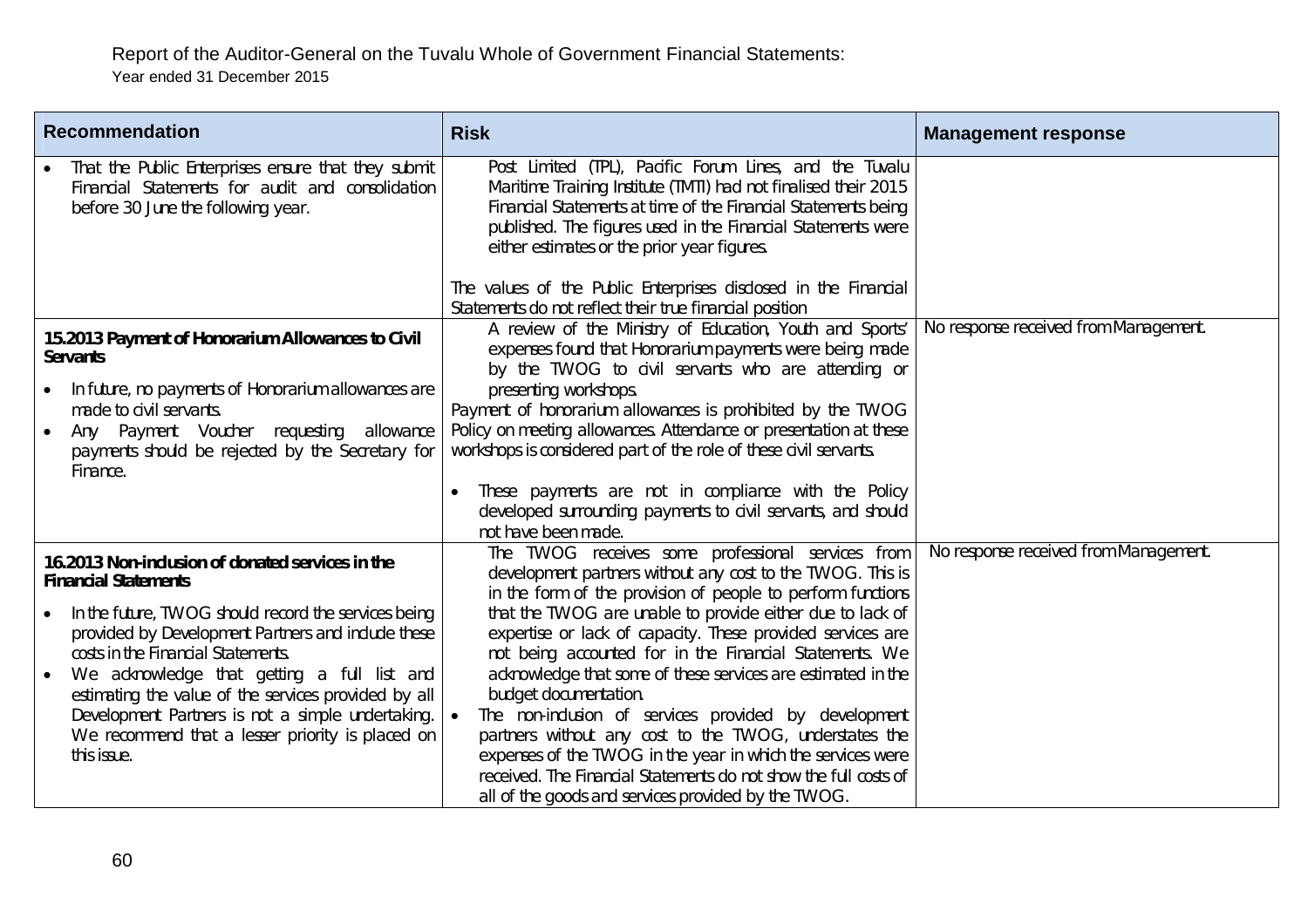| <b>Recommendation</b>                                                                                                                                                                                        | <b>Risk</b>                                                                                                                                                                                                                                                                                                 | <b>Management response</b>            |
|--------------------------------------------------------------------------------------------------------------------------------------------------------------------------------------------------------------|-------------------------------------------------------------------------------------------------------------------------------------------------------------------------------------------------------------------------------------------------------------------------------------------------------------|---------------------------------------|
| That the Public Enterprises ensure that they submit<br>Financial Statements for audit and consolidation<br>before 30 June the following year.                                                                | Post Limited (TPL), Pacific Forum Lines, and the Tuvalu<br>Maritime Training Institute (TMTI) had not finalised their 2015<br>Financial Statements at time of the Financial Statements being<br>published. The figures used in the Financial Statements were<br>either estimates or the prior year figures. |                                       |
|                                                                                                                                                                                                              | The values of the Public Enterprises disclosed in the Financial<br>Statements do not reflect their true financial position                                                                                                                                                                                  |                                       |
| 15.2013 Payment of Honorarium Allowances to Civil<br><b>Servants</b>                                                                                                                                         | A review of the Ministry of Education, Youth and Sports'<br>expenses found that Honorarium payments were being made<br>by the TWOG to civil servants who are attending or                                                                                                                                   | No response received from Management. |
| In future, no payments of Honorarium allowances are<br>made to civil servants.                                                                                                                               | presenting workshops.<br>Payment of honorarium allowances is prohibited by the TWOG                                                                                                                                                                                                                         |                                       |
| Any Payment Voucher requesting<br>allowance<br>$\bullet$<br>payments should be rejected by the Secretary for<br>Finance.                                                                                     | Policy on meeting allowances. Attendance or presentation at these<br>workshops is considered part of the role of these civil servants.                                                                                                                                                                      |                                       |
|                                                                                                                                                                                                              | These payments are not in compliance with the Policy<br>$\bullet$<br>developed surrounding payments to civil servants, and should<br>not have been made.                                                                                                                                                    |                                       |
| 16.2013 Non-inclusion of donated services in the<br><b>Financial Statements</b>                                                                                                                              | The TWOG receives some professional services from<br>development partners without any cost to the TWOG. This is<br>in the form of the provision of people to perform functions                                                                                                                              | No response received from Management. |
| In the future, TWOG should record the services being<br>provided by Development Partners and include these<br>costs in the Financial Statements.<br>We acknowledge that getting a full list and<br>$\bullet$ | that the TWOG are unable to provide either due to lack of<br>expertise or lack of capacity. These provided services are<br>not being accounted for in the Financial Statements. We<br>acknowledge that some of these services are estimated in the                                                          |                                       |
| estimating the value of the services provided by all<br>Development Partners is not a simple undertaking.<br>We recommend that a lesser priority is placed on<br>this issue.                                 | budget documentation.<br>The non-inclusion of services provided by development<br>partners without any cost to the TWOG, understates the<br>expenses of the TWOG in the year in which the services were<br>received. The Financial Statements do not show the full costs of                                 |                                       |
|                                                                                                                                                                                                              | all of the goods and services provided by the TWOG.                                                                                                                                                                                                                                                         |                                       |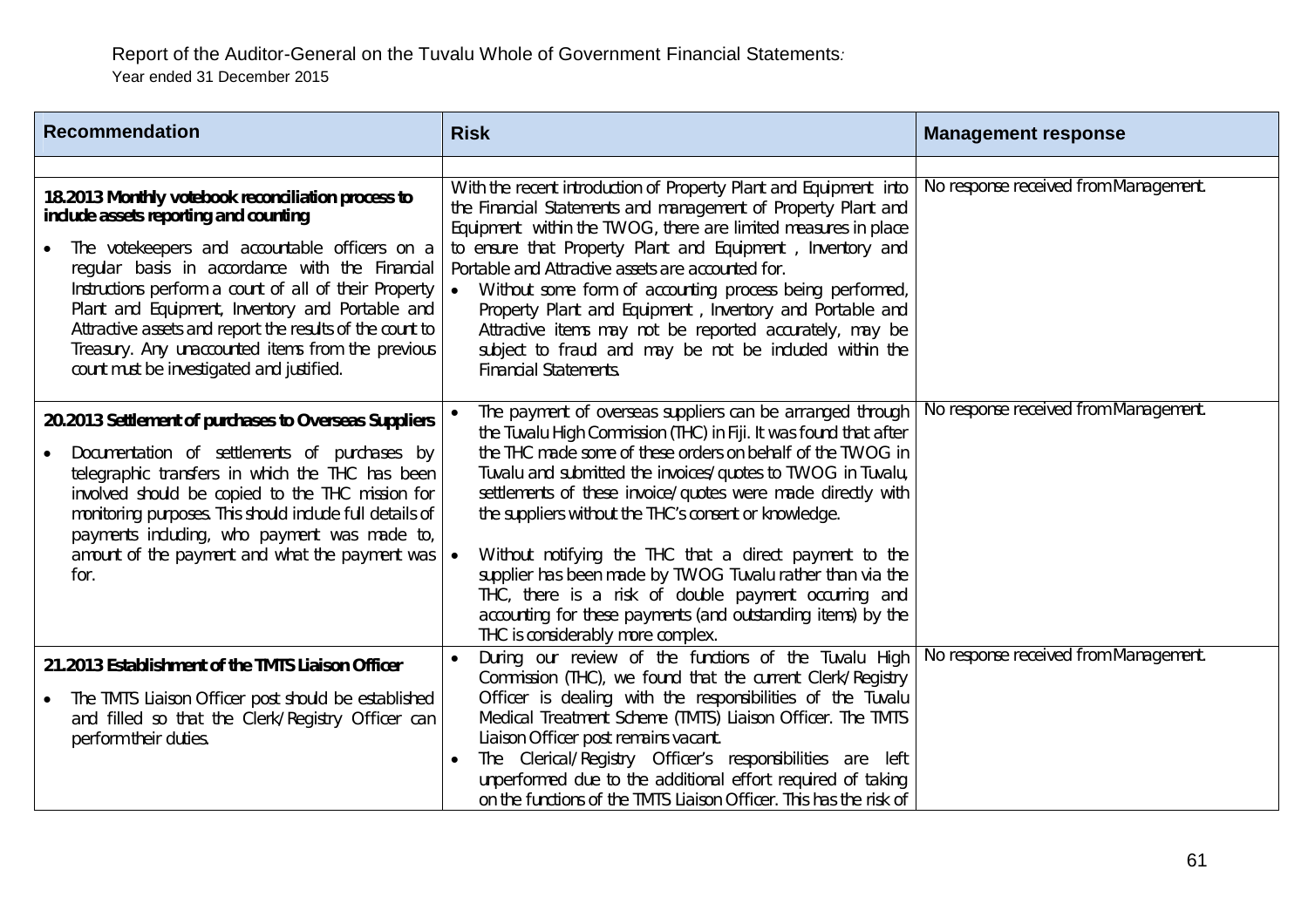| <b>Recommendation</b>                                                                                                                                                                                                                                                                                                                                                                                                                                                    | <b>Risk</b>                                                                                                                                                                                                                                                                                                                                                                                                                                                                                                                                                                                                                                                             | <b>Management response</b>            |
|--------------------------------------------------------------------------------------------------------------------------------------------------------------------------------------------------------------------------------------------------------------------------------------------------------------------------------------------------------------------------------------------------------------------------------------------------------------------------|-------------------------------------------------------------------------------------------------------------------------------------------------------------------------------------------------------------------------------------------------------------------------------------------------------------------------------------------------------------------------------------------------------------------------------------------------------------------------------------------------------------------------------------------------------------------------------------------------------------------------------------------------------------------------|---------------------------------------|
| 18.2013 Monthly votebook reconciliation process to<br>include assets reporting and counting<br>The votekeepers and accountable officers on a<br>regular basis in accordance with the Financial<br>Instructions perform a count of all of their Property<br>Plant and Equipment, Inventory and Portable and<br>Attractive assets and report the results of the count to<br>Treasury. Any unaccounted items from the previous<br>count must be investigated and justified. | With the recent introduction of Property Plant and Equipment into<br>the Financial Statements and management of Property Plant and<br>Equipment within the TWOG, there are limited measures in place<br>to ensure that Property Plant and Equipment, Inventory and<br>Portable and Attractive assets are accounted for.<br>Without some form of accounting process being performed,<br>$\bullet$<br>Property Plant and Equipment, Inventory and Portable and<br>Attractive items may not be reported accurately, may be<br>subject to fraud and may be not be included within the<br><b>Financial Statements.</b>                                                       | No response received from Management. |
| 20.2013 Settlement of purchases to Overseas Suppliers<br>Documentation of settlements of purchases by<br>telegraphic transfers in which the THC has been<br>involved should be copied to the THC mission for<br>monitoring purposes. This should include full details of<br>payments including, who payment was made to,<br>amount of the payment and what the payment was<br>for.                                                                                       | The payment of overseas suppliers can be arranged through<br>the Tuvalu High Commission (THC) in Fiji. It was found that after<br>the THC made some of these orders on behalf of the TWOG in<br>Tuvalu and submitted the invoices/quotes to TWOG in Tuvalu,<br>settlements of these invoice/quotes were made directly with<br>the suppliers without the THC's consent or knowledge.<br>Without notifying the THC that a direct payment to the<br>supplier has been made by TWOG Tuvalu rather than via the<br>THC, there is a risk of double payment occurring and<br>accounting for these payments (and outstanding items) by the<br>THC is considerably more complex. | No response received from Management. |
| 21.2013 Establishment of the TMTS Liaison Officer<br>The TMTS Liaison Officer post should be established<br>and filled so that the Clerk/Registry Officer can<br>perform their duties.                                                                                                                                                                                                                                                                                   | During our review of the functions of the Tuvalu High<br>Commission (THC), we found that the current Clerk/Registry<br>Officer is dealing with the responsibilities of the Tuvalu<br>Medical Treatment Scheme (TMTS) Liaison Officer. The TMTS<br>Liaison Officer post remains vacant.<br>The Clerical/Registry Officer's responsibilities are left<br>unperformed due to the additional effort required of taking<br>on the functions of the TMTS Liaison Officer. This has the risk of                                                                                                                                                                                | No response received from Management. |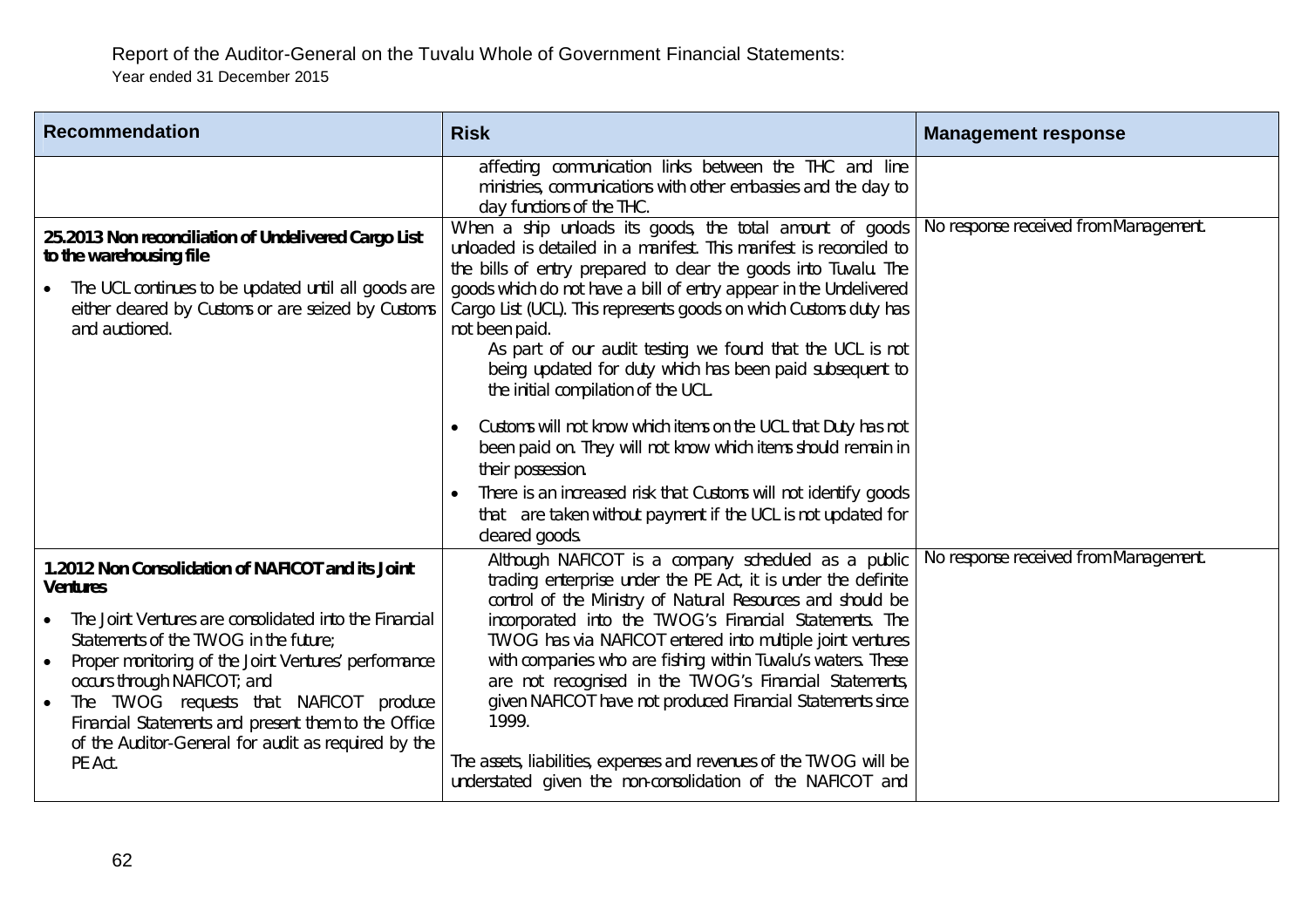| <b>Recommendation</b>                                                                                                                                                                                                                                                                                                                                                                                                                          | <b>Risk</b>                                                                                                                                                                                                                                                                                                                                                                                                                                                                                                                                                                                                                                                                                                                                                                                                              | <b>Management response</b>            |
|------------------------------------------------------------------------------------------------------------------------------------------------------------------------------------------------------------------------------------------------------------------------------------------------------------------------------------------------------------------------------------------------------------------------------------------------|--------------------------------------------------------------------------------------------------------------------------------------------------------------------------------------------------------------------------------------------------------------------------------------------------------------------------------------------------------------------------------------------------------------------------------------------------------------------------------------------------------------------------------------------------------------------------------------------------------------------------------------------------------------------------------------------------------------------------------------------------------------------------------------------------------------------------|---------------------------------------|
|                                                                                                                                                                                                                                                                                                                                                                                                                                                | affecting communication links between the THC and line<br>ministries, communications with other embassies and the day to<br>day functions of the THC.                                                                                                                                                                                                                                                                                                                                                                                                                                                                                                                                                                                                                                                                    |                                       |
| 25.2013 Non reconciliation of Undelivered Cargo List<br>to the warehousing file<br>The UCL continues to be updated until all goods are<br>either cleared by Customs or are seized by Customs<br>and auctioned.                                                                                                                                                                                                                                 | When a ship unloads its goods, the total amount of goods<br>unloaded is detailed in a manifest. This manifest is reconciled to<br>the bills of entry prepared to clear the goods into Tuvalu. The<br>goods which do not have a bill of entry appear in the Undelivered<br>Cargo List (UCL). This represents goods on which Customs duty has<br>not been paid.<br>As part of our audit testing we found that the UCL is not<br>being updated for duty which has been paid subsequent to<br>the initial compilation of the UCL.<br>Customs will not know which items on the UCL that Duty has not<br>been paid on. They will not know which items should remain in<br>their possession.<br>There is an increased risk that Customs will not identify goods<br>that are taken without payment if the UCL is not updated for | No response received from Management. |
| 1.2012 Non Consolidation of NAFICOT and its Joint<br><b>Ventures</b><br>The Joint Ventures are consolidated into the Financial<br>Statements of the TWOG in the future:<br>Proper monitoring of the Joint Ventures' performance<br>$\bullet$<br>occurs through NAFICOT; and<br>The TWOG requests that NAFICOT produce<br>Financial Statements and present them to the Office<br>of the Auditor-General for audit as required by the<br>PE Act. | cleared goods.<br>Although NAFICOT is a company scheduled as a public<br>trading enterprise under the PE Act, it is under the definite<br>control of the Ministry of Natural Resources and should be<br>incorporated into the TWOG's Financial Statements. The<br>TWOG has via NAFICOT entered into multiple joint ventures<br>with companies who are fishing within Tuvalu's waters. These<br>are not recognised in the TWOG's Financial Statements,<br>given NAFICOT have not produced Financial Statements since<br>1999.<br>The assets, liabilities, expenses and revenues of the TWOG will be<br>understated given the non-consolidation of the NAFICOT and                                                                                                                                                         | No response received from Management. |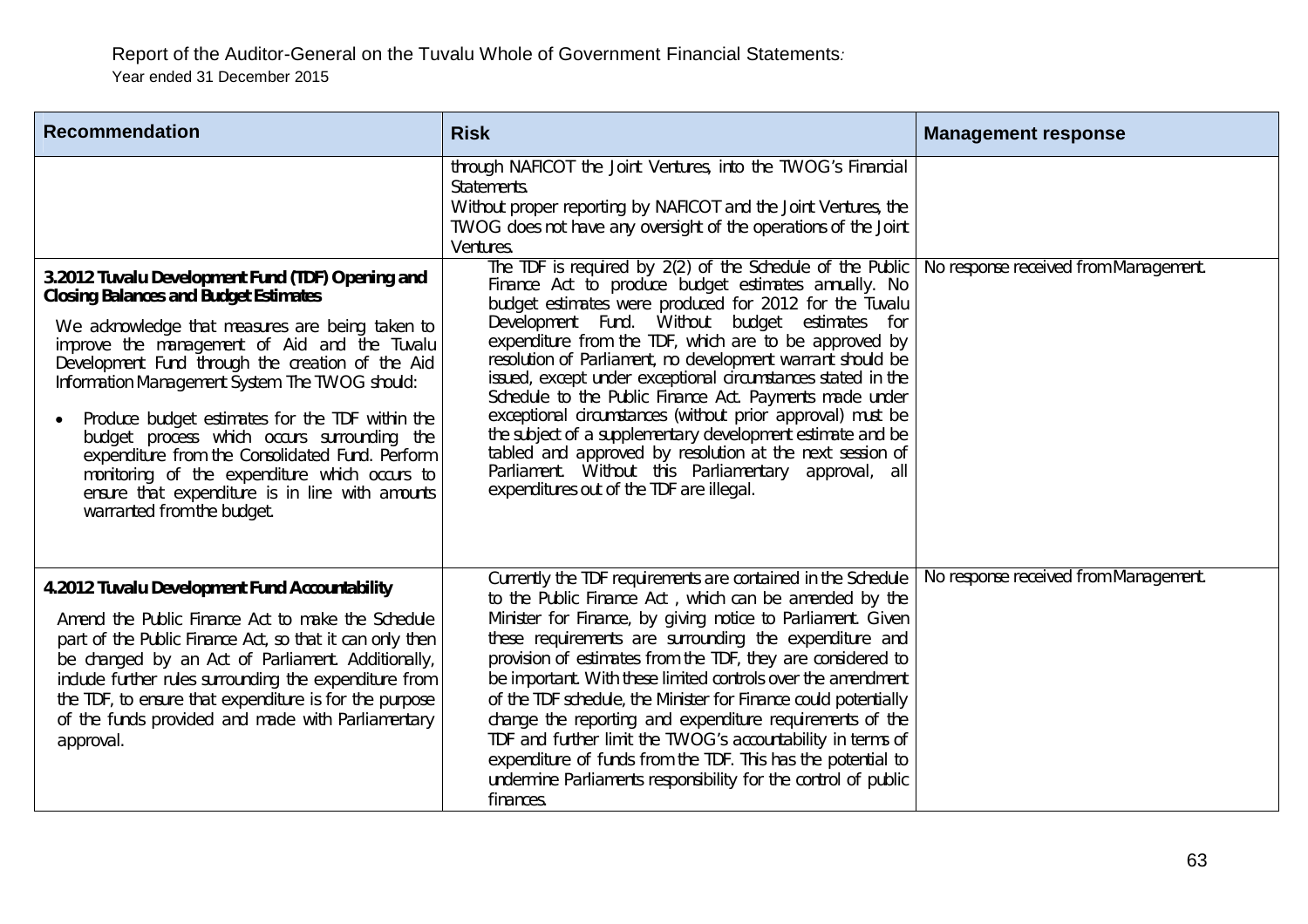| <b>Recommendation</b>                                                                                                                                                                                                                                                                                                                                                                                                                                                                                                                                                                             | <b>Risk</b>                                                                                                                                                                                                                                                                                                                                                                                                                                                                                                                                                                                                                                                                                                                                                                       | <b>Management response</b>            |
|---------------------------------------------------------------------------------------------------------------------------------------------------------------------------------------------------------------------------------------------------------------------------------------------------------------------------------------------------------------------------------------------------------------------------------------------------------------------------------------------------------------------------------------------------------------------------------------------------|-----------------------------------------------------------------------------------------------------------------------------------------------------------------------------------------------------------------------------------------------------------------------------------------------------------------------------------------------------------------------------------------------------------------------------------------------------------------------------------------------------------------------------------------------------------------------------------------------------------------------------------------------------------------------------------------------------------------------------------------------------------------------------------|---------------------------------------|
|                                                                                                                                                                                                                                                                                                                                                                                                                                                                                                                                                                                                   | through NAFICOT the Joint Ventures, into the TWOG's Financial<br>Statements.<br>Without proper reporting by NAFICOT and the Joint Ventures, the<br>TWOG does not have any oversight of the operations of the Joint<br>Ventures.                                                                                                                                                                                                                                                                                                                                                                                                                                                                                                                                                   |                                       |
| 3.2012 Tuvalu Development Fund (TDF) Opening and<br><b>Closing Balances and Budget Estimates</b><br>We acknowledge that measures are being taken to<br>improve the management of Aid and the Tuvalu<br>Development Fund through the creation of the Aid<br>Information Management System. The TWOG should:<br>Produce budget estimates for the TDF within the<br>budget process which occurs surrounding the<br>expenditure from the Consolidated Fund. Perform<br>monitoring of the expenditure which occurs to<br>ensure that expenditure is in line with amounts<br>warranted from the budget. | The TDF is required by 2(2) of the Schedule of the Public<br>Finance Act to produce budget estimates annually. No<br>budget estimates were produced for 2012 for the Tuvalu<br>Without<br>budget estimates for<br>Development Fund.<br>expenditure from the TDF, which are to be approved by<br>resolution of Parliament, no development warrant should be<br>issued, except under exceptional circumstances stated in the<br>Schedule to the Public Finance Act. Payments made under<br>exceptional circumstances (without prior approval) must be<br>the subject of a supplementary development estimate and be<br>tabled and approved by resolution at the next session of<br>Parliament. Without this Parliamentary approval, all<br>expenditures out of the TDF are illegal. | No response received from Management. |
| 4.2012 Tuvalu Development Fund Accountability<br>Amend the Public Finance Act to make the Schedule<br>part of the Public Finance Act, so that it can only then<br>be changed by an Act of Parliament. Additionally,<br>include further rules surrounding the expenditure from<br>the TDF, to ensure that expenditure is for the purpose<br>of the funds provided and made with Parliamentary<br>approval.                                                                                                                                                                                         | Currently the TDF requirements are contained in the Schedule<br>to the Public Finance Act, which can be amended by the<br>Minister for Finance, by giving notice to Parliament. Given<br>these requirements are surrounding the expenditure and<br>provision of estimates from the TDF, they are considered to<br>be important. With these limited controls over the amendment<br>of the TDF schedule, the Minister for Finance could potentially<br>change the reporting and expenditure requirements of the<br>TDF and further limit the TWOG's accountability in terms of<br>expenditure of funds from the TDF. This has the potential to<br>undermine Parliaments responsibility for the control of public<br>finances.                                                       | No response received from Management. |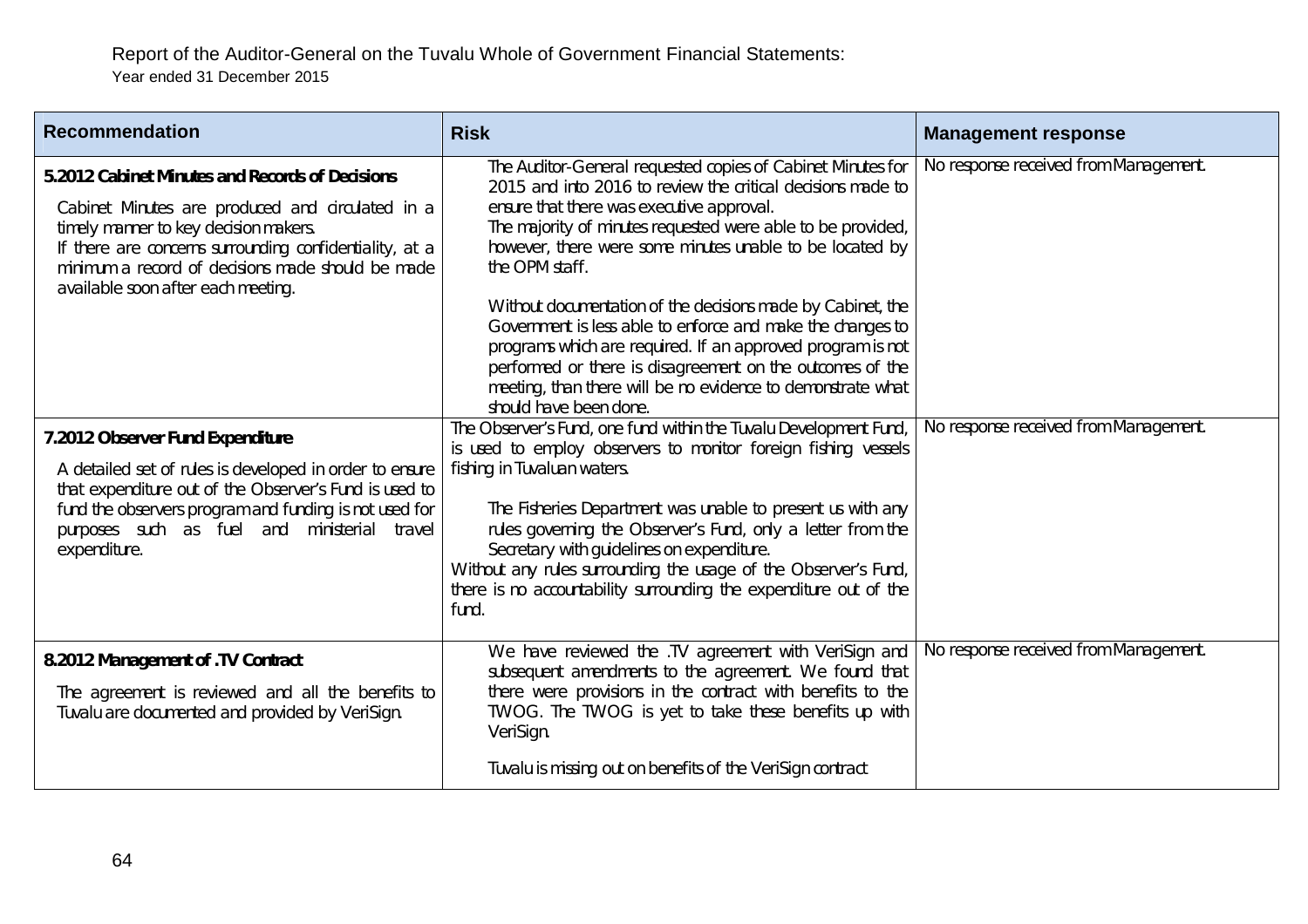| <b>Recommendation</b>                                                                                                                                                                                                                                                                              | <b>Risk</b>                                                                                                                                                                                                                                                                                                                                                                                                                                                                                                                                                                                                                                                           | <b>Management response</b>            |
|----------------------------------------------------------------------------------------------------------------------------------------------------------------------------------------------------------------------------------------------------------------------------------------------------|-----------------------------------------------------------------------------------------------------------------------------------------------------------------------------------------------------------------------------------------------------------------------------------------------------------------------------------------------------------------------------------------------------------------------------------------------------------------------------------------------------------------------------------------------------------------------------------------------------------------------------------------------------------------------|---------------------------------------|
| 5.2012 Cabinet Minutes and Records of Decisions<br>Cabinet Minutes are produced and circulated in a<br>timely manner to key decision makers.<br>If there are concerns surrounding confidentiality, at a<br>minimum a record of decisions made should be made<br>available soon after each meeting. | The Auditor-General requested copies of Cabinet Minutes for<br>2015 and into 2016 to review the critical decisions made to<br>ensure that there was executive approval.<br>The majority of minutes requested were able to be provided,<br>however, there were some minutes unable to be located by<br>the OPM staff.<br>Without documentation of the decisions made by Cabinet, the<br>Government is less able to enforce and make the changes to<br>programs which are required. If an approved program is not<br>performed or there is disagreement on the outcomes of the<br>meeting, than there will be no evidence to demonstrate what<br>should have been done. | No response received from Management. |
| 7.2012 Observer Fund Expenditure<br>A detailed set of rules is developed in order to ensure<br>that expenditure out of the Observer's Fund is used to<br>fund the observers program and funding is not used for<br>purposes such as fuel and ministerial travel<br>expenditure.                    | The Observer's Fund, one fund within the Tuvalu Development Fund,<br>is used to employ observers to monitor foreign fishing vessels<br>fishing in Tuvaluan waters.<br>The Fisheries Department was unable to present us with any<br>rules governing the Observer's Fund, only a letter from the<br>Secretary with guidelines on expenditure.<br>Without any rules surrounding the usage of the Observer's Fund,<br>there is no accountability surrounding the expenditure out of the<br>fund.                                                                                                                                                                         | No response received from Management. |
| 8.2012 Management of .TV Contract<br>The agreement is reviewed and all the benefits to<br>Tuvalu are documented and provided by VeriSign.                                                                                                                                                          | We have reviewed the .TV agreement with VeriSign and<br>subsequent amendments to the agreement. We found that<br>there were provisions in the contract with benefits to the<br>TWOG. The TWOG is yet to take these benefits up with<br>VeriSign.<br>Tuvalu is missing out on benefits of the VeriSign contract                                                                                                                                                                                                                                                                                                                                                        | No response received from Management. |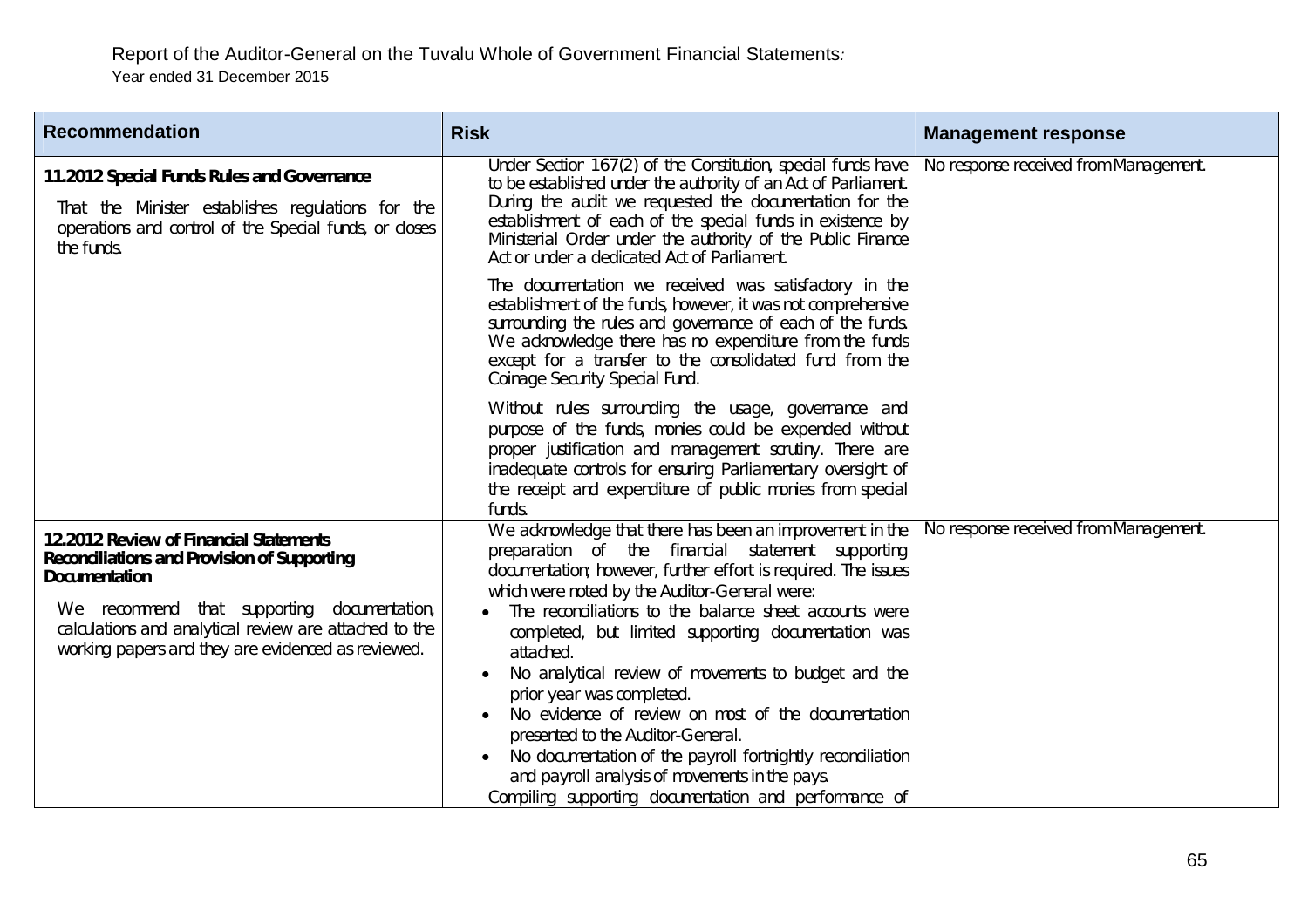| <b>Recommendation</b>                                                                                                                                                                                                                                                               | <b>Risk</b>                                                                                                                                                                                                                                                                                                                                                                                                                                                                                                                                                                                                                                                                                                            | <b>Management response</b>            |
|-------------------------------------------------------------------------------------------------------------------------------------------------------------------------------------------------------------------------------------------------------------------------------------|------------------------------------------------------------------------------------------------------------------------------------------------------------------------------------------------------------------------------------------------------------------------------------------------------------------------------------------------------------------------------------------------------------------------------------------------------------------------------------------------------------------------------------------------------------------------------------------------------------------------------------------------------------------------------------------------------------------------|---------------------------------------|
| 11.2012 Special Funds Rules and Governance<br>That the Minister establishes regulations for the<br>operations and control of the Special funds, or closes<br>the funds.                                                                                                             | Under Section 167(2) of the Constitution, special funds have<br>to be established under the authority of an Act of Parliament.<br>During the audit we requested the documentation for the<br>establishment of each of the special funds in existence by<br>Ministerial Order under the authority of the Public Finance<br>Act or under a dedicated Act of Parliament.                                                                                                                                                                                                                                                                                                                                                  | No response received from Management. |
|                                                                                                                                                                                                                                                                                     | The documentation we received was satisfactory in the<br>establishment of the funds, however, it was not comprehensive<br>surrounding the rules and governance of each of the funds.<br>We acknowledge there has no expenditure from the funds<br>except for a transfer to the consolidated fund from the<br>Coinage Security Special Fund.                                                                                                                                                                                                                                                                                                                                                                            |                                       |
|                                                                                                                                                                                                                                                                                     | Without rules surrounding the usage, governance and<br>purpose of the funds, monies could be expended without<br>proper justification and management scrutiny. There are<br>inadequate controls for ensuring Parliamentary oversight of<br>the receipt and expenditure of public monies from special<br>funds.                                                                                                                                                                                                                                                                                                                                                                                                         |                                       |
| 12.2012 Review of Financial Statements<br><b>Reconciliations and Provision of Supporting</b><br><b>Documentation</b><br>We recommend that supporting documentation,<br>calculations and analytical review are attached to the<br>working papers and they are evidenced as reviewed. | We acknowledge that there has been an improvement in the<br>preparation of the financial statement supporting<br>documentation; however, further effort is required. The issues<br>which were noted by the Auditor-General were:<br>The reconciliations to the balance sheet accounts were<br>completed, but limited supporting documentation was<br>attached.<br>No analytical review of movements to budget and the<br>prior year was completed.<br>No evidence of review on most of the documentation<br>presented to the Auditor-General.<br>No documentation of the payroll fortnightly reconciliation<br>and payroll analysis of movements in the pays.<br>Compiling supporting documentation and performance of | No response received from Management. |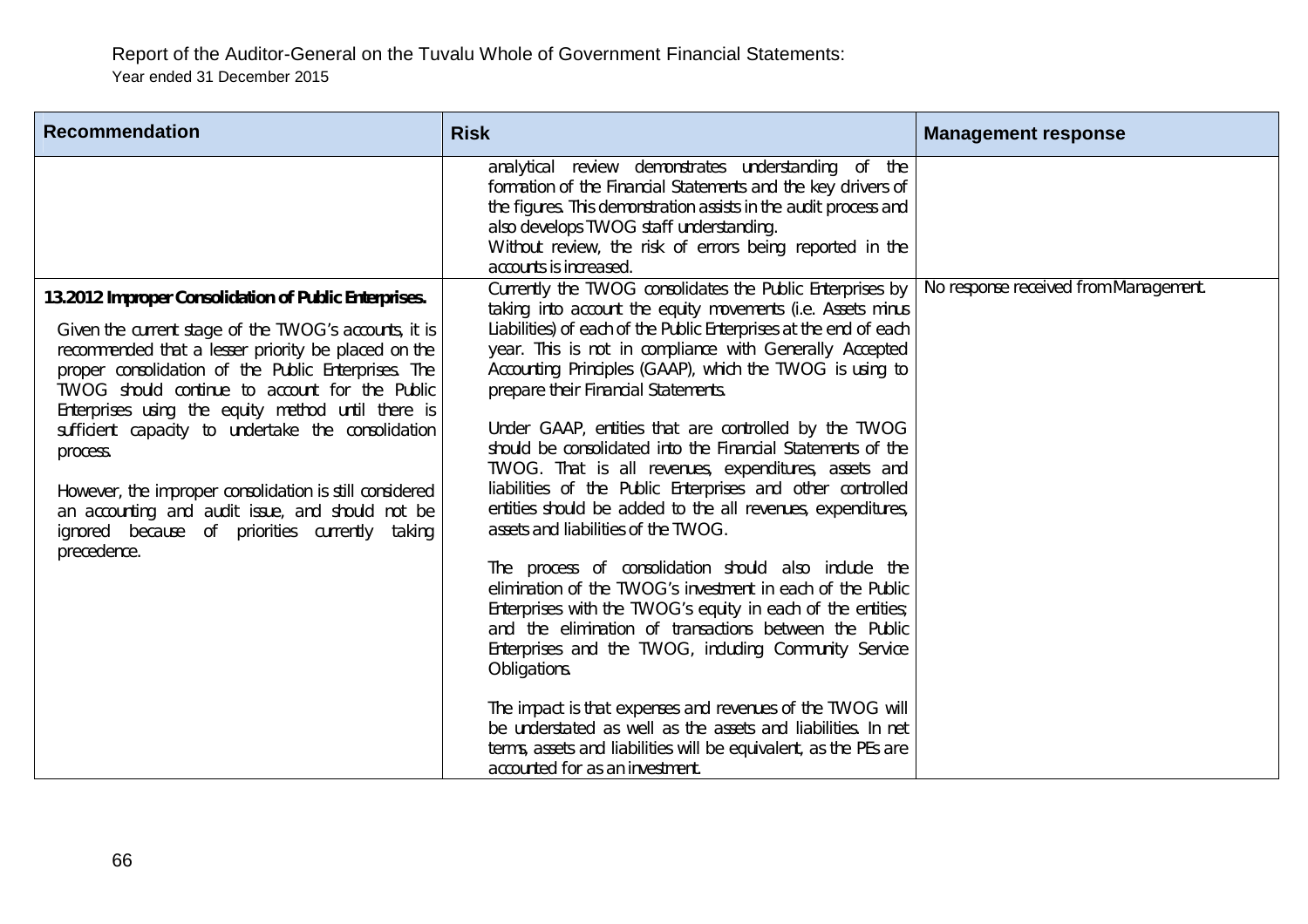| <b>Recommendation</b>                                                                                                                                                                                                                                                                                                                                                                                                                                                                                                                                                                  | <b>Risk</b>                                                                                                                                                                                                                                                                                                                                                                                                                                                                                                                                                                                                                                                                                                                                                                                                                                                                                                                                                                                                                                                                                                                                                                                                                                                                | <b>Management response</b>            |
|----------------------------------------------------------------------------------------------------------------------------------------------------------------------------------------------------------------------------------------------------------------------------------------------------------------------------------------------------------------------------------------------------------------------------------------------------------------------------------------------------------------------------------------------------------------------------------------|----------------------------------------------------------------------------------------------------------------------------------------------------------------------------------------------------------------------------------------------------------------------------------------------------------------------------------------------------------------------------------------------------------------------------------------------------------------------------------------------------------------------------------------------------------------------------------------------------------------------------------------------------------------------------------------------------------------------------------------------------------------------------------------------------------------------------------------------------------------------------------------------------------------------------------------------------------------------------------------------------------------------------------------------------------------------------------------------------------------------------------------------------------------------------------------------------------------------------------------------------------------------------|---------------------------------------|
|                                                                                                                                                                                                                                                                                                                                                                                                                                                                                                                                                                                        | analytical review demonstrates understanding of the<br>formation of the Financial Statements and the key drivers of<br>the figures. This demonstration assists in the audit process and<br>also develops TWOG staff understanding.<br>Without review, the risk of errors being reported in the<br>accounts is increased.                                                                                                                                                                                                                                                                                                                                                                                                                                                                                                                                                                                                                                                                                                                                                                                                                                                                                                                                                   | No response received from Management. |
| 13.2012 Improper Consolidation of Public Enterprises.<br>Given the current stage of the TWOG's accounts, it is<br>recommended that a lesser priority be placed on the<br>proper consolidation of the Public Enterprises. The<br>TWOG should continue to account for the Public<br>Enterprises using the equity method until there is<br>sufficient capacity to undertake the consolidation<br>process.<br>However, the improper consolidation is still considered<br>an accounting and audit issue, and should not be<br>ignored because of priorities currently taking<br>precedence. | Currently the TWOG consolidates the Public Enterprises by<br>taking into account the equity movements (i.e. Assets minus<br>Liabilities) of each of the Public Enterprises at the end of each<br>year. This is not in compliance with Generally Accepted<br>Accounting Principles (GAAP), which the TWOG is using to<br>prepare their Financial Statements.<br>Under GAAP, entities that are controlled by the TWOG<br>should be consolidated into the Financial Statements of the<br>TWOG. That is all revenues, expenditures, assets and<br>liabilities of the Public Enterprises and other controlled<br>entities should be added to the all revenues, expenditures,<br>assets and liabilities of the TWOG.<br>The process of consolidation should also include the<br>elimination of the TWOG's investment in each of the Public<br>Enterprises with the TWOG's equity in each of the entities;<br>and the elimination of transactions between the Public<br>Enterprises and the TWOG, including Community Service<br>Obligations.<br>The impact is that expenses and revenues of the TWOG will<br>be understated as well as the assets and liabilities. In net<br>terms, assets and liabilities will be equivalent, as the PEs are<br>accounted for as an investment. |                                       |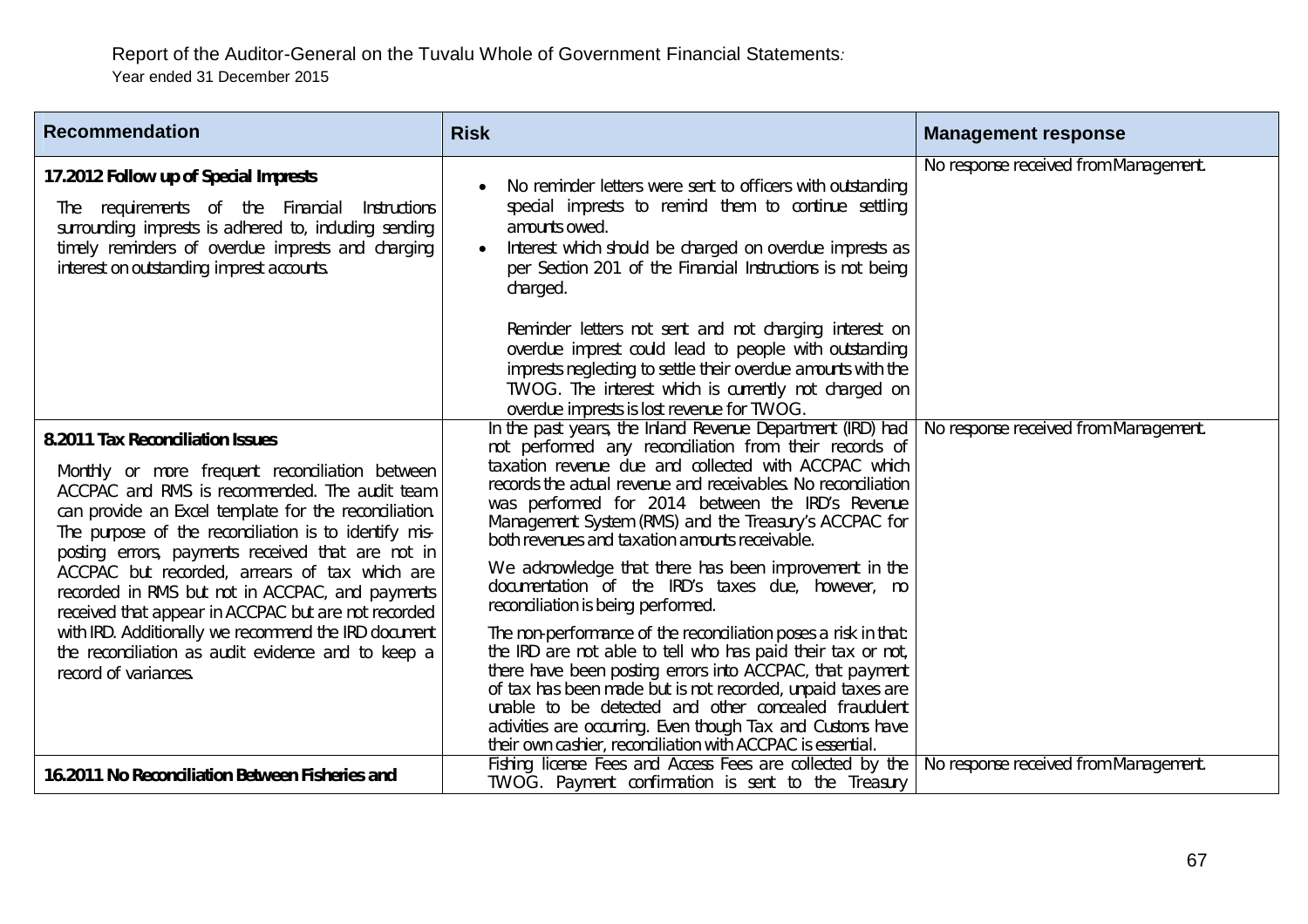| <b>Recommendation</b>                                                                                                                                                                                                                                                                                                                                                                                                                                                                                                                                                                                        | <b>Risk</b>                                                                                                                                                                                                                                                                                                                                                                                                                                                                                                                                                                                                                                                                                                                                                                                                                                                                                                                                                                                                       | <b>Management response</b>            |
|--------------------------------------------------------------------------------------------------------------------------------------------------------------------------------------------------------------------------------------------------------------------------------------------------------------------------------------------------------------------------------------------------------------------------------------------------------------------------------------------------------------------------------------------------------------------------------------------------------------|-------------------------------------------------------------------------------------------------------------------------------------------------------------------------------------------------------------------------------------------------------------------------------------------------------------------------------------------------------------------------------------------------------------------------------------------------------------------------------------------------------------------------------------------------------------------------------------------------------------------------------------------------------------------------------------------------------------------------------------------------------------------------------------------------------------------------------------------------------------------------------------------------------------------------------------------------------------------------------------------------------------------|---------------------------------------|
| 17.2012 Follow up of Special Imprests<br>requirements of the Financial<br>Instructions<br>The<br>surrounding imprests is adhered to, including sending<br>timely reminders of overdue imprests and charging<br>interest on outstanding imprest accounts.                                                                                                                                                                                                                                                                                                                                                     | No reminder letters were sent to officers with outstanding<br>special imprests to remind them to continue settling<br>amounts owed.<br>Interest which should be charged on overdue imprests as<br>per Section 201 of the Financial Instructions is not being<br>charged.<br>Reminder letters not sent and not charging interest on<br>overdue imprest could lead to people with outstanding<br>imprests neglecting to settle their overdue amounts with the<br>TWOG. The interest which is currently not charged on<br>overdue imprests is lost revenue for TWOG.                                                                                                                                                                                                                                                                                                                                                                                                                                                 | No response received from Management. |
| 8.2011 Tax Reconciliation Issues<br>Monthly or more frequent reconciliation between<br>ACCPAC and RMS is recommended. The audit team<br>can provide an Excel template for the reconciliation.<br>The purpose of the reconciliation is to identify mis-<br>posting errors, payments received that are not in<br>ACCPAC but recorded, arrears of tax which are<br>recorded in RMS but not in ACCPAC, and payments<br>received that appear in ACCPAC but are not recorded<br>with IRD. Additionally we recommend the IRD document<br>the reconciliation as audit evidence and to keep a<br>record of variances. | In the past years, the Inland Revenue Department (IRD) had<br>not performed any reconciliation from their records of<br>taxation revenue due and collected with ACCPAC which<br>records the actual revenue and receivables. No reconciliation<br>was performed for 2014 between the IRD's Revenue<br>Management System (RMS) and the Treasury's ACCPAC for<br>both revenues and taxation amounts receivable.<br>We acknowledge that there has been improvement in the<br>documentation of the IRD's taxes due, however, no<br>reconciliation is being performed.<br>The non-performance of the reconciliation poses a risk in that:<br>the IRD are not able to tell who has paid their tax or not,<br>there have been posting errors into ACCPAC, that payment<br>of tax has been made but is not recorded, unpaid taxes are<br>unable to be detected and other concealed fraudulent<br>activities are occurring. Even though Tax and Customs have<br>their own cashier, reconciliation with ACCPAC is essential. | No response received from Management. |
| 16.2011 No Reconciliation Between Fisheries and                                                                                                                                                                                                                                                                                                                                                                                                                                                                                                                                                              | Fishing license Fees and Access Fees are collected by the<br>TWOG. Payment confirmation is sent to the Treasury                                                                                                                                                                                                                                                                                                                                                                                                                                                                                                                                                                                                                                                                                                                                                                                                                                                                                                   | No response received from Management. |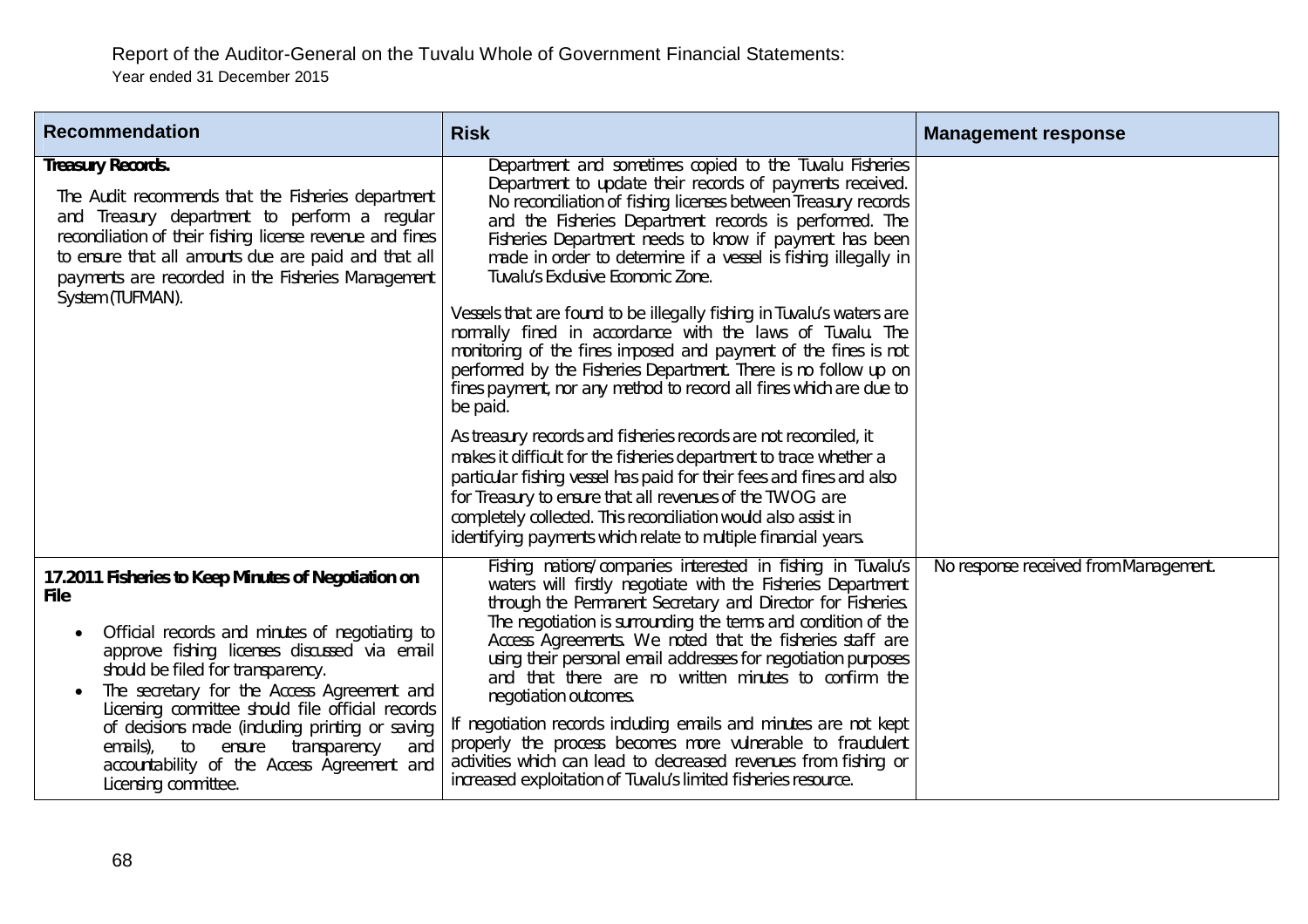| <b>Recommendation</b>                                                                                                                                                                                                                                                                                                                                                                                                                                                                     | <b>Risk</b>                                                                                                                                                                                                                                                                                                                                                                                                                                                                                                                                                                                                                                                                                                                                     | <b>Management response</b>            |
|-------------------------------------------------------------------------------------------------------------------------------------------------------------------------------------------------------------------------------------------------------------------------------------------------------------------------------------------------------------------------------------------------------------------------------------------------------------------------------------------|-------------------------------------------------------------------------------------------------------------------------------------------------------------------------------------------------------------------------------------------------------------------------------------------------------------------------------------------------------------------------------------------------------------------------------------------------------------------------------------------------------------------------------------------------------------------------------------------------------------------------------------------------------------------------------------------------------------------------------------------------|---------------------------------------|
| <b>Treasury Records.</b><br>The Audit recommends that the Fisheries department<br>and Treasury department to perform a regular<br>reconciliation of their fishing license revenue and fines<br>to ensure that all amounts due are paid and that all<br>payments are recorded in the Fisheries Management<br>System (TUFMAN).                                                                                                                                                              | Department and sometimes copied to the Tuvalu Fisheries<br>Department to update their records of payments received.<br>No reconciliation of fishing licenses between Treasury records<br>and the Fisheries Department records is performed. The<br>Fisheries Department needs to know if payment has been<br>made in order to determine if a vessel is fishing illegally in<br>Tuvalu's Exclusive Economic Zone.<br>Vessels that are found to be illegally fishing in Tuvalu's waters are                                                                                                                                                                                                                                                       |                                       |
|                                                                                                                                                                                                                                                                                                                                                                                                                                                                                           | normally fined in accordance with the laws of Tuvalu. The<br>monitoring of the fines imposed and payment of the fines is not<br>performed by the Fisheries Department. There is no follow up on<br>fines payment, nor any method to record all fines which are due to<br>be paid.                                                                                                                                                                                                                                                                                                                                                                                                                                                               |                                       |
|                                                                                                                                                                                                                                                                                                                                                                                                                                                                                           | As treasury records and fisheries records are not reconciled, it<br>makes it difficult for the fisheries department to trace whether a<br>particular fishing vessel has paid for their fees and fines and also<br>for Treasury to ensure that all revenues of the TWOG are<br>completely collected. This reconciliation would also assist in<br>identifying payments which relate to multiple financial years.                                                                                                                                                                                                                                                                                                                                  |                                       |
| 17.2011 Fisheries to Keep Minutes of Negotiation on<br><b>File</b><br>Official records and minutes of negotiating to<br>٠<br>approve fishing licenses discussed via email<br>should be filed for transparency.<br>The secretary for the Access Agreement and<br>Licensing committee should file official records<br>of decisions made (including printing or saving<br>emails), to<br>transparency<br>ensure<br>and<br>accountability of the Access Agreement and<br>Licensing committee. | Fishing nations/companies interested in fishing in Tuvalu's<br>waters will firstly negotiate with the Fisheries Department<br>through the Permanent Secretary and Director for Fisheries.<br>The negotiation is surrounding the terms and condition of the<br>Access Agreements. We noted that the fisheries staff are<br>using their personal email addresses for negotiation purposes<br>and that there are no written minutes to confirm the<br>negotiation outcomes.<br>If negotiation records including emails and minutes are not kept<br>properly the process becomes more vulnerable to fraudulent<br>activities which can lead to decreased revenues from fishing or<br>increased exploitation of Tuvalu's limited fisheries resource. | No response received from Management. |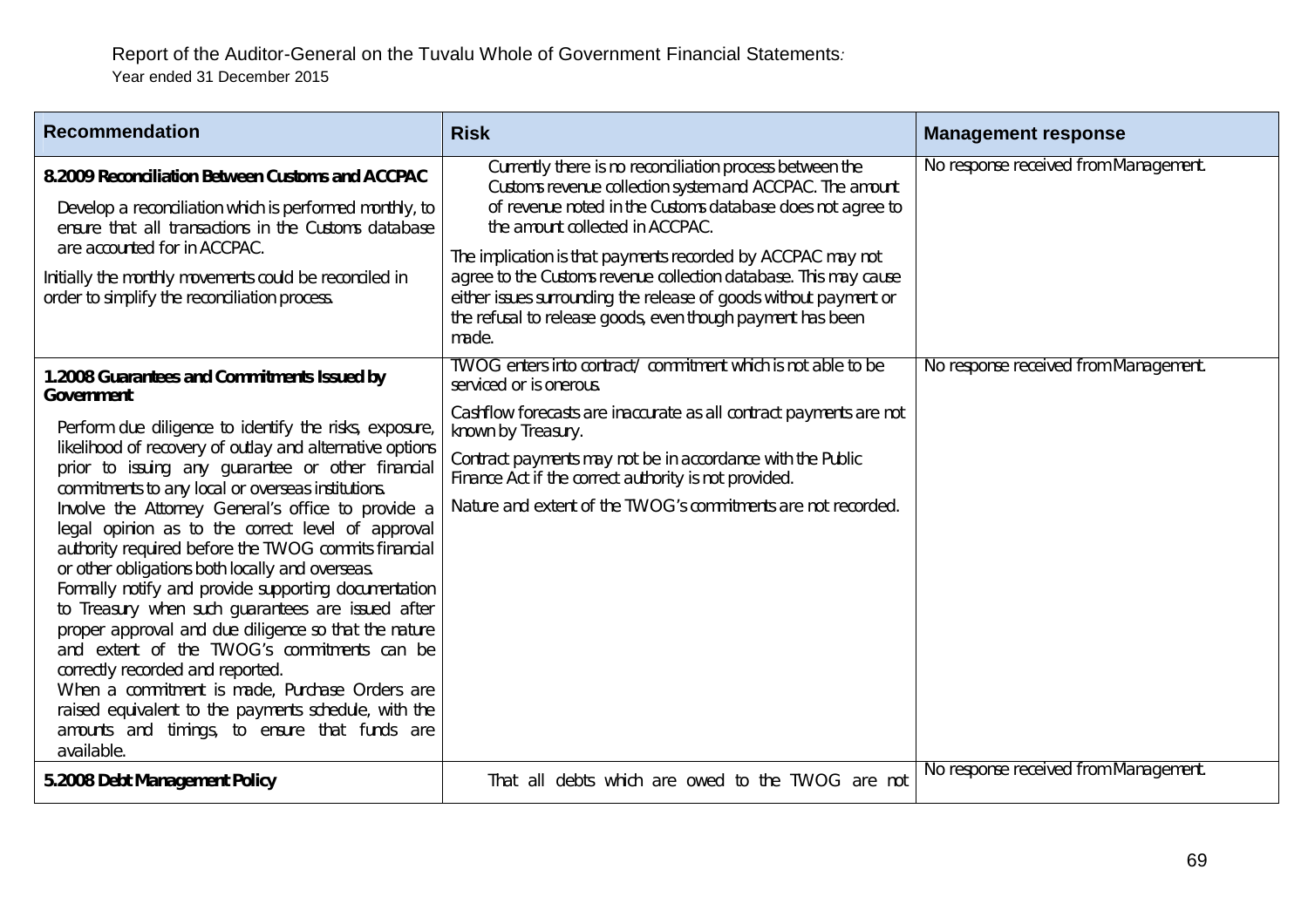| <b>Recommendation</b>                                                                                                                                                                                                                                                                                                                                                                                                                                                                                                                                                                                                                                                                                                                                                                                                                                                                                                                                    | <b>Risk</b>                                                                                                                                                                                                                                                                                                                                                                                                                                                                                          | <b>Management response</b>            |
|----------------------------------------------------------------------------------------------------------------------------------------------------------------------------------------------------------------------------------------------------------------------------------------------------------------------------------------------------------------------------------------------------------------------------------------------------------------------------------------------------------------------------------------------------------------------------------------------------------------------------------------------------------------------------------------------------------------------------------------------------------------------------------------------------------------------------------------------------------------------------------------------------------------------------------------------------------|------------------------------------------------------------------------------------------------------------------------------------------------------------------------------------------------------------------------------------------------------------------------------------------------------------------------------------------------------------------------------------------------------------------------------------------------------------------------------------------------------|---------------------------------------|
| 8.2009 Reconciliation Between Customs and ACCPAC<br>Develop a reconciliation which is performed monthly, to<br>ensure that all transactions in the Customs database<br>are accounted for in ACCPAC.<br>Initially the monthly movements could be reconciled in<br>order to simplify the reconciliation process.                                                                                                                                                                                                                                                                                                                                                                                                                                                                                                                                                                                                                                           | Currently there is no reconciliation process between the<br>Customs revenue collection system and ACCPAC. The amount<br>of revenue noted in the Customs database does not agree to<br>the amount collected in ACCPAC.<br>The implication is that payments recorded by ACCPAC may not<br>agree to the Customs revenue collection database. This may cause<br>either issues surrounding the release of goods without payment or<br>the refusal to release goods, even though payment has been<br>made. | No response received from Management. |
| 1.2008 Guarantees and Commitments Issued by<br><b>Government</b><br>Perform due diligence to identify the risks, exposure,<br>likelihood of recovery of outlay and alternative options<br>prior to issuing any guarantee or other financial<br>commitments to any local or overseas institutions.<br>Involve the Attorney General's office to provide a<br>legal opinion as to the correct level of approval<br>authority required before the TWOG commits financial<br>or other obligations both locally and overseas.<br>Formally notify and provide supporting documentation<br>to Treasury when such guarantees are issued after<br>proper approval and due diligence so that the nature<br>and extent of the TWOG's commitments can be<br>correctly recorded and reported.<br>When a commitment is made, Purchase Orders are<br>raised equivalent to the payments schedule, with the<br>amounts and timings, to ensure that funds are<br>available. | TWOG enters into contract/ commitment which is not able to be<br>serviced or is onerous.<br>Cashflow forecasts are inaccurate as all contract payments are not<br>known by Treasury.<br>Contract payments may not be in accordance with the Public<br>Finance Act if the correct authority is not provided.<br>Nature and extent of the TWOG's commitments are not recorded.                                                                                                                         | No response received from Management. |
| 5.2008 Debt Management Policy                                                                                                                                                                                                                                                                                                                                                                                                                                                                                                                                                                                                                                                                                                                                                                                                                                                                                                                            | That all debts which are owed to the TWOG are not                                                                                                                                                                                                                                                                                                                                                                                                                                                    | No response received from Management. |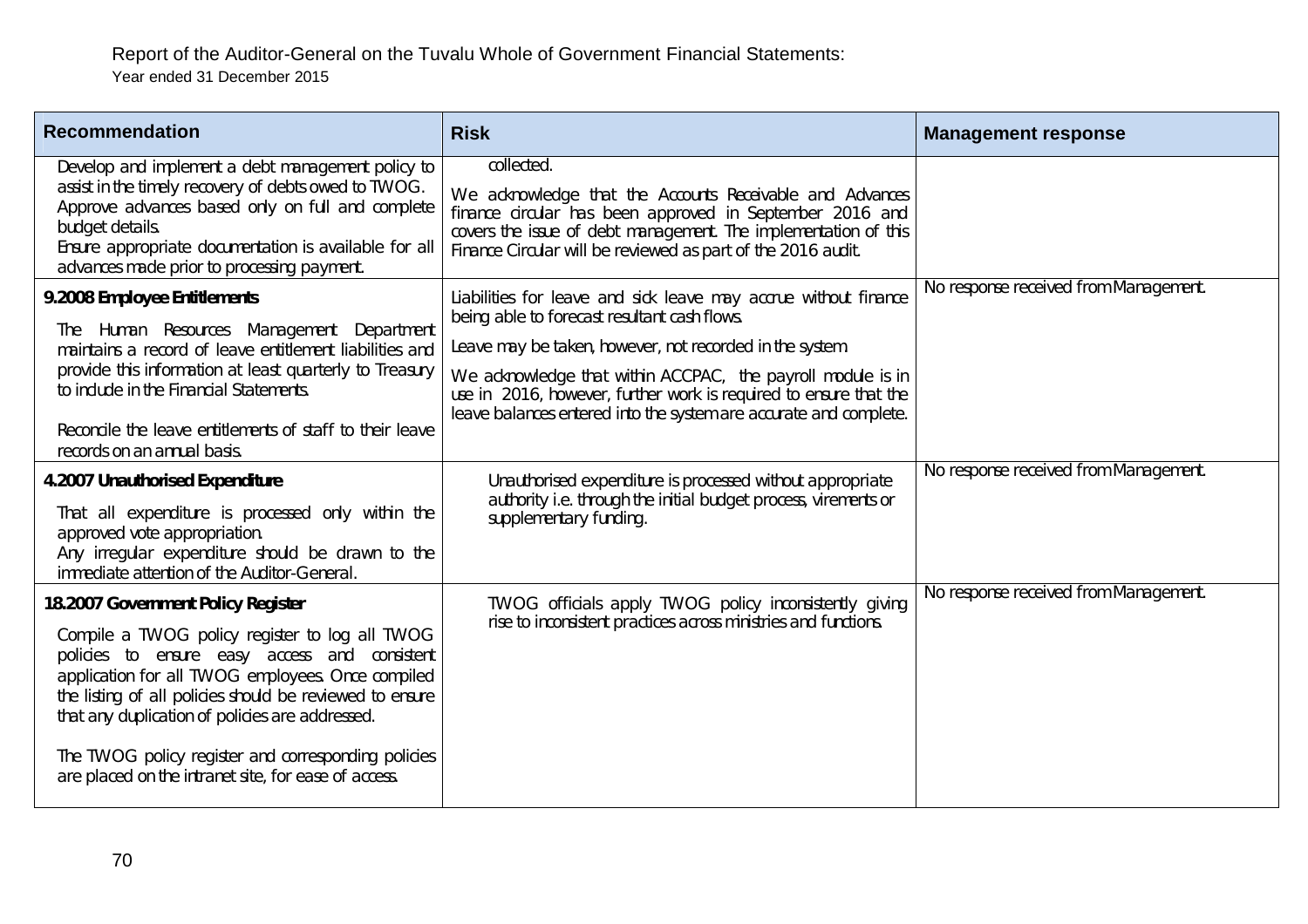| <b>Recommendation</b>                                                                                                                                                                                                                                                                   | <b>Risk</b>                                                                                                                                                                                                                                                           | <b>Management response</b>            |
|-----------------------------------------------------------------------------------------------------------------------------------------------------------------------------------------------------------------------------------------------------------------------------------------|-----------------------------------------------------------------------------------------------------------------------------------------------------------------------------------------------------------------------------------------------------------------------|---------------------------------------|
| Develop and implement a debt management policy to<br>assist in the timely recovery of debts owed to TWOG.<br>Approve advances based only on full and complete<br>budget details.<br>Ensure appropriate documentation is available for all<br>advances made prior to processing payment. | collected.<br>We acknowledge that the Accounts Receivable and Advances<br>finance circular has been approved in September 2016 and<br>covers the issue of debt management. The implementation of this<br>Finance Circular will be reviewed as part of the 2016 audit. |                                       |
| 9.2008 Employee Entitlements<br>Human Resources Management Department<br>The                                                                                                                                                                                                            | Liabilities for leave and sick leave may accrue without finance<br>being able to forecast resultant cash flows.                                                                                                                                                       | No response received from Management. |
| maintains a record of leave entitlement liabilities and<br>provide this information at least quarterly to Treasury<br>to include in the Financial Statements.                                                                                                                           | Leave may be taken, however, not recorded in the system.<br>We acknowledge that within ACCPAC, the payroll module is in<br>use in 2016, however, further work is required to ensure that the<br>leave balances entered into the system are accurate and complete.     |                                       |
| Reconcile the leave entitlements of staff to their leave<br>records on an annual basis.                                                                                                                                                                                                 |                                                                                                                                                                                                                                                                       |                                       |
| 4.2007 Unauthorised Expenditure<br>That all expenditure is processed only within the<br>approved vote appropriation.<br>Any irregular expenditure should be drawn to the<br>immediate attention of the Auditor-General.                                                                 | Unauthorised expenditure is processed without appropriate<br>authority i.e. through the initial budget process, virements or<br>supplementary funding.                                                                                                                | No response received from Management. |
| 18.2007 Government Policy Register                                                                                                                                                                                                                                                      | TWOG officials apply TWOG policy inconsistently giving                                                                                                                                                                                                                | No response received from Management. |
| Compile a TWOG policy register to log all TWOG<br>policies to ensure easy access and consistent<br>application for all TWOG employees. Once compiled<br>the listing of all policies should be reviewed to ensure<br>that any duplication of policies are addressed.                     | rise to inconsistent practices across ministries and functions.                                                                                                                                                                                                       |                                       |
| The TWOG policy register and corresponding policies<br>are placed on the intranet site, for ease of access.                                                                                                                                                                             |                                                                                                                                                                                                                                                                       |                                       |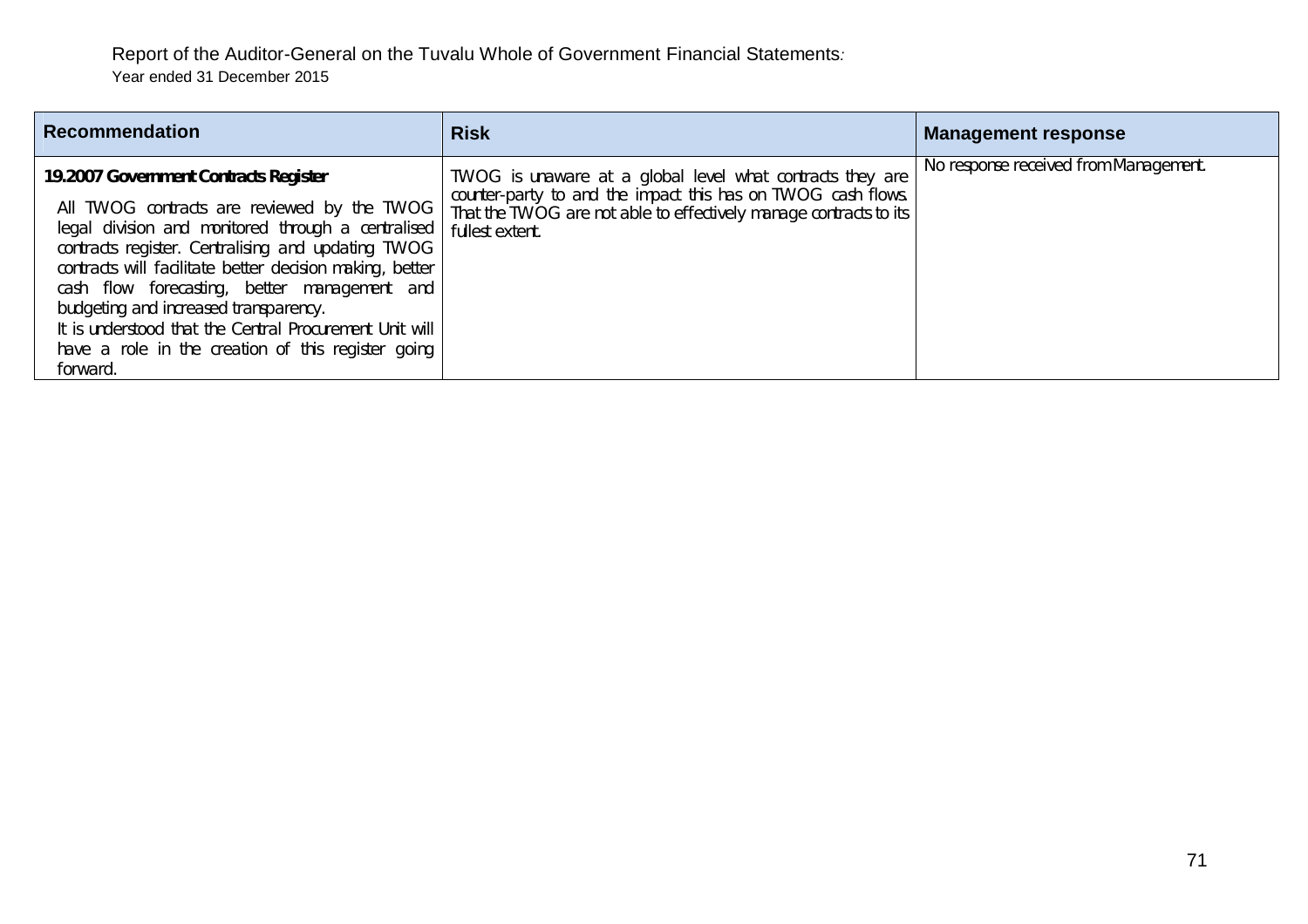| <b>Recommendation</b>                                                                                                                                                                                                                                                                                                                                                                                                                                                              | <b>Risk</b>                                                                                                                                                                                                       | <b>Management response</b>            |
|------------------------------------------------------------------------------------------------------------------------------------------------------------------------------------------------------------------------------------------------------------------------------------------------------------------------------------------------------------------------------------------------------------------------------------------------------------------------------------|-------------------------------------------------------------------------------------------------------------------------------------------------------------------------------------------------------------------|---------------------------------------|
| 19.2007 Government Contracts Register<br>All TWOG contracts are reviewed by the TWOG<br>legal division and monitored through a centralised<br>contracts register. Centralising and updating TWOG<br>contracts will facilitate better decision making, better<br>cash flow forecasting, better management and<br>budgeting and increased transparency.<br>It is understood that the Central Procurement Unit will<br>have a role in the creation of this register going<br>forward. | TWOG is unaware at a global level what contracts they are<br>counter-party to and the impact this has on TWOG cash flows.<br>That the TWOG are not able to effectively manage contracts to its<br>fullest extent. | No response received from Management. |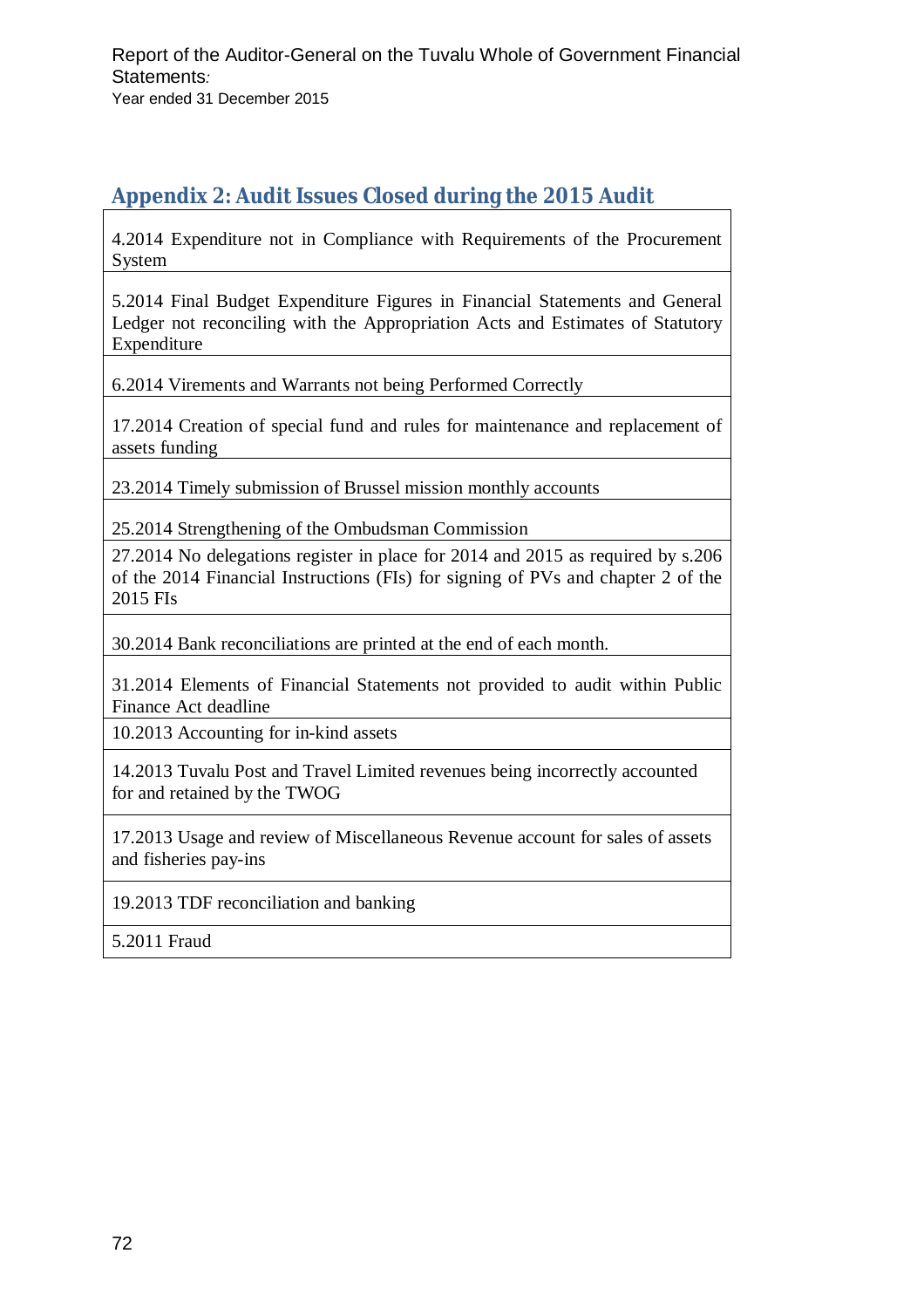# **Appendix 2: Audit Issues Closed during the 2015 Audit**

4.2014 Expenditure not in Compliance with Requirements of the Procurement System

5.2014 Final Budget Expenditure Figures in Financial Statements and General Ledger not reconciling with the Appropriation Acts and Estimates of Statutory Expenditure

6.2014 Virements and Warrants not being Performed Correctly

17.2014 Creation of special fund and rules for maintenance and replacement of assets funding

23.2014 Timely submission of Brussel mission monthly accounts

25.2014 Strengthening of the Ombudsman Commission

27.2014 No delegations register in place for 2014 and 2015 as required by s.206 of the 2014 Financial Instructions (FIs) for signing of PVs and chapter 2 of the 2015 FIs

30.2014 Bank reconciliations are printed at the end of each month.

31.2014 Elements of Financial Statements not provided to audit within Public Finance Act deadline

10.2013 Accounting for in-kind assets

14.2013 Tuvalu Post and Travel Limited revenues being incorrectly accounted for and retained by the TWOG

17.2013 Usage and review of Miscellaneous Revenue account for sales of assets and fisheries pay-ins

19.2013 TDF reconciliation and banking

5.2011 Fraud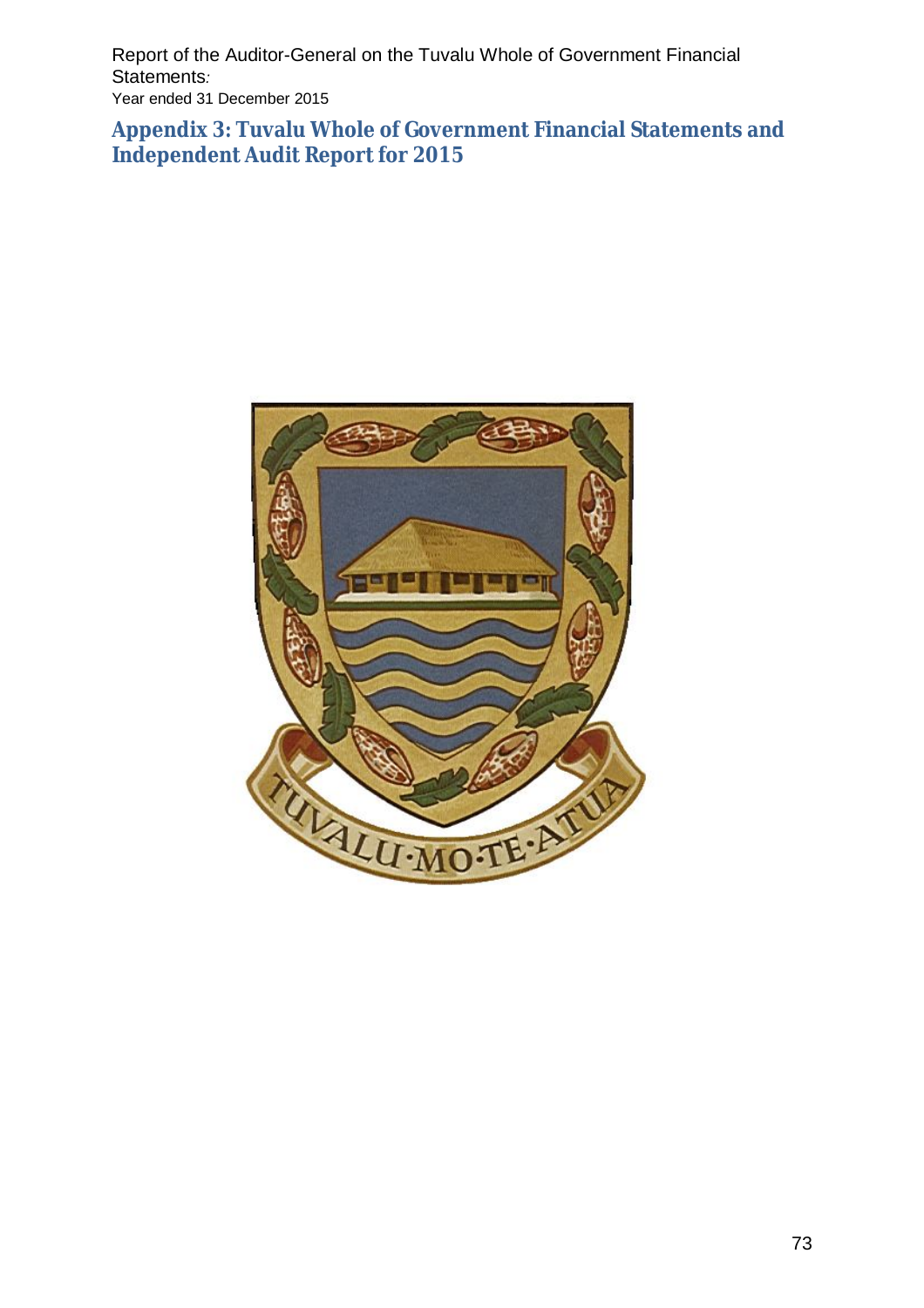Report of the Auditor-General on the Tuvalu Whole of Government Financial Statements*:*  Year ended 31 December 2015

**Appendix 3: Tuvalu Whole of Government Financial Statements and Independent Audit Report for 2015**

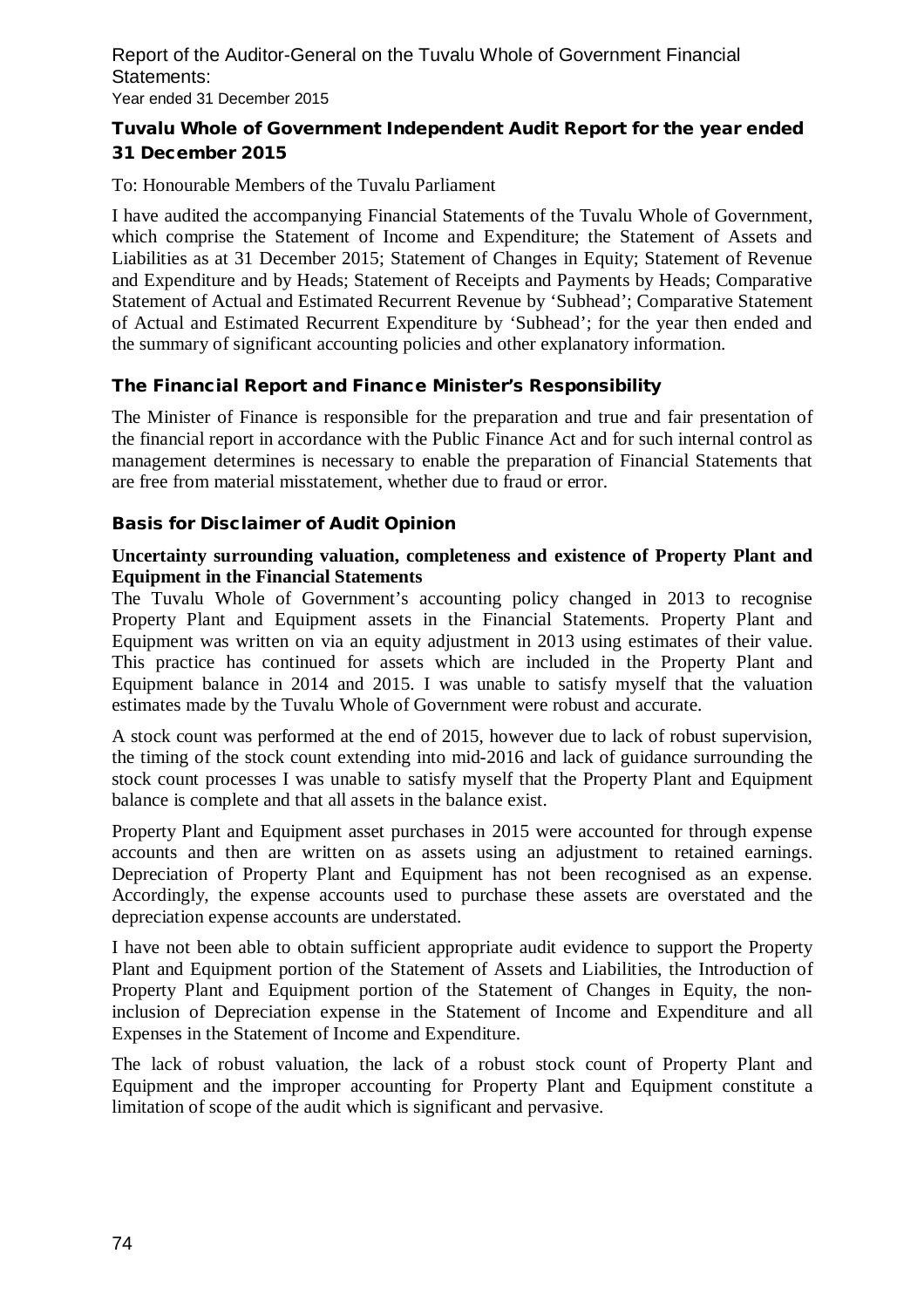Report of the Auditor-General on the Tuvalu Whole of Government Financial Statements: Year ended 31 December 2015

#### **Tuvalu Whole of Government Independent Audit Report for the year ended 31 December 2015**

To: Honourable Members of the Tuvalu Parliament

I have audited the accompanying Financial Statements of the Tuvalu Whole of Government, which comprise the Statement of Income and Expenditure; the Statement of Assets and Liabilities as at 31 December 2015; Statement of Changes in Equity; Statement of Revenue and Expenditure and by Heads; Statement of Receipts and Payments by Heads; Comparative Statement of Actual and Estimated Recurrent Revenue by 'Subhead'; Comparative Statement of Actual and Estimated Recurrent Expenditure by 'Subhead'; for the year then ended and the summary of significant accounting policies and other explanatory information.

#### **The Financial Report and Finance Minister's Responsibility**

The Minister of Finance is responsible for the preparation and true and fair presentation of the financial report in accordance with the Public Finance Act and for such internal control as management determines is necessary to enable the preparation of Financial Statements that are free from material misstatement, whether due to fraud or error.

#### **Basis for Disclaimer of Audit Opinion**

#### **Uncertainty surrounding valuation, completeness and existence of Property Plant and Equipment in the Financial Statements**

The Tuvalu Whole of Government's accounting policy changed in 2013 to recognise Property Plant and Equipment assets in the Financial Statements. Property Plant and Equipment was written on via an equity adjustment in 2013 using estimates of their value. This practice has continued for assets which are included in the Property Plant and Equipment balance in 2014 and 2015. I was unable to satisfy myself that the valuation estimates made by the Tuvalu Whole of Government were robust and accurate.

A stock count was performed at the end of 2015, however due to lack of robust supervision, the timing of the stock count extending into mid-2016 and lack of guidance surrounding the stock count processes I was unable to satisfy myself that the Property Plant and Equipment balance is complete and that all assets in the balance exist.

Property Plant and Equipment asset purchases in 2015 were accounted for through expense accounts and then are written on as assets using an adjustment to retained earnings. Depreciation of Property Plant and Equipment has not been recognised as an expense. Accordingly, the expense accounts used to purchase these assets are overstated and the depreciation expense accounts are understated.

I have not been able to obtain sufficient appropriate audit evidence to support the Property Plant and Equipment portion of the Statement of Assets and Liabilities, the Introduction of Property Plant and Equipment portion of the Statement of Changes in Equity, the noninclusion of Depreciation expense in the Statement of Income and Expenditure and all Expenses in the Statement of Income and Expenditure.

The lack of robust valuation, the lack of a robust stock count of Property Plant and Equipment and the improper accounting for Property Plant and Equipment constitute a limitation of scope of the audit which is significant and pervasive.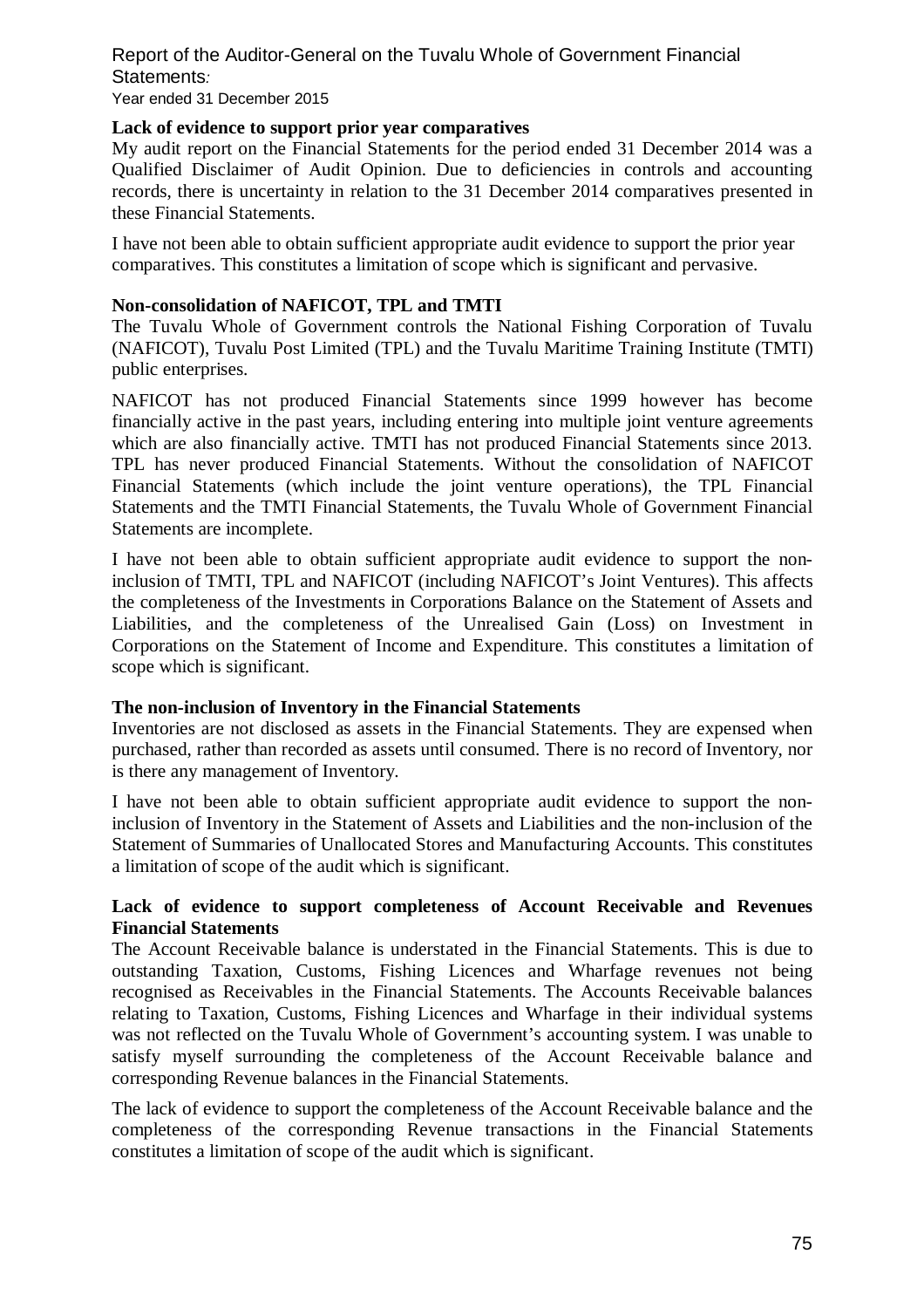# Report of the Auditor-General on the Tuvalu Whole of Government Financial Statements*:*

Year ended 31 December 2015

#### **Lack of evidence to support prior year comparatives**

My audit report on the Financial Statements for the period ended 31 December 2014 was a Qualified Disclaimer of Audit Opinion. Due to deficiencies in controls and accounting records, there is uncertainty in relation to the 31 December 2014 comparatives presented in these Financial Statements.

I have not been able to obtain sufficient appropriate audit evidence to support the prior year comparatives. This constitutes a limitation of scope which is significant and pervasive.

#### **Non-consolidation of NAFICOT, TPL and TMTI**

The Tuvalu Whole of Government controls the National Fishing Corporation of Tuvalu (NAFICOT), Tuvalu Post Limited (TPL) and the Tuvalu Maritime Training Institute (TMTI) public enterprises.

NAFICOT has not produced Financial Statements since 1999 however has become financially active in the past years, including entering into multiple joint venture agreements which are also financially active. TMTI has not produced Financial Statements since 2013. TPL has never produced Financial Statements. Without the consolidation of NAFICOT Financial Statements (which include the joint venture operations), the TPL Financial Statements and the TMTI Financial Statements, the Tuvalu Whole of Government Financial Statements are incomplete.

I have not been able to obtain sufficient appropriate audit evidence to support the noninclusion of TMTI, TPL and NAFICOT (including NAFICOT's Joint Ventures). This affects the completeness of the Investments in Corporations Balance on the Statement of Assets and Liabilities, and the completeness of the Unrealised Gain (Loss) on Investment in Corporations on the Statement of Income and Expenditure. This constitutes a limitation of scope which is significant.

#### **The non-inclusion of Inventory in the Financial Statements**

Inventories are not disclosed as assets in the Financial Statements. They are expensed when purchased, rather than recorded as assets until consumed. There is no record of Inventory, nor is there any management of Inventory.

I have not been able to obtain sufficient appropriate audit evidence to support the noninclusion of Inventory in the Statement of Assets and Liabilities and the non-inclusion of the Statement of Summaries of Unallocated Stores and Manufacturing Accounts. This constitutes a limitation of scope of the audit which is significant.

#### **Lack of evidence to support completeness of Account Receivable and Revenues Financial Statements**

The Account Receivable balance is understated in the Financial Statements. This is due to outstanding Taxation, Customs, Fishing Licences and Wharfage revenues not being recognised as Receivables in the Financial Statements. The Accounts Receivable balances relating to Taxation, Customs, Fishing Licences and Wharfage in their individual systems was not reflected on the Tuvalu Whole of Government's accounting system. I was unable to satisfy myself surrounding the completeness of the Account Receivable balance and corresponding Revenue balances in the Financial Statements.

The lack of evidence to support the completeness of the Account Receivable balance and the completeness of the corresponding Revenue transactions in the Financial Statements constitutes a limitation of scope of the audit which is significant.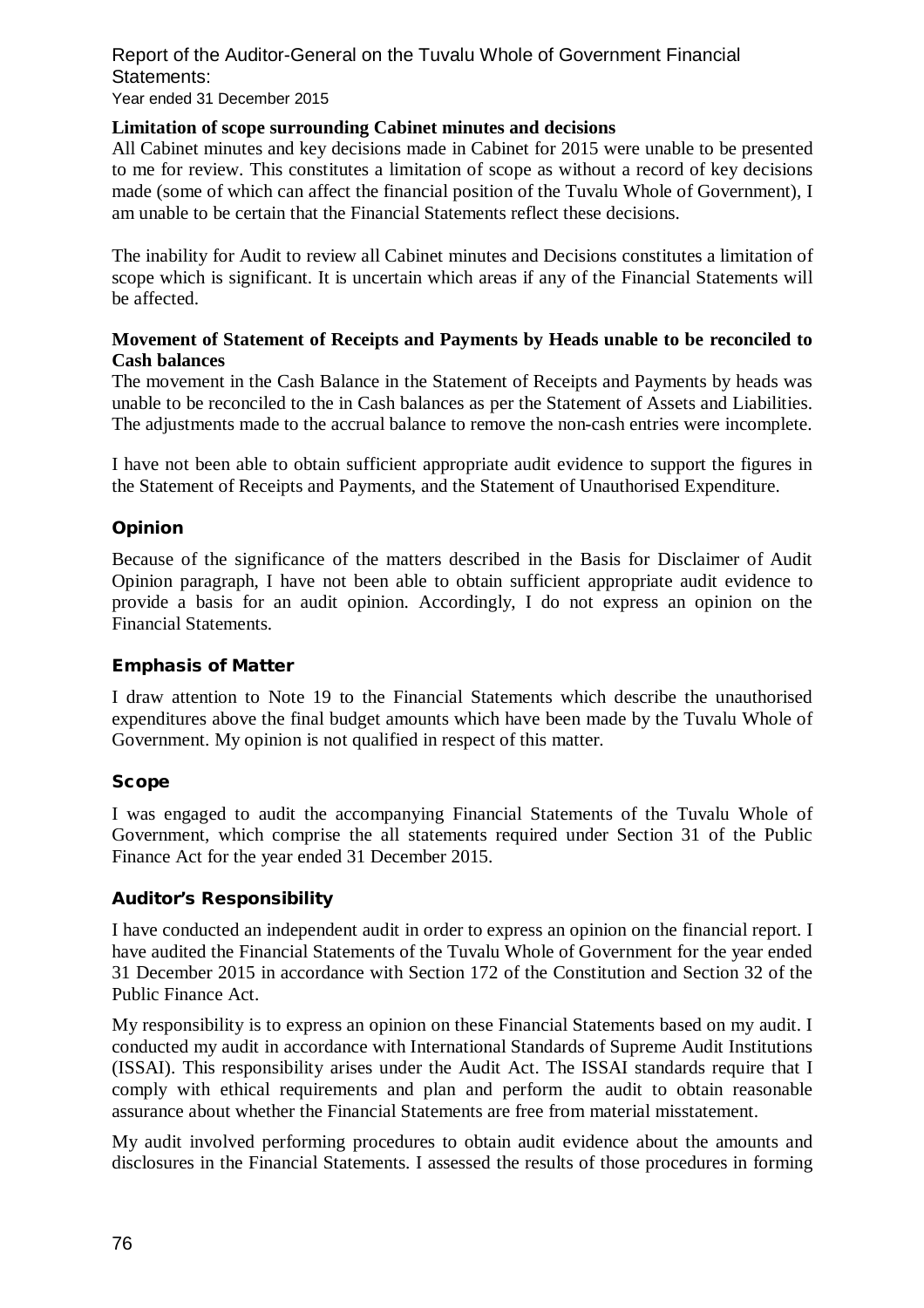#### Report of the Auditor-General on the Tuvalu Whole of Government Financial Statements: Year ended 31 December 2015

#### **Limitation of scope surrounding Cabinet minutes and decisions**

All Cabinet minutes and key decisions made in Cabinet for 2015 were unable to be presented to me for review. This constitutes a limitation of scope as without a record of key decisions made (some of which can affect the financial position of the Tuvalu Whole of Government), I am unable to be certain that the Financial Statements reflect these decisions.

The inability for Audit to review all Cabinet minutes and Decisions constitutes a limitation of scope which is significant. It is uncertain which areas if any of the Financial Statements will be affected.

#### **Movement of Statement of Receipts and Payments by Heads unable to be reconciled to Cash balances**

The movement in the Cash Balance in the Statement of Receipts and Payments by heads was unable to be reconciled to the in Cash balances as per the Statement of Assets and Liabilities. The adjustments made to the accrual balance to remove the non-cash entries were incomplete.

I have not been able to obtain sufficient appropriate audit evidence to support the figures in the Statement of Receipts and Payments, and the Statement of Unauthorised Expenditure.

#### **Opinion**

Because of the significance of the matters described in the Basis for Disclaimer of Audit Opinion paragraph, I have not been able to obtain sufficient appropriate audit evidence to provide a basis for an audit opinion. Accordingly, I do not express an opinion on the Financial Statements.

#### **Emphasis of Matter**

I draw attention to Note 19 to the Financial Statements which describe the unauthorised expenditures above the final budget amounts which have been made by the Tuvalu Whole of Government. My opinion is not qualified in respect of this matter.

#### **Scope**

I was engaged to audit the accompanying Financial Statements of the Tuvalu Whole of Government, which comprise the all statements required under Section 31 of the Public Finance Act for the year ended 31 December 2015.

#### **Auditor's Responsibility**

I have conducted an independent audit in order to express an opinion on the financial report. I have audited the Financial Statements of the Tuvalu Whole of Government for the year ended 31 December 2015 in accordance with Section 172 of the Constitution and Section 32 of the Public Finance Act.

My responsibility is to express an opinion on these Financial Statements based on my audit. I conducted my audit in accordance with International Standards of Supreme Audit Institutions (ISSAI). This responsibility arises under the Audit Act. The ISSAI standards require that I comply with ethical requirements and plan and perform the audit to obtain reasonable assurance about whether the Financial Statements are free from material misstatement.

My audit involved performing procedures to obtain audit evidence about the amounts and disclosures in the Financial Statements. I assessed the results of those procedures in forming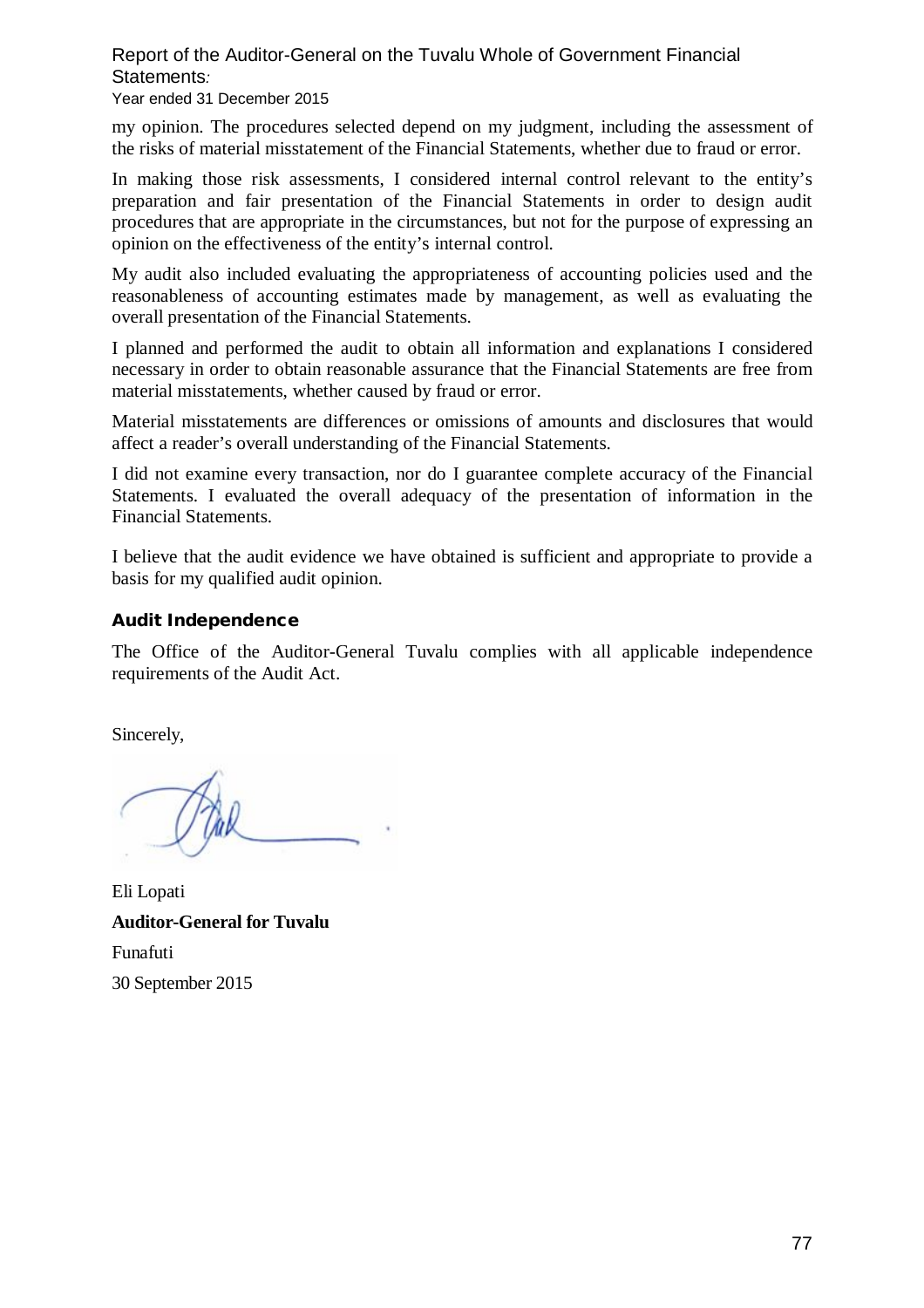### Report of the Auditor-General on the Tuvalu Whole of Government Financial Statements*:*

#### Year ended 31 December 2015

my opinion. The procedures selected depend on my judgment, including the assessment of the risks of material misstatement of the Financial Statements, whether due to fraud or error.

In making those risk assessments, I considered internal control relevant to the entity's preparation and fair presentation of the Financial Statements in order to design audit procedures that are appropriate in the circumstances, but not for the purpose of expressing an opinion on the effectiveness of the entity's internal control.

My audit also included evaluating the appropriateness of accounting policies used and the reasonableness of accounting estimates made by management, as well as evaluating the overall presentation of the Financial Statements.

I planned and performed the audit to obtain all information and explanations I considered necessary in order to obtain reasonable assurance that the Financial Statements are free from material misstatements, whether caused by fraud or error.

Material misstatements are differences or omissions of amounts and disclosures that would affect a reader's overall understanding of the Financial Statements.

I did not examine every transaction, nor do I guarantee complete accuracy of the Financial Statements. I evaluated the overall adequacy of the presentation of information in the Financial Statements.

I believe that the audit evidence we have obtained is sufficient and appropriate to provide a basis for my qualified audit opinion.

#### **Audit Independence**

The Office of the Auditor-General Tuvalu complies with all applicable independence requirements of the Audit Act.

Sincerely,

Eli Lopati **Auditor-General for Tuvalu**  Funafuti 30 September 2015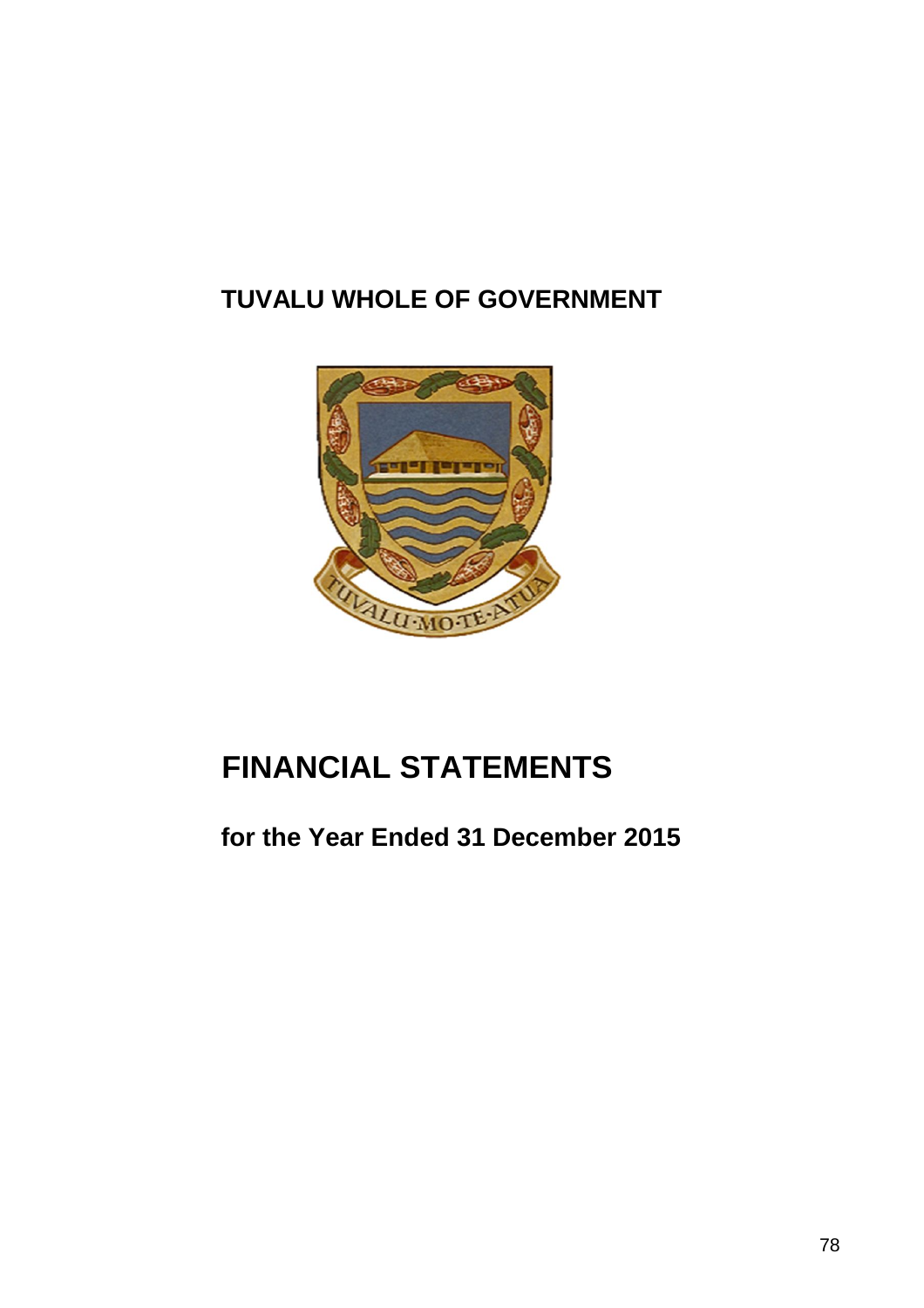# **TUVALU WHOLE OF GOVERNMENT**



# **FINANCIAL STATEMENTS**

# **for the Year Ended 31 December 2015**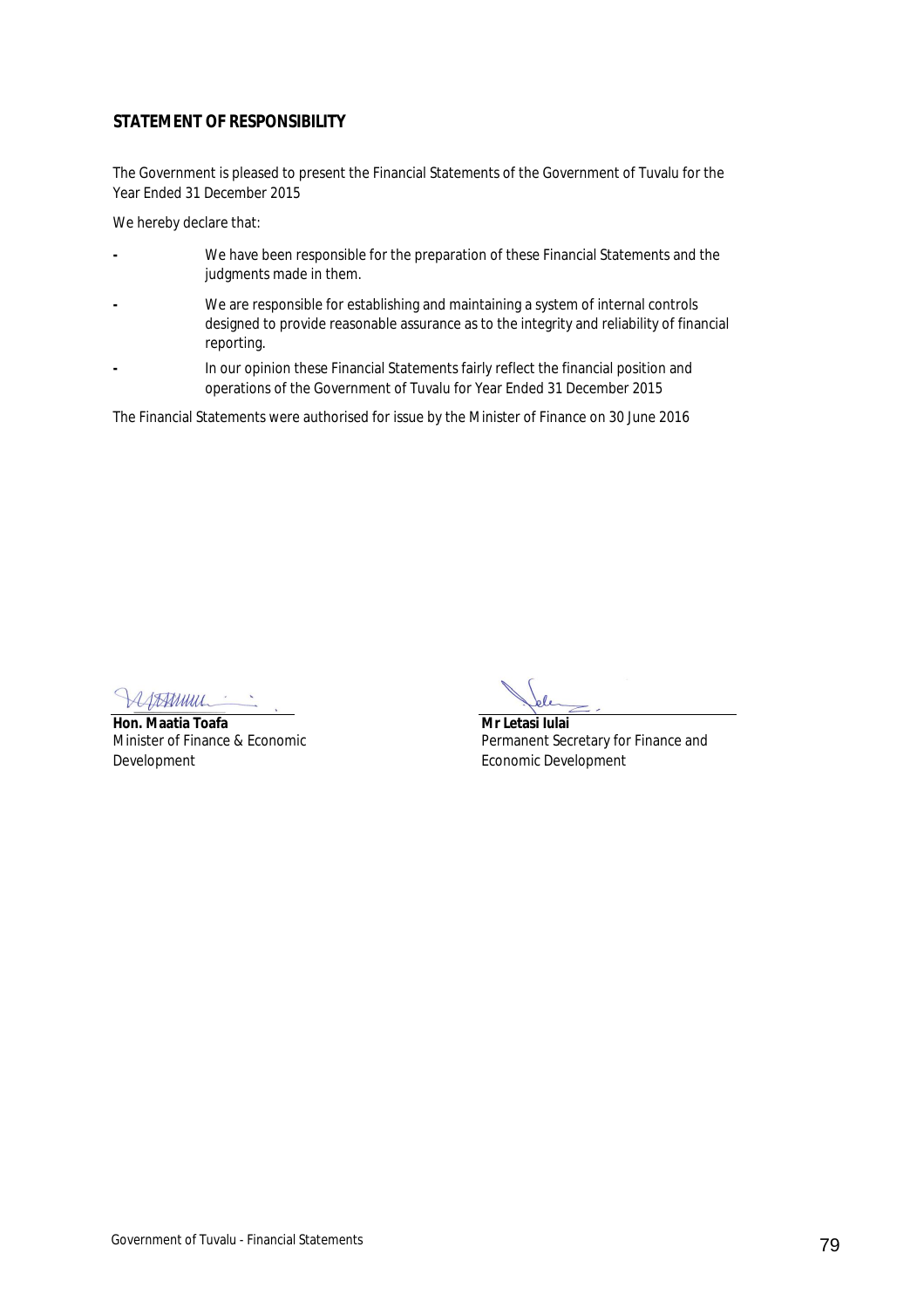#### **STATEMENT OF RESPONSIBILITY**

The Government is pleased to present the Financial Statements of the Government of Tuvalu for the Year Ended 31 December 2015

We hereby declare that:

- **-** We have been responsible for the preparation of these Financial Statements and the judgments made in them.
- **-** We are responsible for establishing and maintaining a system of internal controls designed to provide reasonable assurance as to the integrity and reliability of financial reporting.
- **-** In our opinion these Financial Statements fairly reflect the financial position and operations of the Government of Tuvalu for Year Ended 31 December 2015

The Financial Statements were authorised for issue by the Minister of Finance on 30 June 2016

SAAMUUL

**Hon. Maatia Toafa Mr Letasi Iulai** Minister of Finance & Economic Development

Permanent Secretary for Finance and Economic Development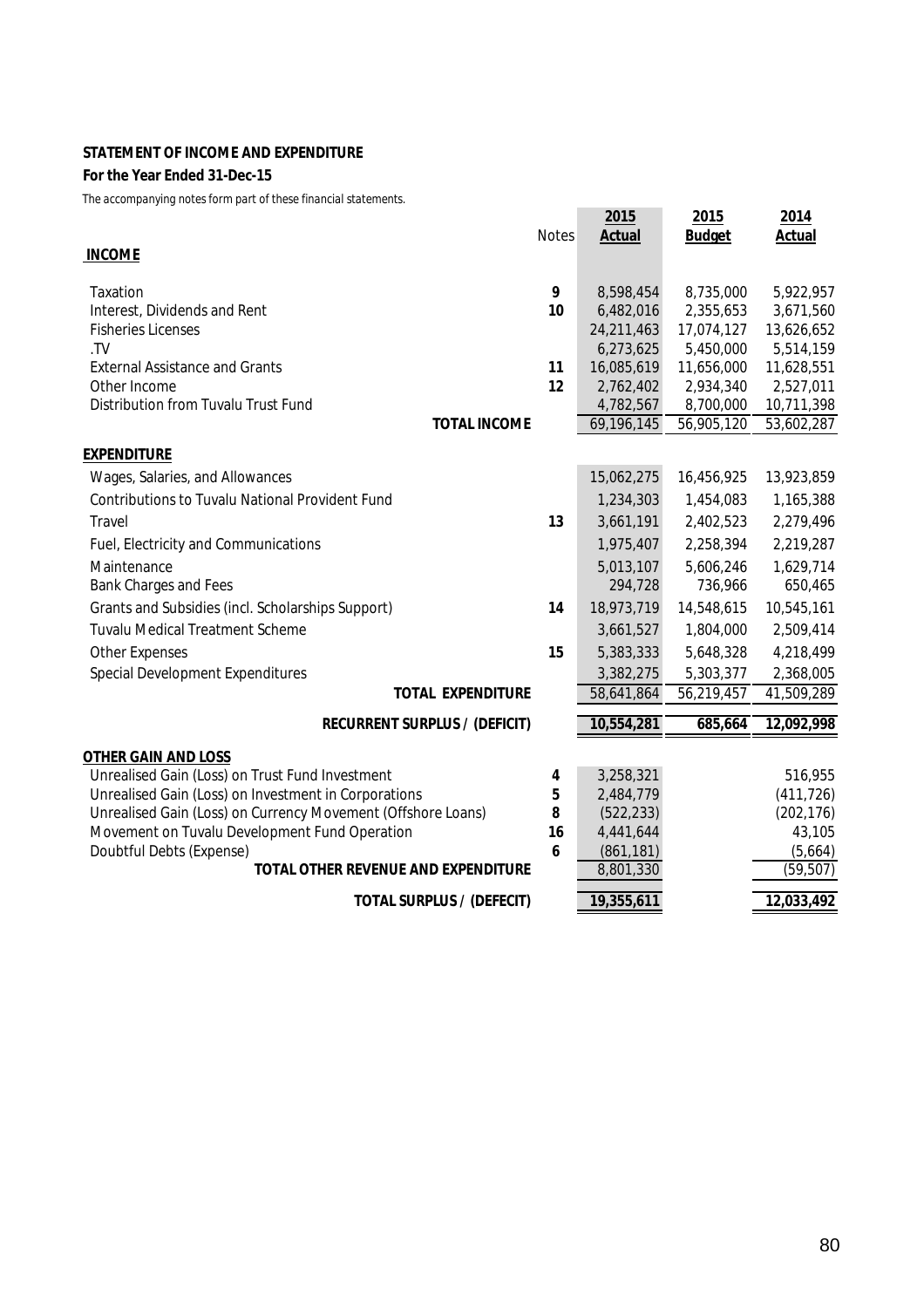#### **STATEMENT OF INCOME AND EXPENDITURE**

#### **For the Year Ended 31-Dec-15**

|                                                                           | <b>Notes</b> | 2015<br><b>Actual</b>   | 2015<br><b>Budget</b>  | 2014<br><b>Actual</b>   |
|---------------------------------------------------------------------------|--------------|-------------------------|------------------------|-------------------------|
| <b>INCOME</b>                                                             |              |                         |                        |                         |
|                                                                           |              |                         |                        |                         |
| Taxation                                                                  | 9            | 8,598,454               | 8,735,000              | 5,922,957               |
| Interest, Dividends and Rent                                              | 10           | 6,482,016               | 2,355,653              | 3,671,560               |
| <b>Fisheries Licenses</b>                                                 |              | 24,211,463              | 17,074,127             | 13,626,652              |
| .TV                                                                       |              | 6,273,625               | 5,450,000              | 5,514,159               |
| <b>External Assistance and Grants</b>                                     | 11           | 16,085,619              | 11,656,000             | 11,628,551              |
| Other Income<br>Distribution from Tuvalu Trust Fund                       | 12           | 2,762,402<br>4,782,567  | 2,934,340<br>8,700,000 | 2,527,011<br>10,711,398 |
| <b>TOTAL INCOME</b>                                                       |              | 69,196,145              | 56,905,120             | 53,602,287              |
|                                                                           |              |                         |                        |                         |
| <u>EXPENDITURE</u><br>Wages, Salaries, and Allowances                     |              | 15,062,275              | 16,456,925             | 13,923,859              |
| <b>Contributions to Tuvalu National Provident Fund</b>                    |              | 1,234,303               | 1,454,083              | 1,165,388               |
| Travel                                                                    | 13           | 3,661,191               | 2,402,523              | 2,279,496               |
| Fuel, Electricity and Communications                                      |              | 1,975,407               | 2,258,394              | 2,219,287               |
| Maintenance                                                               |              | 5,013,107               | 5,606,246              | 1,629,714               |
| Bank Charges and Fees                                                     |              | 294,728                 | 736,966                | 650,465                 |
| Grants and Subsidies (incl. Scholarships Support)                         | 14           | 18,973,719              | 14,548,615             | 10,545,161              |
| <b>Tuvalu Medical Treatment Scheme</b>                                    |              | 3,661,527               | 1,804,000              | 2,509,414               |
| <b>Other Expenses</b>                                                     | 15           | 5,383,333               | 5,648,328              | 4,218,499               |
| <b>Special Development Expenditures</b>                                   |              | 3,382,275               | 5,303,377              | 2,368,005               |
| <b>TOTAL EXPENDITURE</b>                                                  |              | 58,641,864              | 56,219,457             | 41,509,289              |
| <b>RECURRENT SURPLUS / (DEFICIT)</b>                                      |              | 10,554,281              | 685,664                | 12,092,998              |
|                                                                           |              |                         |                        |                         |
| <b>OTHER GAIN AND LOSS</b>                                                |              |                         |                        |                         |
| Unrealised Gain (Loss) on Trust Fund Investment                           | 4            | 3,258,321               |                        | 516,955                 |
| Unrealised Gain (Loss) on Investment in Corporations                      | 5            | 2,484,779               |                        | (411, 726)              |
| Unrealised Gain (Loss) on Currency Movement (Offshore Loans)              | 8            | (522, 233)              |                        | (202, 176)              |
| Movement on Tuvalu Development Fund Operation<br>Doubtful Debts (Expense) | 16<br>6      | 4,441,644<br>(861, 181) |                        | 43,105                  |
| <b>TOTAL OTHER REVENUE AND EXPENDITURE</b>                                |              | 8,801,330               |                        | (5,664)<br>(59, 507)    |
|                                                                           |              |                         |                        |                         |
| <b>TOTAL SURPLUS / (DEFECIT)</b>                                          |              | 19,355,611              |                        | 12,033,492              |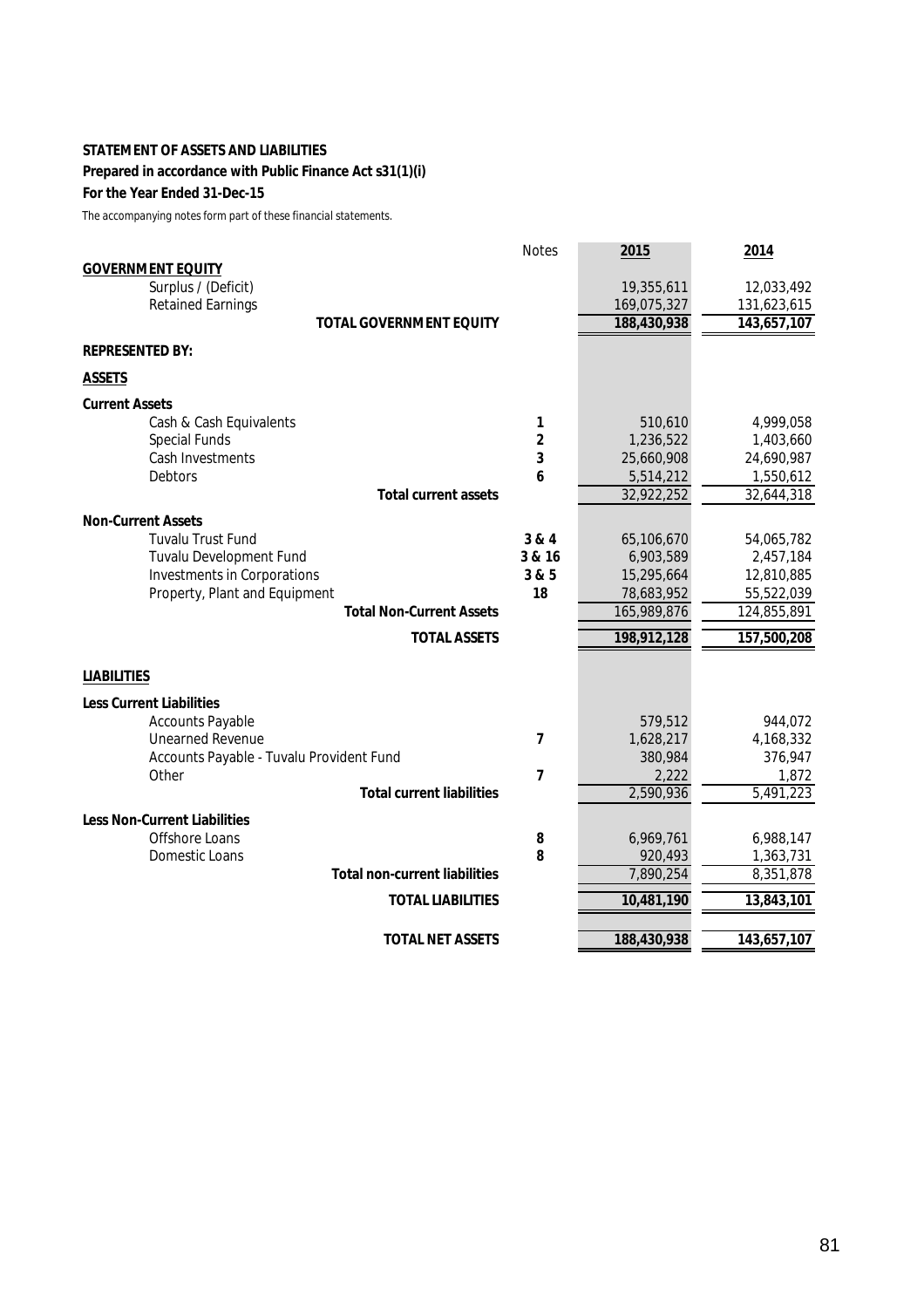#### **STATEMENT OF ASSETS AND LIABILITIES**

#### **Prepared in accordance with Public Finance Act s31(1)(i)**

#### **For the Year Ended 31-Dec-15**

|                                                    | <b>Notes</b>            | 2015                 | 2014                 |
|----------------------------------------------------|-------------------------|----------------------|----------------------|
| <b>GOVERNMENT EQUITY</b>                           |                         |                      |                      |
| Surplus / (Deficit)                                |                         | 19,355,611           | 12,033,492           |
| <b>Retained Earnings</b>                           |                         | 169,075,327          | 131,623,615          |
| <b>TOTAL GOVERNMENT EQUITY</b>                     |                         | 188,430,938          | 143,657,107          |
| <b>REPRESENTED BY:</b>                             |                         |                      |                      |
| <b>ASSETS</b>                                      |                         |                      |                      |
| <b>Current Assets</b>                              |                         |                      |                      |
| Cash & Cash Equivalents                            | 1                       | 510,610              | 4,999,058            |
| <b>Special Funds</b>                               | $\mathbf{2}$            | 1,236,522            | 1,403,660            |
| Cash Investments                                   | $\mathbf{3}$            | 25,660,908           | 24,690,987           |
| <b>Debtors</b>                                     | 6                       | 5,514,212            | 1,550,612            |
| <b>Total current assets</b>                        |                         | 32,922,252           | 32,644,318           |
| <b>Non-Current Assets</b>                          |                         |                      |                      |
| <b>Tuvalu Trust Fund</b>                           | 3 & 4                   | 65,106,670           | 54,065,782           |
| Tuvalu Development Fund                            | 3 & 16                  | 6,903,589            | 2,457,184            |
| Investments in Corporations                        | 3&5                     | 15,295,664           | 12,810,885           |
| Property, Plant and Equipment                      | 18                      | 78,683,952           | 55,522,039           |
| <b>Total Non-Current Assets</b>                    |                         | 165,989,876          | 124,855,891          |
| <b>TOTAL ASSETS</b>                                |                         | 198,912,128          | 157,500,208          |
| <b>LIABILITIES</b>                                 |                         |                      |                      |
|                                                    |                         |                      |                      |
| <b>Less Current Liabilities</b>                    |                         |                      |                      |
| <b>Accounts Payable</b><br><b>Unearned Revenue</b> | 7                       | 579,512<br>1,628,217 | 944,072<br>4,168,332 |
| Accounts Payable - Tuvalu Provident Fund           |                         | 380,984              | 376,947              |
| Other                                              | $\overline{\mathbf{z}}$ | 2,222                | 1,872                |
| <b>Total current liabilities</b>                   |                         | 2,590,936            | 5,491,223            |
| <b>Less Non-Current Liabilities</b>                |                         |                      |                      |
| Offshore Loans                                     | 8                       | 6,969,761            | 6,988,147            |
| Domestic Loans                                     | 8                       | 920,493              | 1,363,731            |
| <b>Total non-current liabilities</b>               |                         | 7,890,254            | 8,351,878            |
|                                                    |                         |                      |                      |
| <b>TOTAL LIABILITIES</b>                           |                         | 10,481,190           | 13,843,101           |
| <b>TOTAL NET ASSETS</b>                            |                         | 188,430,938          | 143,657,107          |
|                                                    |                         |                      |                      |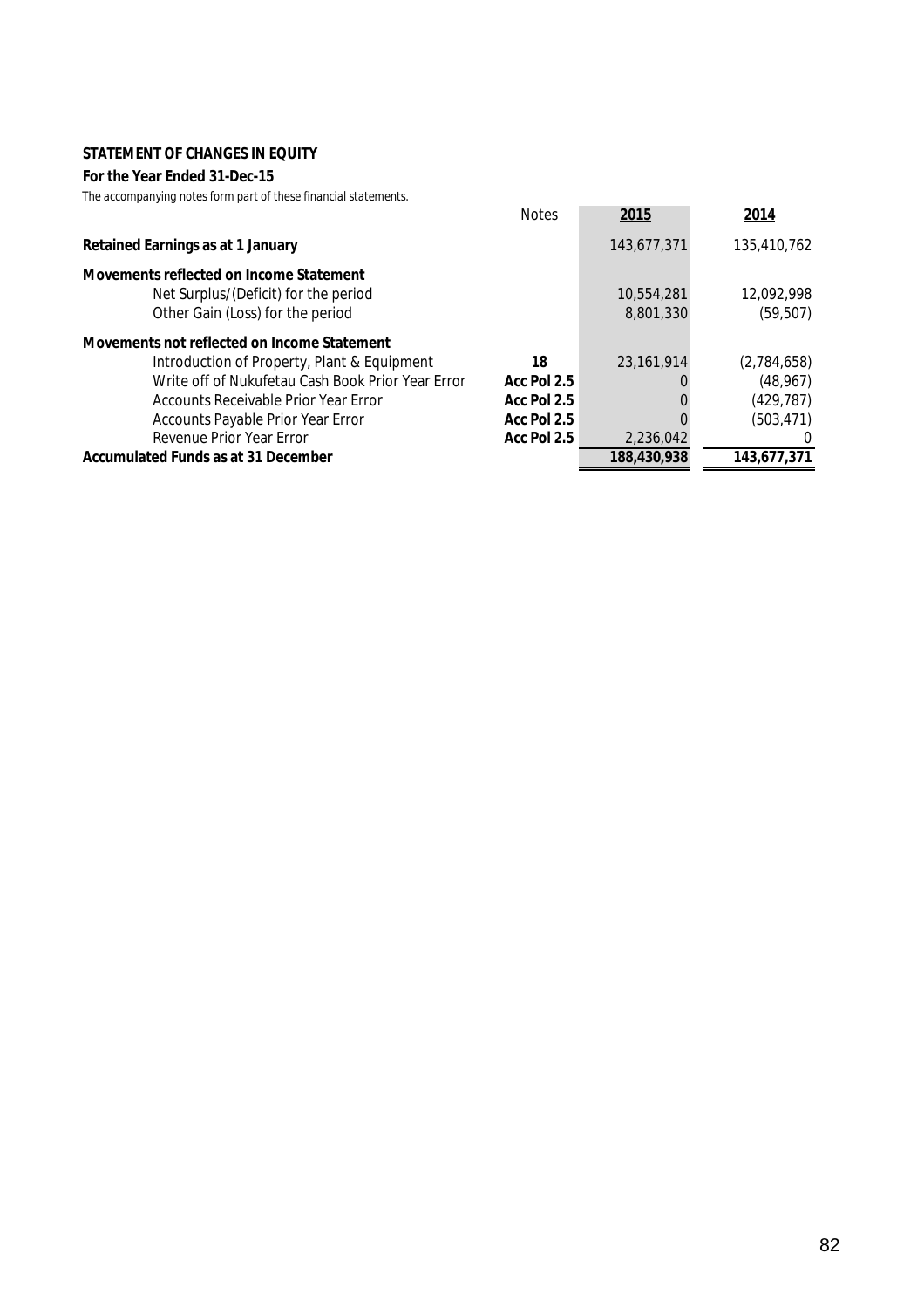#### **STATEMENT OF CHANGES IN EQUITY**

#### **For the Year Ended 31-Dec-15**

|                                                   | <b>Notes</b> | 2015         | 2014        |
|---------------------------------------------------|--------------|--------------|-------------|
| <b>Retained Earnings as at 1 January</b>          |              | 143,677,371  | 135,410,762 |
| <b>Movements reflected on Income Statement</b>    |              |              |             |
| Net Surplus/(Deficit) for the period              |              | 10,554,281   | 12,092,998  |
| Other Gain (Loss) for the period                  |              | 8,801,330    | (59, 507)   |
| Movements not reflected on Income Statement       |              |              |             |
| Introduction of Property, Plant & Equipment       | 18           | 23, 161, 914 | (2,784,658) |
| Write off of Nukufetau Cash Book Prior Year Error | Acc Pol 2.5  |              | (48, 967)   |
| Accounts Receivable Prior Year Error              | Acc Pol 2.5  |              | (429, 787)  |
| Accounts Payable Prior Year Error                 | Acc Pol 2.5  |              | (503, 471)  |
| Revenue Prior Year Error                          | Acc Pol 2.5  | 2,236,042    | 0           |
| <b>Accumulated Funds as at 31 December</b>        |              | 188,430,938  | 143,677,371 |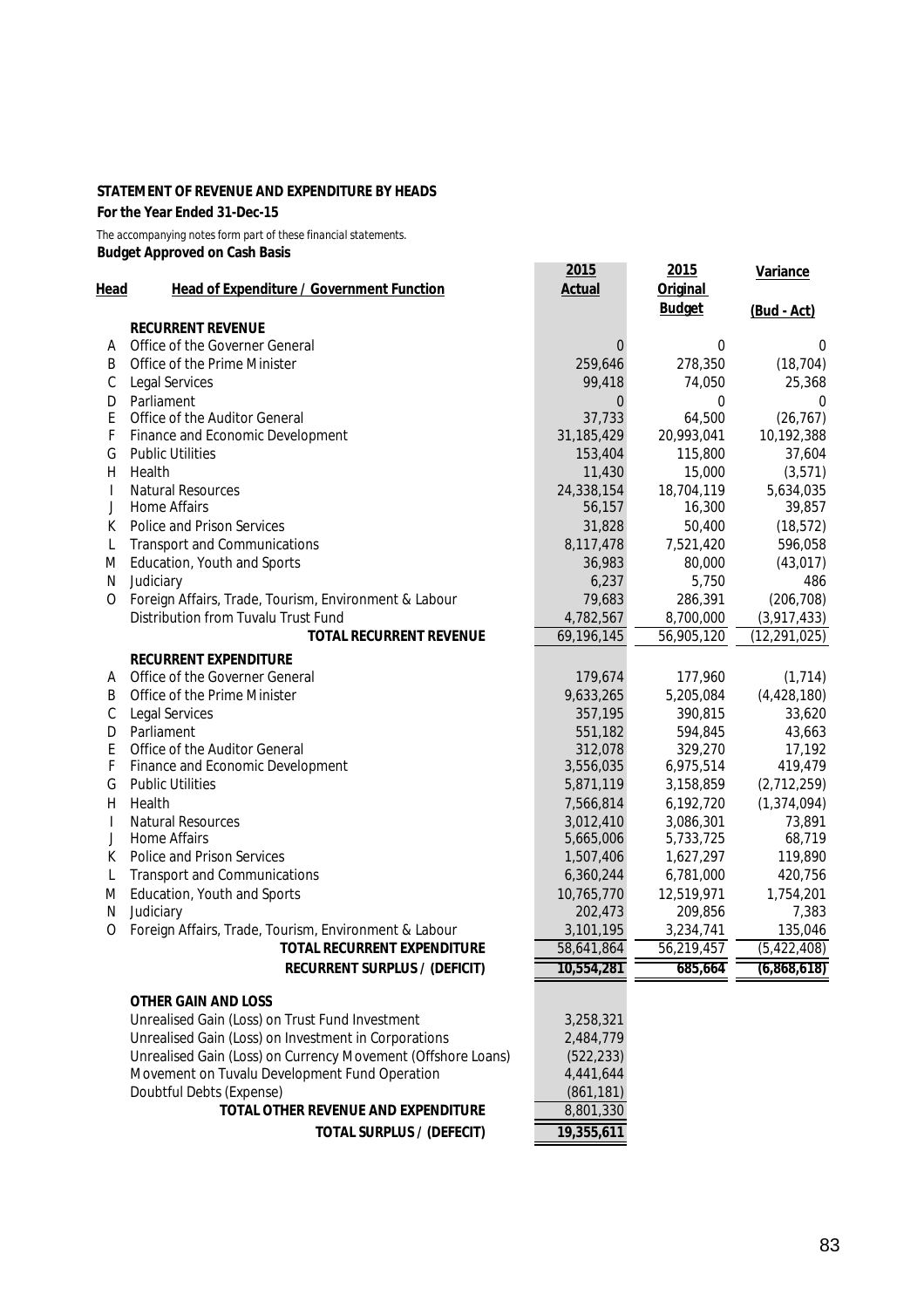#### **STATEMENT OF REVENUE AND EXPENDITURE BY HEADS**

**For the Year Ended 31-Dec-15**

*The accompanying notes form part of these financial statements.* **Budget Approved on Cash Basis**

| Head | <b>Head of Expenditure / Government Function</b>             | 2015<br><b>Actual</b> | 2015<br><b>Original</b><br><b>Budget</b> | <b>Variance</b><br>(Bud - Act) |
|------|--------------------------------------------------------------|-----------------------|------------------------------------------|--------------------------------|
|      | <b>RECURRENT REVENUE</b>                                     |                       |                                          |                                |
| Α    | Office of the Governer General                               | $\Omega$              | 0                                        | 0                              |
| В    | Office of the Prime Minister                                 | 259,646               | 278,350                                  | (18, 704)                      |
| С    | Legal Services                                               | 99,418                | 74,050                                   | 25,368                         |
| D    | Parliament                                                   | 0                     | 0                                        | 0                              |
| Ε    | Office of the Auditor General                                | 37,733                | 64,500                                   | (26, 767)                      |
| F    | Finance and Economic Development                             | 31,185,429            | 20,993,041                               | 10,192,388                     |
| G    | <b>Public Utilities</b>                                      | 153,404               | 115,800                                  | 37,604                         |
| Η    | Health                                                       | 11,430                | 15,000                                   | (3, 571)                       |
| I    | <b>Natural Resources</b>                                     | 24,338,154            | 18,704,119                               | 5,634,035                      |
| J    | <b>Home Affairs</b>                                          | 56,157                | 16,300                                   | 39,857                         |
| К    | Police and Prison Services                                   | 31,828                | 50,400                                   | (18, 572)                      |
| L    | <b>Transport and Communications</b>                          | 8,117,478             | 7,521,420                                | 596,058                        |
| M    | Education, Youth and Sports                                  | 36,983                | 80,000                                   | (43, 017)                      |
| N    | Judiciary                                                    | 6,237                 | 5,750                                    | 486                            |
| 0    | Foreign Affairs, Trade, Tourism, Environment & Labour        | 79,683                | 286,391                                  | (206, 708)                     |
|      | Distribution from Tuvalu Trust Fund                          | 4,782,567             | 8,700,000                                | (3,917,433)                    |
|      | <b>TOTAL RECURRENT REVENUE</b>                               | 69,196,145            | 56,905,120                               | (12, 291, 025)                 |
|      | <b>RECURRENT EXPENDITURE</b>                                 |                       |                                          |                                |
| Α    | Office of the Governer General                               | 179,674               | 177,960                                  | (1, 714)                       |
| B    | Office of the Prime Minister                                 | 9,633,265             | 5,205,084                                | (4,428,180)                    |
| С    | <b>Legal Services</b>                                        | 357,195               | 390,815                                  | 33,620                         |
| D    | Parliament                                                   | 551,182               | 594,845                                  | 43,663                         |
| E    | Office of the Auditor General                                | 312,078               | 329,270                                  | 17,192                         |
| F    | Finance and Economic Development                             | 3,556,035             | 6,975,514                                | 419,479                        |
| G    | <b>Public Utilities</b>                                      | 5,871,119             | 3,158,859                                | (2,712,259)                    |
| H    | Health                                                       | 7,566,814             | 6,192,720                                | (1, 374, 094)                  |
| I    | <b>Natural Resources</b>                                     | 3,012,410             | 3,086,301                                | 73,891                         |
| J    | <b>Home Affairs</b>                                          | 5,665,006             | 5,733,725                                | 68,719                         |
| К    | Police and Prison Services                                   | 1,507,406             | 1,627,297                                | 119,890                        |
| L    | <b>Transport and Communications</b>                          | 6,360,244             | 6,781,000                                | 420,756                        |
| M    | Education, Youth and Sports                                  | 10,765,770            | 12,519,971                               | 1,754,201                      |
| N    | Judiciary                                                    | 202,473               | 209,856                                  | 7,383                          |
| 0    | Foreign Affairs, Trade, Tourism, Environment & Labour        | 3,101,195             | 3,234,741                                | 135,046                        |
|      | <b>TOTAL RECURRENT EXPENDITURE</b>                           | 58,641,864            | 56,219,457                               | (5, 422, 408)                  |
|      | <b>RECURRENT SURPLUS / (DEFICIT)</b>                         | 10,554,281            | 685,664                                  | (6,868,618)                    |
|      |                                                              |                       |                                          |                                |
|      | <b>OTHER GAIN AND LOSS</b>                                   |                       |                                          |                                |
|      | Unrealised Gain (Loss) on Trust Fund Investment              | 3,258,321             |                                          |                                |
|      | Unrealised Gain (Loss) on Investment in Corporations         | 2,484,779             |                                          |                                |
|      | Unrealised Gain (Loss) on Currency Movement (Offshore Loans) | (522, 233)            |                                          |                                |
|      | Movement on Tuvalu Development Fund Operation                | 4,441,644             |                                          |                                |
|      | Doubtful Debts (Expense)                                     | (861, 181)            |                                          |                                |
|      | TOTAL OTHER REVENUE AND EXPENDITURE                          | 8,801,330             |                                          |                                |
|      | <b>TOTAL SURPLUS / (DEFECIT)</b>                             | 19,355,611            |                                          |                                |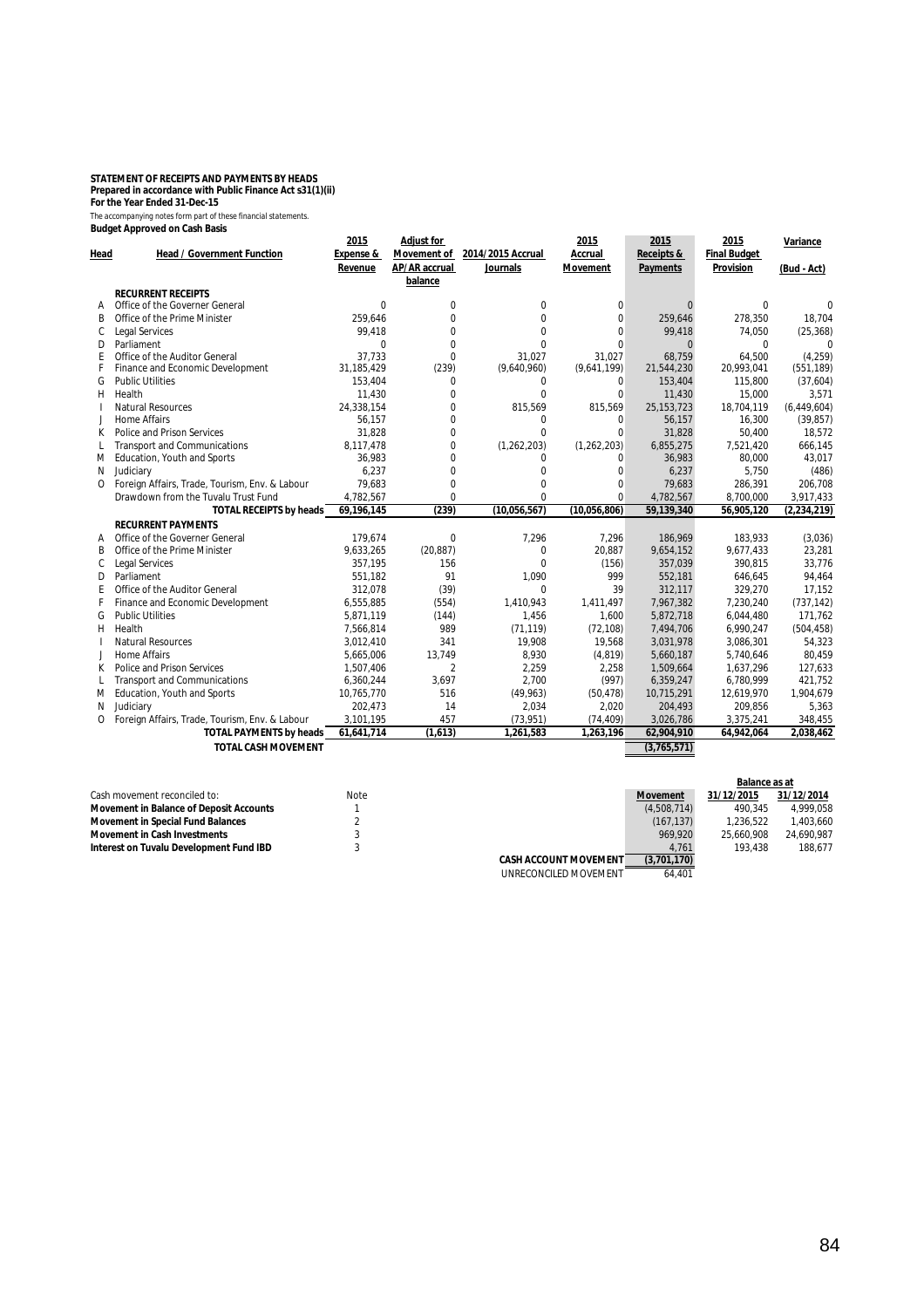# **STATEMENT OF RECEIPTS AND PAYMENTS BY HEADS Prepared in accordance with Public Finance Act s31(1)(ii) For the Year Ended 31-Dec-15**

|          | Budget Approved on Cash Basis                  | 2015                 | <b>Adjust for</b>  |                   | 2015            | 2015            | 2015                |               |
|----------|------------------------------------------------|----------------------|--------------------|-------------------|-----------------|-----------------|---------------------|---------------|
| Head     | <b>Head / Government Function</b>              | <b>Expense &amp;</b> | <b>Movement of</b> | 2014/2015 Accrual | Accrual         | Receipts &      | <b>Final Budget</b> | Variance      |
|          |                                                | Revenue              | AP/AR accrual      | <b>Journals</b>   | <b>Movement</b> | <b>Payments</b> | Provision           | (Bud - Act)   |
|          |                                                |                      | balance            |                   |                 |                 |                     |               |
|          | <b>RECURRENT RECEIPTS</b>                      |                      |                    |                   |                 |                 |                     |               |
| A        | Office of the Governer General                 | $\Omega$             | 0                  | $\Omega$          | $\Omega$        | $\Omega$        | U                   |               |
| B        | Office of the Prime Minister                   | 259,646              | 0                  | $\Omega$          | $\Omega$        | 259,646         | 278,350             | 18,704        |
| С        | <b>Legal Services</b>                          | 99,418               | 0                  | $\Omega$          | $\Omega$        | 99,418          | 74,050              | (25, 368)     |
| D        | Parliament                                     | $\Omega$             | $\Omega$           | $\Omega$          | $\Omega$        | $\Omega$        | $\Omega$            | $\Omega$      |
| Ε        | Office of the Auditor General                  | 37.733               | 0                  | 31,027            | 31,027          | 68.759          | 64.500              | (4, 259)      |
|          | Finance and Economic Development               | 31,185,429           | (239)              | (9,640,960)       | (9,641,199)     | 21,544,230      | 20,993,041          | (551, 189)    |
| G        | <b>Public Utilities</b>                        | 153,404              | $\Omega$           | $\mathbf 0$       | 0               | 153,404         | 115,800             | (37,604)      |
| H        | Health                                         | 11,430               | 0                  | $\Omega$          | $\Omega$        | 11,430          | 15,000              | 3,571         |
|          | <b>Natural Resources</b>                       | 24,338,154           | $\Omega$           | 815,569           | 815,569         | 25, 153, 723    | 18,704,119          | (6,449,604)   |
|          | <b>Home Affairs</b>                            | 56,157               | 0                  | 0                 | $\mathbf 0$     | 56,157          | 16.300              | (39, 857)     |
| К        | Police and Prison Services                     | 31,828               | 0                  | $\Omega$          | $\Omega$        | 31,828          | 50,400              | 18,572        |
|          | <b>Transport and Communications</b>            | 8,117,478            | 0                  | (1, 262, 203)     | (1, 262, 203)   | 6,855,275       | 7,521,420           | 666,145       |
| M        | Education, Youth and Sports                    | 36,983               | 0                  | $\Omega$          | $\Omega$        | 36,983          | 80,000              | 43,017        |
| N        | Judiciary                                      | 6,237                | 0                  | $\Omega$          | $\Omega$        | 6,237           | 5,750               | (486)         |
| $\Omega$ | Foreign Affairs, Trade, Tourism, Env. & Labour | 79,683               | 0                  | $\Omega$          | $\Omega$        | 79,683          | 286,391             | 206,708       |
|          | Drawdown from the Tuvalu Trust Fund            | 4,782,567            | 0                  | $\Omega$          | $\Omega$        | 4,782,567       | 8,700,000           | 3,917,433     |
|          | <b>TOTAL RECEIPTS by heads</b>                 | 69,196,145           | (239)              | (10,056,567)      | (10,056,806)    | 59,139,340      | 56,905,120          | (2, 234, 219) |
|          | <b>RECURRENT PAYMENTS</b>                      |                      |                    |                   |                 |                 |                     |               |
|          | Office of the Governer General                 | 179,674              | $\Omega$           | 7,296             | 7,296           | 186,969         | 183,933             | (3,036)       |
| B        | Office of the Prime Minister                   | 9,633,265            | (20, 887)          | $\Omega$          | 20,887          | 9,654,152       | 9,677,433           | 23,281        |
| C        | <b>Legal Services</b>                          | 357,195              | 156                | $\Omega$          | (156)           | 357,039         | 390,815             | 33,776        |
| D        | Parliament                                     | 551,182              | 91                 | 1,090             | 999             | 552,181         | 646,645             | 94,464        |
| F        | Office of the Auditor General                  | 312,078              | (39)               | $\Omega$          | 39              | 312,117         | 329,270             | 17,152        |
|          | Finance and Economic Development               | 6,555,885            | (554)              | 1,410,943         | 1,411,497       | 7,967,382       | 7,230,240           | (737, 142)    |
| G        | <b>Public Utilities</b>                        | 5,871,119            | (144)              | 1,456             | 1,600           | 5,872,718       | 6,044,480           | 171,762       |
| H        | Health                                         | 7,566,814            | 989                | (71, 119)         | (72, 108)       | 7,494,706       | 6,990,247           | (504, 458)    |
|          | <b>Natural Resources</b>                       | 3,012,410            | 341                | 19,908            | 19,568          | 3,031,978       | 3,086,301           | 54,323        |
| J.       | <b>Home Affairs</b>                            | 5,665,006            | 13,749             | 8,930             | (4, 819)        | 5,660,187       | 5,740,646           | 80,459        |
| К        | Police and Prison Services                     | 1,507,406            | $\overline{2}$     | 2,259             | 2,258           | 1,509,664       | 1,637,296           | 127,633       |
|          | <b>Transport and Communications</b>            | 6,360,244            | 3,697              | 2,700             | (997)           | 6,359,247       | 6,780,999           | 421,752       |
| M        | Education, Youth and Sports                    | 10,765,770           | 516                | (49, 963)         | (50, 478)       | 10,715,291      | 12,619,970          | 1,904,679     |
| N        | Judiciary                                      | 202,473              | 14                 | 2,034             | 2,020           | 204,493         | 209,856             | 5,363         |
| 0        | Foreign Affairs, Trade, Tourism, Env. & Labour | 3,101,195            | 457                | (73, 951)         | (74, 409)       | 3,026,786       | 3,375,241           | 348,455       |
|          | <b>TOTAL PAYMENTS by heads</b>                 | 61,641,714           | (1,613)            | 1,261,583         | 1,263,196       | 62,904,910      | 64,942,064          | 2,038,462     |
|          | <b>TOTAL CASH MOVEMENT</b>                     |                      |                    |                   |                 | (3,765,571)     |                     |               |

|                                                |             |                              |                 | Balance as at |            |
|------------------------------------------------|-------------|------------------------------|-----------------|---------------|------------|
| Cash movement reconciled to:                   | <b>Note</b> |                              | <b>Movement</b> | 31/12/2015    | 31/12/2014 |
| <b>Movement in Balance of Deposit Accounts</b> |             |                              | (4,508,714)     | 490.345       | 4,999,058  |
| <b>Movement in Special Fund Balances</b>       |             |                              | (167.137)       | 1.236.522     | 1.403.660  |
| <b>Movement in Cash Investments</b>            |             |                              | 969.920         | 25.660.908    | 24.690.987 |
| Interest on Tuvalu Development Fund IBD        |             |                              | 4.761           | 193.438       | 188.677    |
|                                                |             | <b>CASH ACCOUNT MOVEMENT</b> | (3,701,170)     |               |            |
|                                                |             | UNRECONCILED MOVEMENT        | 64.401          |               |            |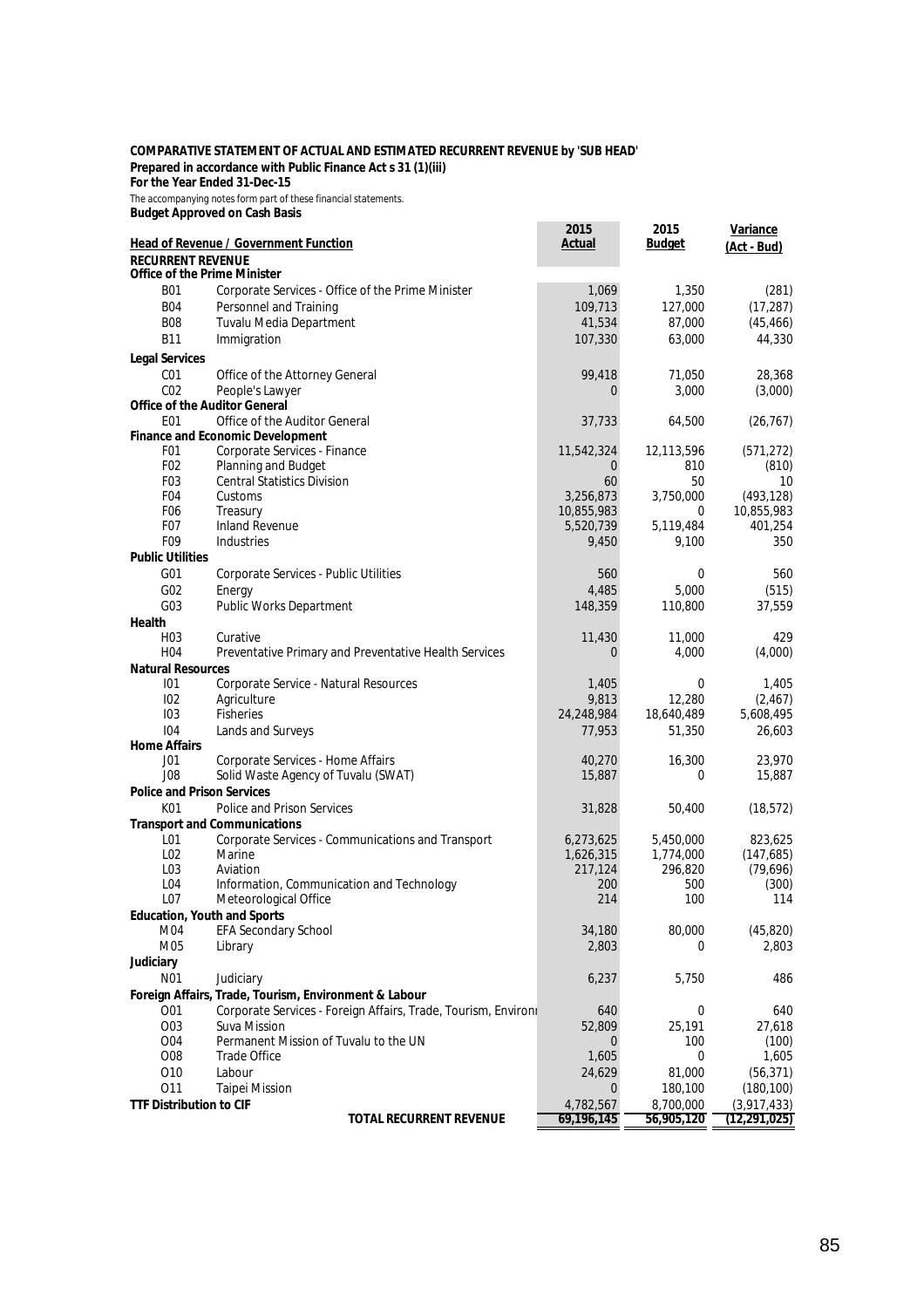#### **COMPARATIVE STATEMENT OF ACTUAL AND ESTIMATED RECURRENT REVENUE by 'SUB HEAD' Prepared in accordance with Public Finance Act s 31 (1)(iii)**

**For the Year Ended 31-Dec-15**

*The accompanying notes form part of these financial statements.* **Budget Approved on Cash Basis**

**2015 2015 Budget Office of the Prime Minister** B01 Corporate Services - Office of the Prime Minister 1,069 1,350 (281)<br>B04 Personnel and Training 109,713 127,000 (17,287) B04 Personnel and Training 109,713 127,000 (17,287)<br>B08 Tuvalu Media Department 109,713 127,000 (45.466) B08 Tuvalu Media Department 41,534 87,000 (45,466) B11 Immigration 107,330 63,000 44,330 **Legal Services** C01 Office of the Attorney General 28,368 28,368 C02 People's Lawyer 2002 People's Lawyer 2003,000 (3,000) **Office of the Auditor General** E01 Office of the Auditor General 37,733 64,500 (26,767) **Finance and Economic Development**<br>**FO1** Corporate Services - E F01 Corporate Services - Finance 11,542,324 12,113,596 (571,272)<br>F02 Planning and Budget 12,113,596 (810) F02 Planning and Budget 0 810 (810)<br>F03 Central Statistics Division 60 60 50 10 Central Statistics Division F04 Customs 3,256,873 3,750,000 (493,128) F06 Treasury 10,855,983 0 10,855,983 F07 Inland Revenue 5,520,739 5,119,484 401,254 F09 Industries 9,450 9,100 350 **Public Utilities** G01 Corporate Services - Public Utilities 560 0 560 G02 Energy 4,485 5,000 (515) G03 Public Works Department 2008 148,359 110,800 37,559 **Health**<br>H03 H03 Curative 11,430 11,000 429 H04 Preventative Primary and Preventative Health Services 0 4,000 4,000 (4,000) **Natural Resources** 101 Corporate Service - Natural Resources 1,405 0 1,405 0 1,405<br>
102 Agriculture 102 Agriculture 1,405 9,813 12,280 (2,467) I02 Agriculture 9,813 12,280 (2,467) I03 Fisheries 24,248,984 18,640,489 5,608,495 I04 Lands and Surveys 77,953 51,350 26,603 **Home Affairs** J01 Corporate Services - Home Affairs (1998) 100 16,270 16,300 23,970<br>J08 Solid Waste Agency of Tuvalu (SWAT) 1998 15,887 0 15,887 Solid Waste Agency of Tuvalu (SWAT) 15,887 0 15,887 **Police and Prison Services** K01 Police and Prison Services 60 and 2012 18,572) 31,828 50,400 (18,572) **Transport and Communications** L01 Corporate Services - Communications and Transport 6,273,625 5,450,000 823,625 L02 Marine 1,626,315 1,774,000 (147,685) L03 Aviation 217,124 296,820 (79,696) L04 Information, Communication and Technology  $200$  500 (300)<br>
L07 Meteorological Office 214 100 114 Meteorological Office **Education, Youth and Sports**<br>MO4 **EEA Seconda** M04 EFA Secondary School 34,180 80,000 (45,820)<br>M05 Library 32,803 0 2,803 M05 Library 2,803 0 2,803 **Judiciary** N01 Judiciary 6,237 5,750 486 **Foreign Affairs, Trade, Tourism, Environment & Labour** O01 Corporate Services - Foreign Affairs, Trade, Tourism, Environi 640 0 640 0 640 640<br>
O03 Suva Mission 62,809 25,191 27,618 O03 Suva Mission 52,809 25,191 27,618 O04 Permanent Mission of Tuvalu to the UN 0 100 (100)<br>
O08 Trade Office 1.605 0 1.605 O08 Trade Office 2008 1,605 0 1,605 O10 Labour 24,629 81,000 (56,371) O11 Taipei Mission 0 180,100 (180,100) **TTF Distribution to CIF**<br>**TOTAL RECURRENT REVENUE**  $\begin{array}{|c|c|c|c|c|}\n\hline\n & 4,782,567 & 8,700,000 & (3,917,433) \\
\hline\n & 69,196,145 & 56,905,120 & (12,291,025)\n\end{array}$ **TOTAL RECURRENT REVENUE 69,196,145 56,905,120 (12,291,025) Variance Head of Revenue / Government Function Constant Constant Constant Constant Constant Constant Constant Constant Constant Constant Constant Constant Constant Constant Constant Constant Constant Constant Constant Constant C RECURRENT REVENUE**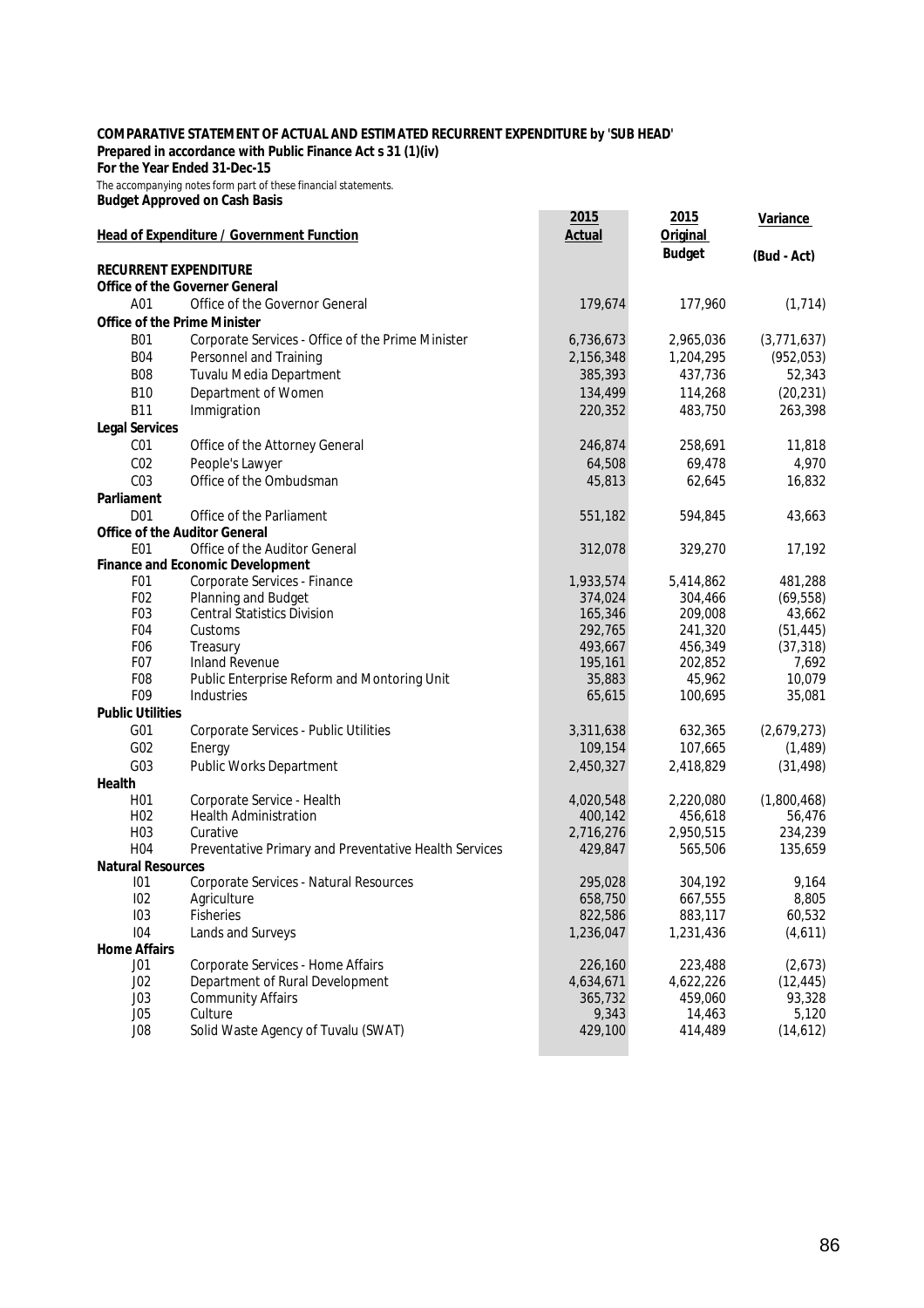#### **COMPARATIVE STATEMENT OF ACTUAL AND ESTIMATED RECURRENT EXPENDITURE by 'SUB HEAD' Prepared in accordance with Public Finance Act s 31 (1)(iv)**

**For the Year Ended 31-Dec-15**

The accompanying notes form part of these financial statements.

**Budget Approved on Cash Basis**

|                          | <b>Head of Expenditure / Government Function</b>      | 2015<br><b>Actual</b> | 2015<br><b>Original</b> | <b>Variance</b>     |
|--------------------------|-------------------------------------------------------|-----------------------|-------------------------|---------------------|
|                          | <b>RECURRENT EXPENDITURE</b>                          |                       | <b>Budget</b>           | (Bud - Act)         |
|                          | <b>Office of the Governer General</b>                 |                       |                         |                     |
| A01                      | Office of the Governor General                        | 179,674               | 177,960                 | (1, 714)            |
|                          | <b>Office of the Prime Minister</b>                   |                       |                         |                     |
| <b>B01</b>               | Corporate Services - Office of the Prime Minister     | 6,736,673             | 2,965,036               | (3,771,637)         |
| <b>B04</b>               | Personnel and Training                                | 2,156,348             | 1,204,295               | (952, 053)          |
| <b>B08</b>               | Tuvalu Media Department                               | 385,393               | 437,736                 | 52,343              |
| <b>B10</b>               | Department of Women                                   | 134,499               | 114,268                 | (20, 231)           |
| <b>B11</b>               | Immigration                                           | 220,352               | 483,750                 | 263,398             |
|                          |                                                       |                       |                         |                     |
| <b>Legal Services</b>    |                                                       |                       |                         |                     |
| CO <sub>1</sub>          | Office of the Attorney General                        | 246,874               | 258,691                 | 11,818              |
| CO <sub>2</sub>          | People's Lawyer                                       | 64,508                | 69,478                  | 4,970               |
| CO <sub>3</sub>          | Office of the Ombudsman                               | 45,813                | 62,645                  | 16,832              |
| <b>Parliament</b>        |                                                       |                       |                         |                     |
| D <sub>01</sub>          | Office of the Parliament                              | 551,182               | 594,845                 | 43,663              |
|                          | <b>Office of the Auditor General</b>                  |                       |                         |                     |
| E01                      | Office of the Auditor General                         | 312,078               | 329,270                 | 17,192              |
|                          | <b>Finance and Economic Development</b>               |                       |                         |                     |
| F <sub>0</sub> 1<br>F02  | Corporate Services - Finance<br>Planning and Budget   | 1,933,574             | 5,414,862               | 481,288             |
| F03                      | <b>Central Statistics Division</b>                    | 374,024<br>165,346    | 304,466<br>209,008      | (69, 558)<br>43,662 |
| F <sub>04</sub>          | Customs                                               | 292,765               | 241,320                 | (51, 445)           |
| F <sub>06</sub>          | Treasury                                              | 493,667               | 456,349                 | (37, 318)           |
| F <sub>0</sub> 7         | <b>Inland Revenue</b>                                 | 195,161               | 202,852                 | 7,692               |
| F08                      | Public Enterprise Reform and Montoring Unit           | 35,883                | 45,962                  | 10,079              |
| F09                      | Industries                                            | 65,615                | 100,695                 | 35,081              |
| <b>Public Utilities</b>  |                                                       |                       |                         |                     |
| G01                      | Corporate Services - Public Utilities                 | 3,311,638             | 632,365                 | (2,679,273)         |
| G <sub>02</sub>          | Energy                                                | 109,154               | 107,665                 | (1, 489)            |
| G <sub>03</sub>          | Public Works Department                               | 2,450,327             | 2,418,829               | (31, 498)           |
| Health                   |                                                       |                       |                         |                     |
| H <sub>0</sub> 1         | Corporate Service - Health                            | 4,020,548             | 2,220,080               | (1,800,468)         |
| H <sub>02</sub>          | <b>Health Administration</b>                          | 400,142               | 456,618                 | 56,476              |
| H <sub>0</sub> 3         | Curative                                              | 2,716,276             | 2,950,515               | 234,239             |
| H <sub>04</sub>          | Preventative Primary and Preventative Health Services | 429,847               | 565,506                 | 135,659             |
| <b>Natural Resources</b> |                                                       |                       |                         |                     |
| 101                      | Corporate Services - Natural Resources                | 295,028               | 304,192                 | 9,164               |
| 102                      | Agriculture                                           | 658,750               | 667,555                 | 8,805               |
| 103                      | <b>Fisheries</b>                                      | 822,586               | 883,117                 | 60,532              |
| 104                      | Lands and Surveys                                     | 1,236,047             | 1,231,436               | (4,611)             |
| <b>Home Affairs</b>      |                                                       |                       |                         |                     |
| J <sub>01</sub>          | Corporate Services - Home Affairs                     | 226,160               | 223,488                 | (2,673)             |
| J <sub>02</sub>          | Department of Rural Development                       | 4,634,671             | 4,622,226               | (12, 445)           |
| J03                      | <b>Community Affairs</b>                              | 365,732               | 459,060                 | 93,328              |
| J05                      | Culture                                               | 9,343                 | 14,463                  | 5,120               |
| J08                      | Solid Waste Agency of Tuvalu (SWAT)                   | 429,100               | 414,489                 | (14, 612)           |
|                          |                                                       |                       |                         |                     |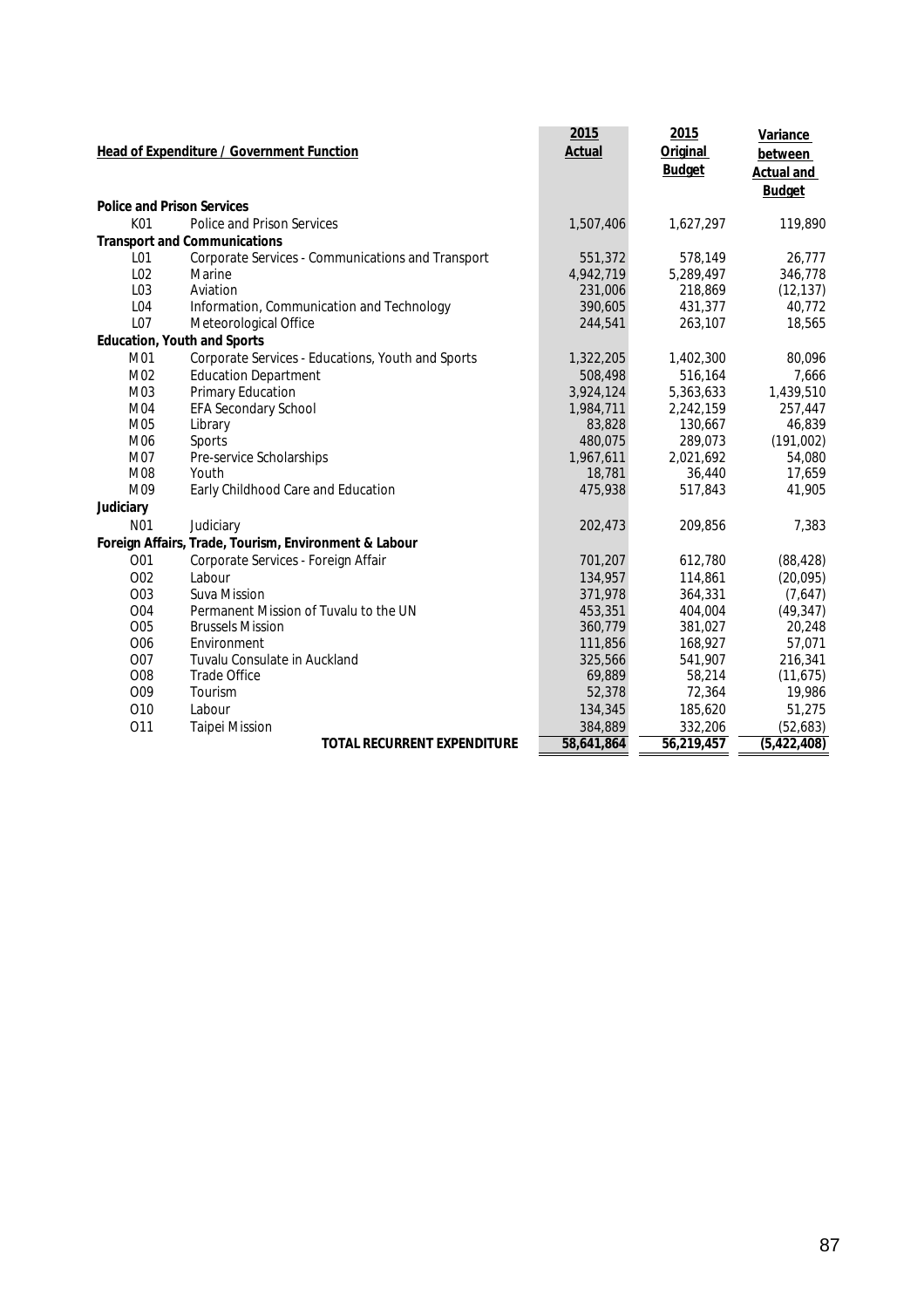|                 | <b>Head of Expenditure / Government Function</b>      | 2015<br><b>Actual</b> | 2015<br><b>Original</b><br><b>Budget</b> | <b>Variance</b><br>between<br><b>Actual and</b> |
|-----------------|-------------------------------------------------------|-----------------------|------------------------------------------|-------------------------------------------------|
|                 |                                                       |                       |                                          | <b>Budget</b>                                   |
|                 | <b>Police and Prison Services</b>                     |                       |                                          |                                                 |
| K01             | Police and Prison Services                            | 1,507,406             | 1,627,297                                | 119,890                                         |
|                 | <b>Transport and Communications</b>                   |                       |                                          |                                                 |
| L <sub>01</sub> | Corporate Services - Communications and Transport     | 551,372               | 578,149                                  | 26,777                                          |
| L02             | Marine                                                | 4,942,719             | 5,289,497                                | 346,778                                         |
| L03             | Aviation                                              | 231,006               | 218,869                                  | (12, 137)                                       |
| L04             | Information, Communication and Technology             | 390,605               | 431,377                                  | 40,772                                          |
| L07             | Meteorological Office                                 | 244,541               | 263,107                                  | 18,565                                          |
|                 | <b>Education, Youth and Sports</b>                    |                       |                                          |                                                 |
| M01             | Corporate Services - Educations, Youth and Sports     | 1,322,205             | 1,402,300                                | 80,096                                          |
| M02             | <b>Education Department</b>                           | 508,498               | 516,164                                  | 7,666                                           |
| M03             | Primary Education                                     | 3,924,124             | 5,363,633                                | 1,439,510                                       |
| M04             | EFA Secondary School                                  | 1,984,711             | 2,242,159                                | 257,447                                         |
| M05             | Library                                               | 83,828                | 130,667                                  | 46,839                                          |
| M06             | Sports                                                | 480,075               | 289,073                                  | (191,002)                                       |
| M07             | Pre-service Scholarships                              | 1,967,611             | 2,021,692                                | 54,080                                          |
| M08             | Youth                                                 | 18,781                | 36,440                                   | 17,659                                          |
| M09             | Early Childhood Care and Education                    | 475,938               | 517,843                                  | 41,905                                          |
| Judiciary       |                                                       |                       |                                          |                                                 |
| N <sub>01</sub> | Judiciary                                             | 202,473               | 209,856                                  | 7,383                                           |
|                 | Foreign Affairs, Trade, Tourism, Environment & Labour |                       |                                          |                                                 |
| 001             | Corporate Services - Foreign Affair                   | 701,207               | 612,780                                  | (88, 428)                                       |
| <b>O02</b>      | Labour                                                | 134,957               | 114,861                                  | (20, 095)                                       |
| O03             | <b>Suva Mission</b>                                   | 371,978               | 364,331                                  | (7,647)                                         |
| <b>O04</b>      | Permanent Mission of Tuvalu to the UN                 | 453,351               | 404,004                                  | (49, 347)                                       |
| <b>O05</b>      | <b>Brussels Mission</b>                               | 360,779               | 381,027                                  | 20,248                                          |
| O06             | Environment                                           | 111,856               | 168,927                                  | 57,071                                          |
| <b>O07</b>      | Tuvalu Consulate in Auckland                          | 325,566               | 541,907                                  | 216,341                                         |
| O08             | <b>Trade Office</b>                                   | 69,889                | 58,214                                   | (11, 675)                                       |
| O09             | Tourism                                               | 52,378                | 72,364                                   | 19,986                                          |
| 010             | Labour                                                | 134,345               | 185,620                                  | 51,275                                          |
| 011             | <b>Taipei Mission</b>                                 | 384,889               | 332,206                                  | (52,683)                                        |
|                 | <b>TOTAL RECURRENT EXPENDITURE</b>                    | 58,641,864            | 56,219,457                               | (5,422,408)                                     |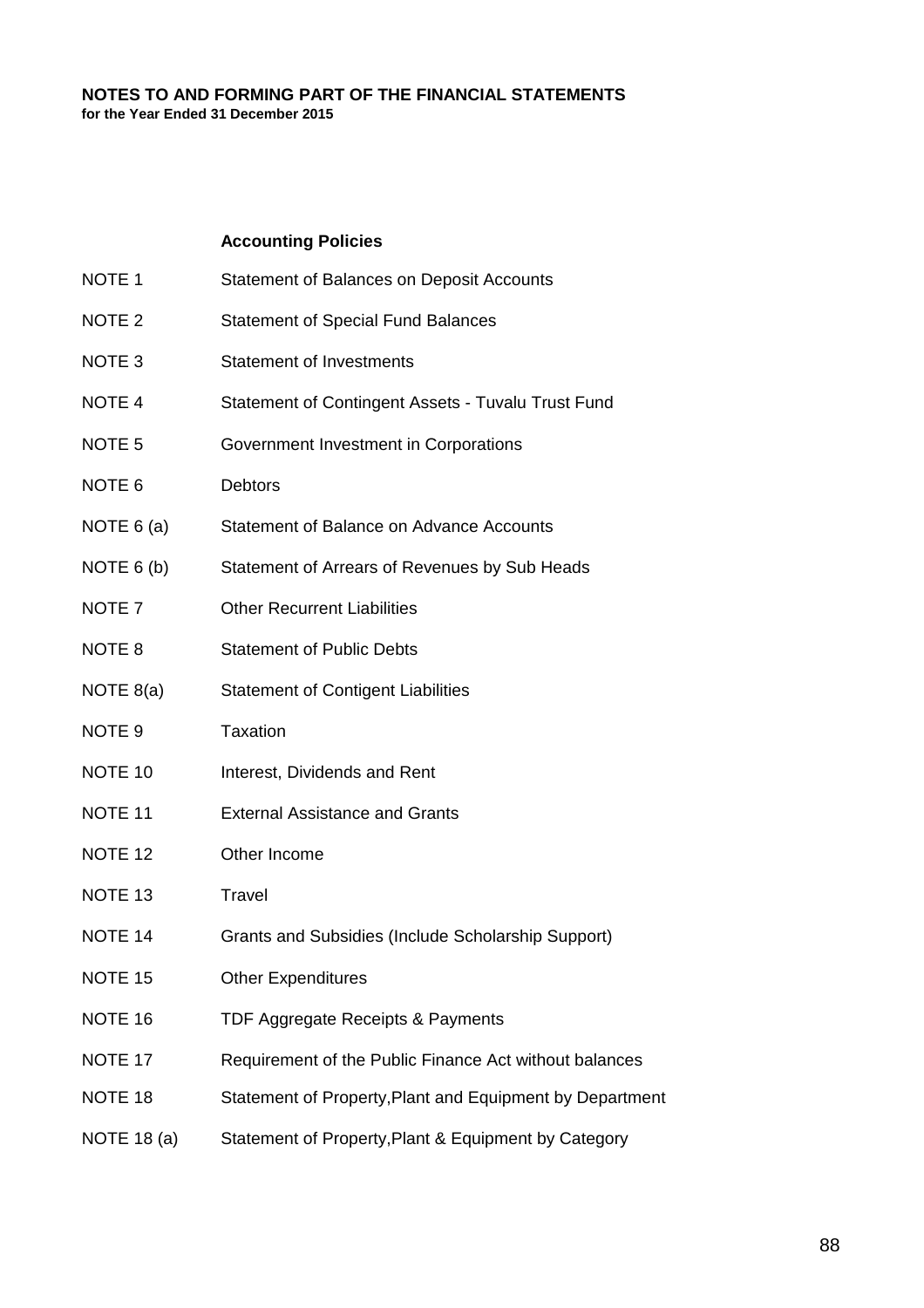#### **Accounting Policies**

- NOTE 1 Statement of Balances on Deposit Accounts
- NOTE 2 Statement of Special Fund Balances
- NOTE 3 Statement of Investments
- NOTE 4 Statement of Contingent Assets Tuvalu Trust Fund
- NOTE 5 Government Investment in Corporations
- NOTE 6 Debtors
- NOTE 6 (a) Statement of Balance on Advance Accounts
- NOTE 6 (b) Statement of Arrears of Revenues by Sub Heads
- NOTE 7 Other Recurrent Liabilities
- NOTE 8 Statement of Public Debts
- NOTE 8(a) Statement of Contigent Liabilities
- NOTE 9 Taxation
- NOTE 10 Interest, Dividends and Rent
- NOTE 11 External Assistance and Grants
- NOTE 12 Other Income
- NOTE 13 Travel
- NOTE 14 Grants and Subsidies (Include Scholarship Support)
- NOTE 15 Other Expenditures
- NOTE 16 TDF Aggregate Receipts & Payments
- NOTE 17 Requirement of the Public Finance Act without balances
- NOTE 18 Statement of Property, Plant and Equipment by Department
- NOTE 18 (a) Statement of Property, Plant & Equipment by Category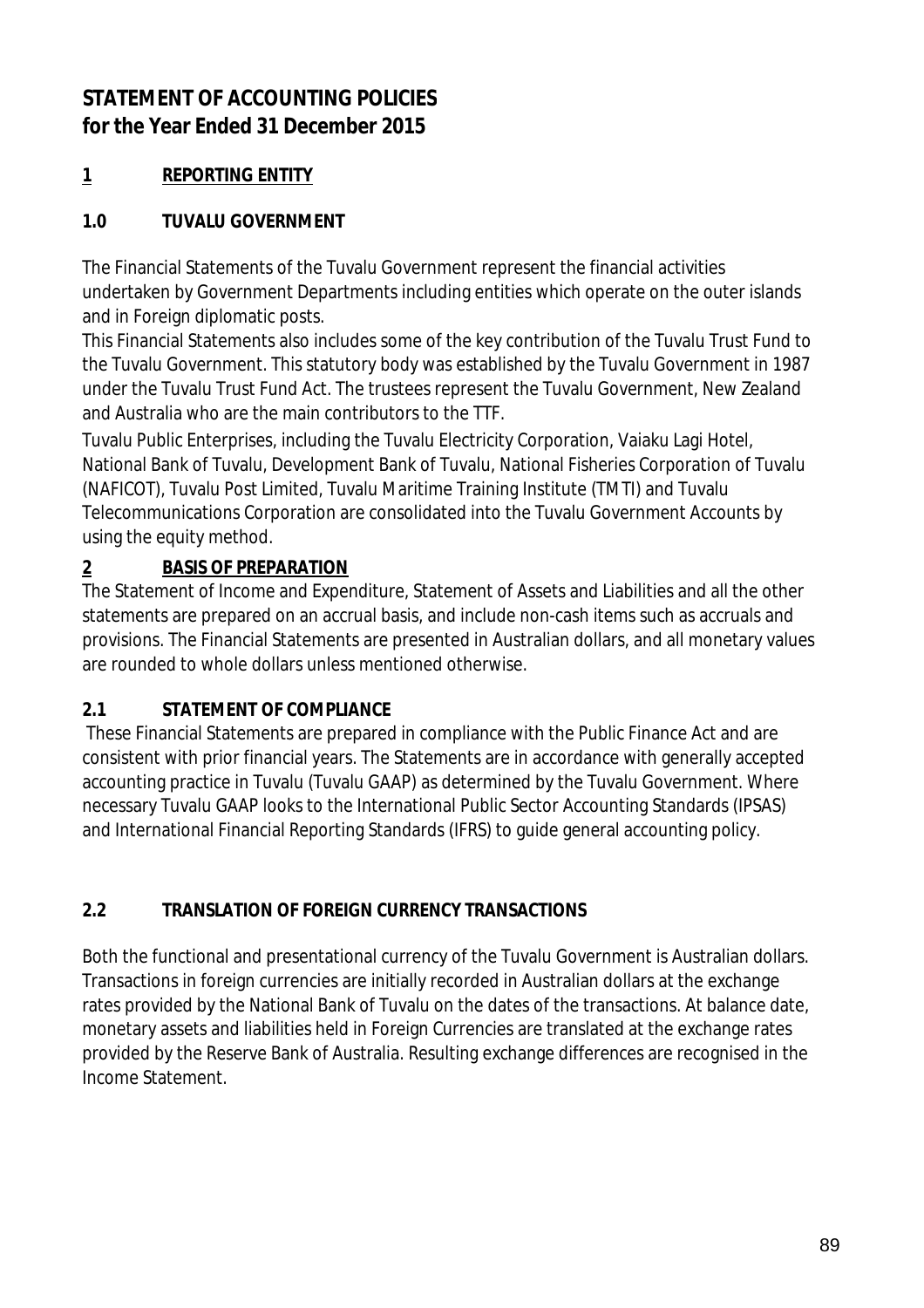# **STATEMENT OF ACCOUNTING POLICIES for the Year Ended 31 December 2015**

# **1 REPORTING ENTITY**

## **1.0 TUVALU GOVERNMENT**

The Financial Statements of the Tuvalu Government represent the financial activities undertaken by Government Departments including entities which operate on the outer islands and in Foreign diplomatic posts.

This Financial Statements also includes some of the key contribution of the Tuvalu Trust Fund to the Tuvalu Government. This statutory body was established by the Tuvalu Government in 1987 under the Tuvalu Trust Fund Act. The trustees represent the Tuvalu Government, New Zealand and Australia who are the main contributors to the TTF.

Tuvalu Public Enterprises, including the Tuvalu Electricity Corporation, Vaiaku Lagi Hotel, National Bank of Tuvalu, Development Bank of Tuvalu, National Fisheries Corporation of Tuvalu (NAFICOT), Tuvalu Post Limited, Tuvalu Maritime Training Institute (TMTI) and Tuvalu Telecommunications Corporation are consolidated into the Tuvalu Government Accounts by using the equity method.

# **2 BASIS OF PREPARATION**

The Statement of Income and Expenditure, Statement of Assets and Liabilities and all the other statements are prepared on an accrual basis, and include non-cash items such as accruals and provisions. The Financial Statements are presented in Australian dollars, and all monetary values are rounded to whole dollars unless mentioned otherwise.

## **2.1 STATEMENT OF COMPLIANCE**

 These Financial Statements are prepared in compliance with the Public Finance Act and are consistent with prior financial years. The Statements are in accordance with generally accepted accounting practice in Tuvalu (Tuvalu GAAP) as determined by the Tuvalu Government. Where necessary Tuvalu GAAP looks to the International Public Sector Accounting Standards (IPSAS) and International Financial Reporting Standards (IFRS) to guide general accounting policy.

## **2.2 TRANSLATION OF FOREIGN CURRENCY TRANSACTIONS**

Both the functional and presentational currency of the Tuvalu Government is Australian dollars. Transactions in foreign currencies are initially recorded in Australian dollars at the exchange rates provided by the National Bank of Tuvalu on the dates of the transactions. At balance date, monetary assets and liabilities held in Foreign Currencies are translated at the exchange rates provided by the Reserve Bank of Australia. Resulting exchange differences are recognised in the Income Statement.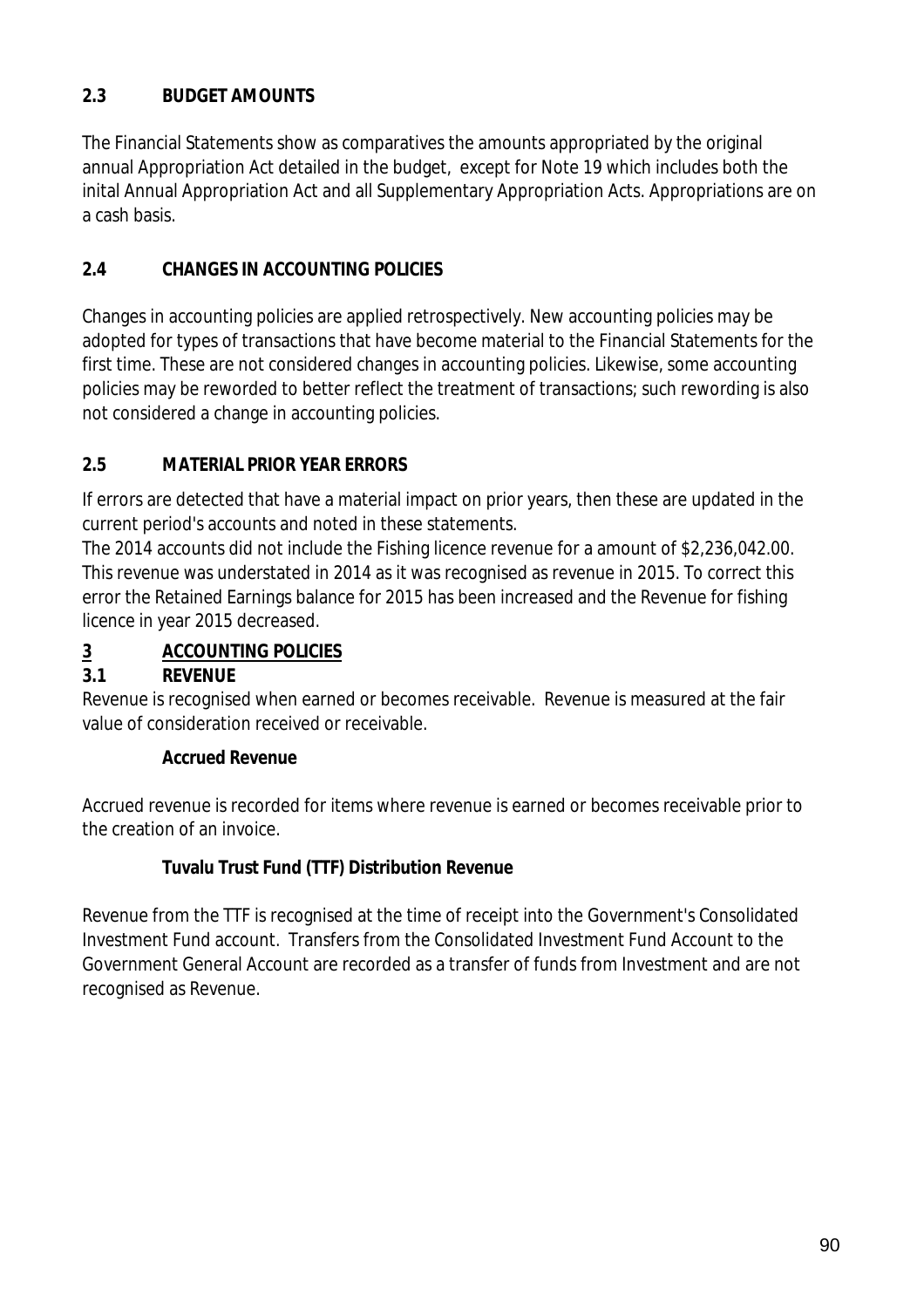### **2.3 BUDGET AMOUNTS**

The Financial Statements show as comparatives the amounts appropriated by the original annual Appropriation Act detailed in the budget, except for Note 19 which includes both the inital Annual Appropriation Act and all Supplementary Appropriation Acts. Appropriations are on a cash basis.

### **2.4 CHANGES IN ACCOUNTING POLICIES**

Changes in accounting policies are applied retrospectively. New accounting policies may be adopted for types of transactions that have become material to the Financial Statements for the first time. These are not considered changes in accounting policies. Likewise, some accounting policies may be reworded to better reflect the treatment of transactions; such rewording is also not considered a change in accounting policies.

### **2.5 MATERIAL PRIOR YEAR ERRORS**

If errors are detected that have a material impact on prior years, then these are updated in the current period's accounts and noted in these statements.

The 2014 accounts did not include the Fishing licence revenue for a amount of \$2,236,042.00. This revenue was understated in 2014 as it was recognised as revenue in 2015. To correct this error the Retained Earnings balance for 2015 has been increased and the Revenue for fishing licence in year 2015 decreased.

### **3 ACCOUNTING POLICIES**

### **3.1 REVENUE**

Revenue is recognised when earned or becomes receivable. Revenue is measured at the fair value of consideration received or receivable.

### **Accrued Revenue**

Accrued revenue is recorded for items where revenue is earned or becomes receivable prior to the creation of an invoice.

### **Tuvalu Trust Fund (TTF) Distribution Revenue**

Revenue from the TTF is recognised at the time of receipt into the Government's Consolidated Investment Fund account. Transfers from the Consolidated Investment Fund Account to the Government General Account are recorded as a transfer of funds from Investment and are not recognised as Revenue.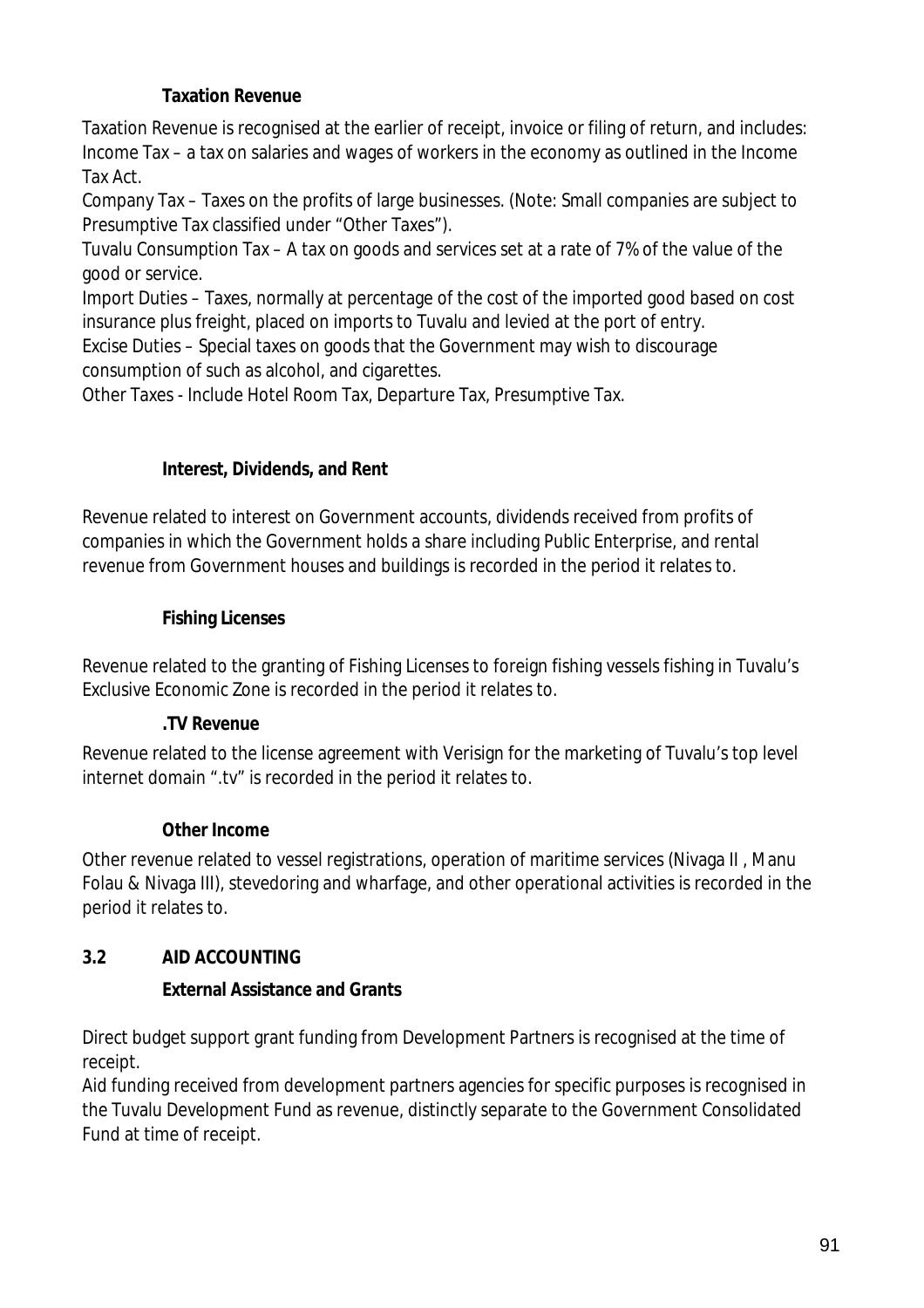### **Taxation Revenue**

Taxation Revenue is recognised at the earlier of receipt, invoice or filing of return, and includes: Income Tax – a tax on salaries and wages of workers in the economy as outlined in the Income Tax Act.

Company Tax – Taxes on the profits of large businesses. (Note: Small companies are subject to Presumptive Tax classified under "Other Taxes").

Tuvalu Consumption Tax – A tax on goods and services set at a rate of 7% of the value of the good or service.

Import Duties – Taxes, normally at percentage of the cost of the imported good based on cost insurance plus freight, placed on imports to Tuvalu and levied at the port of entry.

Excise Duties – Special taxes on goods that the Government may wish to discourage consumption of such as alcohol, and cigarettes.

Other Taxes - Include Hotel Room Tax, Departure Tax, Presumptive Tax.

### **Interest, Dividends, and Rent**

Revenue related to interest on Government accounts, dividends received from profits of companies in which the Government holds a share including Public Enterprise, and rental revenue from Government houses and buildings is recorded in the period it relates to.

### **Fishing Licenses**

Revenue related to the granting of Fishing Licenses to foreign fishing vessels fishing in Tuvalu's Exclusive Economic Zone is recorded in the period it relates to.

### **.TV Revenue**

Revenue related to the license agreement with Verisign for the marketing of Tuvalu's top level internet domain ".tv" is recorded in the period it relates to.

### **Other Income**

Other revenue related to vessel registrations, operation of maritime services (Nivaga II , Manu Folau & Nivaga III), stevedoring and wharfage, and other operational activities is recorded in the period it relates to.

### **3.2 AID ACCOUNTING**

### **External Assistance and Grants**

Direct budget support grant funding from Development Partners is recognised at the time of receipt.

Aid funding received from development partners agencies for specific purposes is recognised in the Tuvalu Development Fund as revenue, distinctly separate to the Government Consolidated Fund at time of receipt.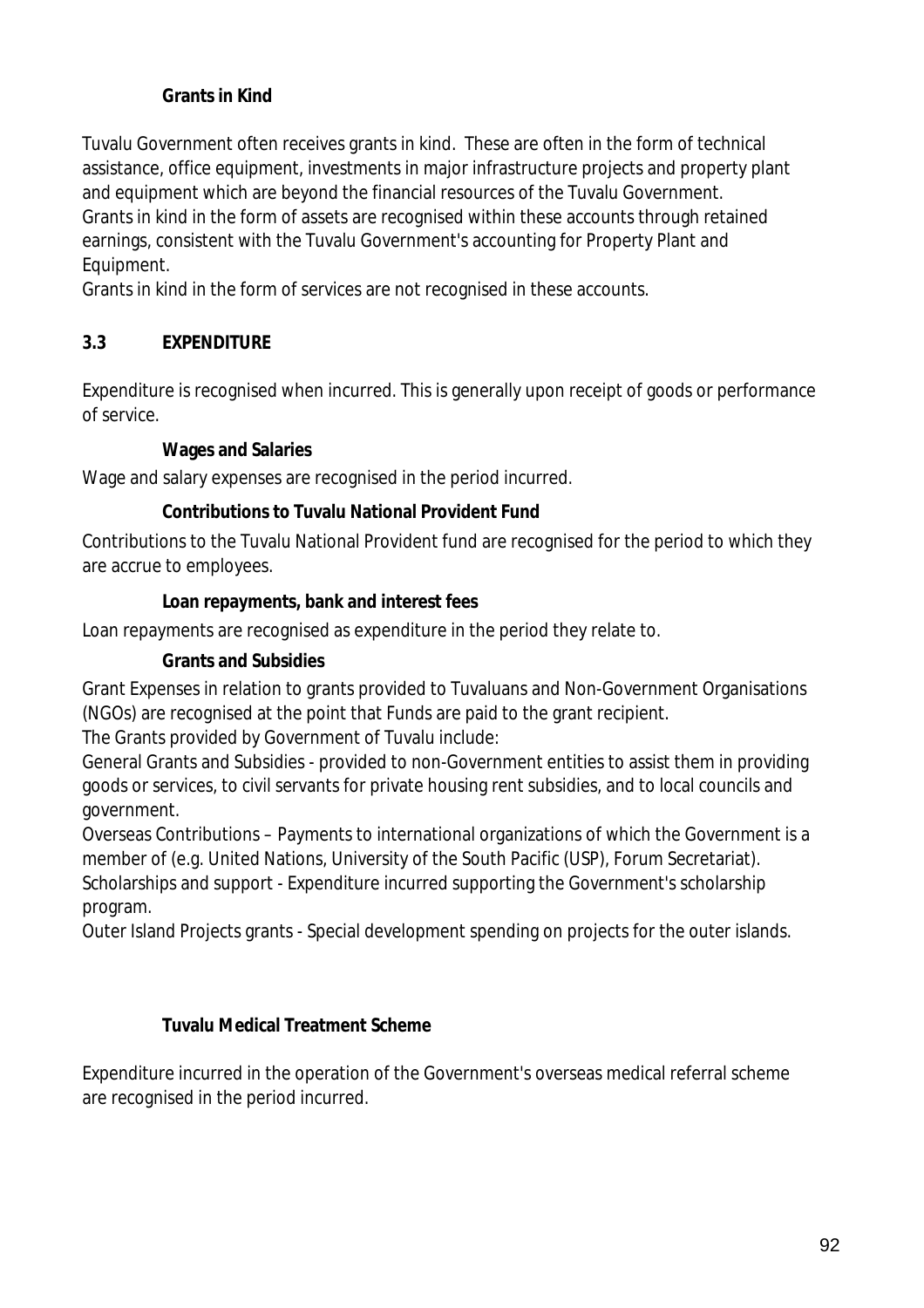### **Grants in Kind**

Tuvalu Government often receives grants in kind. These are often in the form of technical assistance, office equipment, investments in major infrastructure projects and property plant and equipment which are beyond the financial resources of the Tuvalu Government. Grants in kind in the form of assets are recognised within these accounts through retained earnings, consistent with the Tuvalu Government's accounting for Property Plant and Equipment.

Grants in kind in the form of services are not recognised in these accounts.

### **3.3 EXPENDITURE**

Expenditure is recognised when incurred. This is generally upon receipt of goods or performance of service.

### **Wages and Salaries**

Wage and salary expenses are recognised in the period incurred.

### **Contributions to Tuvalu National Provident Fund**

Contributions to the Tuvalu National Provident fund are recognised for the period to which they are accrue to employees.

#### **Loan repayments, bank and interest fees**

Loan repayments are recognised as expenditure in the period they relate to.

### **Grants and Subsidies**

Grant Expenses in relation to grants provided to Tuvaluans and Non-Government Organisations (NGOs) are recognised at the point that Funds are paid to the grant recipient.

The Grants provided by Government of Tuvalu include:

General Grants and Subsidies - provided to non-Government entities to assist them in providing goods or services, to civil servants for private housing rent subsidies, and to local councils and government.

Overseas Contributions – Payments to international organizations of which the Government is a member of (e.g. United Nations, University of the South Pacific (USP), Forum Secretariat). Scholarships and support - Expenditure incurred supporting the Government's scholarship program.

Outer Island Projects grants - Special development spending on projects for the outer islands.

### **Tuvalu Medical Treatment Scheme**

Expenditure incurred in the operation of the Government's overseas medical referral scheme are recognised in the period incurred.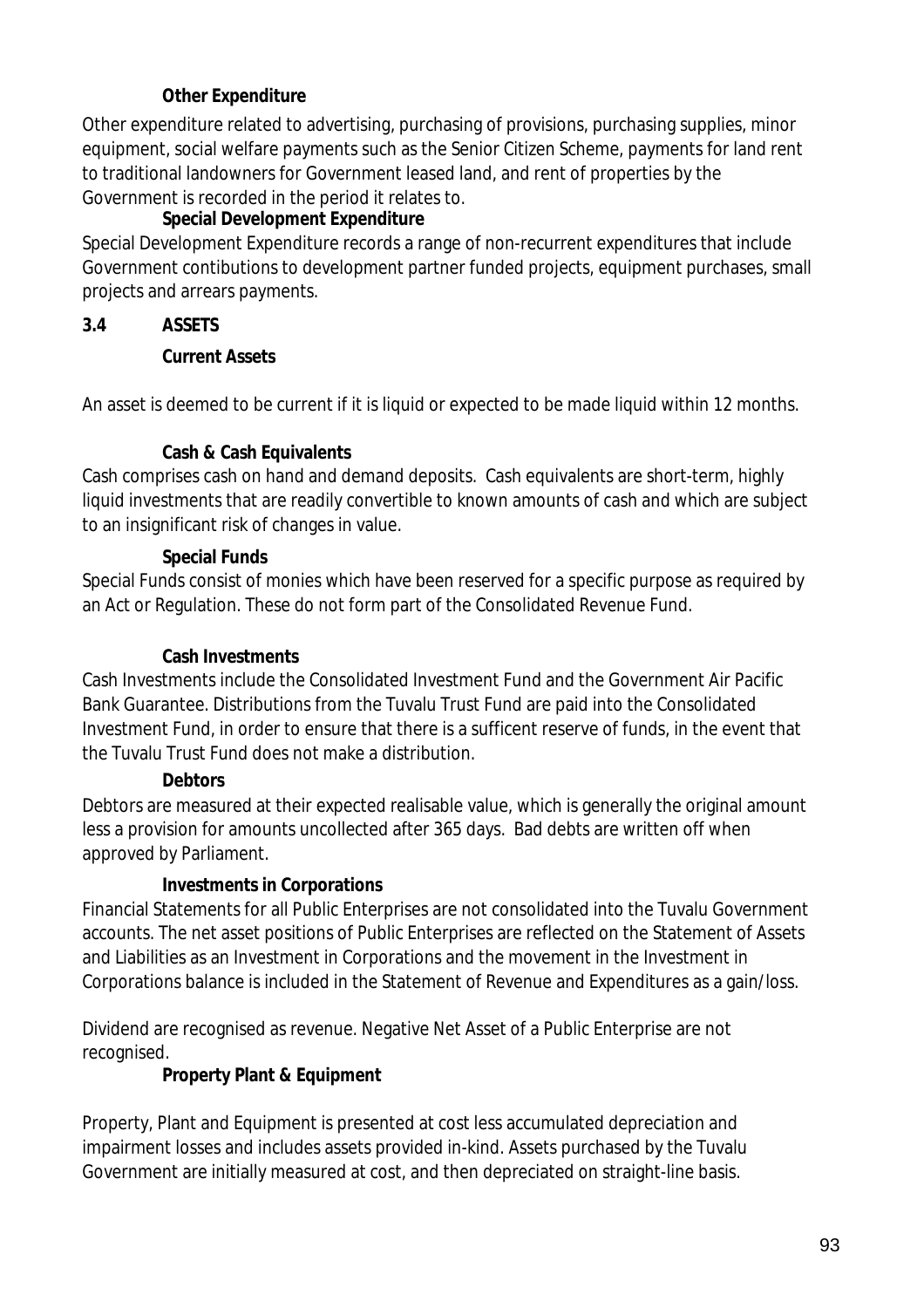### **Other Expenditure**

Other expenditure related to advertising, purchasing of provisions, purchasing supplies, minor equipment, social welfare payments such as the Senior Citizen Scheme, payments for land rent to traditional landowners for Government leased land, and rent of properties by the Government is recorded in the period it relates to.

### **Special Development Expenditure**

Special Development Expenditure records a range of non-recurrent expenditures that include Government contibutions to development partner funded projects, equipment purchases, small projects and arrears payments.

### **3.4 ASSETS**

### **Current Assets**

An asset is deemed to be current if it is liquid or expected to be made liquid within 12 months.

### **Cash & Cash Equivalents**

Cash comprises cash on hand and demand deposits. Cash equivalents are short-term, highly liquid investments that are readily convertible to known amounts of cash and which are subject to an insignificant risk of changes in value.

### **Special Funds**

Special Funds consist of monies which have been reserved for a specific purpose as required by an Act or Regulation. These do not form part of the Consolidated Revenue Fund.

#### **Cash Investments**

Cash Investments include the Consolidated Investment Fund and the Government Air Pacific Bank Guarantee. Distributions from the Tuvalu Trust Fund are paid into the Consolidated Investment Fund, in order to ensure that there is a sufficent reserve of funds, in the event that the Tuvalu Trust Fund does not make a distribution.

### **Debtors**

Debtors are measured at their expected realisable value, which is generally the original amount less a provision for amounts uncollected after 365 days. Bad debts are written off when approved by Parliament.

### **Investments in Corporations**

Financial Statements for all Public Enterprises are not consolidated into the Tuvalu Government accounts. The net asset positions of Public Enterprises are reflected on the Statement of Assets and Liabilities as an Investment in Corporations and the movement in the Investment in Corporations balance is included in the Statement of Revenue and Expenditures as a gain/loss.

Dividend are recognised as revenue. Negative Net Asset of a Public Enterprise are not recognised.

### **Property Plant & Equipment**

Property, Plant and Equipment is presented at cost less accumulated depreciation and impairment losses and includes assets provided in-kind. Assets purchased by the Tuvalu Government are initially measured at cost, and then depreciated on straight-line basis.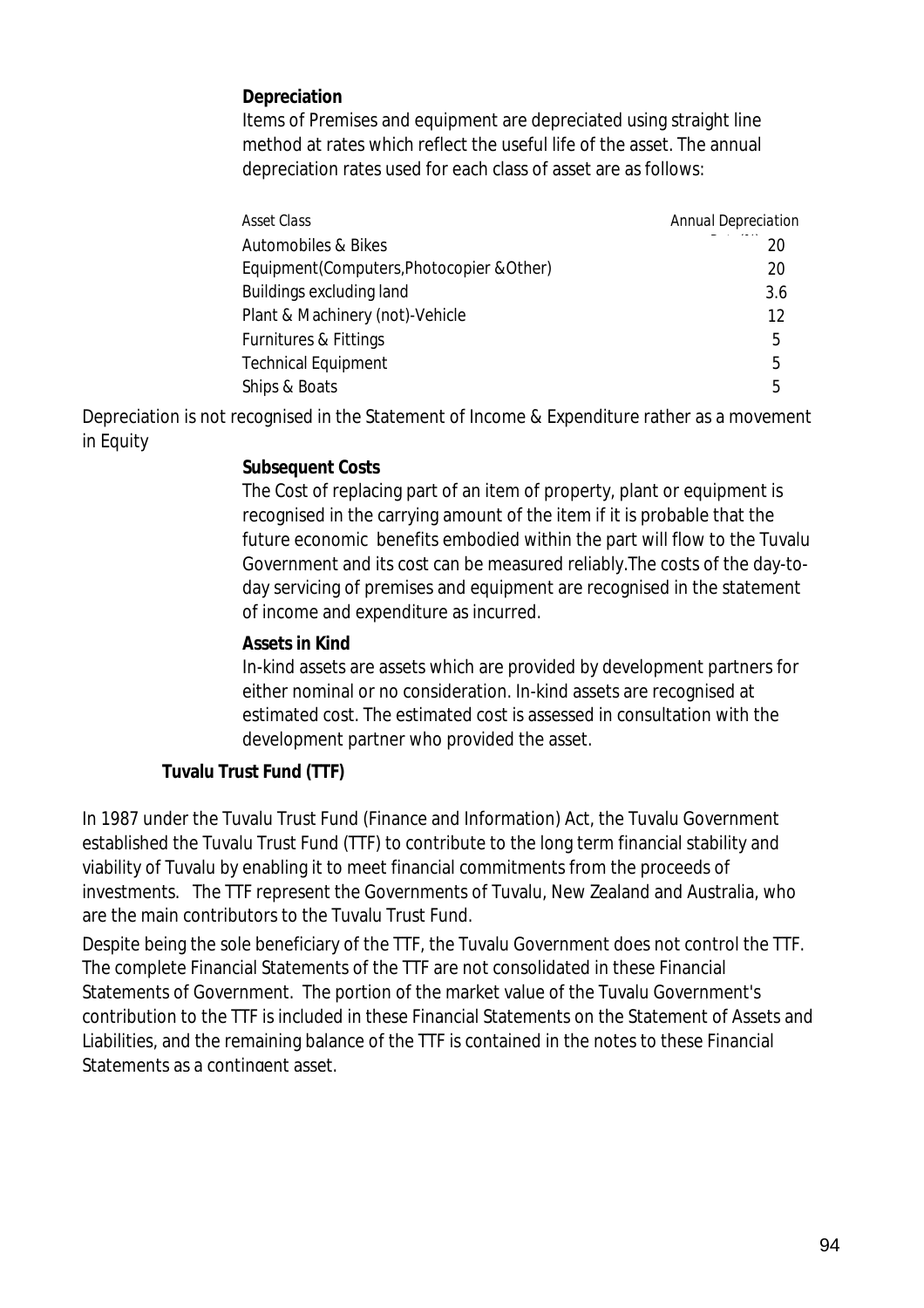### **Depreciation**

Items of Premises and equipment are depreciated using straight line method at rates which reflect the useful life of the asset. The annual depreciation rates used for each class of asset are as follows:

| Asset Class                               | <b>Annual Depreciation</b> |
|-------------------------------------------|----------------------------|
| Automobiles & Bikes                       | 20                         |
| Equipment(Computers, Photocopier & Other) | 20                         |
| Buildings excluding land                  | 3.6                        |
| Plant & Machinery (not)-Vehicle           | 12                         |
| Furnitures & Fittings                     | 5                          |
| <b>Technical Equipment</b>                | 5                          |
| Ships & Boats                             | 5                          |

Depreciation is not recognised in the Statement of Income & Expenditure rather as a movement in Equity

#### **Subsequent Costs**

The Cost of replacing part of an item of property, plant or equipment is recognised in the carrying amount of the item if it is probable that the future economic benefits embodied within the part will flow to the Tuvalu Government and its cost can be measured reliably.The costs of the day-today servicing of premises and equipment are recognised in the statement of income and expenditure as incurred.

#### **Assets in Kind**

In-kind assets are assets which are provided by development partners for either nominal or no consideration. In-kind assets are recognised at estimated cost. The estimated cost is assessed in consultation with the development partner who provided the asset.

### **Tuvalu Trust Fund (TTF)**

In 1987 under the Tuvalu Trust Fund (Finance and Information) Act, the Tuvalu Government established the Tuvalu Trust Fund (TTF) to contribute to the long term financial stability and viability of Tuvalu by enabling it to meet financial commitments from the proceeds of investments. The TTF represent the Governments of Tuvalu, New Zealand and Australia, who are the main contributors to the Tuvalu Trust Fund.

Despite being the sole beneficiary of the TTF, the Tuvalu Government does not control the TTF. The complete Financial Statements of the TTF are not consolidated in these Financial Statements of Government. The portion of the market value of the Tuvalu Government's contribution to the TTF is included in these Financial Statements on the Statement of Assets and Liabilities, and the remaining balance of the TTF is contained in the notes to these Financial Statements as a contingent asset.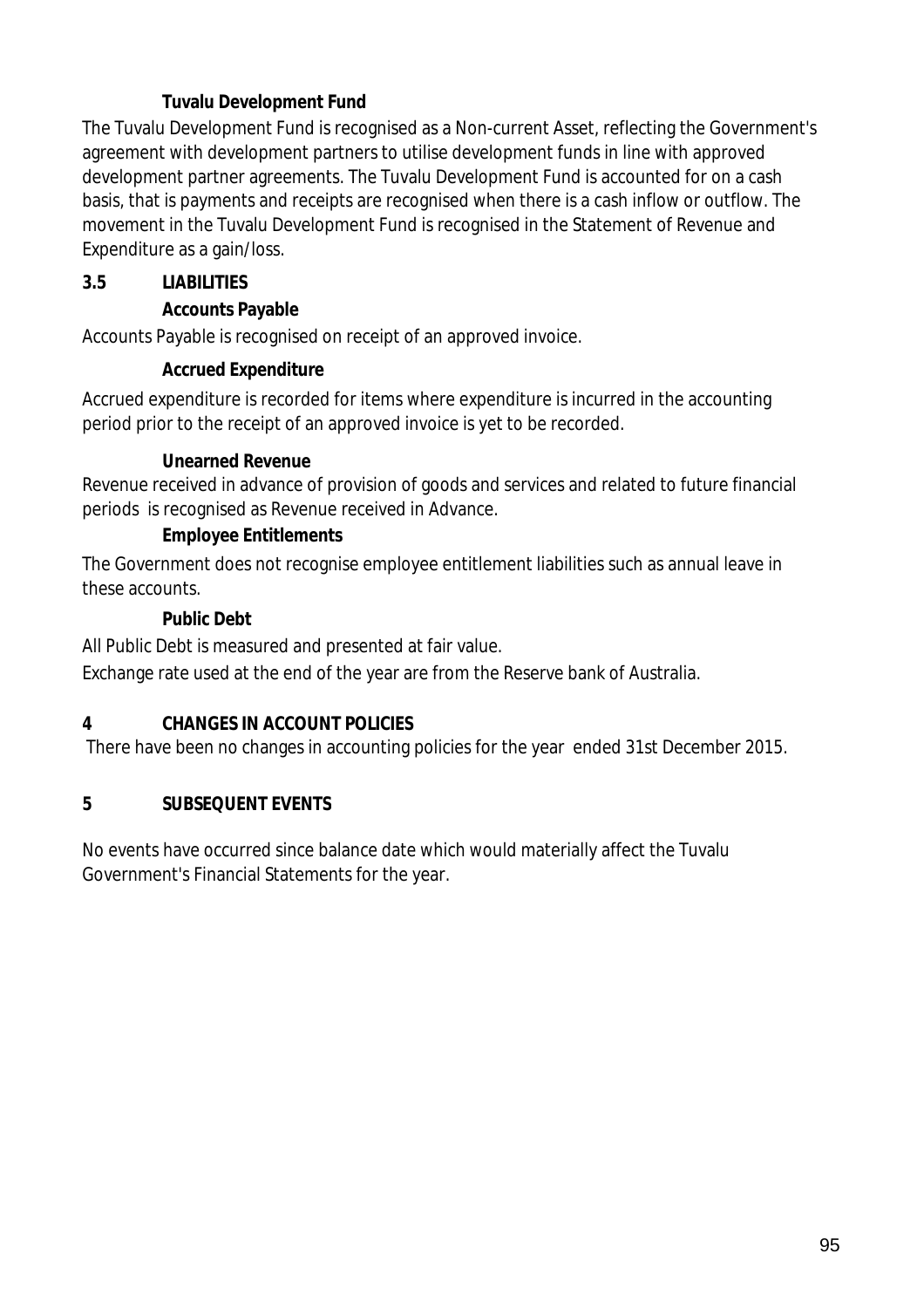### **Tuvalu Development Fund**

The Tuvalu Development Fund is recognised as a Non-current Asset, reflecting the Government's agreement with development partners to utilise development funds in line with approved development partner agreements. The Tuvalu Development Fund is accounted for on a cash basis, that is payments and receipts are recognised when there is a cash inflow or outflow. The movement in the Tuvalu Development Fund is recognised in the Statement of Revenue and Expenditure as a gain/loss.

### **3.5 LIABILITIES**

### **Accounts Payable**

Accounts Payable is recognised on receipt of an approved invoice.

### **Accrued Expenditure**

Accrued expenditure is recorded for items where expenditure is incurred in the accounting period prior to the receipt of an approved invoice is yet to be recorded.

### **Unearned Revenue**

Revenue received in advance of provision of goods and services and related to future financial periods is recognised as Revenue received in Advance.

## **Employee Entitlements**

The Government does not recognise employee entitlement liabilities such as annual leave in these accounts.

### **Public Debt**

All Public Debt is measured and presented at fair value.

Exchange rate used at the end of the year are from the Reserve bank of Australia.

## **4 CHANGES IN ACCOUNT POLICIES**

There have been no changes in accounting policies for the year ended 31st December 2015.

## **5 SUBSEQUENT EVENTS**

No events have occurred since balance date which would materially affect the Tuvalu Government's Financial Statements for the year.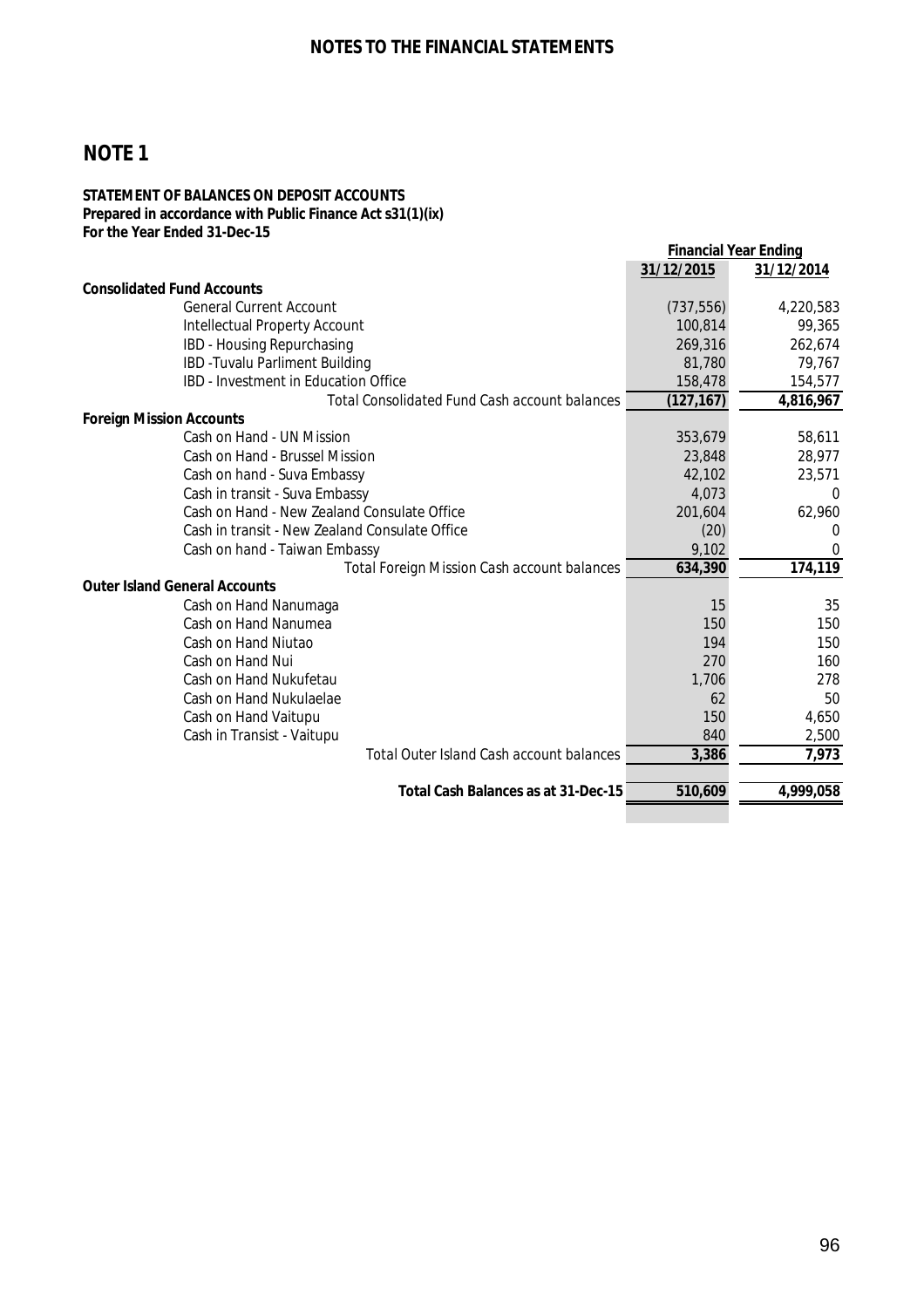#### **STATEMENT OF BALANCES ON DEPOSIT ACCOUNTS Prepared in accordance with Public Finance Act s31(1)(ix) For the Year Ended 31-Dec-15**

|                                                      |            | <b>Financial Year Ending</b> |
|------------------------------------------------------|------------|------------------------------|
|                                                      | 31/12/2015 | 31/12/2014                   |
| <b>Consolidated Fund Accounts</b>                    |            |                              |
| <b>General Current Account</b>                       | (737, 556) | 4,220,583                    |
| <b>Intellectual Property Account</b>                 | 100,814    | 99,365                       |
| IBD - Housing Repurchasing                           | 269,316    | 262,674                      |
| IBD - Tuvalu Parliment Building                      | 81,780     | 79,767                       |
| <b>IBD - Investment in Education Office</b>          | 158,478    | 154,577                      |
| <b>Total Consolidated Fund Cash account balances</b> | (127, 167) | 4,816,967                    |
| <b>Foreign Mission Accounts</b>                      |            |                              |
| Cash on Hand - UN Mission                            | 353,679    | 58,611                       |
| Cash on Hand - Brussel Mission                       | 23,848     | 28,977                       |
| Cash on hand - Suva Embassy                          | 42,102     | 23,571                       |
| Cash in transit - Suva Embassy                       | 4,073      | 0                            |
| Cash on Hand - New Zealand Consulate Office          | 201,604    | 62,960                       |
| Cash in transit - New Zealand Consulate Office       | (20)       | 0                            |
| Cash on hand - Taiwan Embassy                        | 9,102      | 0                            |
| <b>Total Foreign Mission Cash account balances</b>   | 634,390    | 174,119                      |
| <b>Outer Island General Accounts</b>                 |            |                              |
| Cash on Hand Nanumaga                                | 15         | 35                           |
| Cash on Hand Nanumea                                 | 150        | 150                          |
| Cash on Hand Niutao                                  | 194        | 150                          |
| Cash on Hand Nui                                     | 270        | 160                          |
| Cash on Hand Nukufetau                               | 1,706      | 278                          |
| Cash on Hand Nukulaelae                              | 62         | 50                           |
| Cash on Hand Vaitupu                                 | 150        | 4,650                        |
| Cash in Transist - Vaitupu                           | 840        | 2,500                        |
| Total Outer Island Cash account balances             | 3,386      | 7,973                        |
| Total Cash Balances as at 31-Dec-15                  | 510,609    | 4,999,058                    |
|                                                      |            |                              |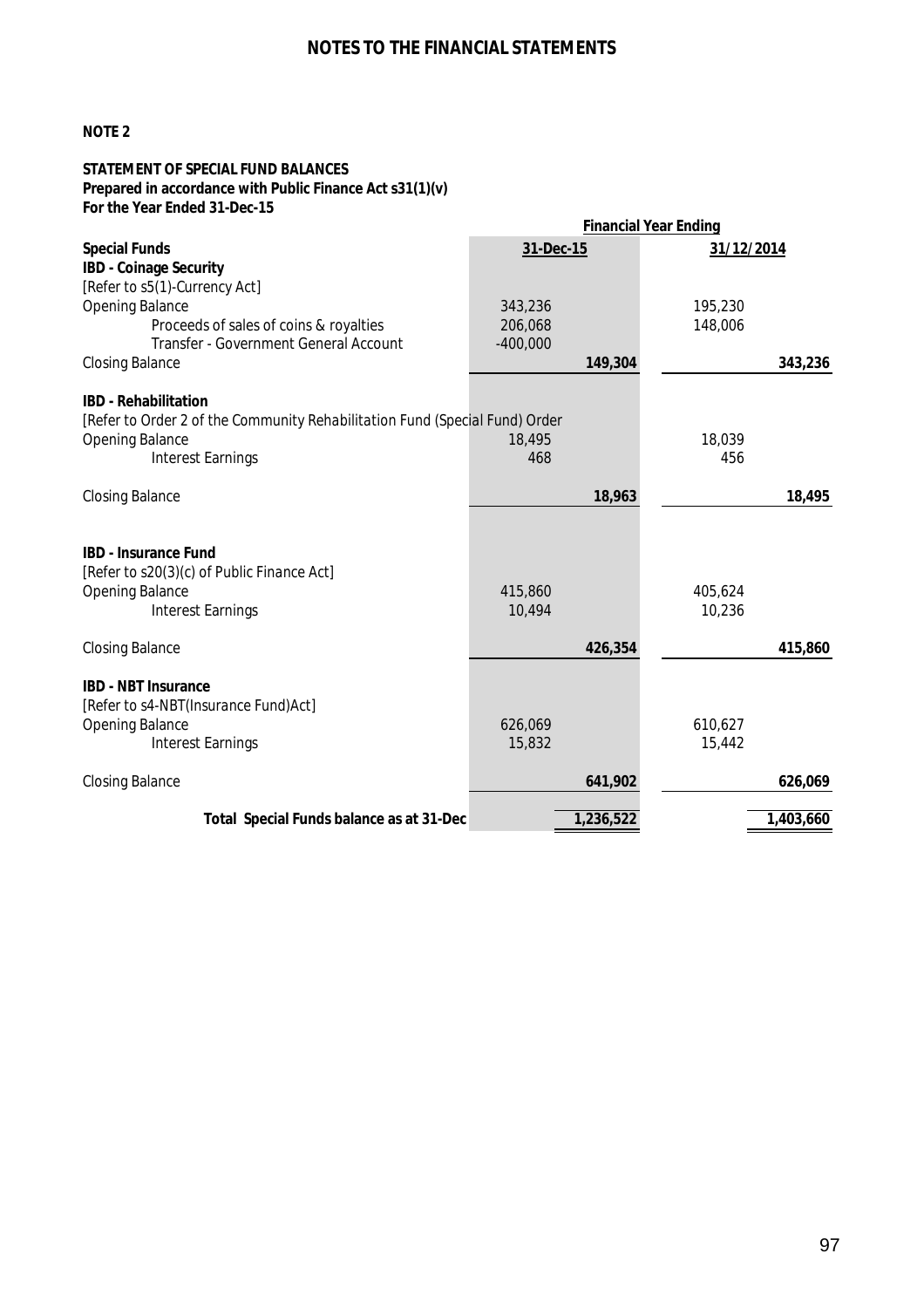### **NOTES TO THE FINANCIAL STATEMENTS**

#### **NOTE 2**

#### **STATEMENT OF SPECIAL FUND BALANCES Prepared in accordance with Public Finance Act s31(1)(v) For the Year Ended 31-Dec-15**

|                                                                                                                                 |                   | <b>Financial Year Ending</b> |           |
|---------------------------------------------------------------------------------------------------------------------------------|-------------------|------------------------------|-----------|
| <b>Special Funds</b>                                                                                                            | 31-Dec-15         | 31/12/2014                   |           |
| <b>IBD - Coinage Security</b>                                                                                                   |                   |                              |           |
| [Refer to s5(1)-Currency Act]                                                                                                   |                   |                              |           |
| <b>Opening Balance</b>                                                                                                          | 343,236           | 195,230                      |           |
| Proceeds of sales of coins & royalties                                                                                          | 206,068           | 148,006                      |           |
| Transfer - Government General Account                                                                                           | $-400,000$        |                              |           |
| <b>Closing Balance</b>                                                                                                          | 149,304           |                              | 343,236   |
| <b>IBD</b> - Rehabilitation                                                                                                     |                   |                              |           |
| [Refer to Order 2 of the Community Rehabilitation Fund (Special Fund) Order                                                     |                   |                              |           |
| <b>Opening Balance</b>                                                                                                          | 18,495            | 18,039                       |           |
| <b>Interest Earnings</b>                                                                                                        | 468               | 456                          |           |
| <b>Closing Balance</b>                                                                                                          | 18,963            |                              | 18,495    |
| <b>IBD - Insurance Fund</b><br>[Refer to s20(3)(c) of Public Finance Act]<br><b>Opening Balance</b><br><b>Interest Earnings</b> | 415,860<br>10,494 | 405,624<br>10,236            |           |
| <b>Closing Balance</b>                                                                                                          | 426,354           |                              | 415,860   |
| <b>IBD - NBT Insurance</b><br>[Refer to s4-NBT(Insurance Fund)Act]<br><b>Opening Balance</b><br><b>Interest Earnings</b>        | 626,069<br>15,832 | 610,627<br>15,442            |           |
| <b>Closing Balance</b>                                                                                                          | 641,902           |                              | 626,069   |
| Total Special Funds balance as at 31-Dec                                                                                        | 1,236,522         |                              | 1,403,660 |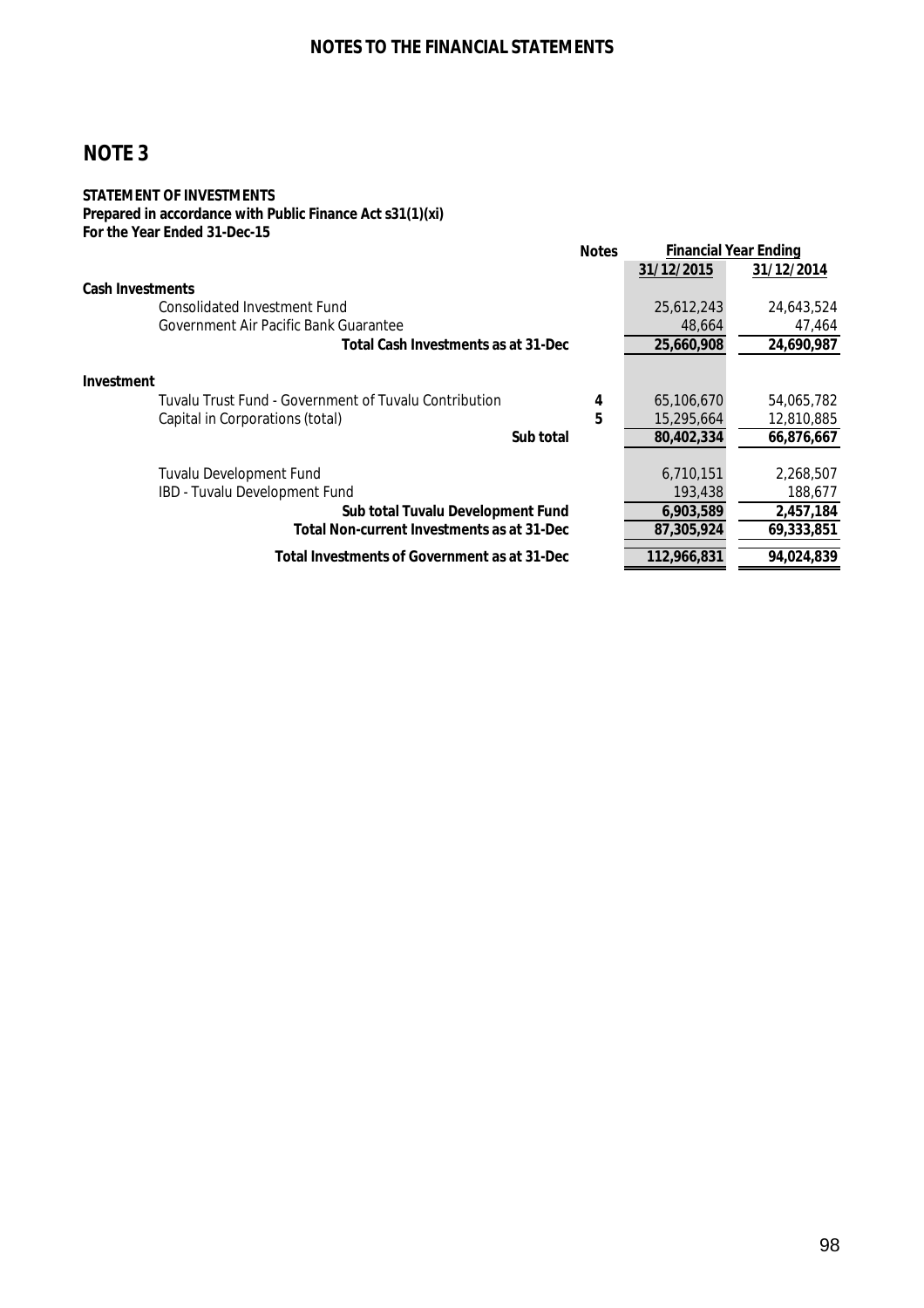#### **STATEMENT OF INVESTMENTS Prepared in accordance with Public Finance Act s31(1)(xi) For the Year Ended 31-Dec-15**

|                                                       | <b>Notes</b> | <b>Financial Year Ending</b> |            |  |
|-------------------------------------------------------|--------------|------------------------------|------------|--|
|                                                       |              | 31/12/2015                   | 31/12/2014 |  |
| <b>Cash Investments</b>                               |              |                              |            |  |
| Consolidated Investment Fund                          |              | 25,612,243                   | 24,643,524 |  |
| Government Air Pacific Bank Guarantee                 |              | 48,664                       | 47,464     |  |
| Total Cash Investments as at 31-Dec                   |              | 25,660,908                   | 24,690,987 |  |
| <b>Investment</b>                                     |              |                              |            |  |
| Tuvalu Trust Fund - Government of Tuvalu Contribution | 4            | 65,106,670                   | 54,065,782 |  |
| Capital in Corporations (total)                       | 5            | 15,295,664                   | 12,810,885 |  |
| Sub total                                             |              | 80,402,334                   | 66,876,667 |  |
| Tuvalu Development Fund                               |              | 6,710,151                    | 2,268,507  |  |
| IBD - Tuvalu Development Fund                         |              | 193,438                      | 188,677    |  |
| Sub total Tuvalu Development Fund                     |              | 6,903,589                    | 2,457,184  |  |
| <b>Total Non-current Investments as at 31-Dec</b>     |              | 87,305,924                   | 69,333,851 |  |
| Total Investments of Government as at 31-Dec          |              | 112,966,831                  | 94,024,839 |  |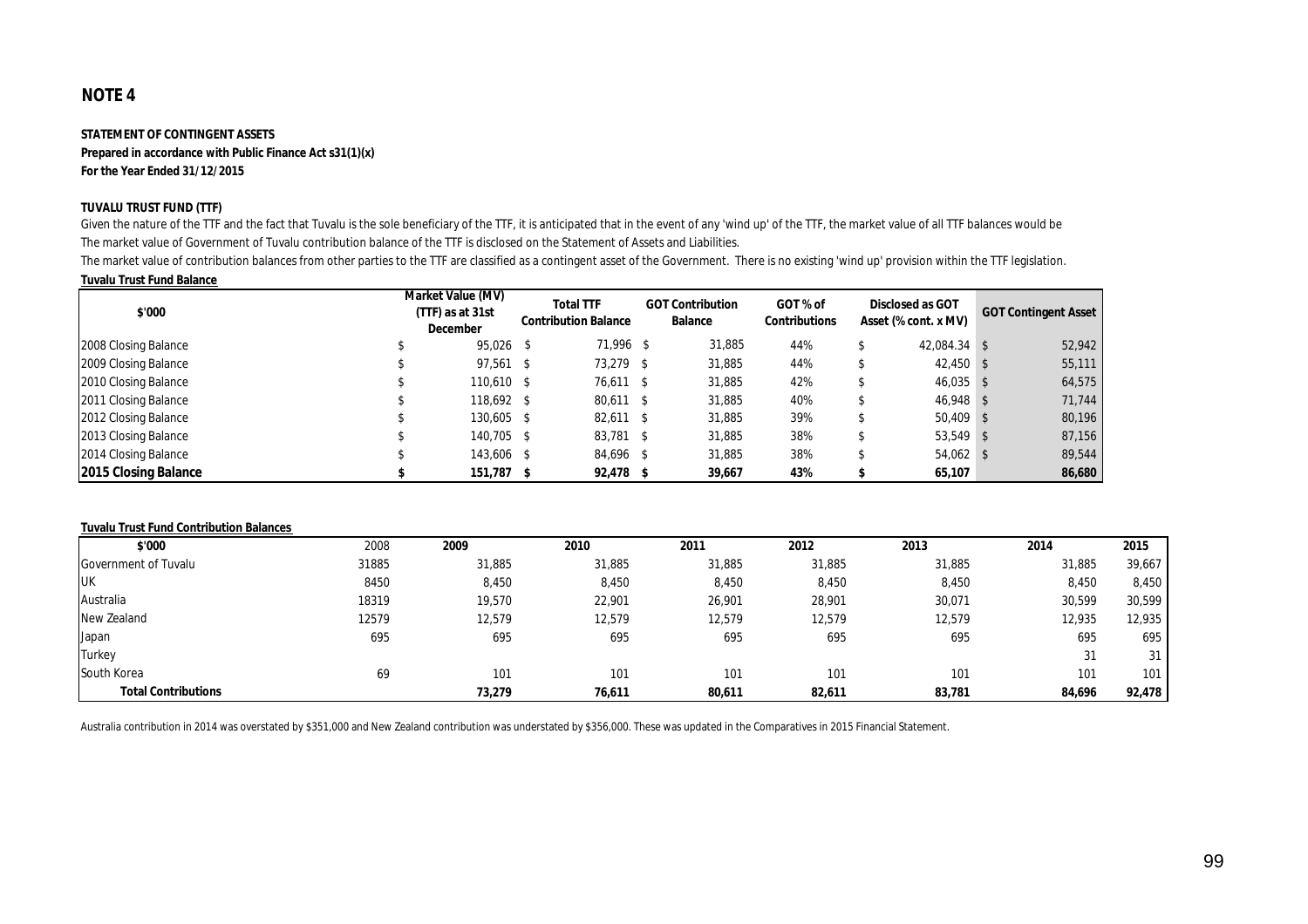#### **STATEMENT OF CONTINGENT ASSETS**

**Prepared in accordance with Public Finance Act s31(1)(x) For the Year Ended 31/12/2015**

#### **TUVALU TRUST FUND (TTF)**

Given the nature of the TTF and the fact that Tuvalu is the sole beneficiary of the TTF, it is anticipated that in the event of any 'wind up' of the TTF, the market value of all TTF balances would be The market value of Government of Tuvalu contribution balance of the TTF is disclosed on the Statement of Assets and Liabilities.

The market value of contribution balances from other parties to the TTF are classified as a contingent asset of the Government. There is no existing 'wind up' provision within the TTF legislation.

#### **Tuvalu Trust Fund Balance**

| \$'000               | Market Value (MV)<br>(TTF) as at 31st<br><b>December</b> | <b>Total TTF</b><br><b>Contribution Balance</b> | <b>GOT Contribution</b><br><b>Balance</b> | GOT % of<br><b>Contributions</b> | <b>Disclosed as GOT</b><br>Asset (% cont. x MV) | <b>GOT Contingent Asset</b> |
|----------------------|----------------------------------------------------------|-------------------------------------------------|-------------------------------------------|----------------------------------|-------------------------------------------------|-----------------------------|
| 2008 Closing Balance | 95,026 \$                                                | 71,996 \$                                       | 31,885                                    | 44%                              | 42.084.34 \$                                    | 52,942                      |
| 2009 Closing Balance | $97,561$ \$                                              | 73,279 \$                                       | 31,885                                    | 44%                              | $42,450$ \$                                     | 55,111                      |
| 2010 Closing Balance | 110,610 \$                                               | 76,611 \$                                       | 31,885                                    | 42%                              | $46,035$ \$                                     | 64,575                      |
| 2011 Closing Balance | 118,692 \$                                               | 80,611 \$                                       | 31,885                                    | 40%                              | 46,948 \$                                       | 71,744                      |
| 2012 Closing Balance | 130,605 \$                                               | $82,611$ \$                                     | 31,885                                    | 39%                              | $50,409$ \$                                     | 80,196                      |
| 2013 Closing Balance | 140.705 \$                                               | 83,781 \$                                       | 31,885                                    | 38%                              | $53,549$ \$                                     | 87,156                      |
| 2014 Closing Balance | 143.606 \$                                               | 84,696 \$                                       | 31,885                                    | 38%                              | $54,062$ \$                                     | 89,544                      |
| 2015 Closing Balance | 151,787 \$                                               | $92,478$ \$                                     | 39,667                                    | 43%                              | 65,107                                          | 86,680                      |

#### **Tuvalu Trust Fund Contribution Balances**

| \$'000                     | 2008  | 2009   | 2010   | 2011   | 2012   | 2013   | 2014   | 2015   |
|----------------------------|-------|--------|--------|--------|--------|--------|--------|--------|
| Government of Tuvalu       | 31885 | 31,885 | 31,885 | 31,885 | 31,885 | 31,885 | 31,885 | 39,667 |
| <b>UK</b>                  | 8450  | 8,450  | 8,450  | 8,450  | 8,450  | 8,450  | 8,450  | 8,450  |
| Australia                  | 18319 | 19,570 | 22,901 | 26,901 | 28,901 | 30,071 | 30,599 | 30,599 |
| New Zealand                | 12579 | 12,579 | 12,579 | 12,579 | 12,579 | 12,579 | 12,935 | 12,935 |
| Japan                      | 695   | 695    | 695    | 695    | 695    | 695    | 695    | 695    |
| Turkey                     |       |        |        |        |        |        | 31     | 31     |
| South Korea                | 69    | 101    | 101    | 101    | 101    | 101    | 101    | 101    |
| <b>Total Contributions</b> |       | 73,279 | 76,611 | 80,611 | 82,611 | 83,781 | 84,696 | 92,478 |

Australia contribution in 2014 was overstated by \$351,000 and New Zealand contribution was understated by \$356,000. These was updated in the Comparatives in 2015 Financial Statement.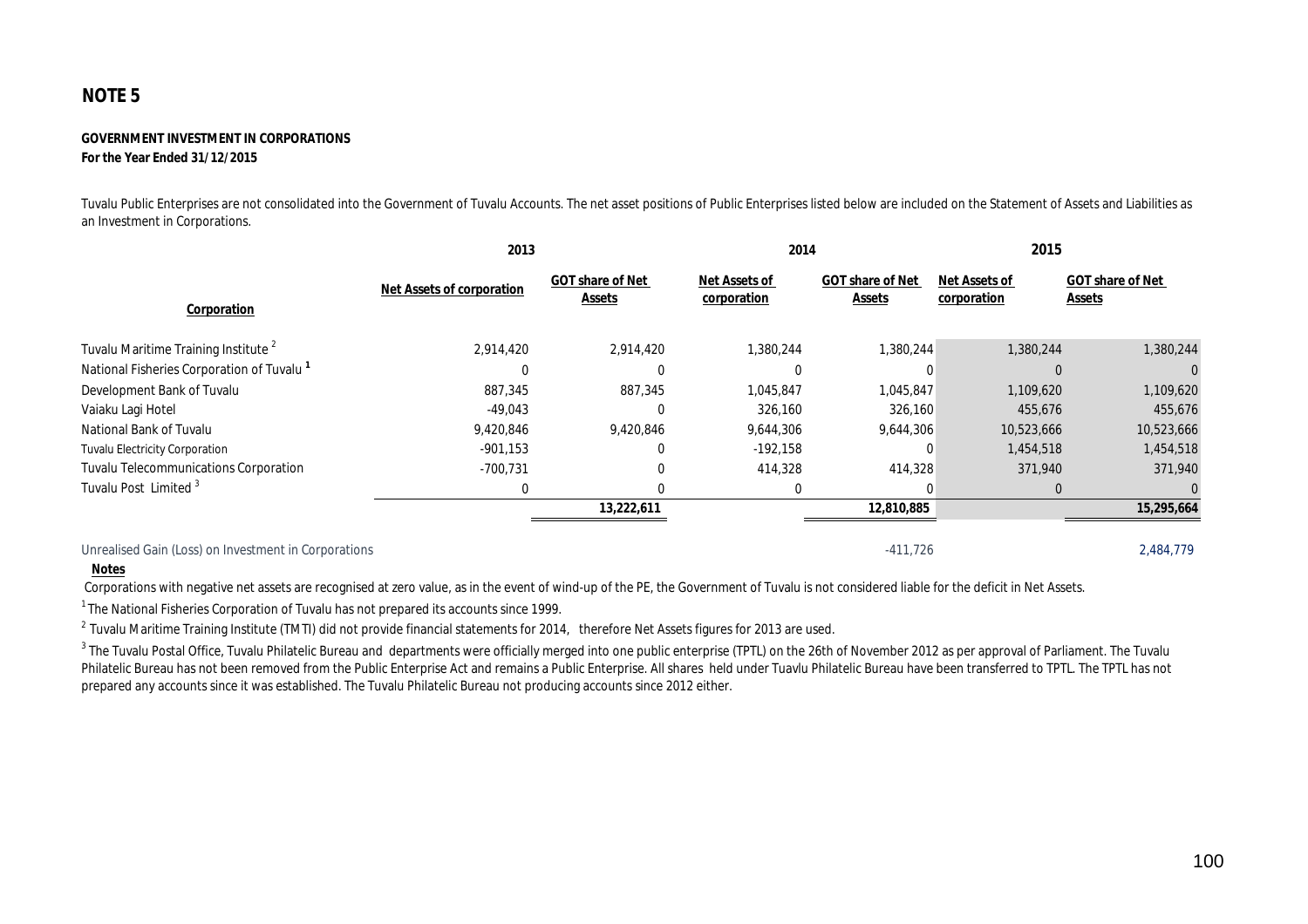#### **GOVERNMENT INVESTMENT IN CORPORATIONS For the Year Ended 31/12/2015**

Tuvalu Public Enterprises are not consolidated into the Government of Tuvalu Accounts. The net asset positions of Public Enterprises listed below are included on the Statement of Assets and Liabilities as an Investment in Corporations.

|                                                       | 2013                             |                                          | 2014                                |                                          | 2015                                |                                          |
|-------------------------------------------------------|----------------------------------|------------------------------------------|-------------------------------------|------------------------------------------|-------------------------------------|------------------------------------------|
| Corporation                                           | <b>Net Assets of corporation</b> | <b>GOT share of Net</b><br><b>Assets</b> | <b>Net Assets of</b><br>corporation | <b>GOT share of Net</b><br><b>Assets</b> | <b>Net Assets of</b><br>corporation | <b>GOT share of Net</b><br><b>Assets</b> |
| Tuvalu Maritime Training Institute <sup>2</sup>       | 2,914,420                        | 2,914,420                                | 1,380,244                           | 1,380,244                                | 1,380,244                           | 1,380,244                                |
| National Fisheries Corporation of Tuvalu <sup>1</sup> |                                  | 0                                        |                                     |                                          | $\Omega$                            |                                          |
| Development Bank of Tuvalu                            | 887,345                          | 887,345                                  | 1,045,847                           | 1,045,847                                | 1,109,620                           | 1,109,620                                |
| Vaiaku Lagi Hotel                                     | $-49,043$                        | 0                                        | 326,160                             | 326,160                                  | 455,676                             | 455,676                                  |
| National Bank of Tuvalu                               | 9,420,846                        | 9,420,846                                | 9,644,306                           | 9,644,306                                | 10,523,666                          | 10,523,666                               |
| <b>Tuvalu Electricity Corporation</b>                 | $-901,153$                       | 0                                        | $-192,158$                          |                                          | 1,454,518                           | 1,454,518                                |
| <b>Tuvalu Telecommunications Corporation</b>          | $-700,731$                       |                                          | 414,328                             | 414,328                                  | 371,940                             | 371,940                                  |
| Tuvalu Post Limited <sup>3</sup>                      | 0                                | 0                                        | $\Omega$                            |                                          | $\Omega$                            |                                          |
|                                                       |                                  | 13,222,611                               |                                     | 12,810,885                               |                                     | 15,295,664                               |
| Unrealised Gain (Loss) on Investment in Corporations  |                                  |                                          |                                     | $-411,726$                               |                                     | 2,484,779                                |

#### **Notes**

Corporations with negative net assets are recognised at zero value, as in the event of wind-up of the PE, the Government of Tuvalu is not considered liable for the deficit in Net Assets.

 $1$ The National Fisheries Corporation of Tuvalu has not prepared its accounts since 1999.

 $^{2}$  Tuvalu Maritime Training Institute (TMTI) did not provide financial statements for 2014, therefore Net Assets figures for 2013 are used.

 $^{\rm 3}$  The Tuvalu Postal Office, Tuvalu Philatelic Bureau and departments were officially merged into one public enterprise (TPTL) on the 26th of November 2012 as per approval of Parliament. The Tuvalu Philatelic Bureau has not been removed from the Public Enterprise Act and remains a Public Enterprise. All shares held under Tuavlu Philatelic Bureau have been transferred to TPTL. The TPTL has not prepared any accounts since it was established. The Tuvalu Philatelic Bureau not producing accounts since 2012 either.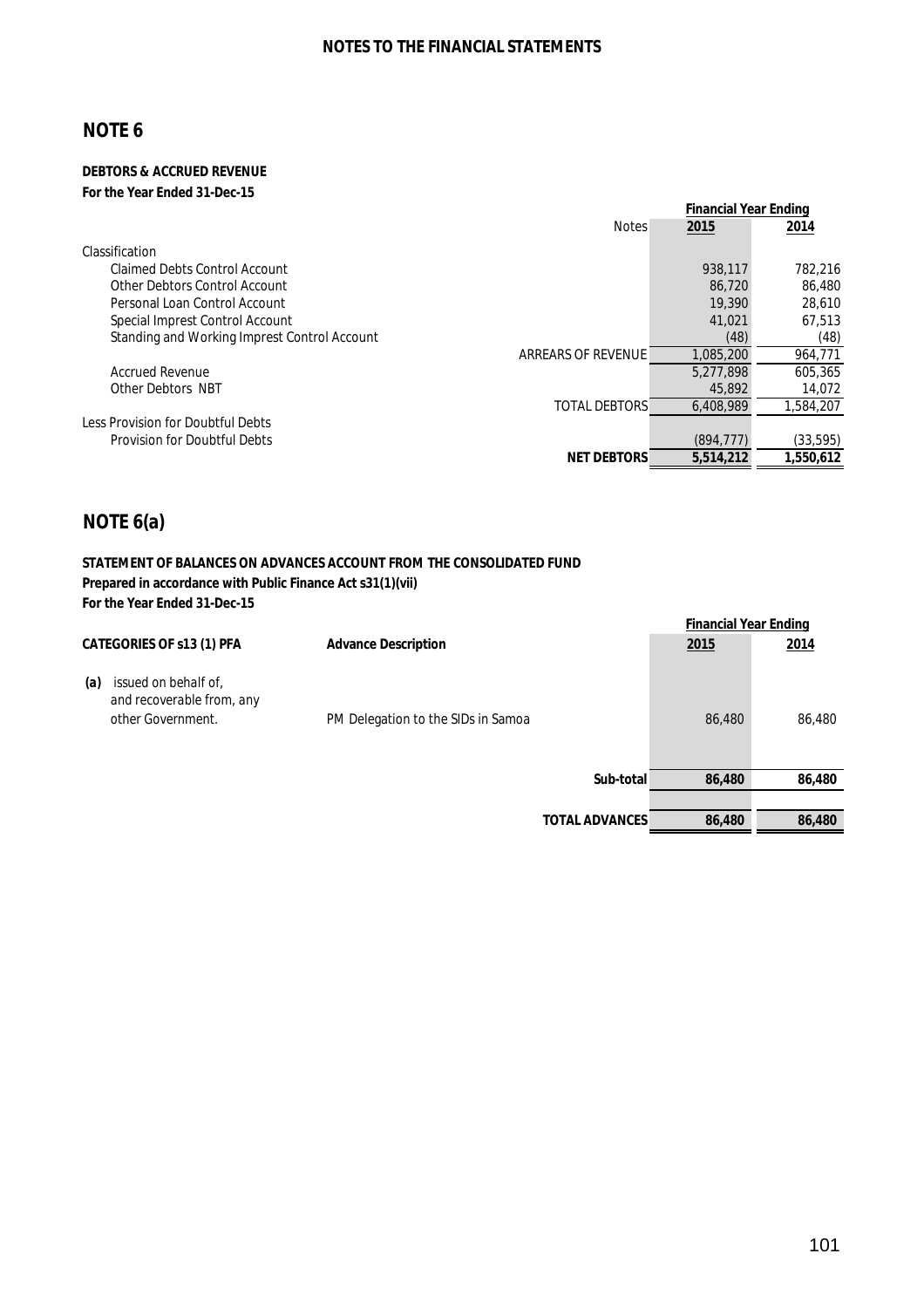#### **DEBTORS & ACCRUED REVENUE For the Year Ended 31-Dec-15**

|                                              |                      | <b>Financial Year Ending</b> |           |
|----------------------------------------------|----------------------|------------------------------|-----------|
|                                              | <b>Notes</b>         | 2015                         | 2014      |
| Classification                               |                      |                              |           |
| <b>Claimed Debts Control Account</b>         |                      | 938,117                      | 782.216   |
| Other Debtors Control Account                |                      | 86,720                       | 86,480    |
| Personal Loan Control Account                |                      | 19,390                       | 28,610    |
| Special Imprest Control Account              |                      | 41,021                       | 67.513    |
| Standing and Working Imprest Control Account |                      | (48)                         | (48)      |
|                                              | ARREARS OF REVENUE   | 1.085.200                    | 964,771   |
| <b>Accrued Revenue</b>                       |                      | 5,277,898                    | 605.365   |
| Other Debtors NBT                            |                      | 45,892                       | 14,072    |
|                                              | <b>TOTAL DEBTORS</b> | 6,408,989                    | 1,584,207 |
| Less Provision for Doubtful Debts            |                      |                              |           |
| <b>Provision for Doubtful Debts</b>          |                      | (894.777)                    | (33, 595) |
|                                              | <b>NET DEBTORS</b>   | 5,514,212                    | 1,550,612 |

# **NOTE 6(a)**

#### **STATEMENT OF BALANCES ON ADVANCES ACCOUNT FROM THE CONSOLIDATED FUND Prepared in accordance with Public Finance Act s31(1)(vii) For the Year Ended 31-Dec-15**

|                                                                               |                                    |                       | <b>Financial Year Ending</b> |        |
|-------------------------------------------------------------------------------|------------------------------------|-----------------------|------------------------------|--------|
| <b>CATEGORIES OF s13 (1) PFA</b>                                              | <b>Advance Description</b>         |                       | <u>2015</u>                  | 2014   |
| issued on behalf of,<br>(a)<br>and recoverable from, any<br>other Government. | PM Delegation to the SIDs in Samoa |                       | 86,480                       | 86,480 |
|                                                                               |                                    | Sub-total             | 86,480                       | 86,480 |
|                                                                               |                                    |                       |                              |        |
|                                                                               |                                    | <b>TOTAL ADVANCES</b> | 86,480                       | 86,480 |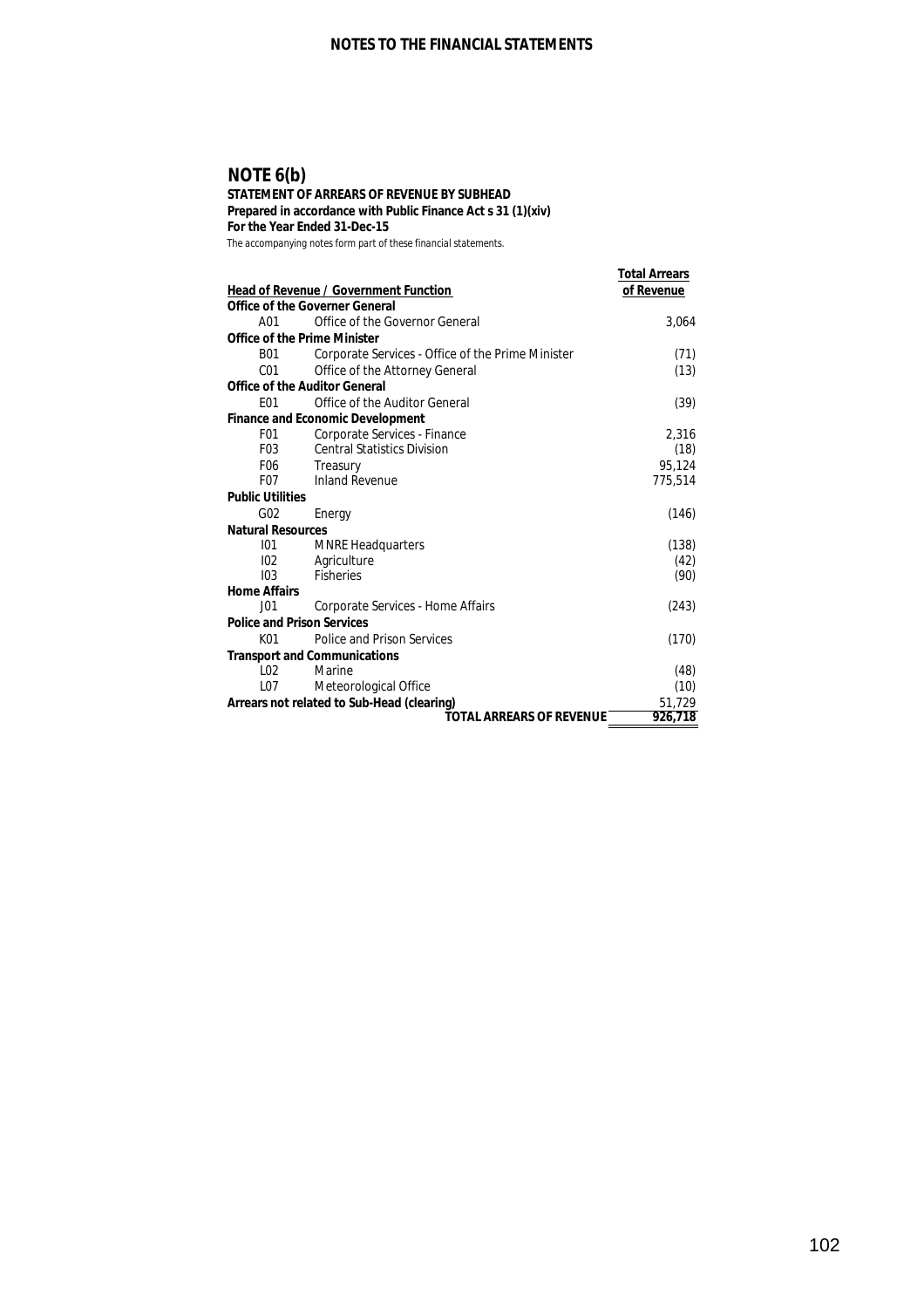### **NOTE 6(b)**

#### **STATEMENT OF ARREARS OF REVENUE BY SUBHEAD Prepared in accordance with Public Finance Act s 31 (1)(xiv)**

**For the Year Ended 31-Dec-15**

|                                      | <b>Head of Revenue / Government Function</b>      | <b>Total Arrears</b><br>of Revenue |
|--------------------------------------|---------------------------------------------------|------------------------------------|
|                                      | <b>Office of the Governer General</b>             |                                    |
| A01                                  | Office of the Governor General                    | 3,064                              |
| <b>Office of the Prime Minister</b>  |                                                   |                                    |
| B01                                  | Corporate Services - Office of the Prime Minister | (71)                               |
| C01                                  | Office of the Attorney General                    | (13)                               |
| <b>Office of the Auditor General</b> |                                                   |                                    |
| F <sub>0</sub> 1                     | Office of the Auditor General                     | (39)                               |
|                                      | <b>Finance and Economic Development</b>           |                                    |
| F <sub>0</sub> 1                     | Corporate Services - Finance                      | 2.316                              |
| F <sub>0</sub> 3                     | <b>Central Statistics Division</b>                | (18)                               |
| F <sub>06</sub>                      | Treasury                                          | 95,124                             |
| F <sub>0</sub> 7                     | <b>Inland Revenue</b>                             | 775,514                            |
| <b>Public Utilities</b>              |                                                   |                                    |
| G <sub>02</sub>                      | Energy                                            | (146)                              |
| <b>Natural Resources</b>             |                                                   |                                    |
| 101                                  | <b>MNRE Headquarters</b>                          | (138)                              |
| 102                                  | Agriculture                                       | (42)                               |
| 103                                  | <b>Fisheries</b>                                  | (90)                               |
| <b>Home Affairs</b>                  |                                                   |                                    |
| J <sub>01</sub>                      | Corporate Services - Home Affairs                 | (243)                              |
| <b>Police and Prison Services</b>    |                                                   |                                    |
| K <sub>01</sub>                      | Police and Prison Services                        | (170)                              |
|                                      | <b>Transport and Communications</b>               |                                    |
| L <sub>02</sub>                      | Marine                                            | (48)                               |
| LO7                                  | Meteorological Office                             | (10)                               |
|                                      | Arrears not related to Sub-Head (clearing)        | 51.729                             |
|                                      | <b>TOTAL ARREARS OF REVENUE</b>                   | 926,718                            |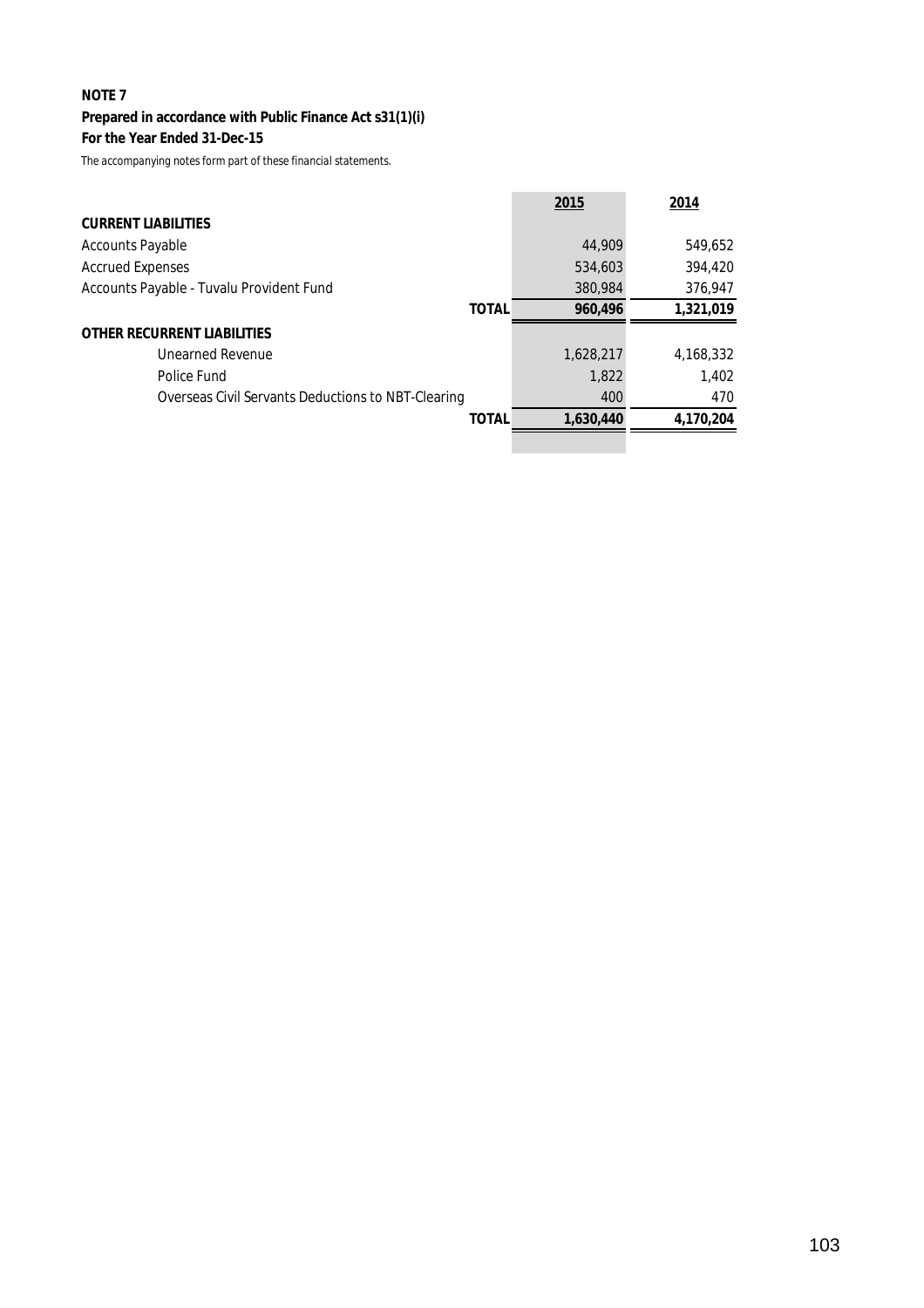# **Prepared in accordance with Public Finance Act s31(1)(i)**

**For the Year Ended 31-Dec-15**

|                                                    | 2015      | 2014      |
|----------------------------------------------------|-----------|-----------|
| <b>CURRENT LIABILITIES</b>                         |           |           |
| <b>Accounts Payable</b>                            | 44,909    | 549,652   |
| <b>Accrued Expenses</b>                            | 534,603   | 394,420   |
| Accounts Payable - Tuvalu Provident Fund           | 380,984   | 376,947   |
| <b>TOTAL</b>                                       | 960,496   | 1,321,019 |
| <b>OTHER RECURRENT LIABILITIES</b>                 |           |           |
| <b>Unearned Revenue</b>                            | 1,628,217 | 4,168,332 |
| Police Fund                                        | 1,822     | 1,402     |
| Overseas Civil Servants Deductions to NBT-Clearing | 400       | 470       |
| <b>TOTAL</b>                                       | 1,630,440 | 4,170,204 |
|                                                    |           |           |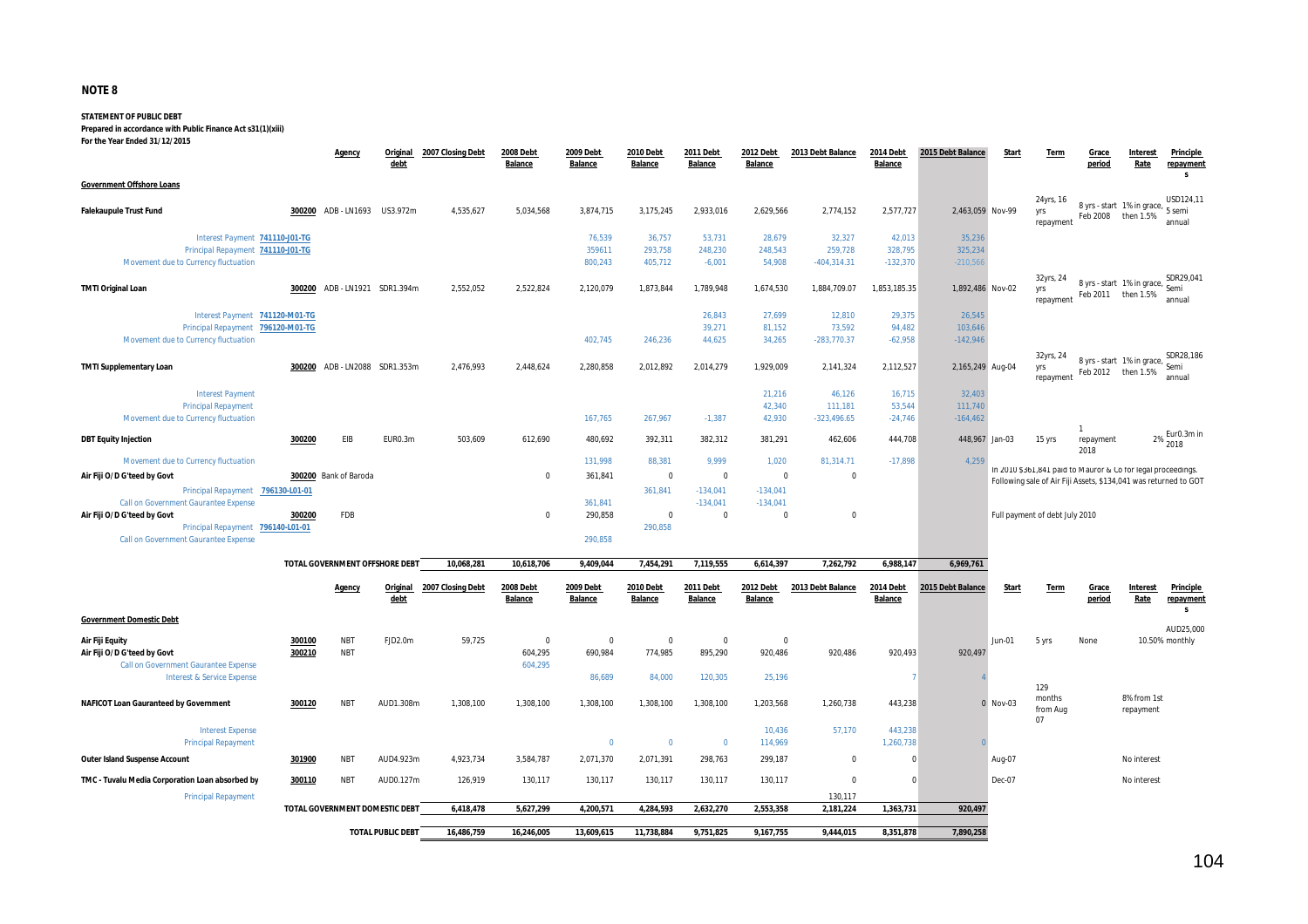#### **STATEMENT OF PUBLIC DEBT**

**Prepared in accordance with Public Finance Act s31(1)(xiii)**

**For the Year Ended 31/12/2015**

|                                                                           |        | <b>Agency</b>                  | Original<br>debt         | 2007 Closing Debt          | 2008 Debt<br>Balance | 2009 Debt<br>Balance        | 2010 Debt<br><b>Balance</b> | 2011 Debt<br><b>Balance</b> | 2012 Debt<br>Balance        | 2013 Debt Balance | 2014 Debt<br><b>Balance</b>        | 2015 Debt Balance | Start          | Term                                                                                                                             | Grace<br>period        | Interest<br>Rate                                      | Principle<br>repayment<br>s        |
|---------------------------------------------------------------------------|--------|--------------------------------|--------------------------|----------------------------|----------------------|-----------------------------|-----------------------------|-----------------------------|-----------------------------|-------------------|------------------------------------|-------------------|----------------|----------------------------------------------------------------------------------------------------------------------------------|------------------------|-------------------------------------------------------|------------------------------------|
| <b>Government Offshore Loans</b>                                          |        |                                |                          |                            |                      |                             |                             |                             |                             |                   |                                    |                   |                | 24yrs, 16                                                                                                                        |                        |                                                       | USD124,11                          |
| <b>Falekaupule Trust Fund</b>                                             |        | 300200 ADB-LN1693 US3.972m     |                          | 4,535,627                  | 5,034,568            | 3,874,715                   | 3,175,245                   | 2,933,016                   | 2,629,566                   | 2,774,152         | 2,577,727                          | 2,463,059 Nov-99  |                | yrs<br>repayment                                                                                                                 | Feb 2008               | 8 yrs - start 1% in grace,<br>then 1.5%               | 5 semi<br>annual                   |
| Interest Payment 741110-J01-TG                                            |        |                                |                          |                            |                      | 76,539                      | 36,757                      | 53,731                      | 28,679                      | 32,327            | 42.013                             | 35.236            |                |                                                                                                                                  |                        |                                                       |                                    |
| Principal Repayment 741110-J01-TG                                         |        |                                |                          |                            |                      | 359611                      | 293,758                     | 248,230                     | 248,543                     | 259,728           | 328,795                            | 325,234           |                |                                                                                                                                  |                        |                                                       |                                    |
| Movement due to Currency fluctuation                                      |        |                                |                          |                            |                      | 800,243                     | 405,712                     | $-6,001$                    | 54,908                      | $-404, 314.31$    | $-132,370$                         | $-210,566$        |                |                                                                                                                                  |                        |                                                       |                                    |
| <b>TMTI Original Loan</b>                                                 |        | 300200 ADB - LN1921 SDR1.394m  |                          | 2,552,052                  | 2,522,824            | 2,120,079                   | 1,873,844                   | 1,789,948                   | 1,674,530                   | 1,884,709.07      | 1,853,185.35                       | 1,892,486 Nov-02  |                | 32yrs, 24<br>yrs<br>repayment                                                                                                    | Feb 2011               | 8 yrs - start 1% in grace,<br>then 1.5%               | SDR29,041<br>Semi<br>annual        |
| Interest Payment 741120-M01-TG                                            |        |                                |                          |                            |                      |                             |                             | 26.843                      | 27.699                      | 12,810            | 29.375                             | 26.545            |                |                                                                                                                                  |                        |                                                       |                                    |
| Principal Repayment 796120-M01-TG                                         |        |                                |                          |                            |                      |                             |                             | 39,271                      | 81,152                      | 73,592            | 94,482                             | 103,646           |                |                                                                                                                                  |                        |                                                       |                                    |
| Movement due to Currency fluctuation                                      |        |                                |                          |                            |                      | 402,745                     | 246,236                     | 44,625                      | 34,265                      | $-283,770.37$     | $-62,958$                          | $-142,946$        |                |                                                                                                                                  |                        |                                                       |                                    |
| <b>TMTI Supplementary Loan</b>                                            |        | 300200 ADB - LN2088 SDR1.353m  |                          | 2,476,993                  | 2,448,624            | 2,280,858                   | 2,012,892                   | 2,014,279                   | 1,929,009                   | 2,141,324         | 2,112,527                          | 2,165,249 Aug-04  |                | 32yrs, 24<br>yrs<br>repayment                                                                                                    |                        | 8 yrs - start 1% in grace, Semi<br>Feb 2012 then 1.5% | SDR28,186<br>annual                |
| <b>Interest Payment</b>                                                   |        |                                |                          |                            |                      |                             |                             |                             | 21,216                      | 46,126            | 16,715                             | 32,403            |                |                                                                                                                                  |                        |                                                       |                                    |
| <b>Principal Repayment</b>                                                |        |                                |                          |                            |                      |                             |                             |                             | 42,340                      | 111,181           | 53,544                             | 111,740           |                |                                                                                                                                  |                        |                                                       |                                    |
| Movement due to Currency fluctuation                                      |        |                                |                          |                            |                      | 167,765                     | 267,967                     | $-1,387$                    | 42,930                      | $-323,496.65$     | $-24,746$                          | $-164, 462$       |                |                                                                                                                                  |                        |                                                       |                                    |
| <b>DBT Equity Injection</b>                                               | 300200 | EIB                            | EUR0.3m                  | 503,609                    | 612,690              | 480,692                     | 392,311                     | 382,312                     | 381,291                     | 462,606           | 444,708                            |                   | 448,967 Jan-03 | 15 yrs                                                                                                                           | 1<br>repayment<br>2018 |                                                       | Eur0.3m in<br>2%<br>2018           |
| Movement due to Currency fluctuation                                      |        |                                |                          |                            |                      | 131,998                     | 88,381                      | 9,999                       | 1,020                       | 81.314.71         | $-17,898$                          | 4,259             |                |                                                                                                                                  |                        |                                                       |                                    |
| Air Fiji O/D G'teed by Govt                                               |        | 300200 Bank of Baroda          |                          |                            | $\mathbf 0$          | 361,841                     | $\mathbf 0$                 | $\mathbf 0$                 | $\mathbf 0$                 | $\mathbf 0$       |                                    |                   |                | In 2010 \$361,841 paid to Mauror & Co for legal proceedings.<br>Following sale of Air Fiji Assets, \$134,041 was returned to GOT |                        |                                                       |                                    |
| Principal Repayment 796130-L01-01                                         |        |                                |                          |                            |                      |                             | 361,841                     | $-134,041$                  | $-134,041$                  |                   |                                    |                   |                |                                                                                                                                  |                        |                                                       |                                    |
| Call on Government Gaurantee Expense                                      |        |                                |                          |                            |                      | 361.841                     |                             | $-134,041$                  | $-134,041$                  |                   |                                    |                   |                |                                                                                                                                  |                        |                                                       |                                    |
| Air Fiji O/D G'teed by Govt                                               | 300200 | FDB                            |                          |                            | $\mathbf 0$          | 290,858                     | $\mathbf 0$                 | $\mathbf 0$                 | $\Omega$                    | $\mathbf 0$       |                                    |                   |                | Full payment of debt July 2010                                                                                                   |                        |                                                       |                                    |
| Principal Repayment 796140-L01-01<br>Call on Government Gaurantee Expense |        |                                |                          |                            |                      | 290,858                     | 290,858                     |                             |                             |                   |                                    |                   |                |                                                                                                                                  |                        |                                                       |                                    |
|                                                                           |        | TOTAL GOVERNMENT OFFSHORE DEBT |                          | 10,068,281                 | 10,618,706           | 9,409,044                   | 7,454,291                   | 7,119,555                   | 6,614,397                   | 7,262,792         | 6,988,147                          | 6,969,761         |                |                                                                                                                                  |                        |                                                       |                                    |
|                                                                           |        | Agency                         | debt                     | Original 2007 Closing Debt | 2008 Debt<br>Balance | 2009 Debt<br><b>Balance</b> | 2010 Debt<br><b>Balance</b> | 2011 Debt<br><b>Balance</b> | 2012 Debt<br><b>Balance</b> | 2013 Debt Balance | <b>2014 Debt</b><br><b>Balance</b> | 2015 Debt Balance | <b>Start</b>   | <b>Term</b>                                                                                                                      | Grace<br>period        | <b>Interest</b><br>Rate                               | <b>Principle</b><br>repayment<br>s |
| <b>Government Domestic Debt</b>                                           |        |                                |                          |                            |                      |                             |                             |                             |                             |                   |                                    |                   |                |                                                                                                                                  |                        |                                                       |                                    |
| Air Fiji Equity                                                           | 300100 | <b>NBT</b>                     | FJD2.0m                  | 59,725                     | $\mathbf 0$          | $\mathbf 0$                 | $\mathbf 0$                 | $\mathbf 0$                 | $\mathbf 0$                 |                   |                                    |                   | <b>Jun-01</b>  | 5 yrs                                                                                                                            | None                   |                                                       | AUD25,000<br>10.50% monthly        |
| Air Fiji O/D G'teed by Govt                                               | 300210 | <b>NBT</b>                     |                          |                            | 604,295              | 690,984                     | 774,985                     | 895,290                     | 920,486                     | 920,486           | 920,493                            | 920,497           |                |                                                                                                                                  |                        |                                                       |                                    |
| Call on Government Gaurantee Expense                                      |        |                                |                          |                            | 604,295              |                             |                             |                             |                             |                   |                                    |                   |                |                                                                                                                                  |                        |                                                       |                                    |
| <b>Interest &amp; Service Expense</b>                                     |        |                                |                          |                            |                      | 86,689                      | 84,000                      | 120,305                     | 25,196                      |                   |                                    |                   |                |                                                                                                                                  |                        |                                                       |                                    |
|                                                                           |        |                                |                          |                            |                      |                             |                             |                             |                             |                   |                                    |                   |                | 129                                                                                                                              |                        |                                                       |                                    |
| <b>NAFICOT Loan Gauranteed by Government</b>                              | 300120 | <b>NBT</b>                     | AUD1.308m                | 1,308,100                  | 1,308,100            | 1,308,100                   | 1,308,100                   | 1,308,100                   | 1,203,568                   | 1,260,738         | 443,238                            | $\Omega$          | Nov-03         | months<br>from Aug<br>07                                                                                                         |                        | 8% from 1st<br>repayment                              |                                    |
| <b>Interest Expense</b><br><b>Principal Repayment</b>                     |        |                                |                          |                            |                      | $\mathbf 0$                 | $\overline{0}$              | $\mathbf 0$                 | 10,436<br>114,969           | 57,170            | 443,238<br>1,260,738               |                   |                |                                                                                                                                  |                        |                                                       |                                    |
| <b>Outer Island Suspense Account</b>                                      | 301900 | <b>NBT</b>                     | AUD4.923m                | 4,923,734                  | 3,584,787            | 2,071,370                   | 2,071,391                   | 298,763                     | 299,187                     | $\mathbf 0$       | 0                                  |                   | Aug-07         |                                                                                                                                  |                        | No interest                                           |                                    |
| TMC - Tuvalu Media Corporation Loan absorbed by                           | 300110 | <b>NBT</b>                     | AUD0.127m                | 126,919                    | 130,117              | 130,117                     | 130,117                     | 130,117                     | 130,117                     | $\mathbf 0$       | $\Omega$                           |                   | Dec-07         |                                                                                                                                  |                        | No interest                                           |                                    |
| <b>Principal Repayment</b>                                                |        |                                |                          |                            |                      |                             |                             |                             |                             | 130,117           |                                    |                   |                |                                                                                                                                  |                        |                                                       |                                    |
|                                                                           |        | TOTAL GOVERNMENT DOMESTIC DEBT |                          | 6,418,478                  | 5,627,299            | 4,200,571                   | 4,284,593                   | 2,632,270                   | 2,553,358                   | 2,181,224         | 1,363,731                          | 920,497           |                |                                                                                                                                  |                        |                                                       |                                    |
|                                                                           |        |                                | <b>TOTAL PUBLIC DEBT</b> | 16,486,759                 | 16,246,005           | 13,609,615                  | 11,738,884                  | 9,751,825                   | 9,167,755                   | 9,444,015         | 8,351,878                          | 7,890,258         |                |                                                                                                                                  |                        |                                                       |                                    |
|                                                                           |        |                                |                          |                            |                      |                             |                             |                             |                             |                   |                                    |                   |                |                                                                                                                                  |                        |                                                       |                                    |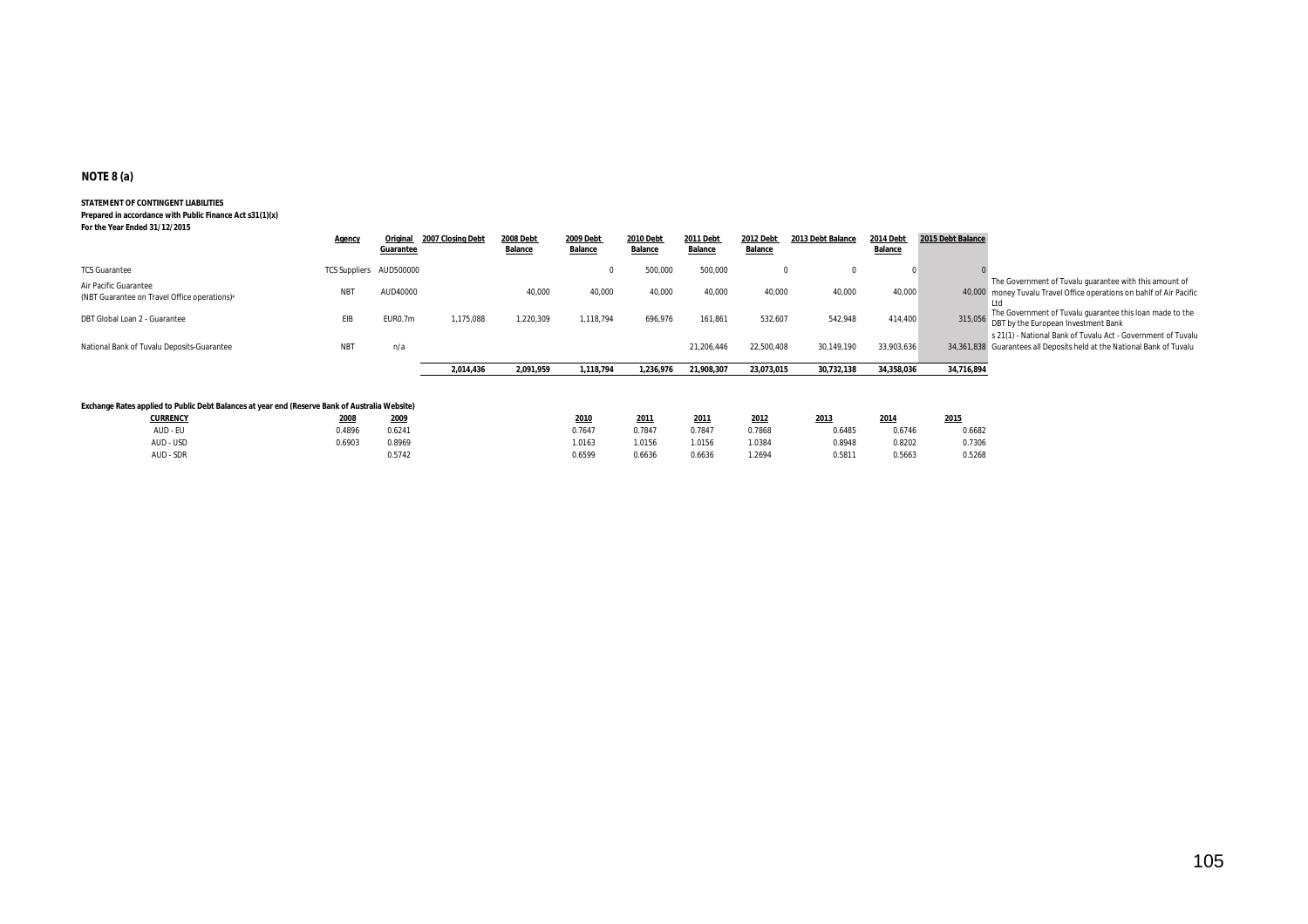#### **NOTE 8 (a)**

#### **STATEMENT OF CONTINGENT LIABILITIES**

**Prepared in accordance with Public Finance Act s31(1)(x) For the Year Ended 31/12/2015**

|                                                                                                | <b>Agency</b>           | Original<br>Guarantee | 2007 Closing Debt | <b>2008 Debt</b><br>Balance | 2009 Debt<br><b>Balance</b> | 2010 Debt<br>Balance | <b>2011 Debt</b><br><b>Balance</b> | <b>2012 Debt</b><br><b>Balance</b> | 2013 Debt Balance | 2014 Debt<br><b>Balance</b> | 2015 Debt Balance |                                                                                                                                  |
|------------------------------------------------------------------------------------------------|-------------------------|-----------------------|-------------------|-----------------------------|-----------------------------|----------------------|------------------------------------|------------------------------------|-------------------|-----------------------------|-------------------|----------------------------------------------------------------------------------------------------------------------------------|
| <b>TCS Guarantee</b><br>Air Pacific Guarantee                                                  | TCS Suppliers AUD500000 |                       |                   |                             |                             | 500,000              | 500,000                            |                                    |                   |                             |                   | The Government of Tuvalu quarantee with this amount of                                                                           |
| (NBT Guarantee on Travel Office operations)*                                                   | <b>NBT</b>              | AUD40000              |                   | 40,000                      | 40,000                      | 40,000               | 40,000                             | 40,000                             | 40.000            | 40.000                      |                   | 40,000 money Tuvalu Travel Office operations on bahlf of Air Pacific<br>The Government of Tuvalu quarantee this loan made to the |
| DBT Global Loan 2 - Guarantee                                                                  | <b>EIB</b>              | EUR0.7m               | 1,175,088         | 1,220,309                   | 1,118,794                   | 696,976              | 161,861                            | 532,607                            | 542,948           | 414,400                     | 315,056           | DBT by the European Investment Bank<br>s 21(1) - National Bank of Tuvalu Act - Government of Tuvalu                              |
| National Bank of Tuvalu Deposits-Guarantee                                                     | <b>NBT</b>              | n/a                   |                   |                             |                             |                      | 21,206,446                         | 22,500,408                         | 30,149,190        | 33,903,636                  |                   | 34,361,838 Guarantees all Deposits held at the National Bank of Tuvalu                                                           |
|                                                                                                |                         |                       | 2,014,436         | 2,091,959                   | 1,118,794                   | 1,236,976            | 21,908,307                         | 23,073,015                         | 30,732,138        | 34,358,036                  | 34,716,894        |                                                                                                                                  |
| Exchange Rates applied to Public Debt Balances at year end (Reserve Bank of Australia Website) |                         |                       |                   |                             |                             |                      |                                    |                                    |                   |                             |                   |                                                                                                                                  |

| <b>CURRENCY</b> | 2008   | 2009   | 2010   | 2011   | 2011          | 2012   | 2013   | 2014   | 2015   |
|-----------------|--------|--------|--------|--------|---------------|--------|--------|--------|--------|
| AUD - EU        | 0.4896 | 0.6241 | 0.7647 | 0.7847 | 0.7847        | 0.7868 | 0.6485 | 0.6746 | 0.6682 |
| AUD - USD       | 0.6903 | 0.8969 | 1.0163 | 1.0156 | 1.0156        | 1.0384 | 0.8948 | 0.8202 | 0.7306 |
| AUD - SDR       |        | 0.5742 | 0.6599 | 0.6636 | <b>0.6636</b> | 1.2694 | 0.5811 | 0.5663 | 0.5268 |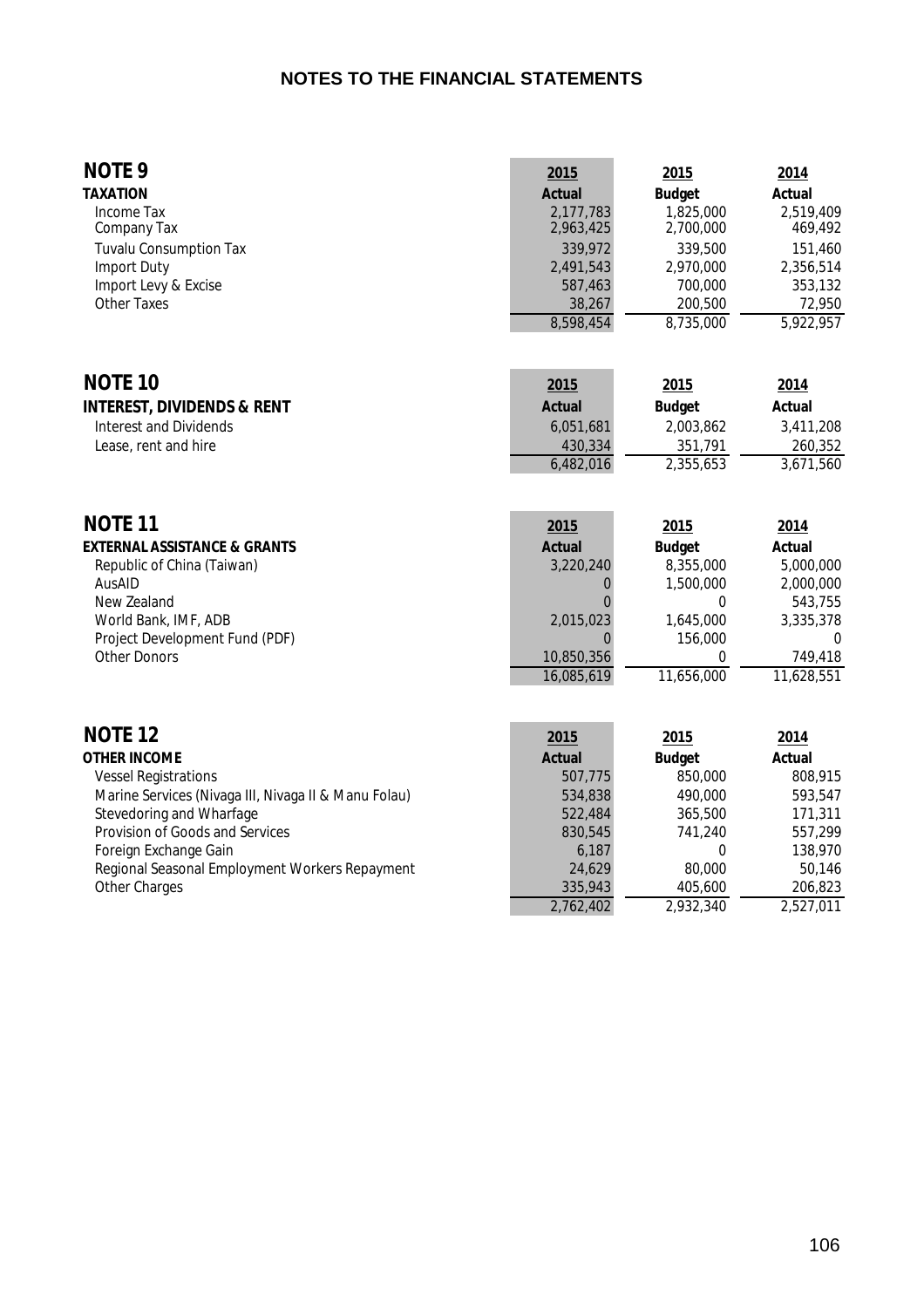### **NOTES TO THE FINANCIAL STATEMENTS**

#### **NOTE 9 2015 2015 2015 2014 TAXATION Actual Budget Actual** Income Tax 2,177,783 1,825,000 2,519,409 Procedure Tax 2,177,783 1,825,000 2,519,409 2,963,425 2,700,000 2,519,409 2,963,425 2,700,000 169,492 Tuvalu Consumption Tax  $\begin{array}{cccc}\n & & 339,972 & & 339,500 & & 151,460 \\
\text{Import Duty} & & & 2,491,543 & & 2,970,000 & & 2,356,514\n\end{array}$ 11 11 12,491,543 2,970,000 2,356,514<br>
12,356,514 2,970,000 2,356,514 2,970,000 2,353,132<br>
2,53,132 700,000 353,132 Import Levy & Excise<br>Other Taxes Other Taxes 38,267 200,500 72,950

8,598,454 8,735,000 5,922,957

| <b>NOTE 10</b>                        | 2015          | 2015          | <u>2014</u> |
|---------------------------------------|---------------|---------------|-------------|
| <b>INTEREST, DIVIDENDS &amp; RENT</b> | <b>Actual</b> | <b>Budget</b> | Actual      |
| Interest and Dividends                | 6.051.681     | 2.003.862     | 3,411,208   |
| Lease, rent and hire                  | 430,334       | 351,791       | 260.352     |
|                                       | 6,482,016     | 2,355,653     | 3.671.560   |

| <b>NOTE 11</b>                          | 2015          | 2015          | 2014          |
|-----------------------------------------|---------------|---------------|---------------|
| <b>EXTERNAL ASSISTANCE &amp; GRANTS</b> | <b>Actual</b> | <b>Budget</b> | <b>Actual</b> |
| Republic of China (Taiwan)              | 3,220,240     | 8,355,000     | 5,000,000     |
| AusAID                                  |               | 1,500,000     | 2,000,000     |
| New Zealand                             |               |               | 543.755       |
| World Bank, IMF, ADB                    | 2,015,023     | 1.645.000     | 3.335.378     |
| Project Development Fund (PDF)          |               | 156,000       | $\Omega$      |
| Other Donors                            | 10,850,356    |               | 749.418       |
|                                         | 16.085.619    | 11,656,000    | 11.628.551    |

| <b>NOTE 12</b>                                       | 2015          | <u>2015</u>   | 2014      |
|------------------------------------------------------|---------------|---------------|-----------|
| <b>OTHER INCOME</b>                                  | <b>Actual</b> | <b>Budget</b> | Actual    |
| <b>Vessel Registrations</b>                          | 507,775       | 850,000       | 808.915   |
| Marine Services (Nivaga III, Nivaga II & Manu Folau) | 534,838       | 490,000       | 593.547   |
| Stevedoring and Wharfage                             | 522,484       | 365,500       | 171.311   |
| Provision of Goods and Services                      | 830,545       | 741.240       | 557.299   |
| Foreign Exchange Gain                                | 6.187         |               | 138,970   |
| Regional Seasonal Employment Workers Repayment       | 24.629        | 80,000        | 50.146    |
| <b>Other Charges</b>                                 | 335,943       | 405,600       | 206.823   |
|                                                      | 2.762.402     | 2.932.340     | 2,527,011 |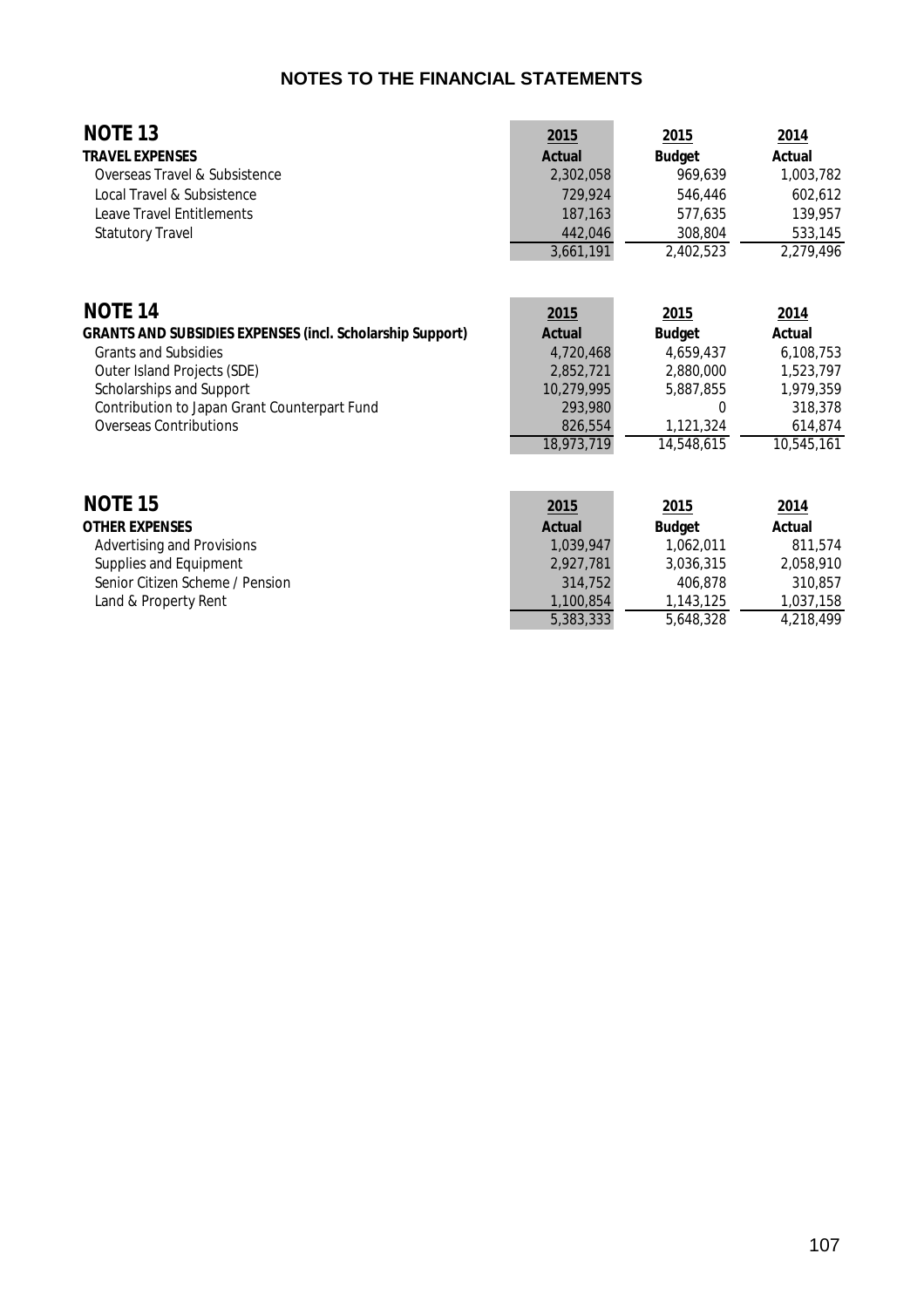### **NOTES TO THE FINANCIAL STATEMENTS**

| <b>NOTE 13</b><br><b>TRAVEL EXPENSES</b>                         | 2015<br><b>Actual</b> | 2015<br><b>Budget</b> | 2014<br>Actual |
|------------------------------------------------------------------|-----------------------|-----------------------|----------------|
| Overseas Travel & Subsistence                                    | 2,302,058             | 969,639               | 1,003,782      |
| Local Travel & Subsistence                                       | 729,924               | 546,446               | 602,612        |
| <b>Leave Travel Entitlements</b>                                 | 187,163               | 577,635               | 139,957        |
| <b>Statutory Travel</b>                                          | 442,046               | 308,804               | 533,145        |
|                                                                  | 3,661,191             | 2,402,523             | 2,279,496      |
| <b>NOTE 14</b>                                                   | 2015                  | <u>2015</u>           | <u>2014</u>    |
| <b>GRANTS AND SUBSIDIES EXPENSES (incl. Scholarship Support)</b> | <b>Actual</b>         | <b>Budget</b>         | Actual         |
| <b>Grants and Subsidies</b>                                      | 4,720,468             | 4,659,437             | 6,108,753      |
| Outer Island Projects (SDE)                                      | 2,852,721             | 2,880,000             | 1,523,797      |
| Scholarships and Support                                         | 10,279,995            | 5,887,855             | 1,979,359      |
| Contribution to Japan Grant Counterpart Fund                     | 293,980               | 0                     | 318,378        |
| <b>Overseas Contributions</b>                                    | 826,554               | 1,121,324             | 614,874        |
|                                                                  | 18,973,719            | 14,548,615            | 10,545,161     |
| <b>NOTE 15</b>                                                   | 2015                  | 2015                  | 2014           |
| <b>OTHER EXPENSES</b>                                            | <b>Actual</b>         | <b>Budget</b>         | Actual         |
| <b>Advertising and Provisions</b>                                | 1,039,947             | 1,062,011             | 811,574        |
| Supplies and Equipment                                           | 2,927,781             | 3,036,315             | 2,058,910      |
| Senior Citizen Scheme / Pension                                  | 314,752               | 406,878               | 310,857        |
| Land & Property Rent                                             | 1,100,854             | 1,143,125             | 1,037,158      |

5,383,333 5,648,328 4,218,499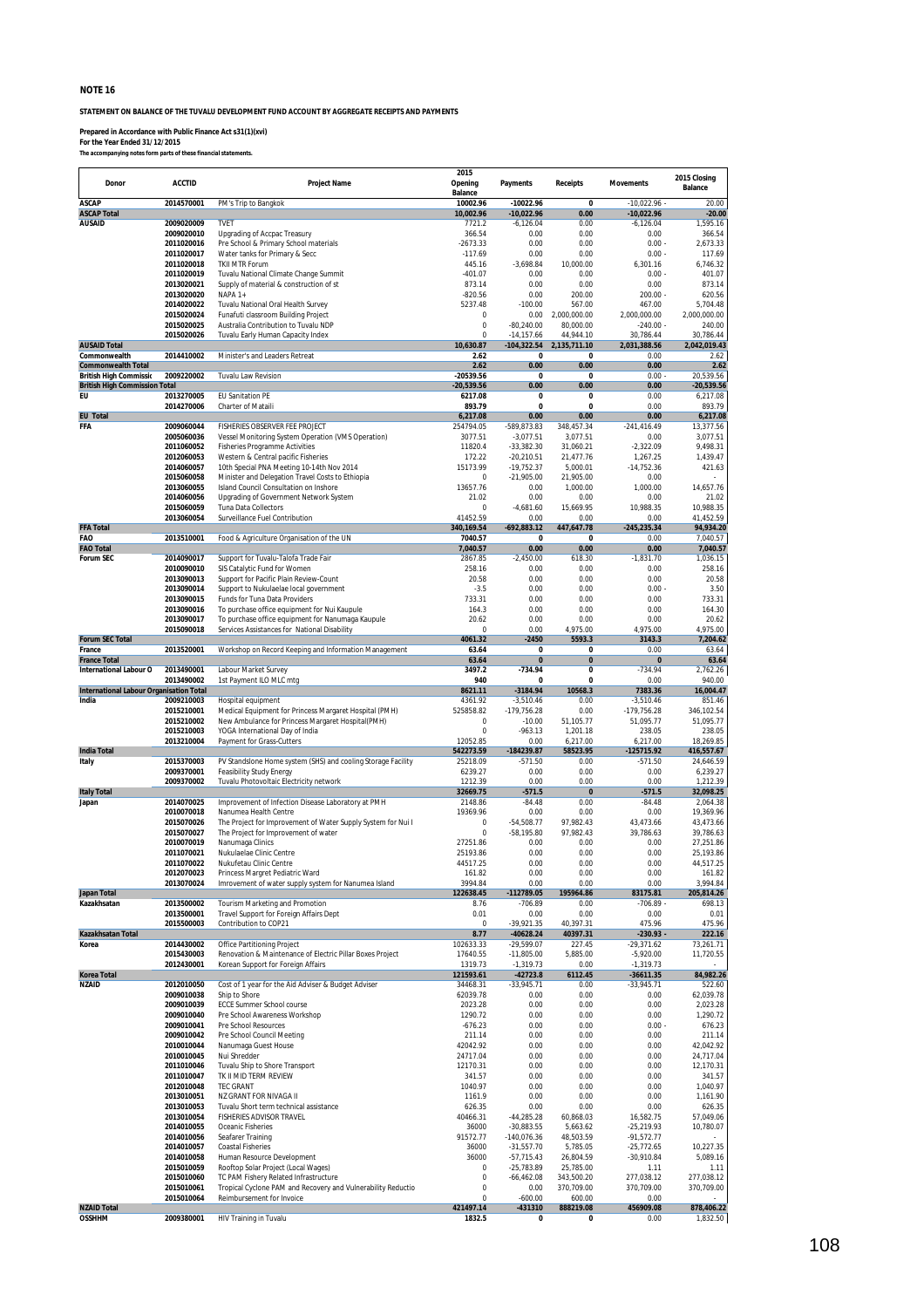**STATEMENT ON BALANCE OF THE TUVALU DEVELOPMENT FUND ACCOUNT BY AGGREGATE RECEIPTS AND PAYMENTS**

**Prepared in Accordance with Public Finance Act s31(1)(xvi)**

**For the Year Ended 31/12/2015** *The accompanying notes form parts of these financial statements.*

**Donor ACCTID Project Name 2015 Opening Balance Payments Receipts Movements 2015 Closing Balance ASCAP 2014570001** PM's Trip to Bangkok **10002.96 -10022.96 0** -10,022.96 - 20.00 **ASCAP Total 10,002.96 -10,022.96 0.00 -10,022.96 -20.00 AUSAID 2009020009** TVET 7721.2 -6,126.04 0.00 -6,126.04 1,595.16 **2009020010** Upgrading of Accpac Treasury 366.54 0.00 0.00 0.00 366.54 **2011020016** Pre School & Primary School materials -2673.33 0.00 0.00 0.00 - 2,673.33 **2011020017** Water tanks for Primary & Secc -117.69 0.00 0.00 0.00 - 117.69 **2011020018** TKII MTR Forum 445.16 -3,698.84 10,000.00 6,301.16 6,746.32 **2011020019** Tuvalu National Climate Change Summit -401.07 0.00 0.00 0.00 - 401.07 **2013020021** Supply of material & construction of st 873.14 0.00 0.00 0.00 873.14 **2013020020** NAPA 1+ **-820.56** -820.56 -820.56 -820.56 0.00 -800.00 - 620.56 -820.56 -820.56 -820.56 -820.56 -820.56 201302022 Tuvalu National Oral Health Survey 5237.48 5237.48 5237.48 5200000 567.00 567.00 55704.48<br>2015020024 Funafuti classroom Building Project 5237.48 5237.48 5237.48 52.00 567.00 567.00 55.700 5,704.48 **2015020024** Funafuti classroom Building Project 0 0.00 2,000,000.00 2,000,000.00 2,000,000.00 **2015020025** Australia Contribution to Tuvalu NDP 0 -80,240.00 80,000.00 -240.00 - 240.00 **2015020026** Tuvalu Early Human Capacity Index 0 -14,157.66 44,944.10 30,786.44 30,786.44 **AUSAID Total 10,630.87 -104,322.54 2,135,711.10 2,031,388.56 2,042,019.43 Commonwealth 2014410002** Minister's and Leaders Retreat **2.62 0 0** 0.00 2.62 **Commonwealth Total 2.62 0.00 0.00 0.00 2.62 British High Commission 2009220002** Tuvalu Law Revision **-20539.56 0 0** 0.00 - 20,539.56 **British High Commission Total -20,539.56 0.00 0.00 0.00 -20,539.56 EU 2013270005** EU Sanitation PE **6217.08 0 0** 0.00 6,217.08 **2014270006** Charter of Mataili **893.79 0 0** 0.00 893.79 **EU Total 6,217.08 0.00 0.00 0.00 6,217.08 FFA 2009060044** FISHERIES OBSERVER FEE PROJECT 254794.05 -589,873.83 348,457.34 -241,416.49 13,377.56 **2005060036** Vessel Monitoring System Operation (VMS Operation) 3077.51 -3,077.51 3,077.51 0.00 3,077.51 2011060052 Fisheries Programme Activities **11820.4** 11820.4 -33,382.30 31,060.21 -2,322.09 9,498.31<br>11820.4 - 2012060053 Western & Central pacific Fisheries **11820.4** - 11820.4 -20,210.51 -21,477.76 1,267.25 1,439.47 **2012060053** Western & Central pacific Fisheries 172.22 -20,210.51 21,477.76 1,267.25 1,439.47 **2014060057** 10th Special PNA Meeting 10-14th Nov 2014 15173.99 -19,752.37 5,000.01 -14,752.36 421.63 2015060058 Minister and Delegation Travel Costs to Ethiopia **1201 1201 121,905.00** 21,905.00 0.00 0.00 21,905.00<br>13657.76 0.00 1,000.00 1,000.00 14,657.76 0.00 1,000.00 1,000.00 14,657.76 0.00 1,000.00 1,000.00 0.000 14,65 2013060055 Island Council Consultation on Inshore 13657.76 0.000 1,000.00 1,000.00 1,000.00 14,657.76<br>**2014060056** Upgrading of Government Network System 13657.76 0.000 1,000.00 1,000.00 1,000.00 1,000.00 1,000.00<br>**201506 2014060056** Upgrading of Government Network System 21.02 0.00 0.00 0.00 21.02 **2015060059** Tuna Data Collectors 0 -4,681.60 15,669.95 10,988.35 10,988.35 **2013060054** Surveillance Fuel Contribution 41452.59 0.00 0.00 0.00 41,452.59<br> **2013060054** Surveillance Fuel Contribution 41452.59 **340,169.54** - **452,883.12** 447,647.78 - 245,235.34 94,934.20 **FFA Total 340,169.54 -692,883.12 447,647.78 -245,235.34 94,934.20 FAO 2013510001** Food & Agriculture Organisation of the UN **7040.57 0 0** 0.00 7,040.57 **FAO Total 7,040.57 0.00 0.00 0.00 7,040.57 Forum SEC** 2014090017 Support for Tuvalu-Talofa Trade Fair 2867.85 -2,450.00 618.30 -1,831.70 1,036.15<br>2010090010 SIS Catalvtic Fund for Women 258.16 0.00 0.00 0.00 258.16 **2010090010** SIS Catalytic Fund for Women 258.16 0.00 0.00 0.00 258.16 **2013090013** Support for Pacific Plain Review-Count 20.58 0.00 0.00 0.00 20.58 2013090014 Support to Faullic Fiam Review-Count<br>**2013090014** Support to Nukulaelae local government -3.50 0.00 0.00 0.00 0.00 0.00 - 3.50<br>**2013090015** Funds for Tuna Data Providers - 3.50 0.00 0.00 0.00 0.00 0.00 0.00 0.3 2013090015 Funds for Tuna Data Providers<br>1913090016 To purchase office equipment for Nui Kaupule<br>1913090017 To purchase office equipment for Nanumaga Kaupule<br>2013090017 To purchase office equipment for Nanumaga Kaupule<br>20 1**013090016** To purchase office equipment for Nui Kaupule 2013 2013 2013 2013 2013 2013 0.00 0.00 0.00 164.30<br>2**013090017** To purchase office equipment for Nanumaga Kaupule 20.62 20.62 0.00 0.00 0.00 0.00 20.62 **2015090018** Services Assistances for National Disability 0 0.00 4,975.00 4,975.00 4,975.00 **Forum SEC Total 4061.32 -2450 5593.3 3143.3 7,204.62 Forum SEC Total**<br>**France 2013520001** Workshop on Record Keeping and Information Management **63.64 0** 0 0 0.00 63.64<br>**France Total 63.64 0** 0 0 0.3.64 **0** 0 0 0.3.64 **63.64** 0 0 0 0.3.64 **63.64** 0 0 0 0.3.64 0 0 0 **France Total 63.64 0 0 0 63.64 International Labour Organisation 2013490001** Labour Market Survey **3497.2 -734.94 0** -734.94 2,762.26 **2013490002** 1st Payment ILO MLC mtg **940 0 0** 0.00 940.00 **International Labour Organisation Total**<br> **International Labour Organisation Total**<br> **International Labour Organisation Total**<br> **International Labour Organisation Total**<br> **8621.11 -3184.94 10568.3 7383.36 16,004.4 India 2009210003** Hospital equipment 4361.92 -3,510.46 0.00 -3,510.46 851.46 **2015210001** Medical Equipment for Princess Margaret Hospital (PMH) 525858.82 -179,756.28 0.00 -179,756.28 346,102.54 **2015210002** New Ambulance for Princess Margaret Hospital(PMH) 0 -10.00 51,105.77 51,095.77 51,095.77 **2015210003** YOGA International Day of India 0 -963.13 1,201.18 238.05 238.05 2013263 0.000 6,217.00 6,217.00 6,217.00 18,269.85 12052.85 12052.85 0.000 6,217.00 6,217.00 18,269.85<br>2013.000 5.217.00 18,269.85 125715.92 1842273.59 1342273.59 1342273.59 125715.92 116.557.67 **India Total 542273.59 -184239.87 58523.95 -125715.92 416,557.67 Italy 2015370003** PV Standslone Home system (SHS) and cooling Storage Facility 25218.09 -571.50 0.00 -571.50 24,646.59<br>2009370001 Feasibility Study Energy **2009370001** Feasibility Study Energy **2009370001** -6239.27 0.00 0 **200938 Feasibility Study Energy 2009370002** Tuvalu Photovoltaic Electricity network 1212.39 0.00 0.00 0.00 1,212.39 **Italy Total 32669.75 -571.5 0 -571.5 32,098.25 Japan 2014070025** Improvement of Infection Disease Laboratory at PMH 2148.86 -84.48 0.00 -84.48 2,064.38 **2010070018** Nanumea Health Centre 19369.96 0.00 0.00 0.00 19,369.96 **2015070026** The Project for Improvement of Water Supply System for Nui I 0 -54,508.77 97,982.43 43,473.66 43,473.66 **2015070027** The Project for Improvement of water 0 -58,195.80 97,982.43 39,786.63 39,786.63 **2010070019** Nanumaga Clinics 27251.86 0.00 0.00 0.00 27,251.86 **2011070021** Nukulaelae Clinic Centre 25193.86 0.00 0.00 0.00 25,193.86 **2011070022** Nukufetau Clinic Centre 44517.25 0.00 0.00 0.00 44,517.25 2011070022 Pubkuretate Unit: Centre<br>2012070022 Pubkuretate Unit: Centre<br>2012070023 Princess Margret Pediatric Ward 161.82 0.00 0.00 0.00 0.00 161.51.25<br>2012070023 Public Ward Princess Margret Pediatric Ward 161.82 0.00 0. **201302484 Imrovement of water supply system for Nanumea Island** 3994.84 0.00 0.00 0.00 3,994.84<br>2026384 1205.814.2684 1205.884 12789.84 12789.854 12789.854 12789.854 12875.84<br>2014 Tourism Marketing and Promotion **Japan Total 122638.45 -112789.05 195964.86 83175.81 205,814.26** 2013500002 Tourism Marketing and Promotion **2013-000 1201 1201 1201 1201 1201 1201 1201** 1204 8.76 - 706.89 - 706.89 - 698.13<br>2013500001 Travel Support for Foreign Affairs Dept **6.000 1201 1201 1201 1201 1201 1201 1201** 0 2013500001 Travel Support for Foreign Affairs Dept 0.01 0.01 0.00 0.01 0.00 0.01 0.00<br>2015500003 Contribution to COP21 0.00 0.01 0.000 0.000 0.01 0.000 0.01 0.000 0.01<br>22216-92211 0.22316 0.0211 0.0211 0.0211 0.0211 0.021 2015 Contribution to COP21 **2015**<br>
2016 - 39,921.35 40,397.31 475.96 475.96 475.96 475.96 475.96 475.96 475.96 475.96 475.96 475.96 475.96 475.96 475.96 475.96 475.96 475.96 475.96 475.96 475.96 475.96 475.96 475.96 475.96 **Kazakhsatan Total 8.77 -40628.24 40397.31 -230.93 - 222.16** 13,261.71/2005. 179,261.71/2015/https://www.magnetity.com/settermain.com/settermain.com/settermain.com/setterm<br>201**5430003** Renovation & Maintenance of Electric Pillar Boxes Project 17640.55 -11,805.00 - 5,885.00 -5,920.00 **2012430001** Korean Support for Foreign Affairs 1319.73 -1,319.73 0.00 -1,319.73 - **Korea Total 121593.61 -42723.8 6112.45 -36611.35 84,982.26 NZAID 2012010050** Cost of 1 year for the Aid Adviser & Budget Adviser 34468.31 -33,945.71 0.00 -33,945.71 522.60 **2009010038** Ship to Shore 62,039.78 62,039.78 0.00 0.00 0.00 0.00 0.00 62,039.78 2**009010038** Ship to Shore 2009010039 Expedition of 2,039.78 0.00 0.00 0.00 0.00 0.2,039.78<br>20**09010039** ECCE Summer School course 2023.28 0.000 0.00 0.00 0.00 0.00 2,023.28 0.00<br>2**009010040 Pre School Awareness Worksho 2009010040** Pre School Awareness Workshop<br>**2009010040** Pre School Awareness Workshop<br>**2009010041** Pre School Resources **1290.72** 0.00 0.00 0.00 0.00 1,290.72<br>**2009010041** Pre School Resources **1290.72 2009010041** Pre School Resources -676.23 0.00 0.00 0.00 0.00 0.00 676.23<br>**2009010041** Pre School Resources -676.23 0.00 0.000 0.00 0.00 0.00 676.23<br>**2009010042** Pre School Council Meeting - 711.14 0.00 0.00 0.00 0.00 2.11 **2009010042** Pre School Council Meeting 211.14 0.00 0.00 0.00 211.14 **2010010044** Nanumaga Guest House 42042.92 0.00 0.00 0.00 42,042.92 **2010010045** Nui Shredder 24717.04 0.00 0.00 0.00 24,717.04 **2011010046** Tuvalu Ship to Shore Transport 12170.31 0.00 0.00 0.00 12,170.31 **2011010047** TK II MID TERM REVIEW 341.57 0.00 0.00 0.00 341.57 **2012010048** TEC GRANT 1040.97 0.00 0.00 0.00 1,040.97 **2013010051** NZ GRANT FOR NIVAGA II 1161.9 0.00 0.00 0.00 1,161.90 **2013010053** Tuvalu Short term technical assistance 626.35 0.00 0.00 0.00 626.35 **2013010054** FISHERIES ADVISOR TRAVEL 40466.31 -44,285.28 60,868.03 16,582.75 57,049.06 **2014010055** Oceanic Fisheries 36000 -30,883.55 5,663.62 -25,219.93 10,780.07 **2014010056** Seafarer Training **2014010056** Seafarer Training **91572.77** -140,076.36 48,503.59 -91,572.77 -140,076<br>2014010057 Coastal Fisheries **120,076.26 120,076.36 48,503.59** -91,572.77 -140,076.36 48,503.59 -91,572.77 **2014010057** Coastal Fisheries 36000 -31,557.70 5,785.05 -25,772.65 10,227.35 **2014010058** Human Resource Development 36000 -57,715.43 26,804.59 -30,910.84 5,089.16 **2015010059** Rooftop Solar Project (Local Wages) 0 -25,783.89 25,785.00 1.11 1.11 **2015010060** TC PAM Fishery Related Infrastructure 0 -66,462.08 343,500.20 277,038.12 277,038.12 **2015010061** Tropical Cyclone PAM and Recovery and Vulnerability Reductio 0 0.00 370,709.00 370,709.00 370,709.00 370,709.00 370,709.00 370,709.00 370,709.00 370,709.00 370,709.00 370,709.00 370,709.00 and 0.00 contract pa **2015010064** Reimbursement for Invoice 0 -600.00 600.00 0.00 - **NZAID Total 421497.14 -431310 888219.08 456909.08 878,406.22 OSSHHM 2009380001** HIV Training in Tuvalu **1832.5 0 0** 0.00 1,832.50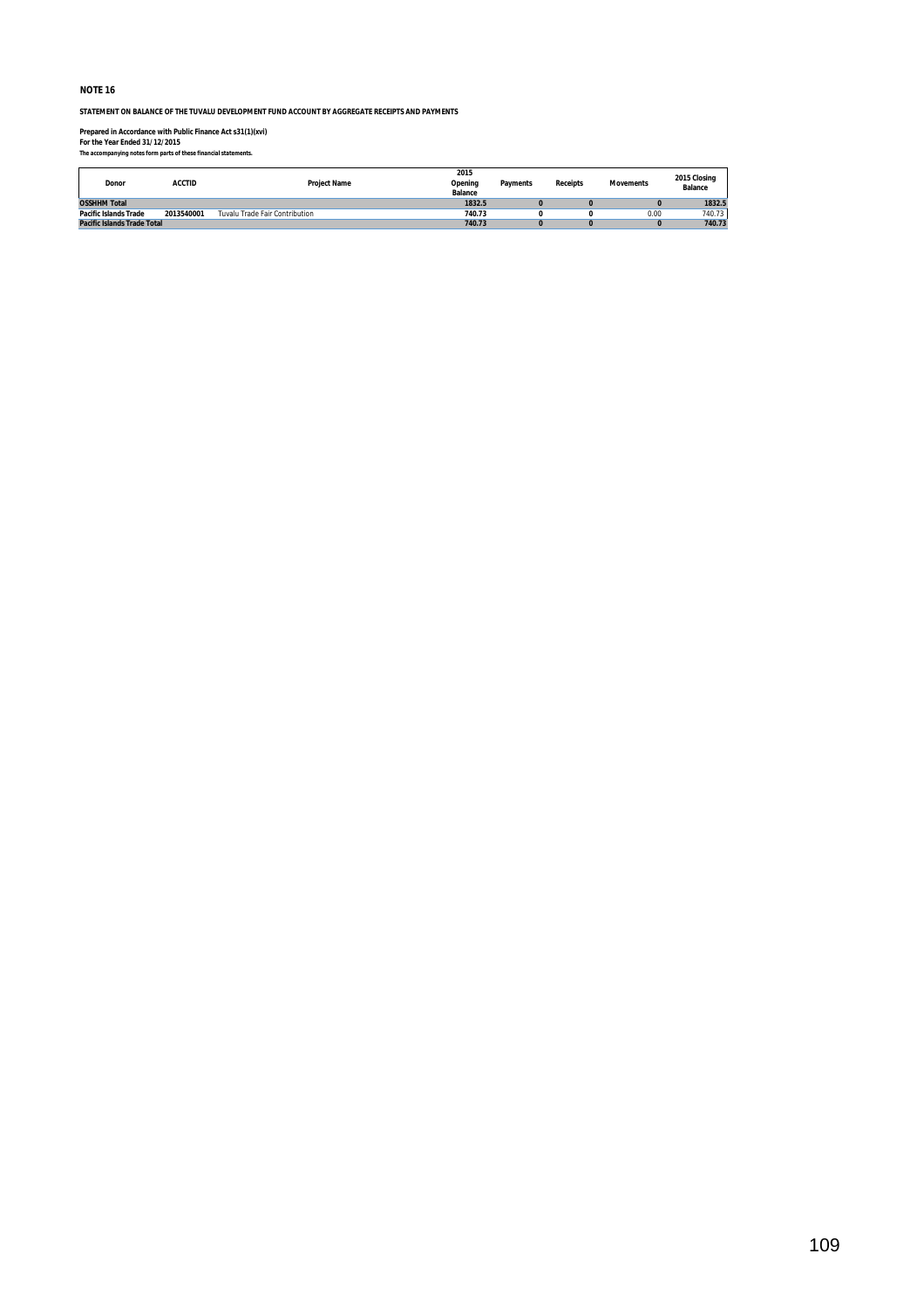**STATEMENT ON BALANCE OF THE TUVALU DEVELOPMENT FUND ACCOUNT BY AGGREGATE RECEIPTS AND PAYMENTS**

**Prepared in Accordance with Public Finance Act s31(1)(xvi) For the Year Ended 31/12/2015** *The accompanying notes form parts of these financial statements.*

| Donor                        | <b>ACCTID</b> | <b>Project Name</b>            | 2015<br>Opening<br><b>Balance</b> | <b>Payments</b> | <b>Receipts</b> | <b>Movements</b> | 2015 Closing<br><b>Balance</b> |
|------------------------------|---------------|--------------------------------|-----------------------------------|-----------------|-----------------|------------------|--------------------------------|
| <b>OSSHHM Total</b>          |               |                                | 1832.5                            |                 |                 |                  | 1832.5                         |
| <b>Pacific Islands Trade</b> | 2013540001    | Tuvalu Trade Fair Contribution | 740.73                            |                 |                 | 0.00             | 740.73                         |
| Pacific Islands Trade Total  |               |                                | 740.73                            |                 |                 |                  | 740.73                         |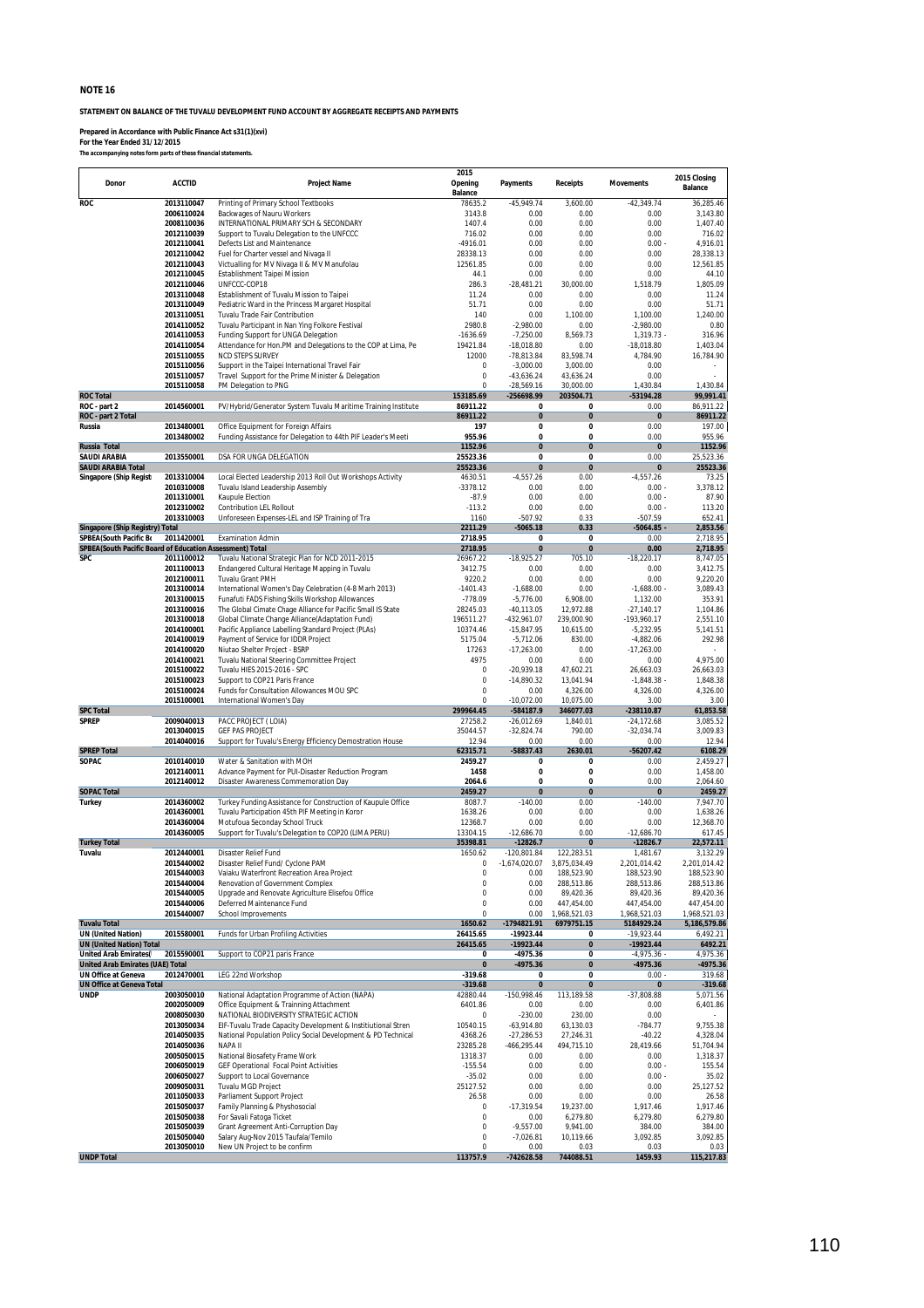**STATEMENT ON BALANCE OF THE TUVALU DEVELOPMENT FUND ACCOUNT BY AGGREGATE RECEIPTS AND PAYMENTS**

**Prepared in Accordance with Public Finance Act s31(1)(xvi) For the Year Ended 31/12/2015** *The accompanying notes form parts of these financial statements.*

| Donor                                                                   | <b>ACCTID</b>            | <b>Project Name</b>                                                                                    | 2015<br>Opening<br>Balance | <b>Payments</b>             | <b>Receipts</b>            | <b>Movements</b>           | 2015 Closing<br><b>Balance</b> |
|-------------------------------------------------------------------------|--------------------------|--------------------------------------------------------------------------------------------------------|----------------------------|-----------------------------|----------------------------|----------------------------|--------------------------------|
| ROC                                                                     | 2013110047               | Printing of Primary School Textbooks                                                                   | 78635.2                    | $-45,949.74$                | 3,600.00                   | $-42,349.74$               | 36,285.46                      |
|                                                                         | 2006110024<br>2008110036 | Backwages of Nauru Workers                                                                             | 3143.8<br>1407.4           | 0.00                        | 0.00<br>0.00               | 0.00                       | 3.143.80                       |
|                                                                         | 2012110039               | INTERNATIONAL PRIMARY SCH & SECONDARY<br>Support to Tuvalu Delegation to the UNFCCC                    | 716.02                     | 0.00<br>0.00                | 0.00                       | 0.00<br>0.00               | 1,407.40<br>716.02             |
|                                                                         | 2012110041               | Defects List and Maintenance                                                                           | $-4916.01$                 | 0.00                        | 0.00                       | $0.00 -$                   | 4,916.01                       |
|                                                                         | 2012110042               | Fuel for Charter vessel and Nivaga II                                                                  | 28338.13                   | 0.00                        | 0.00                       | 0.00                       | 28,338.13                      |
|                                                                         | 2012110043               | Victualling for MV Nivaga II & MV Manufolau                                                            | 12561.85                   | 0.00                        | 0.00                       | 0.00                       | 12,561.85                      |
|                                                                         | 2012110045<br>2012110046 | Establishment Taipei Mission<br>UNFCCC-COP18                                                           | 44.1<br>286.3              | 0.00<br>$-28,481.21$        | 0.00<br>30,000.00          | 0.00<br>1,518.79           | 44.10<br>1,805.09              |
|                                                                         | 2013110048               | Establishment of Tuvalu Mission to Taipei                                                              | 11.24                      | 0.00                        | 0.00                       | 0.00                       | 11.24                          |
|                                                                         | 2013110049               | Pediatric Ward in the Princess Margaret Hospital                                                       | 51.71                      | 0.00                        | 0.00                       | 0.00                       | 51.71                          |
|                                                                         | 2013110051               | Tuvalu Trade Fair Contribution                                                                         | 140                        | 0.00                        | 1,100.00                   | 1,100.00                   | 1,240.00                       |
|                                                                         | 2014110052               | Tuvalu Participant in Nan Ying Folkore Festival                                                        | 2980.8                     | $-2,980.00$                 | 0.00                       | $-2,980.00$                | 0.80                           |
|                                                                         | 2014110053<br>2014110054 | Funding Support for UNGA Delegation<br>Attendance for Hon.PM and Delegations to the COP at Lima, Pe    | $-1636.69$<br>19421.84     | $-7,250.00$<br>$-18,018.80$ | 8,569.73<br>0.00           | 1,319.73 -<br>$-18,018.80$ | 316.96<br>1,403.04             |
|                                                                         | 2015110055               | <b>NCD STEPS SURVEY</b>                                                                                | 12000                      | $-78,813.84$                | 83.598.74                  | 4,784.90                   | 16,784.90                      |
|                                                                         | 2015110056               | Support in the Taipei International Travel Fair                                                        | $\Omega$                   | $-3,000.00$                 | 3,000.00                   | 0.00                       |                                |
|                                                                         | 2015110057               | Travel Support for the Prime Minister & Delegation                                                     | 0                          | $-43,636.24$                | 43,636.24                  | 0.00                       |                                |
| <b>ROC Total</b>                                                        | 2015110058               | PM Delegation to PNG                                                                                   | $\Omega$<br>153185.69      | $-28,569.16$                | 30,000.00                  | 1,430.84                   | 1,430.84                       |
| ROC - part 2                                                            | 2014560001               | PV/Hybrid/Generator System Tuvalu Maritime Training Institute                                          | 86911.22                   | -256698.99<br>0             | 203504.71<br>0             | -53194.28<br>0.00          | 99,991.41<br>86,911.22         |
| ROC - part 2 Total                                                      |                          |                                                                                                        | 86911.22                   | $\bf{0}$                    | $\pmb{0}$                  | $\bf{0}$                   | 86911.22                       |
| Russia                                                                  | 2013480001               | Office Equipment for Foreign Affairs                                                                   | 197                        | 0                           | 0                          | 0.00                       | 197.00                         |
|                                                                         | 2013480002               | Funding Assistance for Delegation to 44th PIF Leader's Meeti                                           | 955.96                     | 0                           | 0                          | 0.00                       | 955.96                         |
| Russia Total<br><b>SAUDI ARABIA</b>                                     | 2013550001               | DSA FOR UNGA DELEGATION                                                                                | 1152.96<br>25523.36        | $\bf{0}$<br>0               | $\bf{0}$<br>0              | $\pmb{0}$<br>0.00          | 1152.96<br>25,523.36           |
| <b>SAUDI ARABIA Total</b>                                               |                          |                                                                                                        | 25523.36                   | $\bf{0}$                    | $\bf{0}$                   | 0                          | 25523.36                       |
| Singapore (Ship Regist                                                  | 2013310004               | Local Elected Leadership 2013 Roll Out Workshops Activity                                              | 4630.51                    | $-4,557.26$                 | 0.00                       | $-4,557.26$                | 73.25                          |
|                                                                         | 2010310008               | Tuvalu Island Leadership Assembly                                                                      | $-3378.12$                 | 0.00                        | 0.00                       | $0.00 -$                   | 3,378.12                       |
|                                                                         | 2011310001               | Kaupule Election                                                                                       | $-87.9$                    | 0.00                        | 0.00                       | $0.00 -$                   | 87.90                          |
|                                                                         | 2012310002<br>2013310003 | Contribution LEL Rollout<br>Unforeseen Expenses-LEL and ISP Training of Tra                            | $-113.2$<br>1160           | 0.00<br>$-507.92$           | 0.00<br>0.33               | $0.00 -$<br>$-507.59$      | 113.20<br>652.41               |
| <b>Singapore (Ship Registry) Total</b>                                  |                          |                                                                                                        | 2211.29                    | $-5065.18$                  | 0.33                       | $-5064.85 -$               | 2,853.56                       |
| SPBEA(South Pacific Bo                                                  | 2011420001               | <b>Examination Admin</b>                                                                               | 2718.95                    | 0                           | 0                          | 0.00                       | 2,718.95                       |
| SPBEA(South Pacific Board of Education Assessment) Total                |                          |                                                                                                        | 2718.95                    | $\bf{0}$                    | $\mathbf{0}$               | 0.00                       | 2,718.95                       |
| SPC                                                                     | 2011100012<br>2011100013 | Tuvalu National Strategic Plan for NCD 2011-2015                                                       | 26967.22<br>3412.75        | $-18,925.27$<br>0.00        | 705.10<br>0.00             | $-18,220.17$<br>0.00       | 8,747.05<br>3,412.75           |
|                                                                         | 2012100011               | Endangered Cultural Heritage Mapping in Tuvalu<br>Tuvalu Grant PMH                                     | 9220.2                     | 0.00                        | 0.00                       | 0.00                       | 9.220.20                       |
|                                                                         | 2013100014               | International Women's Day Celebration (4-8 Marh 2013)                                                  | $-1401.43$                 | $-1,688.00$                 | 0.00                       | $-1,688.00 -$              | 3,089.43                       |
|                                                                         | 2013100015               | Funafuti FADS Fishing Skills Workshop Allowances                                                       | $-778.09$                  | $-5,776.00$                 | 6,908.00                   | 1,132.00                   | 353.91                         |
|                                                                         | 2013100016               | The Global Cimate Chage Alliance for Pacific Small IS State                                            | 28245.03                   | $-40,113.05$                | 12,972.88                  | $-27,140.17$               | 1,104.86                       |
|                                                                         | 2013100018<br>2014100001 | Global Climate Change Alliance(Adaptation Fund)<br>Pacific Appliance Labelling Standard Project (PLAs) | 196511.27<br>10374.46      | -432,961.07<br>$-15,847.95$ | 239,000.90<br>10,615.00    | -193,960.17<br>$-5,232.95$ | 2,551.10<br>5,141.51           |
|                                                                         | 2014100019               | Payment of Service for IDDR Project                                                                    | 5175.04                    | $-5,712.06$                 | 830.00                     | $-4,882.06$                | 292.98                         |
|                                                                         | 2014100020               | Niutao Shelter Project - BSRP                                                                          | 17263                      | $-17,263.00$                | 0.00                       | $-17,263.00$               |                                |
|                                                                         | 2014100021               | Tuvalu National Steering Committee Project                                                             | 4975                       | 0.00                        | 0.00                       | 0.00                       | 4,975.00                       |
|                                                                         | 2015100022               | Tuvalu HIES 2015-2016 - SPC                                                                            | 0                          | $-20,939.18$                | 47,602.21                  | 26,663.03                  | 26,663.03                      |
|                                                                         | 2015100023<br>2015100024 | Support to COP21 Paris France<br>Funds for Consultation Allowances MOU SPC                             | 0<br>0                     | $-14,890.32$<br>0.00        | 13,041.94<br>4,326.00      | $-1,848.38 -$<br>4,326.00  | 1,848.38<br>4,326.00           |
|                                                                         | 2015100001               | International Women's Day                                                                              | $\Omega$                   | $-10,072.00$                | 10,075.00                  | 3.00                       | 3.00                           |
| <b>SPC Total</b>                                                        |                          |                                                                                                        | 299964.45                  | -584187.9                   | 346077.03                  | -238110.87                 | 61,853.58                      |
| <b>SPREP</b>                                                            | 2009040013               | PACC PROJECT (LOIA)                                                                                    | 27258.2                    | $-26,012.69$                | 1,840.01                   | $-24,172.68$               | 3,085.52                       |
|                                                                         | 2013040015               | <b>GEF PAS PROJECT</b>                                                                                 | 35044.57                   | $-32,824.74$                | 790.00                     | $-32,034.74$               | 3,009.83                       |
| <b>SPREP Total</b>                                                      | 2014040016               | Support for Tuvalu's Energy Efficiency Demostration House                                              | 12.94<br>62315.71          | 0.00<br>$-58837.43$         | 0.00<br>2630.01            | 0.00<br>$-56207.42$        | 12.94<br>6108.29               |
| SOPAC                                                                   | 2010140010               | Water & Sanitation with MOH                                                                            | 2459.27                    | 0                           | 0                          | 0.00                       | 2,459.27                       |
|                                                                         | 2012140011               | Advance Payment for PUI-Disaster Reduction Program                                                     | 1458                       | 0                           | 0                          | 0.00                       | 1,458.00                       |
|                                                                         | 2012140012               | Disaster Awareness Commemoration Day                                                                   | 2064.6                     | 0                           | 0                          | 0.00                       | 2,064.60                       |
| <b>SOPAC Total</b><br><b>Turkey</b>                                     | 2014360002               | Turkey Funding Assistance for Construction of Kaupule Office                                           | 2459.27<br>8087.7          | $\bf{0}$<br>$-140.00$       | $\bf{0}$<br>0.00           | $\bf{0}$<br>$-140.00$      | 2459.27<br>7,947.70            |
|                                                                         | 2014360001               | Tuvalu Participation 45th PIF Meeting in Koror                                                         | 1638.26                    | 0.00                        | 0.00                       | 0.00                       | 1,638.26                       |
|                                                                         | 2014360004               | Motufoua Seconday School Truck                                                                         | 12368.7                    | 0.00                        | 0.00                       | 0.00                       | 12,368.70                      |
|                                                                         | 2014360005               | Support for Tuvalu's Delegation to COP20 (LIMA PERU)                                                   | 13304.15                   | $-12,686.70$                | 0.00                       | $-12,686.70$               | 617.45                         |
| <b>Turkey Total</b><br>Tuvalu                                           | 2012440001               | Disaster Relief Fund                                                                                   | 35398.81<br>1650.62        | $-12826.7$<br>-120,801.84   | $\bf{0}$<br>122,283.51     | $-12826.7$<br>1,481.67     | 22,572.11<br>3,132.29          |
|                                                                         | 2015440002               | Disaster Relief Fund/ Cyclone PAM                                                                      | υ                          | -1,674,020.07               | 3,875,034.49               | 2,201,014.42               | 2,201,014.42                   |
|                                                                         | 2015440003               | Vaiaku Waterfront Recreation Area Project                                                              | 0                          | 0.00                        | 188,523.90                 | 188,523.90                 | 188,523.90                     |
|                                                                         | 2015440004               | Renovation of Government Complex                                                                       | 0                          | 0.00                        | 288,513.86                 | 288,513.86                 | 288,513.86                     |
|                                                                         | 2015440005               | Upgrade and Renovate Agriculture Elisefou Office                                                       | 0                          | 0.00                        | 89,420.36                  | 89,420.36                  | 89,420.36                      |
|                                                                         | 2015440006<br>2015440007 | Deferred Maintenance Fund<br>School Improvements                                                       | 0<br>0                     | 0.00<br>0.00                | 447,454.00<br>1,968,521.03 | 447,454.00<br>1,968,521.03 | 447,454.00<br>1,968,521.03     |
| <b>Tuvalu Total</b>                                                     |                          |                                                                                                        | 1650.62                    | -1794821.91                 | 6979751.15                 | 5184929.24                 | 5,186,579.86                   |
| <b>UN (United Nation)</b>                                               | 2015580001               | Funds for Urban Profiling Activities                                                                   | 26415.65                   | -19923.44                   | 0                          | -19,923.44                 | 6,492.21                       |
| <b>UN (United Nation) Total</b>                                         |                          |                                                                                                        | 26415.65                   | $-19923.44$                 | $\pmb{0}$                  | $-19923.44$                | 6492.21                        |
| <b>United Arab Emirates(</b><br><b>United Arab Emirates (UAE) Total</b> | 2015590001               | Support to COP21 paris France                                                                          | 0<br>0                     | -4975.36<br>-4975.36        | 0<br>0                     | $-4,975.36$<br>$-4975.36$  | 4,975.36<br>-4975.36           |
| <b>UN Office at Geneva</b>                                              | 2012470001               | LEG 22nd Workshop                                                                                      | $-319.68$                  | 0                           | 0                          | 0.00                       | 319.68                         |
| <b>UN Office at Geneva Total</b>                                        |                          |                                                                                                        | $-319.68$                  | $\bf{0}$                    | 0                          | $\pmb{0}$                  | $-319.68$                      |
| <b>UNDP</b>                                                             | 2003050010               | National Adaptation Programme of Action (NAPA)                                                         | 42880.44                   | -150,998.46                 | 113,189.58                 | -37,808.88                 | 5,071.56                       |
|                                                                         | 2002050009<br>2008050030 | Office Equipment & Trainning Attachment<br>NATIONAL BIODIVERSITY STRATEGIC ACTION                      | 6401.86<br>0               | 0.00                        | 0.00                       | 0.00<br>0.00               | 6,401.86                       |
|                                                                         | 2013050034               | EIF-Tuvalu Trade Capacity Development & Institiutional Stren                                           | 10540.15                   | $-230.00$<br>$-63,914.80$   | 230.00<br>63,130.03        | $-784.77$                  | 9,755.38                       |
|                                                                         | 2014050035               | National Population Policy Social Development & PD Technical                                           | 4368.26                    | $-27,286.53$                | 27,246.31                  | $-40.22$                   | 4,328.04                       |
|                                                                         | 2014050036               | NAPA II                                                                                                | 23285.28                   | -466,295.44                 | 494,715.10                 | 28,419.66                  | 51,704.94                      |
|                                                                         | 2005050015               | National Biosafety Frame Work                                                                          | 1318.37                    | 0.00                        | 0.00                       | 0.00                       | 1,318.37                       |
|                                                                         | 2006050019<br>2006050027 | <b>GEF Operational Focal Point Activities</b><br>Support to Local Governance                           | $-155.54$<br>$-35.02$      | 0.00<br>0.00                | 0.00<br>0.00               | $0.00 -$<br>$0.00 -$       | 155.54<br>35.02                |
|                                                                         | 2009050031               | Tuvalu MGD Project                                                                                     | 25127.52                   | 0.00                        | 0.00                       | 0.00                       | 25,127.52                      |
|                                                                         | 2011050033               | Parliament Support Project                                                                             | 26.58                      | 0.00                        | 0.00                       | 0.00                       | 26.58                          |
|                                                                         | 2015050037               | Family Planning & Physhosocial                                                                         | 0                          | $-17,319.54$                | 19,237.00                  | 1,917.46                   | 1,917.46                       |
|                                                                         | 2015050038               | For Savali Fatoga Ticket                                                                               | 0                          | 0.00                        | 6,279.80                   | 6,279.80                   | 6,279.80                       |
|                                                                         | 2015050039<br>2015050040 | Grant Agreement Anti-Corruption Day<br>Salary Aug-Nov 2015 Taufala/Temilo                              | 0<br>0                     | $-9,557.00$<br>$-7,026.81$  | 9,941.00<br>10,119.66      | 384.00<br>3,092.85         | 384.00<br>3,092.85             |
|                                                                         | 2013050010               | New UN Project to be confirm                                                                           | $\Omega$                   | 0.00                        | 0.03                       | 0.03                       | 0.03                           |
| <b>UNDP Total</b>                                                       |                          |                                                                                                        | 113757.9                   | -742628.58                  | 744088.51                  | 1459.93                    | 115,217.83                     |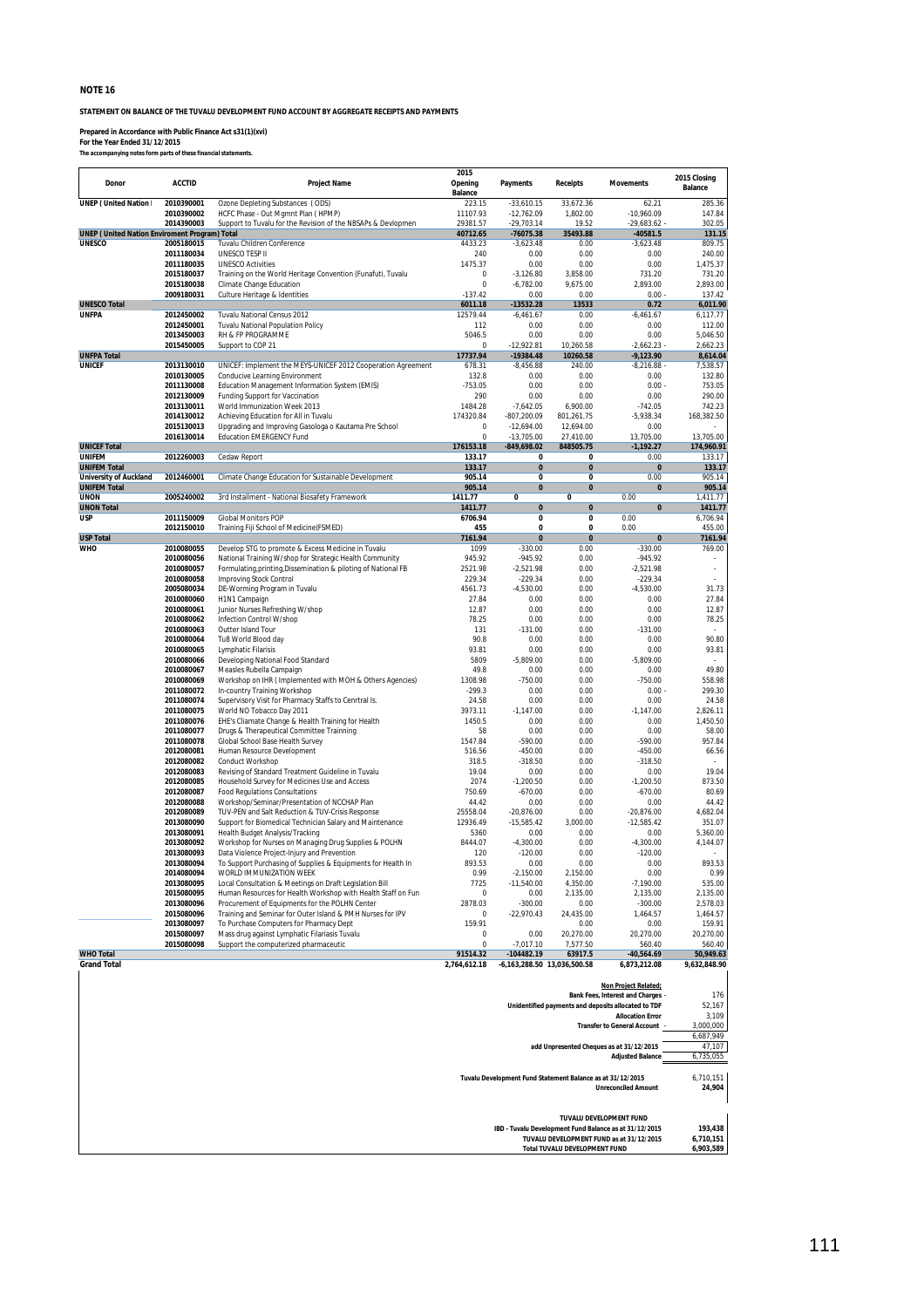**STATEMENT ON BALANCE OF THE TUVALU DEVELOPMENT FUND ACCOUNT BY AGGREGATE RECEIPTS AND PAYMENTS**

**Prepared in Accordance with Public Finance Act s31(1)(xvi) For the Year Ended 31/12/2015** *The accompanying notes form parts of these financial statements.*

| Donor                                                | <b>ACCTID</b>            | <b>Project Name</b>                                                                                                       | 2015<br>Opening<br>Balance | <b>Payments</b>                                            | <b>Receipts</b>                        | <b>Movements</b>                                                                                                              | 2015 Closing<br><b>Balance</b>    |
|------------------------------------------------------|--------------------------|---------------------------------------------------------------------------------------------------------------------------|----------------------------|------------------------------------------------------------|----------------------------------------|-------------------------------------------------------------------------------------------------------------------------------|-----------------------------------|
| <b>UNEP (United Nation I</b>                         | 2010390001               | Ozone Depleting Substances (ODS)                                                                                          | 223.15                     | $-33,610.15$                                               | 33,672.36                              | 62.21                                                                                                                         | 285.36                            |
|                                                      | 2010390002               | HCFC Phase - Out Mgmnt Plan (HPMP)                                                                                        | 11107.93                   | $-12,762.09$                                               | 1.802.00                               | $-10,960.09$                                                                                                                  | 147.84                            |
| <b>UNEP (United Nation Enviroment Program) Total</b> | 2014390003               | Support to Tuvalu for the Revision of the NBSAPs & Devlopmen                                                              | 29381.57<br>40712.65       | $-29,703.14$<br>-76075.38                                  | 19.52<br>35493.88                      | $-29,683.62 -$<br>$-40581.5$                                                                                                  | 302.05<br>131.15                  |
| <b>UNESCO</b>                                        | 2005180015               | Tuvalu Children Conference                                                                                                | 4433.23                    | $-3,623.48$                                                | 0.00                                   | $-3,623.48$                                                                                                                   | 809.75                            |
|                                                      | 2011180034               | UNESCO TESP II                                                                                                            | 240                        | 0.00                                                       | 0.00                                   | 0.00                                                                                                                          | 240.00                            |
|                                                      | 2011180035               | <b>UNESCO Activities</b>                                                                                                  | 1475.37                    | 0.00                                                       | 0.00                                   | 0.00                                                                                                                          | 1,475.37                          |
|                                                      | 2015180037               | Training on the World Heritage Convention (Funafuti, Tuvalu                                                               | 0<br>0                     | $-3,126.80$<br>$-6,782.00$                                 | 3,858.00                               | 731.20                                                                                                                        | 731.20<br>2,893.00                |
|                                                      | 2015180038<br>2009180031 | Climate Change Education<br>Culture Heritage & Identities                                                                 | $-137.42$                  | 0.00                                                       | 9,675.00<br>0.00                       | 2,893.00<br>$0.00 -$                                                                                                          | 137.42                            |
| <b>UNESCO Total</b>                                  |                          |                                                                                                                           | 6011.18                    | $-13532.28$                                                | 13533                                  | 0.72                                                                                                                          | 6,011.90                          |
| <b>UNFPA</b>                                         | 2012450002               | Tuvalu National Census 2012                                                                                               | 12579.44                   | $-6,461.67$                                                | 0.00                                   | $-6,461.67$                                                                                                                   | 6,117.77                          |
|                                                      | 2012450001               | <b>Tuvalu National Population Policy</b>                                                                                  | 112                        | 0.00                                                       | 0.00                                   | 0.00                                                                                                                          | 112.00                            |
|                                                      | 2013450003<br>2015450005 | RH & FP PROGRAMME<br>Support to COP 21                                                                                    | 5046.5<br>0                | 0.00<br>$-12,922.81$                                       | 0.00<br>10,260.58                      | 0.00<br>$-2,662.23 -$                                                                                                         | 5,046.50<br>2,662.23              |
| <b>UNFPA Total</b>                                   |                          |                                                                                                                           | 17737.94                   | $-19384.48$                                                | 10260.58                               | $-9,123.90$                                                                                                                   | 8,614.04                          |
| <b>UNICEF</b>                                        | 2013130010               | UNICEF: Implement the MEYS-UNICEF 2012 Cooperation Agreement                                                              | 678.31                     | $-8,456.88$                                                | 240.00                                 | $-8,216.88$                                                                                                                   | 7,538.57                          |
|                                                      | 2010130005               | Conducive Learning Environment                                                                                            | 132.8                      | 0.00                                                       | 0.00                                   | 0.00                                                                                                                          | 132.80                            |
|                                                      | 2011130008<br>2012130009 | Education Management Information System (EMIS)<br>Funding Support for Vaccination                                         | $-753.05$<br>290           | 0.00<br>0.00                                               | 0.00<br>0.00                           | $0.00 -$<br>0.00                                                                                                              | 753.05<br>290.00                  |
|                                                      | 2013130011               | World Immunization Week 2013                                                                                              | 1484.28                    | $-7,642.05$                                                | 6,900.00                               | $-742.05$                                                                                                                     | 742.23                            |
|                                                      | 2014130012               | Achieving Education for All in Tuvalu                                                                                     | 174320.84                  | -807,200.09                                                | 801,261.75                             | $-5,938.34$                                                                                                                   | 168,382.50                        |
|                                                      | 2015130013               | Upgrading and Improving Gasologa o Kautama Pre School                                                                     | 0                          | $-12,694.00$                                               | 12,694.00                              | 0.00                                                                                                                          |                                   |
|                                                      | 2016130014               | <b>Education EMERGENCY Fund</b>                                                                                           | 0                          | $-13,705.00$                                               | 27,410.00                              | 13,705.00                                                                                                                     | 13,705.00                         |
| <b>UNICEF Total</b><br><b>UNIFEM</b>                 | 2012260003               | Cedaw Report                                                                                                              | 176153.18<br>133.17        | $-849,698.02$<br>0                                         | 848505.75<br>0                         | $-1,192.27$<br>0.00                                                                                                           | 174,960.91<br>133.17              |
| <b>UNIFEM Total</b>                                  |                          |                                                                                                                           | 133.17                     | $\bf{0}$                                                   | $\bf{0}$                               | 0                                                                                                                             | 133.17                            |
| <b>University of Auckland</b>                        | 2012460001               | Climate Change Education for Sustainable Development                                                                      | 905.14                     | $\mathbf{0}$                                               | 0                                      | 0.00                                                                                                                          | 905.14                            |
| <b>UNIFEM Total</b>                                  |                          |                                                                                                                           | 905.14                     | $\bf{0}$                                                   | $\bf{0}$                               | $\pmb{0}$                                                                                                                     | 905.14                            |
| <b>UNON</b><br><b>UNON Total</b>                     | 2005240002               | 3rd Installment - National Biosafety Framework                                                                            | 1411.77<br>1411.77         | 0<br>$\pmb{0}$                                             | 0<br>$\pmb{0}$                         | 0.00<br>$\pmb{0}$                                                                                                             | 1.411.77<br>1411.77               |
| <b>USP</b>                                           | 2011150009               | <b>Global Monitors POP</b>                                                                                                | 6706.94                    | 0                                                          | 0                                      | 0.00                                                                                                                          | 6,706.94                          |
|                                                      | 2012150010               | Training Fiji School of Medicine(FSMED)                                                                                   | 455                        | $\bf{0}$                                                   | 0                                      | 0.00                                                                                                                          | 455.00                            |
| <b>USP Total</b>                                     |                          |                                                                                                                           | 7161.94                    | $\bf{0}$                                                   | $\pmb{0}$                              | $\pmb{0}$                                                                                                                     | 7161.94                           |
| <b>WHO</b>                                           | 2010080055               | Develop STG to promote & Excess Medicine in Tuvalu                                                                        | 1099                       | $-330.00$                                                  | 0.00                                   | $-330.00$                                                                                                                     | 769.00                            |
|                                                      | 2010080056<br>2010080057 | National Training W/shop for Strategic Health Community<br>Formulating, printing, Dissemination & piloting of National FB | 945.92<br>2521.98          | $-945.92$<br>$-2,521.98$                                   | 0.00<br>0.00                           | $-945.92$<br>$-2,521.98$                                                                                                      |                                   |
|                                                      | 2010080058               | <b>Improving Stock Control</b>                                                                                            | 229.34                     | $-229.34$                                                  | 0.00                                   | $-229.34$                                                                                                                     |                                   |
|                                                      | 2005080034               | DE-Worming Program in Tuvalu                                                                                              | 4561.73                    | $-4,530.00$                                                | 0.00                                   | $-4,530.00$                                                                                                                   | 31.73                             |
|                                                      | 2010080060               | H1N1 Campaign                                                                                                             | 27.84                      | 0.00                                                       | 0.00                                   | 0.00                                                                                                                          | 27.84                             |
|                                                      | 2010080061               | Junior Nurses Refreshing W/shop                                                                                           | 12.87                      | 0.00                                                       | 0.00                                   | 0.00                                                                                                                          | 12.87                             |
|                                                      | 2010080062<br>2010080063 | Infection Control W/shop<br>Outter Island Tour                                                                            | 78.25<br>131               | 0.00<br>$-131.00$                                          | 0.00<br>0.00                           | 0.00<br>$-131.00$                                                                                                             | 78.25                             |
|                                                      | 2010080064               | Tu8 World Blood day                                                                                                       | 90.8                       | 0.00                                                       | 0.00                                   | 0.00                                                                                                                          | 90.80                             |
|                                                      | 2010080065               | Lymphatic Filarisis                                                                                                       | 93.81                      | 0.00                                                       | 0.00                                   | 0.00                                                                                                                          | 93.81                             |
|                                                      | 2010080066               | Developing National Food Standard                                                                                         | 5809                       | $-5,809.00$                                                | 0.00                                   | $-5,809.00$                                                                                                                   |                                   |
|                                                      | 2010080067<br>2010080069 | Measles Rubella Campaign<br>Workshop on IHR ( Implemented with MOH & Others Agencies)                                     | 49.8                       | 0.00                                                       | 0.00                                   | 0.00                                                                                                                          | 49.80<br>558.98                   |
|                                                      | 2011080072               | In-country Training Workshop                                                                                              | 1308.98<br>$-299.3$        | $-750.00$<br>0.00                                          | 0.00<br>0.00                           | $-750.00$<br>$0.00 -$                                                                                                         | 299.30                            |
|                                                      | 2011080074               | Supervisory Visit for Pharmacy Staffs to Cenrtral Is.                                                                     | 24.58                      | 0.00                                                       | 0.00                                   | 0.00                                                                                                                          | 24.58                             |
|                                                      | 2011080075               | World NO Tobacco Day 2011                                                                                                 | 3973.11                    | $-1,147.00$                                                | 0.00                                   | $-1,147.00$                                                                                                                   | 2,826.11                          |
|                                                      | 2011080076               | EHE's Cliamate Change & Health Training for Health                                                                        | 1450.5                     | 0.00                                                       | 0.00                                   | 0.00                                                                                                                          | 1,450.50                          |
|                                                      | 2011080077<br>2011080078 | Drugs & Therapeutical Committee Trainning<br>Global School Base Health Survey                                             | 58<br>1547.84              | 0.00<br>$-590.00$                                          | 0.00<br>0.00                           | 0.00<br>$-590.00$                                                                                                             | 58.00<br>957.84                   |
|                                                      | 2012080081               | Human Resource Development                                                                                                | 516.56                     | $-450.00$                                                  | 0.00                                   | $-450.00$                                                                                                                     | 66.56                             |
|                                                      | 2012080082               | Conduct Workshop                                                                                                          | 318.5                      | $-318.50$                                                  | 0.00                                   | $-318.50$                                                                                                                     |                                   |
|                                                      | 2012080083               | Revising of Standard Treatment Guideline in Tuvalu                                                                        | 19.04                      | 0.00                                                       | 0.00                                   | 0.00                                                                                                                          | 19.04                             |
|                                                      | 2012080085<br>2012080087 | Household Survey for Medicines Use and Access<br><b>Food Regulations Consultations</b>                                    | 2074<br>750.69             | $-1,200.50$<br>$-670.00$                                   | 0.00<br>0.00                           | $-1,200.50$                                                                                                                   | 873.50<br>80.69                   |
|                                                      | 2012080088               | Workshop/Seminar/Presentation of NCCHAP Plan                                                                              | 44.42                      | 0.00                                                       | 0.00                                   | $-670.00$<br>0.00                                                                                                             | 44.42                             |
|                                                      | 2012080089               | TUV-PEN and Salt Reduction & TUV-Crisis Response                                                                          | 25558.04                   | $-20,876.00$                                               | 0.00                                   | $-20,876.00$                                                                                                                  | 4,682.04                          |
|                                                      | 2013080090               | Support for Biomedical Technician Salary and Maintenance                                                                  | 12936.49                   | $-15,585.42$                                               | 3,000.00                               | $-12,585.42$                                                                                                                  | 351.07                            |
|                                                      | 2013080091               | Health Budget Analysis/Tracking                                                                                           | 5360                       | 0.00                                                       | 0.00                                   | 0.00                                                                                                                          | 5.360.00                          |
|                                                      | 2013080092<br>2013080093 | Workshop for Nurses on Managing Drug Supplies & POLHN<br>Data Violence Project-Injury and Prevention                      | 8444.07<br>120             | $-4,300.00$<br>$-120.00$                                   | 0.00<br>0.00                           | $-4,300.00$<br>$-120.00$                                                                                                      | 4,144.07                          |
|                                                      | 2013080094               | To Support Purchasing of Supplies & Equipments for Health In                                                              | 893.53                     | 0.00                                                       | 0.00                                   | 0.00                                                                                                                          | 893.53                            |
|                                                      | 2014080094               | WORLD IMMUNIZATION WEEK                                                                                                   | 0.99                       | $-2,150.00$                                                | 2,150.00                               | 0.00                                                                                                                          | 0.99                              |
|                                                      | 2013080095               | Local Consultation & Meetings on Draft Legislation Bill                                                                   | 7725                       | $-11,540.00$                                               | 4,350.00                               | $-7,190.00$                                                                                                                   | 535.00                            |
|                                                      | 2015080095               | Human Resources for Health Workshop with Health Staff on Fun                                                              | 0                          | 0.00                                                       | 2,135.00                               | 2,135.00                                                                                                                      | 2,135.00<br>2,578.03              |
|                                                      | 2013080096<br>2015080096 | Procurement of Equipments for the POLHN Center<br>Training and Seminar for Outer Island & PMH Nurses for IPV              | 2878.03<br>0               | $-300.00$<br>$-22,970.43$                                  | 0.00<br>24,435.00                      | $-300.00$<br>1,464.57                                                                                                         | 1,464.57                          |
|                                                      | 2013080097               | To Purchase Computers for Pharmacy Dept                                                                                   | 159.91                     |                                                            | 0.00                                   | 0.00                                                                                                                          | 159.91                            |
|                                                      | 2015080097               | Mass drug against Lymphatic Filariasis Tuvalu                                                                             | 0                          | 0.00                                                       | 20,270.00                              | 20,270.00                                                                                                                     | 20,270.00                         |
|                                                      | 2015080098               | Support the computerized pharmaceutic                                                                                     | 0                          | $-7,017.10$                                                | 7,577.50                               | 560.40                                                                                                                        | 560.40                            |
| <b>WHO Total</b><br><b>Grand Total</b>               |                          |                                                                                                                           | 91514.32<br>2,764,612.18   | -104482.19                                                 | 63917.5<br>-6,163,288.50 13,036,500.58 | $-40,564.69$<br>6,873,212.08                                                                                                  | 50,949.63<br>9,632,848.90         |
|                                                      |                          |                                                                                                                           |                            |                                                            |                                        |                                                                                                                               |                                   |
|                                                      |                          |                                                                                                                           |                            |                                                            |                                        | Non Project Related;                                                                                                          |                                   |
|                                                      |                          |                                                                                                                           |                            |                                                            |                                        | Bank Fees, Interest and Charges -                                                                                             | 176                               |
|                                                      |                          |                                                                                                                           |                            |                                                            |                                        | Unidentified payments and deposits allocated to TDF                                                                           | 52,167                            |
|                                                      |                          |                                                                                                                           |                            |                                                            |                                        | <b>Allocation Error</b><br><b>Transfer to General Account</b>                                                                 | 3,109<br>3,000,000                |
|                                                      |                          |                                                                                                                           |                            |                                                            |                                        |                                                                                                                               | 6,687,949                         |
|                                                      |                          |                                                                                                                           |                            |                                                            |                                        | add Unpresented Cheques as at 31/12/2015                                                                                      | 47,107                            |
|                                                      |                          |                                                                                                                           |                            |                                                            |                                        | <b>Adjusted Balance</b>                                                                                                       | 6,735,055                         |
|                                                      |                          |                                                                                                                           |                            | Tuvalu Development Fund Statement Balance as at 31/12/2015 |                                        | <b>Unreconciled Amount</b>                                                                                                    | 6,710,151<br>24,904               |
|                                                      |                          |                                                                                                                           |                            |                                                            | <b>Total TUVALU DEVELOPMENT FUND</b>   | TUVALU DEVELOPMENT FUND<br>IBD - Tuvalu Development Fund Balance as at 31/12/2015<br>TUVALU DEVELOPMENT FUND as at 31/12/2015 | 193,438<br>6,710,151<br>6,903,589 |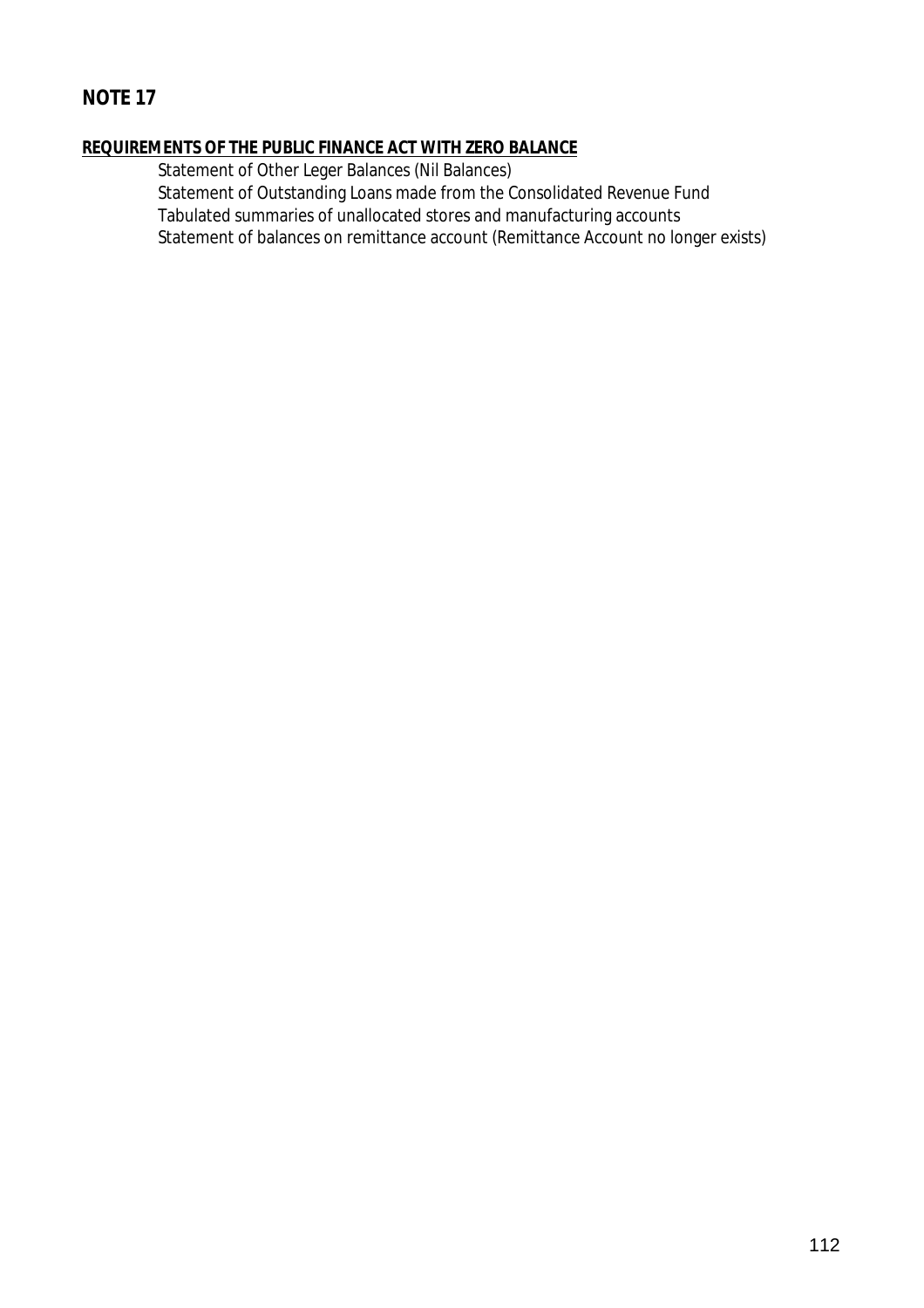# **REQUIREMENTS OF THE PUBLIC FINANCE ACT WITH ZERO BALANCE**

Statement of Other Leger Balances (Nil Balances)

Statement of Outstanding Loans made from the Consolidated Revenue Fund Tabulated summaries of unallocated stores and manufacturing accounts Statement of balances on remittance account (Remittance Account no longer exists)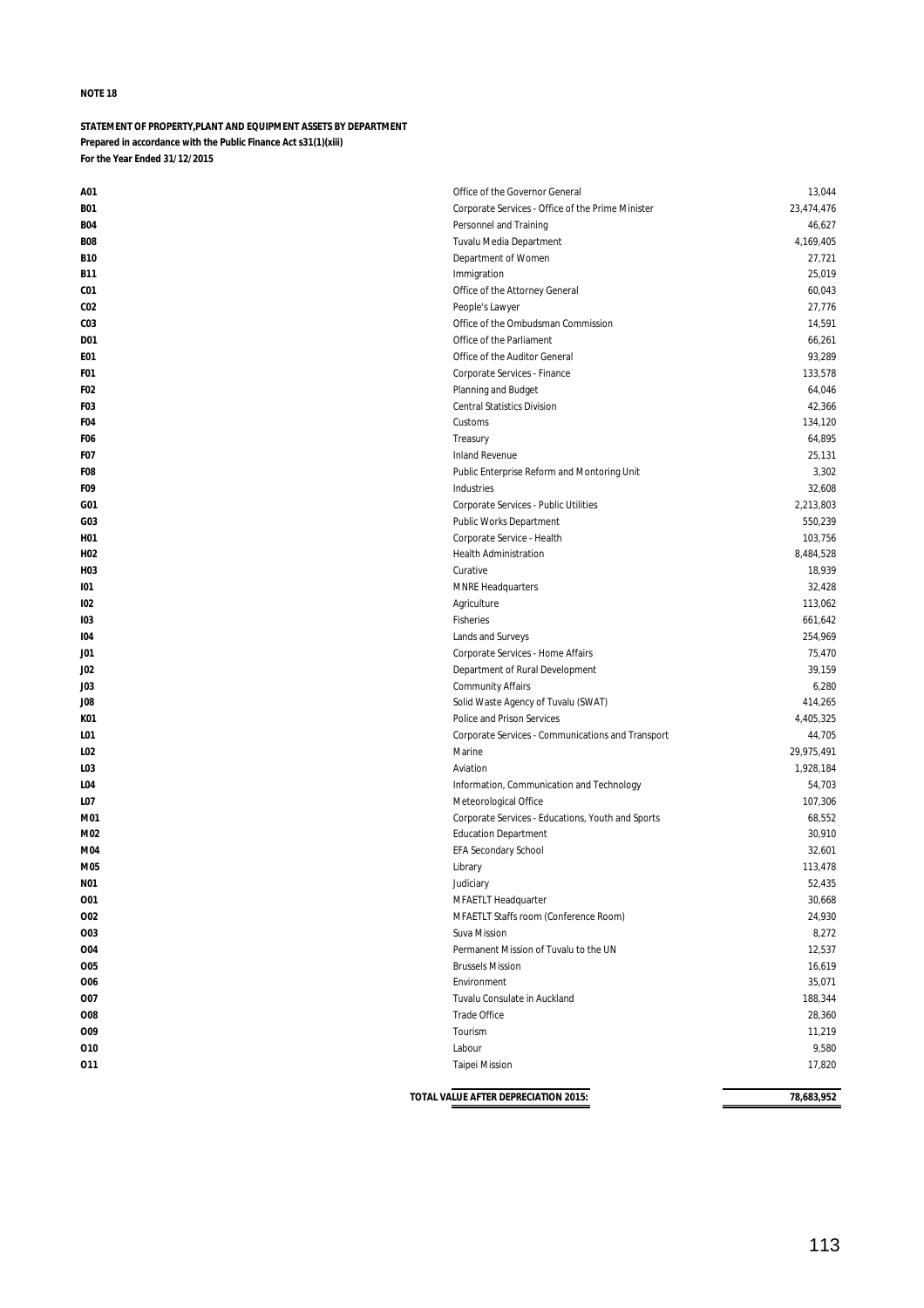## **STATEMENT OF PROPERTY,PLANT AND EQUIPMENT ASSETS BY DEPARTMENT Prepared in accordance with the Public Finance Act s31(1)(xiii) For the Year Ended 31/12/2015**

| A01              | Office of the Governor General                    | 13,044     |
|------------------|---------------------------------------------------|------------|
| <b>B01</b>       | Corporate Services - Office of the Prime Minister | 23,474,476 |
| <b>B04</b>       | Personnel and Training                            | 46,627     |
| <b>B08</b>       | Tuvalu Media Department                           | 4,169,405  |
| <b>B10</b>       | Department of Women                               | 27,721     |
| B11              | Immigration                                       | 25,019     |
| CO <sub>1</sub>  | Office of the Attorney General                    | 60,043     |
| CO <sub>2</sub>  | People's Lawyer                                   | 27,776     |
| CO <sub>3</sub>  | Office of the Ombudsman Commission                | 14,591     |
| D01              | Office of the Parliament                          | 66,261     |
| E01              | Office of the Auditor General                     | 93,289     |
| F01              | Corporate Services - Finance                      | 133,578    |
| F02              | Planning and Budget                               | 64,046     |
| F <sub>0</sub> 3 | <b>Central Statistics Division</b>                | 42,366     |
| F04              | Customs                                           | 134,120    |
| F <sub>06</sub>  | Treasury                                          | 64,895     |
| F07              | Inland Revenue                                    | 25,131     |
| F08              | Public Enterprise Reform and Montoring Unit       | 3,302      |
| F09              | Industries                                        | 32,608     |
| G01              | Corporate Services - Public Utilities             | 2,213,803  |
| GO3              | Public Works Department                           | 550,239    |
| H01              | Corporate Service - Health                        | 103,756    |
| H02              | <b>Health Administration</b>                      | 8,484,528  |
| H03              | Curative                                          | 18,939     |
| 101              | <b>MNRE Headquarters</b>                          | 32,428     |
| 102              | Agriculture                                       | 113,062    |
| 103              | Fisheries                                         | 661,642    |
| 104              | Lands and Surveys                                 | 254,969    |
| JO1              | Corporate Services - Home Affairs                 | 75,470     |
| JO2              | Department of Rural Development                   | 39,159     |
| <b>JO3</b>       | <b>Community Affairs</b>                          | 6,280      |
| JO8              | Solid Waste Agency of Tuvalu (SWAT)               | 414,265    |
| K01              | Police and Prison Services                        | 4,405,325  |
| LO1              | Corporate Services - Communications and Transport | 44,705     |
| L02              | Marine                                            | 29,975,491 |
| LO3              | Aviation                                          | 1,928,184  |
| LO4              | Information, Communication and Technology         | 54,703     |
| LO7              | Meteorological Office                             | 107,306    |
| M01              | Corporate Services - Educations, Youth and Sports | 68,552     |
| M02              | <b>Education Department</b>                       | 30,910     |
| M04              | <b>EFA Secondary School</b>                       | 32,601     |
| M05              | Library                                           | 113,478    |
| <b>N01</b>       | Judiciary                                         | 52,435     |
| 001              | MFAETLT Headquarter                               | 30,668     |
| 002              | MFAETLT Staffs room (Conference Room)             | 24,930     |
| 003              | Suva Mission                                      | 8,272      |
| 004              | Permanent Mission of Tuvalu to the UN             | 12,537     |
| 005              | <b>Brussels Mission</b>                           | 16,619     |
| 006              | Environment                                       | 35,071     |
| 007              | Tuvalu Consulate in Auckland                      | 188,344    |
| 008              | Trade Office                                      | 28,360     |
| <b>O09</b>       | Tourism                                           | 11,219     |
| 010              | Labour                                            | 9,580      |
| 011              | <b>Taipei Mission</b>                             | 17,820     |
|                  |                                                   |            |
|                  | TOTAL VALUE AFTER DEPRECIATION 2015:              | 78,683,952 |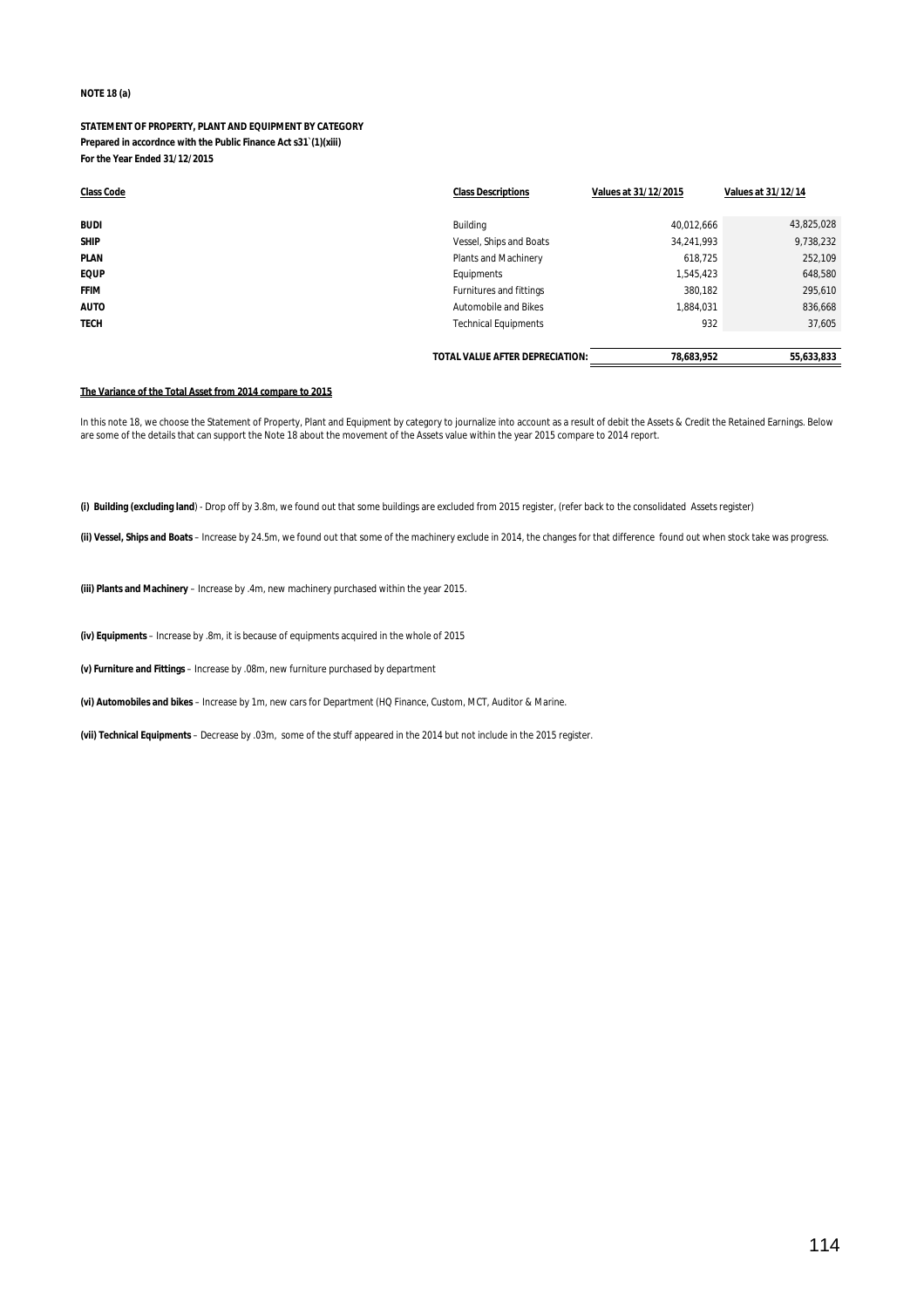### **NOTE 18 (a)**

### **STATEMENT OF PROPERTY, PLANT AND EQUIPMENT BY CATEGORY Prepared in accordnce with the Public Finance Act s31`(1)(xiii) For the Year Ended 31/12/2015**

| <b>Class Code</b> | <b>Class Descriptions</b>       | Values at 31/12/2015 | <b>Values at 31/12/14</b> |
|-------------------|---------------------------------|----------------------|---------------------------|
|                   |                                 |                      |                           |
| <b>BUDI</b>       | Building                        | 40,012,666           | 43,825,028                |
| <b>SHIP</b>       | Vessel, Ships and Boats         | 34,241,993           | 9,738,232                 |
| <b>PLAN</b>       | Plants and Machinery            | 618.725              | 252,109                   |
| <b>EQUP</b>       | Equipments                      | 1,545,423            | 648,580                   |
| <b>FFIM</b>       | Furnitures and fittings         | 380.182              | 295,610                   |
| <b>AUTO</b>       | Automobile and Bikes            | 1,884,031            | 836,668                   |
| <b>TECH</b>       | <b>Technical Equipments</b>     | 932                  | 37,605                    |
|                   |                                 |                      |                           |
|                   | TOTAL VALUE AFTER DEPRECIATION: | 78.683.952           | 55.633.833                |

#### **The Variance of the Total Asset from 2014 compare to 2015**

In this note 18, we choose the Statement of Property, Plant and Equipment by category to journalize into account as a result of debit the Assets & Credit the Retained Earnings. Below are some of the details that can support the Note 18 about the movement of the Assets value within the year 2015 compare to 2014 report.

**(i) Building (excluding land**) - Drop off by 3.8m, we found out that some buildings are excluded from 2015 register, (refer back to the consolidated Assets register)

**(ii) Vessel, Ships and Boats** – Increase by 24.5m, we found out that some of the machinery exclude in 2014, the changes for that difference found out when stock take was progress.

**(iii) Plants and Machinery** – Increase by .4m, new machinery purchased within the year 2015.

**(iv) Equipments** – Increase by .8m, it is because of equipments acquired in the whole of 2015

**(v) Furniture and Fittings** – Increase by .08m, new furniture purchased by department

**(vi) Automobiles and bikes** – Increase by 1m, new cars for Department (HQ Finance, Custom, MCT, Auditor & Marine.

**(vii) Technical Equipments** – Decrease by .03m, some of the stuff appeared in the 2014 but not include in the 2015 register.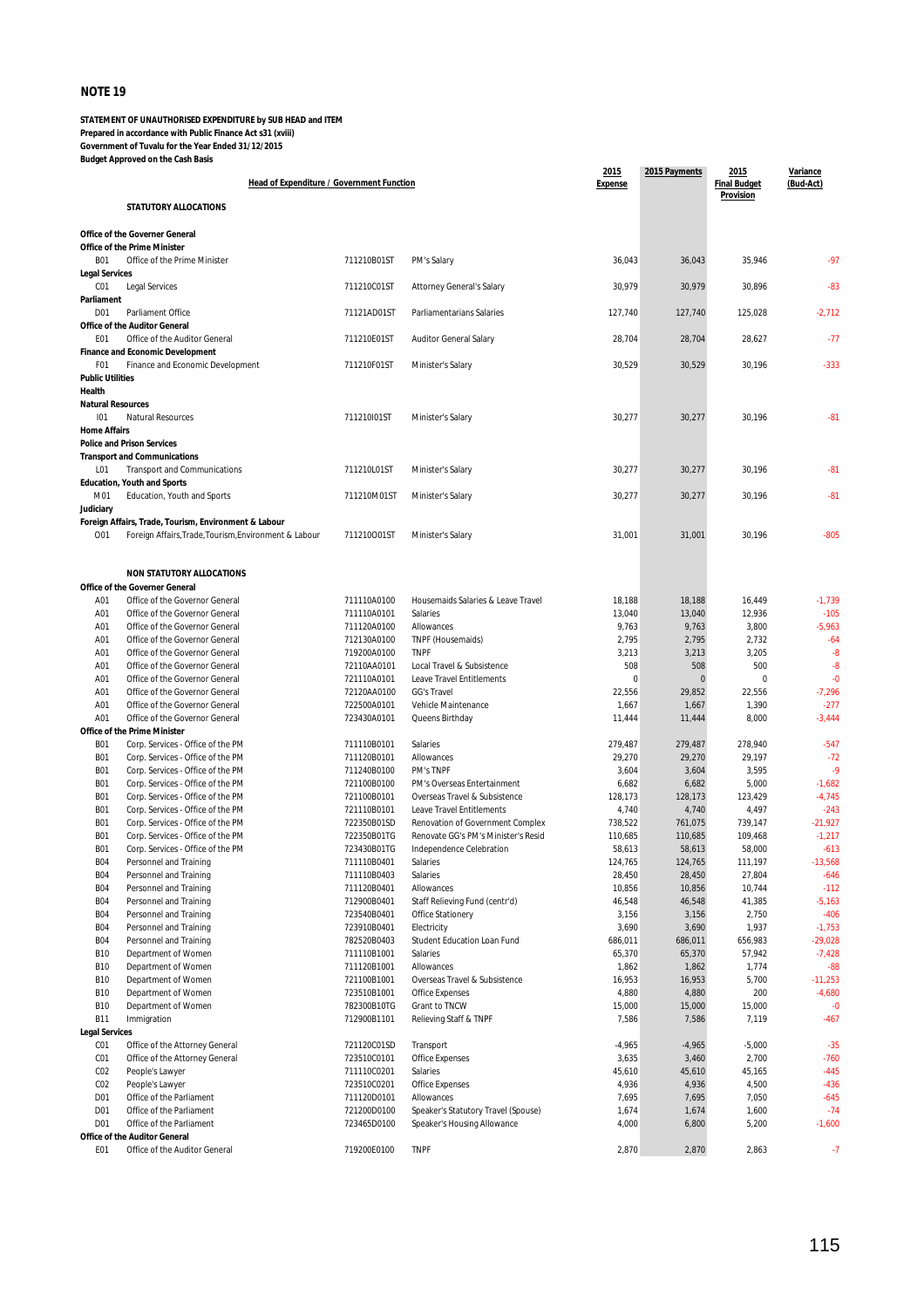| <b>OVED OIT LITE COMT DOMS</b><br>Head of Expenditure / Government Function |                                                                              |                            | 2015<br><b>Expense</b>                                     | 2015 Payments    | 2015<br><b>Final Budget</b> | Variance<br>(Bud-Act) |                    |
|-----------------------------------------------------------------------------|------------------------------------------------------------------------------|----------------------------|------------------------------------------------------------|------------------|-----------------------------|-----------------------|--------------------|
|                                                                             | STATUTORY ALLOCATIONS                                                        |                            |                                                            |                  |                             | Provision             |                    |
|                                                                             |                                                                              |                            |                                                            |                  |                             |                       |                    |
|                                                                             | <b>Office of the Governer General</b><br><b>Office of the Prime Minister</b> |                            |                                                            |                  |                             |                       |                    |
| <b>B01</b>                                                                  | Office of the Prime Minister                                                 | 711210B01ST                | PM's Salary                                                | 36,043           | 36,043                      | 35,946                | $-97$              |
| <b>Legal Services</b><br>CO <sub>1</sub>                                    | <b>Legal Services</b>                                                        | 711210C01ST                | Attorney General's Salary                                  | 30,979           | 30,979                      | 30,896                | $-83$              |
| Parliament                                                                  |                                                                              |                            |                                                            |                  |                             |                       |                    |
| D <sub>01</sub>                                                             | Parliament Office                                                            | 71121AD01ST                | Parliamentarians Salaries                                  | 127,740          | 127,740                     | 125,028               | $-2,712$           |
| E01                                                                         | <b>Office of the Auditor General</b><br>Office of the Auditor General        | 711210E01ST                | Auditor General Salary                                     | 28,704           | 28,704                      | 28,627                | $-77$              |
|                                                                             | <b>Finance and Economic Development</b>                                      |                            |                                                            |                  |                             |                       |                    |
| F01<br><b>Public Utilities</b>                                              | Finance and Economic Development                                             | 711210F01ST                | Minister's Salary                                          | 30,529           | 30,529                      | 30,196                | $-333$             |
| Health                                                                      |                                                                              |                            |                                                            |                  |                             |                       |                    |
| <b>Natural Resources</b><br>101                                             | Natural Resources                                                            | 711210I01ST                |                                                            | 30,277           | 30,277                      | 30,196                | $-81$              |
| <b>Home Affairs</b>                                                         |                                                                              |                            | Minister's Salary                                          |                  |                             |                       |                    |
|                                                                             | <b>Police and Prison Services</b>                                            |                            |                                                            |                  |                             |                       |                    |
| L01                                                                         | <b>Transport and Communications</b><br><b>Transport and Communications</b>   | 711210L01ST                | Minister's Salary                                          | 30,277           | 30,277                      | 30,196                | $-81$              |
|                                                                             | <b>Education, Youth and Sports</b>                                           |                            |                                                            |                  |                             |                       |                    |
| M01                                                                         | Education, Youth and Sports                                                  | 711210M01ST                | Minister's Salary                                          | 30,277           | 30,277                      | 30,196                | $-81$              |
| Judiciary                                                                   | Foreign Affairs, Trade, Tourism, Environment & Labour                        |                            |                                                            |                  |                             |                       |                    |
| 001                                                                         | Foreign Affairs, Trade, Tourism, Environment & Labour                        | 711210001ST                | Minister's Salary                                          | 31,001           | 31,001                      | 30,196                | $-805$             |
|                                                                             |                                                                              |                            |                                                            |                  |                             |                       |                    |
|                                                                             | <b>NON STATUTORY ALLOCATIONS</b>                                             |                            |                                                            |                  |                             |                       |                    |
|                                                                             | <b>Office of the Governer General</b>                                        |                            |                                                            |                  |                             |                       |                    |
| A01                                                                         | Office of the Governor General                                               | 711110A0100                | Housemaids Salaries & Leave Travel                         | 18,188           | 18,188                      | 16,449                | $-1,739$           |
| A01<br>A01                                                                  | Office of the Governor General<br>Office of the Governor General             | 711110A0101<br>711120A0100 | Salaries<br>Allowances                                     | 13,040<br>9,763  | 13,040<br>9,763             | 12,936<br>3,800       | $-105$<br>$-5,963$ |
| A01                                                                         | Office of the Governor General                                               | 712130A0100                | TNPF (Housemaids)                                          | 2,795            | 2,795                       | 2,732                 | $-64$              |
| A01                                                                         | Office of the Governor General                                               | 719200A0100                | <b>TNPF</b>                                                | 3,213            | 3,213                       | 3,205                 | -8                 |
| A01                                                                         | Office of the Governor General                                               | 72110AA0101                | Local Travel & Subsistence                                 | 508              | 508                         | 500                   | $-8$               |
| A01                                                                         | Office of the Governor General                                               | 721110A0101                | Leave Travel Entitlements                                  | $\mathbf 0$      | $\mathbf{0}$                | $\mathbf 0$           | $-0$               |
| A01                                                                         | Office of the Governor General                                               | 72120AA0100                | <b>GG's Travel</b>                                         | 22,556           | 29,852                      | 22,556                | $-7,296$           |
| A01<br>A01                                                                  | Office of the Governor General<br>Office of the Governor General             | 722500A0101<br>723430A0101 | Vehicle Maintenance<br>Queens Birthday                     | 1,667<br>11,444  | 1,667<br>11,444             | 1,390<br>8,000        | $-277$<br>$-3,444$ |
|                                                                             | <b>Office of the Prime Minister</b>                                          |                            |                                                            |                  |                             |                       |                    |
| <b>B01</b>                                                                  | Corp. Services - Office of the PM                                            | 711110B0101                | Salaries                                                   | 279,487          | 279,487                     | 278,940               | $-547$             |
| <b>B01</b>                                                                  | Corp. Services - Office of the PM                                            | 711120B0101                | Allowances                                                 | 29,270           | 29,270                      | 29,197                | $-72$              |
| <b>B01</b>                                                                  | Corp. Services - Office of the PM                                            | 711240B0100                | PM's TNPF                                                  | 3,604            | 3,604                       | 3,595                 | $-9$               |
| <b>B01</b>                                                                  | Corp. Services - Office of the PM                                            | 721100B0100                | PM's Overseas Entertainment                                | 6,682            | 6,682                       | 5,000                 | $-1,682$           |
| <b>B01</b><br><b>B01</b>                                                    | Corp. Services - Office of the PM<br>Corp. Services - Office of the PM       | 721100B0101<br>721110B0101 | Overseas Travel & Subsistence<br>Leave Travel Entitlements | 128,173<br>4,740 | 128,173<br>4,740            | 123,429<br>4,497      | $-4,745$<br>$-243$ |
| <b>B01</b>                                                                  | Corp. Services - Office of the PM                                            | 722350B01SD                | Renovation of Government Complex                           | 738,522          | 761,075                     | 739,147               | $-21,927$          |
| <b>B01</b>                                                                  | Corp. Services - Office of the PM                                            | 722350B01TG                | Renovate GG's PM's Minister's Resid                        | 110,685          | 110,685                     | 109,468               | $-1,217$           |
| <b>B01</b>                                                                  | Corp. Services - Office of the PM                                            | 723430B01TG                | Independence Celebration                                   | 58,613           | 58,613                      | 58,000                | $-613$             |
| <b>B04</b>                                                                  | Personnel and Training                                                       | 711110B0401                | Salaries                                                   | 124,765          | 124,765                     | 111,197               | -13,568            |
| <b>B04</b><br><b>B04</b>                                                    | Personnel and Training<br>Personnel and Training                             | 711110B0403<br>711120B0401 | Salaries<br>Allowances                                     | 28,450<br>10,856 | 28,450<br>10,856            | 27,804<br>10,744      | $-646$<br>$-112$   |
| <b>B04</b>                                                                  | Personnel and Training                                                       | 712900B0401                | Staff Relieving Fund (centr'd)                             | 46,548           | 46,548                      | 41,385                | $-5,163$           |
| <b>B04</b>                                                                  | Personnel and Training                                                       | 723540B0401                | Office Stationery                                          | 3,156            | 3,156                       | 2,750                 | $-406$             |
| <b>B04</b>                                                                  | Personnel and Training                                                       | 723910B0401                | Electricity                                                | 3,690            | 3,690                       | 1,937                 | $-1,753$           |
| <b>B04</b>                                                                  | Personnel and Training                                                       | 782520B0403                | Student Education Loan Fund                                | 686,011          | 686,011                     | 656,983               | $-29,028$          |
| <b>B10</b>                                                                  | Department of Women                                                          | 711110B1001                | Salaries                                                   | 65,370           | 65,370                      | 57,942                | $-7,428$           |
| <b>B10</b><br><b>B10</b>                                                    | Department of Women<br>Department of Women                                   | 711120B1001<br>721100B1001 | Allowances<br>Overseas Travel & Subsistence                | 1,862<br>16,953  | 1,862<br>16,953             | 1,774<br>5,700        | $-88$<br>$-11,253$ |
| <b>B10</b>                                                                  | Department of Women                                                          | 723510B1001                | Office Expenses                                            | 4,880            | 4,880                       | 200                   | $-4,680$           |
| <b>B10</b>                                                                  | Department of Women                                                          | 782300B10TG                | Grant to TNCW                                              | 15,000           | 15,000                      | 15,000                | $-0$               |
| <b>B11</b>                                                                  | Immigration                                                                  | 712900B1101                | Relieving Staff & TNPF                                     | 7,586            | 7,586                       | 7,119                 | $-467$             |
| <b>Legal Services</b><br>CO <sub>1</sub>                                    | Office of the Attorney General                                               | 721120C01SD                | Transport                                                  | $-4,965$         | $-4,965$                    | $-5,000$              | $-35$              |
| CO1                                                                         | Office of the Attorney General                                               | 723510C0101                | Office Expenses                                            | 3,635            | 3,460                       | 2,700                 | $-760$             |
| CO <sub>2</sub>                                                             | People's Lawyer                                                              | 711110C0201                | Salaries                                                   | 45,610           | 45,610                      | 45,165                | $-445$             |
| CO <sub>2</sub>                                                             | People's Lawyer                                                              | 723510C0201                | Office Expenses                                            | 4,936            | 4,936                       | 4,500                 | $-436$             |
| D01                                                                         | Office of the Parliament                                                     | 711120D0101                | Allowances                                                 | 7,695            | 7,695                       | 7,050                 | $-645$             |
| D01                                                                         | Office of the Parliament                                                     | 721200D0100                | Speaker's Statutory Travel (Spouse)                        | 1,674            | 1,674                       | 1,600                 | $-74$              |
| D01                                                                         | Office of the Parliament<br><b>Office of the Auditor General</b>             | 723465D0100                | Speaker's Housing Allowance                                | 4,000            | 6,800                       | 5,200                 | $-1,600$           |
| E01                                                                         | Office of the Auditor General                                                | 719200E0100                | <b>TNPF</b>                                                | 2,870            | 2,870                       | 2,863                 | $-7$               |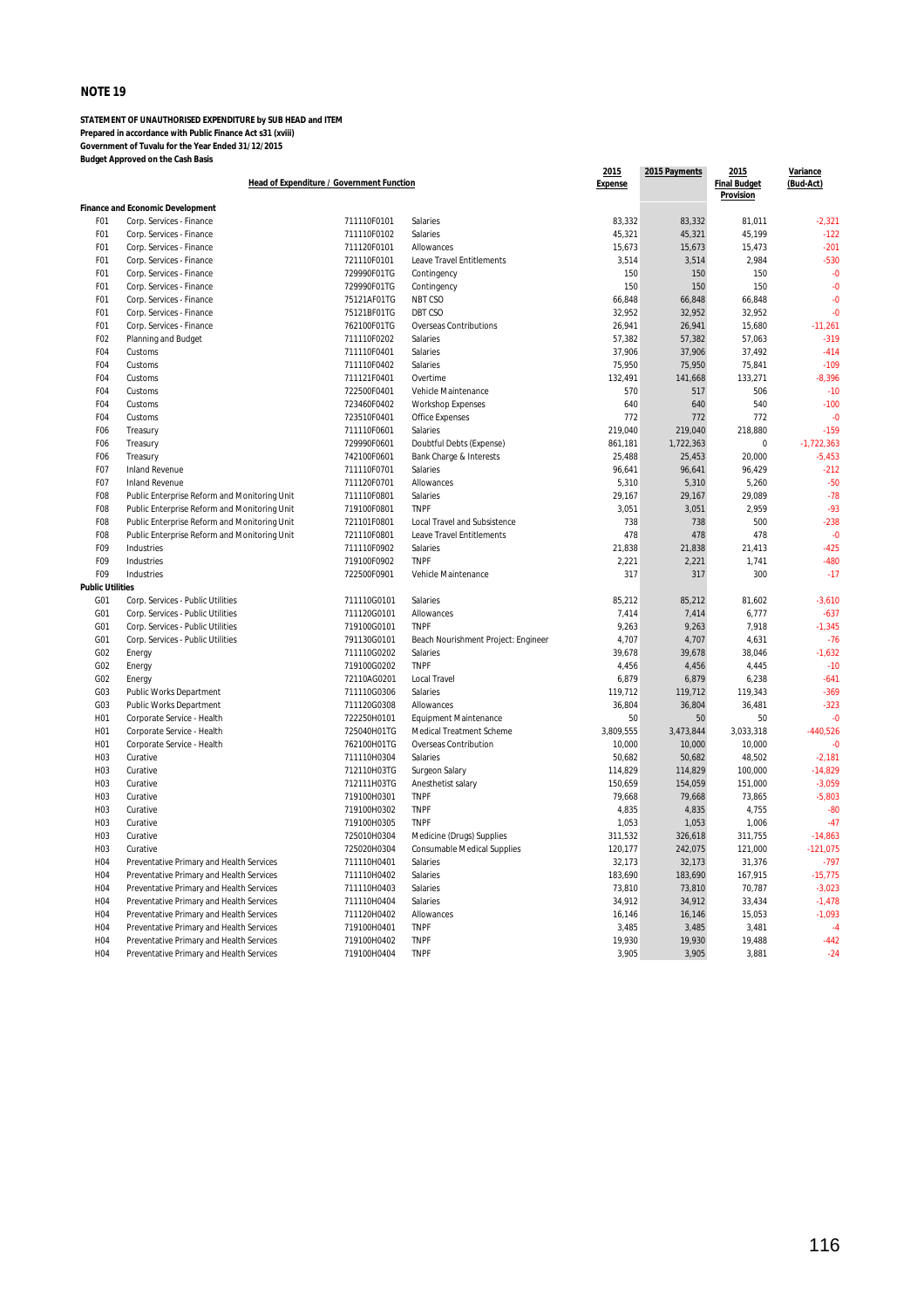|                                    |                                                                                      | Head of Expenditure / Government Function |                                             | 2015<br><b>Expense</b> | 2015 Payments   | 2015<br><b>Final Budget</b><br>Provision | Variance<br>(Bud-Act) |
|------------------------------------|--------------------------------------------------------------------------------------|-------------------------------------------|---------------------------------------------|------------------------|-----------------|------------------------------------------|-----------------------|
|                                    | <b>Finance and Economic Development</b>                                              |                                           |                                             |                        |                 |                                          |                       |
| F01                                | Corp. Services - Finance                                                             | 711110F0101                               | Salaries                                    | 83,332                 | 83,332          | 81,011                                   | $-2,321$              |
| F <sub>0</sub> 1                   | Corp. Services - Finance                                                             | 711110F0102                               | Salaries                                    | 45,321                 | 45,321          | 45,199                                   | $-122$                |
| F01                                | Corp. Services - Finance                                                             | 711120F0101                               | Allowances                                  | 15,673                 | 15,673          | 15,473                                   | $-201$                |
| F01                                | Corp. Services - Finance                                                             | 721110F0101                               | <b>Leave Travel Entitlements</b>            | 3,514                  | 3,514           | 2.984                                    | $-530$                |
| F <sub>01</sub>                    | Corp. Services - Finance                                                             | 729990F01TG                               | Contingency                                 | 150                    | 150             | 150                                      | $-0$                  |
| F01                                | Corp. Services - Finance                                                             | 729990F01TG                               | Contingency                                 | 150                    | 150             | 150                                      | $-0$                  |
| F <sub>0</sub> 1                   | Corp. Services - Finance                                                             | 75121AF01TG                               | NBT CSO                                     | 66,848                 | 66,848          | 66,848                                   | $-0$                  |
| F <sub>0</sub> 1                   | Corp. Services - Finance                                                             | 75121BF01TG                               | DBT CSO                                     | 32,952                 | 32,952          | 32,952                                   | $-0$                  |
| F <sub>0</sub> 1                   | Corp. Services - Finance                                                             | 762100F01TG                               | <b>Overseas Contributions</b>               | 26,941                 | 26,941          | 15,680                                   | $-11,261$             |
| F02                                | Planning and Budget                                                                  | 711110F0202                               | Salaries                                    | 57,382                 | 57,382          | 57,063                                   | $-319$                |
| F <sub>04</sub>                    | Customs                                                                              | 711110F0401                               | Salaries                                    | 37,906                 | 37,906          | 37,492                                   | $-414$                |
| F <sub>04</sub>                    | Customs                                                                              | 711110F0402                               | Salaries                                    | 75,950                 | 75,950          | 75,841                                   | $-109$                |
| F <sub>04</sub>                    | Customs                                                                              | 711121F0401                               | Overtime                                    | 132,491                | 141,668         | 133,271                                  | $-8,396$              |
| F <sub>04</sub>                    | Customs                                                                              | 722500F0401                               | Vehicle Maintenance                         | 570<br>640             | 517             | 506<br>540                               | $-10$<br>$-100$       |
| F <sub>04</sub><br>F <sub>04</sub> | Customs<br>Customs                                                                   | 723460F0402<br>723510F0401                | <b>Workshop Expenses</b><br>Office Expenses | 772                    | 640<br>772      | 772                                      | $-0$                  |
| F06                                | Treasury                                                                             | 711110F0601                               | Salaries                                    | 219,040                | 219,040         | 218,880                                  | $-159$                |
| F <sub>06</sub>                    | Treasury                                                                             | 729990F0601                               | Doubtful Debts (Expense)                    | 861,181                | 1,722,363       | $\mathbf 0$                              | $-1,722,363$          |
| F <sub>06</sub>                    | Treasury                                                                             | 742100F0601                               | Bank Charge & Interests                     | 25,488                 | 25,453          | 20,000                                   | $-5,453$              |
| F <sub>0</sub> 7                   | <b>Inland Revenue</b>                                                                | 711110F0701                               | Salaries                                    | 96,641                 | 96,641          | 96,429                                   | $-212$                |
| F <sub>0</sub> 7                   | <b>Inland Revenue</b>                                                                | 711120F0701                               | Allowances                                  | 5,310                  | 5,310           | 5,260                                    | $-50$                 |
| F <sub>08</sub>                    | Public Enterprise Reform and Monitoring Unit                                         | 711110F0801                               | Salaries                                    | 29,167                 | 29,167          | 29,089                                   | $-78$                 |
| F08                                | Public Enterprise Reform and Monitoring Unit                                         | 719100F0801                               | <b>TNPF</b>                                 | 3,051                  | 3,051           | 2,959                                    | $-93$                 |
| F08                                | Public Enterprise Reform and Monitoring Unit                                         | 721101F0801                               | Local Travel and Subsistence                | 738                    | 738             | 500                                      | $-238$                |
| F08                                | Public Enterprise Reform and Monitoring Unit                                         | 721110F0801                               | Leave Travel Entitlements                   | 478                    | 478             | 478                                      | $-0$                  |
| F09                                | Industries                                                                           | 711110F0902                               | Salaries                                    | 21,838                 | 21,838          | 21,413                                   | $-425$                |
| F09                                | Industries                                                                           | 719100F0902                               | <b>TNPF</b>                                 | 2,221                  | 2,221           | 1,741                                    | $-480$                |
| F09                                | Industries                                                                           | 722500F0901                               | Vehicle Maintenance                         | 317                    | 317             | 300                                      | $-17$                 |
| <b>Public Utilities</b>            |                                                                                      |                                           |                                             |                        |                 |                                          |                       |
| G01                                | Corp. Services - Public Utilities                                                    | 711110G0101                               | Salaries                                    | 85,212                 | 85,212          | 81,602                                   | $-3,610$              |
| G01                                | Corp. Services - Public Utilities                                                    | 711120G0101                               | Allowances                                  | 7,414                  | 7,414           | 6,777                                    | $-637$                |
| G01                                | Corp. Services - Public Utilities                                                    | 719100G0101                               | <b>TNPF</b>                                 | 9,263                  | 9,263           | 7,918                                    | $-1,345$              |
| G <sub>01</sub>                    | Corp. Services - Public Utilities                                                    | 791130G0101                               | Beach Nourishment Project: Engineer         | 4,707                  | 4,707           | 4,631                                    | $-76$                 |
| G02                                | Energy                                                                               | 711110G0202                               | Salaries                                    | 39,678                 | 39,678          | 38,046                                   | $-1,632$              |
| G02                                | Energy                                                                               | 719100G0202                               | <b>TNPF</b>                                 | 4,456                  | 4,456           | 4,445                                    | $-10$                 |
| G02                                | Energy                                                                               | 72110AG0201                               | <b>Local Travel</b>                         | 6,879                  | 6,879           | 6,238                                    | $-641$                |
| G03                                | Public Works Department                                                              | 711110G0306                               | Salaries                                    | 119,712                | 119,712         | 119,343                                  | $-369$                |
| G03                                | Public Works Department                                                              | 711120G0308                               | Allowances                                  | 36,804                 | 36,804          | 36,481                                   | $-323$                |
| H <sub>0</sub> 1                   | Corporate Service - Health                                                           | 722250H0101                               | <b>Equipment Maintenance</b>                | 50                     | 50              | 50                                       | $-0$                  |
| H <sub>0</sub> 1                   | Corporate Service - Health                                                           | 725040H01TG                               | Medical Treatment Scheme                    | 3,809,555              | 3,473,844       | 3,033,318                                | $-440,526$            |
| H <sub>01</sub>                    | Corporate Service - Health                                                           | 762100H01TG                               | Overseas Contribution                       | 10,000                 | 10,000          | 10,000                                   | $-0$                  |
| H <sub>0</sub> 3                   | Curative                                                                             | 711110H0304                               | Salaries                                    | 50,682                 | 50,682          | 48,502                                   | $-2,181$              |
| H <sub>0</sub> 3                   | Curative                                                                             | 712110H03TG                               | Surgeon Salary                              | 114,829                | 114,829         | 100,000                                  | $-14,829$             |
| H <sub>0</sub> 3                   | Curative                                                                             | 712111H03TG                               | Anesthetist salary                          | 150,659                | 154,059         | 151,000                                  | $-3,059$              |
| H <sub>0</sub> 3                   | Curative                                                                             | 719100H0301                               | <b>TNPF</b>                                 | 79,668                 | 79,668          | 73,865                                   | $-5,803$              |
| H03                                | Curative                                                                             | 719100H0302                               | <b>TNPF</b>                                 | 4,835                  | 4,835           | 4,755                                    | $-80$                 |
| H <sub>03</sub>                    | Curative                                                                             | 719100H0305                               | <b>TNPF</b>                                 | 1,053                  | 1,053           | 1,006                                    | $-47$                 |
| H <sub>03</sub>                    | Curative                                                                             | 725010H0304                               | Medicine (Drugs) Supplies                   | 311,532                | 326,618         | 311,755                                  | $-14,863$             |
| H <sub>03</sub>                    | Curative                                                                             | 725020H0304                               | <b>Consumable Medical Supplies</b>          | 120,177                | 242,075         | 121,000                                  | $-121,075$            |
| H04                                | Preventative Primary and Health Services                                             | 711110H0401                               | Salaries                                    | 32,173                 | 32,173          | 31,376                                   | $-797$                |
| H <sub>04</sub>                    | Preventative Primary and Health Services                                             | 711110H0402                               | Salaries                                    | 183,690                | 183,690         | 167,915                                  | $-15,775$             |
| H04                                | Preventative Primary and Health Services                                             | 711110H0403                               | Salaries                                    | 73,810                 | 73,810          | 70,787                                   | $-3,023$              |
| H04                                | Preventative Primary and Health Services                                             | 711110H0404                               | Salaries                                    | 34,912                 | 34,912          | 33,434                                   | $-1,478$              |
| H04                                | Preventative Primary and Health Services                                             | 711120H0402                               | Allowances<br><b>TNPF</b>                   | 16,146                 | 16,146          | 15,053                                   | $-1,093$<br>$-4$      |
| H04<br>H <sub>04</sub>             | Preventative Primary and Health Services<br>Preventative Primary and Health Services | 719100H0401<br>719100H0402                | <b>TNPF</b>                                 | 3,485<br>19,930        | 3,485<br>19,930 | 3,481<br>19,488                          | $-442$                |
| H <sub>04</sub>                    | Preventative Primary and Health Services                                             | 719100H0404                               | <b>TNPF</b>                                 | 3,905                  | 3,905           | 3,881                                    | $-24$                 |
|                                    |                                                                                      |                                           |                                             |                        |                 |                                          |                       |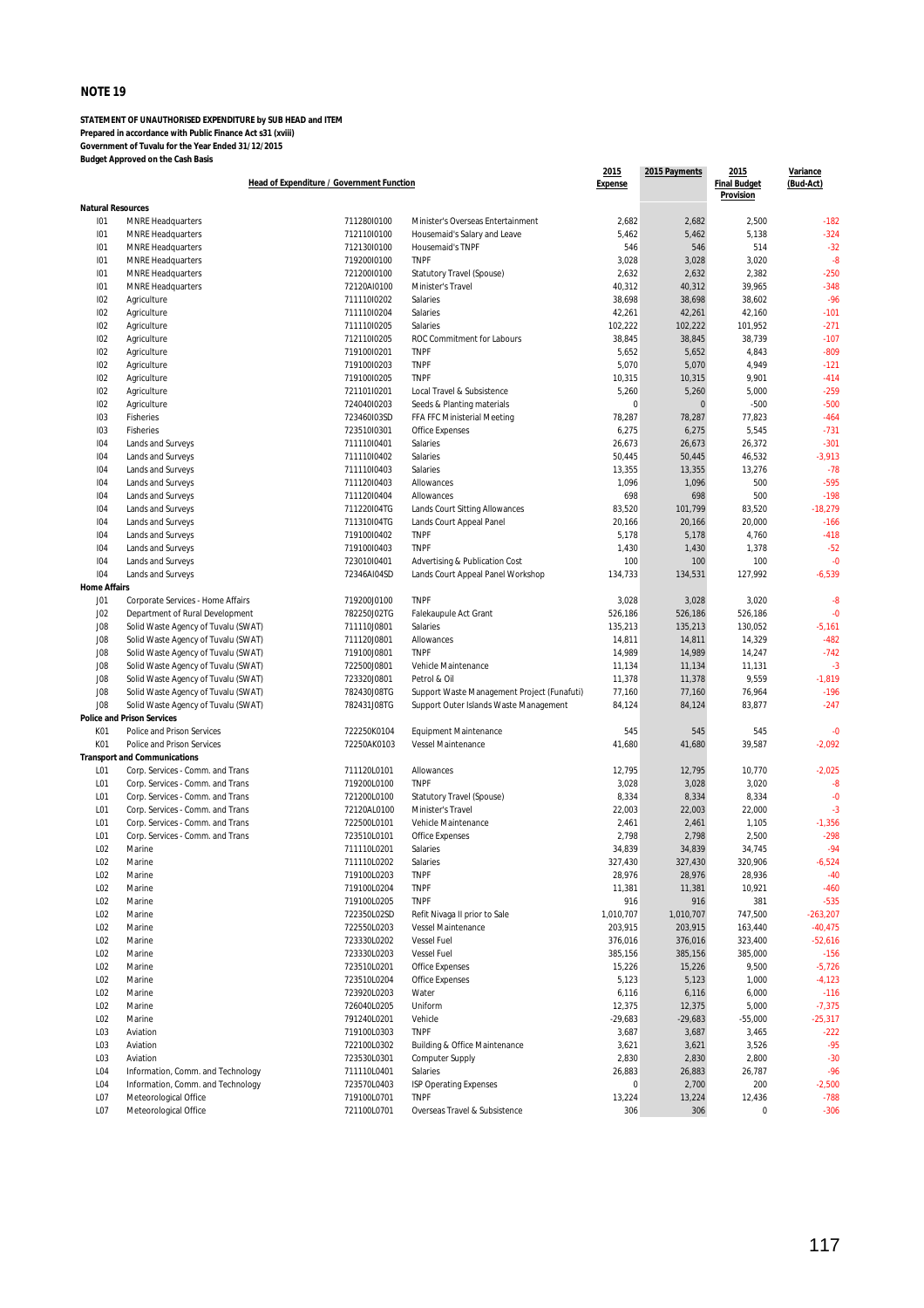|                            | Head of Expenditure / Government Function                            |                            |                                              | 2015<br><b>Expense</b> | 2015 Payments    | 2015<br><b>Final Budget</b><br>Provision | Variance<br>(Bud-Act) |
|----------------------------|----------------------------------------------------------------------|----------------------------|----------------------------------------------|------------------------|------------------|------------------------------------------|-----------------------|
| <b>Natural Resources</b>   |                                                                      |                            |                                              |                        |                  |                                          |                       |
| 101                        | <b>MNRE Headquarters</b>                                             | 71128010100                | Minister's Overseas Entertainment            | 2,682                  | 2,682            | 2,500                                    | $-182$                |
| 101                        | <b>MNRE Headquarters</b>                                             | 712110l0100                | Housemaid's Salary and Leave                 | 5,462                  | 5,462            | 5,138                                    | $-324$                |
| 101                        | <b>MNRE Headquarters</b>                                             | 71213010100                | Housemaid's TNPF                             | 546                    | 546              | 514                                      | $-32$                 |
| 101                        | <b>MNRE Headquarters</b>                                             | 719200l0100                | <b>TNPF</b>                                  | 3,028                  | 3,028            | 3,020                                    | $-8$                  |
| 101                        | <b>MNRE Headquarters</b>                                             | 721200l0100                | Statutory Travel (Spouse)                    | 2,632                  | 2,632            | 2,382                                    | $-250$                |
| 101                        | <b>MNRE Headquarters</b>                                             | 72120AI0100                | Minister's Travel                            | 40,312                 | 40,312           | 39,965                                   | $-348$                |
| 102                        | Agriculture                                                          | 711110l0202                | Salaries                                     | 38,698                 | 38,698           | 38,602                                   | $-96$                 |
| 102                        | Agriculture                                                          | 711110l0204                | Salaries                                     | 42,261                 | 42,261           | 42,160                                   | $-101$                |
| 102                        | Agriculture                                                          | 711110l0205                | Salaries                                     | 102,222                | 102,222          | 101,952                                  | $-271$                |
| 102                        | Agriculture                                                          | 71211010205                | ROC Commitment for Labours                   | 38,845                 | 38,845           | 38,739                                   | $-107$                |
| 102                        | Agriculture                                                          | 719100l0201                | <b>TNPF</b>                                  | 5,652                  | 5,652            | 4,843                                    | $-809$                |
| 102                        | Agriculture                                                          | 719100l0203                | <b>TNPF</b>                                  | 5,070                  | 5,070            | 4,949                                    | $-121$                |
| 102                        | Agriculture                                                          | 71910010205                | <b>TNPF</b>                                  | 10,315                 | 10,315           | 9,901                                    | $-414$                |
| 102                        | Agriculture                                                          | 721101l0201                | Local Travel & Subsistence                   | 5,260                  | 5,260            | 5,000                                    | $-259$                |
| 102                        | Agriculture                                                          | 72404010203                | Seeds & Planting materials                   | 0                      | $\mathbf 0$      | $-500$                                   | $-500$                |
| 103                        | Fisheries                                                            | 723460I03SD                | FFA FFC Ministerial Meeting                  | 78,287                 | 78,287           | 77,823                                   | $-464$                |
| 103                        | Fisheries                                                            | 723510l0301                | Office Expenses                              | 6,275                  | 6,275            | 5,545                                    | $-731$                |
| 104                        | Lands and Surveys                                                    | 711110l0401                | Salaries                                     | 26,673                 | 26,673           | 26,372                                   | $-301$                |
| 104                        | Lands and Surveys                                                    | 711110l0402                | Salaries                                     | 50,445                 | 50,445           | 46,532                                   | $-3,913$              |
| 104                        | Lands and Surveys                                                    | 711110l0403                | Salaries                                     | 13,355                 | 13,355           | 13,276                                   | $-78$                 |
| 104                        | Lands and Surveys                                                    | 71112010403                | Allowances                                   | 1,096                  | 1,096            | 500                                      | $-595$                |
| 104                        | Lands and Surveys                                                    | 71112010404                | Allowances                                   | 698                    | 698              | 500                                      | $-198$                |
| 104                        | Lands and Surveys                                                    | 711220I04TG                | Lands Court Sitting Allowances               | 83,520                 | 101,799          | 83,520                                   | $-18,279$             |
| 104                        | Lands and Surveys                                                    | 711310I04TG                | Lands Court Appeal Panel                     | 20,166                 | 20,166           | 20,000                                   | $-166$                |
| 104                        | Lands and Surveys                                                    | 71910010402                | <b>TNPF</b>                                  | 5,178                  | 5,178            | 4,760                                    | $-418$                |
| 104                        | Lands and Surveys                                                    | 719100I0403                | <b>TNPF</b>                                  | 1,430                  | 1,430            | 1,378                                    | $-52$                 |
| 104                        | Lands and Surveys                                                    | 723010I0401<br>72346AI04SD | Advertising & Publication Cost               | 100                    | 100              | 100                                      | $-0$                  |
| 104<br><b>Home Affairs</b> | Lands and Surveys                                                    |                            | Lands Court Appeal Panel Workshop            | 134,733                | 134,531          | 127,992                                  | $-6,539$              |
|                            |                                                                      |                            | <b>TNPF</b>                                  | 3,028                  |                  | 3,020                                    | $-8$                  |
| JO1<br>J02                 | Corporate Services - Home Affairs<br>Department of Rural Development | 719200J0100<br>782250J02TG | Falekaupule Act Grant                        | 526,186                | 3,028<br>526,186 | 526,186                                  | $-0$                  |
| J08                        | Solid Waste Agency of Tuvalu (SWAT)                                  | 711110J0801                | Salaries                                     | 135,213                | 135,213          | 130,052                                  | $-5,161$              |
| J08                        | Solid Waste Agency of Tuvalu (SWAT)                                  | 711120J0801                | Allowances                                   | 14,811                 | 14,811           | 14,329                                   | $-482$                |
| J08                        | Solid Waste Agency of Tuvalu (SWAT)                                  | 719100J0801                | <b>TNPF</b>                                  | 14,989                 | 14,989           | 14,247                                   | $-742$                |
| J08                        | Solid Waste Agency of Tuvalu (SWAT)                                  | 722500J0801                | Vehicle Maintenance                          | 11,134                 | 11,134           | 11,131                                   | $-3$                  |
| J08                        | Solid Waste Agency of Tuvalu (SWAT)                                  | 723320J0801                | Petrol & Oil                                 | 11,378                 | 11,378           | 9,559                                    | $-1,819$              |
| J08                        | Solid Waste Agency of Tuvalu (SWAT)                                  | 782430J08TG                | Support Waste Management Project (Funafuti)  | 77,160                 | 77,160           | 76,964                                   | $-196$                |
| J <sub>08</sub>            | Solid Waste Agency of Tuvalu (SWAT)                                  | 782431J08TG                | Support Outer Islands Waste Management       | 84,124                 | 84,124           | 83,877                                   | $-247$                |
|                            | <b>Police and Prison Services</b>                                    |                            |                                              |                        |                  |                                          |                       |
| K01                        | Police and Prison Services                                           | 722250K0104                | <b>Equipment Maintenance</b>                 | 545                    | 545              | 545                                      | $-0$                  |
| K01                        | Police and Prison Services                                           | 72250AK0103                | Vessel Maintenance                           | 41,680                 | 41,680           | 39,587                                   | $-2,092$              |
|                            | <b>Transport and Communications</b>                                  |                            |                                              |                        |                  |                                          |                       |
| L01                        | Corp. Services - Comm. and Trans                                     | 711120L0101                | Allowances                                   | 12,795                 | 12,795           | 10,770                                   | $-2,025$              |
| L01                        | Corp. Services - Comm. and Trans                                     | 719200L0100                | <b>TNPF</b>                                  | 3,028                  | 3,028            | 3,020                                    | $-8$                  |
| L01                        | Corp. Services - Comm. and Trans                                     | 721200L0100                | Statutory Travel (Spouse)                    | 8,334                  | 8,334            | 8,334                                    | $-0$                  |
| L01                        | Corp. Services - Comm. and Trans                                     | 72120AL0100                | Minister's Travel                            | 22,003                 | 22,003           | 22,000                                   | $-3$                  |
| L01                        | Corp. Services - Comm. and Trans                                     | 722500L0101                | Vehicle Maintenance                          | 2,461                  | 2,461            | 1,105                                    | $-1,356$              |
| L01                        | Corp. Services - Comm. and Trans                                     | 723510L0101                | <b>Office Expenses</b>                       | 2,798                  | 2,798            | 2,500                                    | $-298$                |
| L02                        | Marine                                                               | 711110L0201                | Salaries                                     | 34,839                 | 34,839           | 34,745                                   | $-94$                 |
| LO <sub>2</sub>            | Marine                                                               | 711110L0202                | Salaries                                     | 327,430                | 327,430          | 320,906                                  | $-6,524$              |
| L02                        | Marine                                                               | 719100L0203                | <b>TNPF</b>                                  | 28,976                 | 28,976           | 28,936                                   | $-40$                 |
| L <sub>02</sub>            | Marine                                                               | 719100L0204                | <b>TNPF</b>                                  | 11,381                 | 11,381           | 10,921                                   | $-460$                |
| L <sub>02</sub>            | Marine                                                               | 719100L0205                | <b>TNPF</b>                                  | 916                    | 916              | 381                                      | $-535$                |
| L <sub>02</sub>            | Marine                                                               | 722350L02SD                | Refit Nivaga II prior to Sale                | 1,010,707              | 1,010,707        | 747,500                                  | $-263,207$            |
| L <sub>02</sub>            | Marine                                                               | 722550L0203                | Vessel Maintenance                           | 203,915                | 203,915          | 163,440                                  | $-40,475$             |
| L <sub>02</sub>            | Marine                                                               | 723330L0202                | <b>Vessel Fuel</b>                           | 376,016                | 376,016          | 323,400                                  | $-52,616$             |
| L <sub>02</sub>            | Marine                                                               | 723330L0203                | <b>Vessel Fuel</b>                           | 385,156                | 385,156          | 385,000                                  | $-156$                |
| L <sub>02</sub>            | Marine                                                               | 723510L0201                | Office Expenses                              | 15,226                 | 15,226           | 9,500                                    | $-5,726$              |
| L <sub>02</sub>            | Marine                                                               | 723510L0204                | Office Expenses                              | 5,123                  | 5,123            | 1,000                                    | $-4,123$              |
| L <sub>02</sub>            | Marine                                                               | 723920L0203                | Water                                        | 6,116                  | 6,116            | 6,000                                    | $-116$                |
| L <sub>02</sub>            | Marine                                                               | 726040L0205                | Uniform                                      | 12,375                 | 12,375           | 5,000                                    | $-7,375$              |
| L <sub>02</sub>            | Marine                                                               | 791240L0201                | Vehicle                                      | $-29,683$              | $-29,683$        | $-55,000$                                | $-25,317$             |
| L03                        | Aviation                                                             | 719100L0303                | <b>TNPF</b>                                  | 3,687                  | 3,687            | 3,465                                    | $-222$                |
| L03                        | Aviation                                                             | 722100L0302                | <b>Building &amp; Office Maintenance</b>     | 3,621                  | 3,621            | 3,526                                    | $-95$                 |
| L <sub>03</sub>            | Aviation                                                             | 723530L0301                | <b>Computer Supply</b>                       | 2,830                  | 2,830            | 2,800                                    | $-30$                 |
| L04                        | Information, Comm. and Technology                                    | 711110L0401                | Salaries                                     | 26,883                 | 26,883           | 26,787                                   | $-96$                 |
| L04<br>L07                 | Information, Comm. and Technology                                    | 723570L0403<br>719100L0701 | <b>ISP Operating Expenses</b><br><b>TNPF</b> | 0                      | 2,700            | 200                                      | $-2,500$<br>$-788$    |
| L07                        | Meteorological Office<br>Meteorological Office                       | 721100L0701                | Overseas Travel & Subsistence                | 13,224<br>306          | 13,224<br>306    | 12,436<br>0                              | $-306$                |
|                            |                                                                      |                            |                                              |                        |                  |                                          |                       |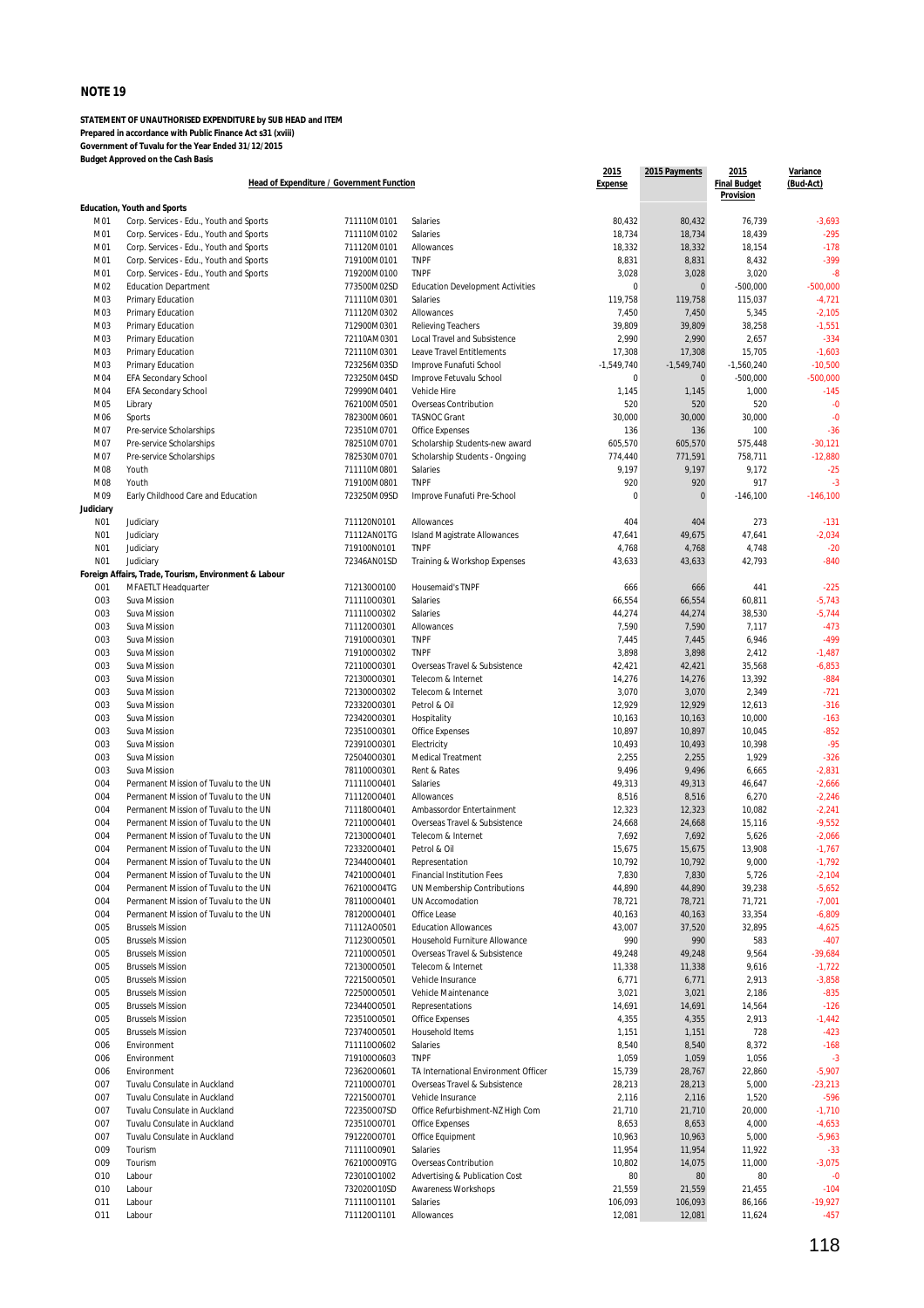|                 | Head of Expenditure / Government Function             |                            |                                                                  |                        | 2015 Payments | 2015<br><b>Final Budget</b><br>Provision | Variance<br>(Bud-Act) |
|-----------------|-------------------------------------------------------|----------------------------|------------------------------------------------------------------|------------------------|---------------|------------------------------------------|-----------------------|
|                 | <b>Education, Youth and Sports</b>                    |                            |                                                                  |                        |               |                                          |                       |
| M01             | Corp. Services - Edu., Youth and Sports               | 711110M0101                | Salaries                                                         | 80,432                 | 80,432        | 76,739                                   | $-3,693$              |
| M01             | Corp. Services - Edu., Youth and Sports               | 711110M0102                | Salaries                                                         | 18,734                 | 18,734        | 18,439                                   | $-295$                |
| M01             | Corp. Services - Edu., Youth and Sports               | 711120M0101                | Allowances                                                       | 18,332                 | 18,332        | 18,154                                   | $-178$                |
| M01             | Corp. Services - Edu., Youth and Sports               | 719100M0101                | <b>TNPF</b>                                                      | 8,831                  | 8,831         | 8,432                                    | $-399$                |
| M01             | Corp. Services - Edu., Youth and Sports               | 719200M0100                | <b>TNPF</b>                                                      | 3,028                  | 3,028         | 3,020                                    | $-8$                  |
| M02             | <b>Education Department</b>                           | 773500M02SD                | <b>Education Development Activities</b>                          | $\mathbf 0$            | $\mathbf 0$   | $-500,000$                               | $-500,000$            |
| M03             | Primary Education                                     | 711110M0301                | Salaries                                                         | 119,758                | 119,758       | 115,037                                  | $-4,721$              |
| M03             | <b>Primary Education</b>                              | 711120M0302                | Allowances                                                       | 7,450                  | 7,450         | 5,345                                    | $-2,105$              |
| M03             | Primary Education                                     | 712900M0301                | <b>Relieving Teachers</b>                                        | 39,809                 | 39,809        | 38,258                                   | $-1,551$<br>$-334$    |
| M03<br>M03      | Primary Education<br>Primary Education                | 72110AM0301                | Local Travel and Subsistence<br><b>Leave Travel Entitlements</b> | 2,990                  | 2,990         | 2,657                                    |                       |
| M03             |                                                       | 721110M0301<br>723256M03SD |                                                                  | 17,308<br>$-1,549,740$ | 17,308        | 15,705                                   | $-1,603$<br>$-10,500$ |
|                 | Primary Education                                     | 723250M04SD                | Improve Funafuti School                                          | 0                      | $-1,549,740$  | $-1,560,240$                             | $-500.000$            |
| M04             | <b>EFA Secondary School</b>                           |                            | Improve Fetuvalu School                                          |                        | $\mathbf 0$   | $-500,000$                               |                       |
| M04             | EFA Secondary School                                  | 729990M0401                | Vehicle Hire                                                     | 1,145                  | 1,145<br>520  | 1,000                                    | $-145$                |
| M05<br>M06      | Library                                               | 762100M0501<br>782300M0601 | Overseas Contribution<br><b>TASNOC Grant</b>                     | 520<br>30,000          | 30,000        | 520<br>30,000                            | $-0$<br>$-0$          |
|                 | Sports                                                |                            |                                                                  |                        |               |                                          |                       |
| M07             | Pre-service Scholarships                              | 723510M0701                | <b>Office Expenses</b>                                           | 136                    | 136           | 100                                      | $-36$                 |
| M07             | Pre-service Scholarships                              | 782510M0701                | Scholarship Students-new award                                   | 605,570                | 605,570       | 575,448                                  | $-30,121$             |
| M07             | Pre-service Scholarships                              | 782530M0701<br>711110M0801 | Scholarship Students - Ongoing                                   | 774,440                | 771,591       | 758,711                                  | $-12,880$             |
| M08             | Youth                                                 |                            | Salaries                                                         | 9,197                  | 9,197         | 9,172                                    | $-25$                 |
| M08             | Youth                                                 | 719100M0801                | <b>TNPF</b>                                                      | 920                    | 920           | 917                                      | $-3$                  |
| M09             | Early Childhood Care and Education                    | 723250M09SD                | Improve Funafuti Pre-School                                      | $\mathbf 0$            | $\mathbf 0$   | $-146,100$                               | $-146,100$            |
| Judiciary       |                                                       |                            |                                                                  |                        |               |                                          |                       |
| N01             | Judiciary                                             | 711120N0101                | Allowances                                                       | 404                    | 404           | 273                                      | $-131$                |
| N01             | Judiciary                                             | 71112AN01TG                | Island Magistrate Allowances                                     | 47,641                 | 49,675        | 47,641                                   | $-2,034$              |
| N01             | Judiciary                                             | 719100N0101                | <b>TNPF</b>                                                      | 4,768                  | 4,768         | 4,748                                    | $-20$                 |
| N01             | Judiciary                                             | 72346AN01SD                | Training & Workshop Expenses                                     | 43,633                 | 43,633        | 42,793                                   | $-840$                |
|                 | Foreign Affairs, Trade, Tourism, Environment & Labour |                            |                                                                  |                        |               |                                          |                       |
| O01             | MFAETLT Headquarter                                   | 71213000100                | <b>Housemaid's TNPF</b>                                          | 666                    | 666           | 441                                      | $-225$                |
| O03             | Suva Mission                                          | 71111000301                | Salaries                                                         | 66,554                 | 66,554        | 60,811                                   | $-5,743$              |
| O03             | Suva Mission                                          | 71111000302                | Salaries                                                         | 44,274                 | 44,274        | 38,530                                   | $-5,744$              |
| O03             | Suva Mission                                          | 71112000301                | Allowances                                                       | 7,590                  | 7,590         | 7,117                                    | $-473$                |
| O03             | Suva Mission                                          | 71910000301                | <b>TNPF</b>                                                      | 7,445                  | 7,445         | 6,946                                    | $-499$                |
| O03             | Suva Mission                                          | 71910000302                | <b>TNPF</b>                                                      | 3,898                  | 3,898         | 2,412                                    | $-1,487$              |
| O03             | Suva Mission                                          | 72110000301                | Overseas Travel & Subsistence                                    | 42,421                 | 42,421        | 35,568                                   | $-6,853$              |
| O03             | Suva Mission                                          | 72130000301                | Telecom & Internet                                               | 14,276                 | 14,276        | 13,392                                   | $-884$                |
| O03             | Suva Mission                                          | 72130000302                | Telecom & Internet                                               | 3,070                  | 3,070         | 2,349                                    | $-721$                |
| O03             | Suva Mission                                          | 72332000301                | Petrol & Oil                                                     | 12,929                 | 12,929        | 12,613                                   | $-316$                |
| O03             | Suva Mission                                          | 72342000301                | Hospitality                                                      | 10,163                 | 10,163        | 10,000                                   | $-163$                |
| O03             | Suva Mission                                          | 72351000301                | <b>Office Expenses</b>                                           | 10,897                 | 10,897        | 10,045                                   | $-852$                |
| O03             | Suva Mission                                          | 72391000301                | Electricity                                                      | 10,493                 | 10,493        | 10,398                                   | $-95$                 |
| O03             | Suva Mission                                          | 725040O0301                | Medical Treatment                                                | 2,255                  | 2,255         | 1,929                                    | $-326$                |
| O03             | Suva Mission                                          | 78110000301                | Rent & Rates                                                     | 9,496                  | 9,496         | 6,665                                    | $-2,831$              |
| <b>O04</b>      | Permanent Mission of Tuvalu to the UN                 | 71111000401                | Salaries                                                         | 49,313                 | 49,313        | 46,647                                   | $-2,666$              |
| O04             | Permanent Mission of Tuvalu to the UN                 | 71112000401                | Allowances                                                       | 8,516                  | 8,516         | 6,270                                    | $-2,246$              |
| 004             | Permanent Mission of Tuvalu to the UN                 | 71118000401                | Ambassordor Entertainment                                        | 12,323                 | 12,323        | 10,082                                   | $-2,241$              |
| <b>O04</b>      | Permanent Mission of Tuvalu to the UN                 | 72110000401                | Overseas Travel & Subsistence                                    | 24,668                 | 24,668        | 15,116                                   | $-9,552$              |
| O04             | Permanent Mission of Tuvalu to the UN                 | 72130000401                | Telecom & Internet                                               | 7,692                  | 7,692         | 5,626                                    | $-2,066$              |
| <b>O04</b>      | Permanent Mission of Tuvalu to the UN                 | 72332000401                | Petrol & Oil                                                     | 15,675                 | 15,675        | 13,908                                   | $-1,767$              |
| O <sub>04</sub> | Permanent Mission of Tuvalu to the UN                 | 72344000401                | Representation                                                   | 10,792                 | 10,792        | 9,000                                    | -1,792                |
| 004             | Permanent Mission of Tuvalu to the UN                 | 74210000401                | <b>Financial Institution Fees</b>                                | 7,830                  | 7,830         | 5,726                                    | $-2,104$              |
| 004             | Permanent Mission of Tuvalu to the UN                 | 762100004TG                | UN Membership Contributions                                      | 44,890                 | 44,890        | 39,238                                   | $-5,652$              |
| 004             | Permanent Mission of Tuvalu to the UN                 | 78110000401                | UN Accomodation                                                  | 78,721                 | 78,721        | 71,721                                   | $-7,001$              |
| 004             | Permanent Mission of Tuvalu to the UN                 | 78120000401                | Office Lease                                                     | 40,163                 | 40,163        | 33,354                                   | $-6,809$              |
| 005             | <b>Brussels Mission</b>                               | 71112AO0501                | <b>Education Allowances</b>                                      | 43,007                 | 37,520        | 32,895                                   | $-4,625$              |
| 005             | <b>Brussels Mission</b>                               | 71123000501                | Household Furniture Allowance                                    | 990                    | 990           | 583                                      | $-407$                |
| 005             | <b>Brussels Mission</b>                               | 72110000501                | Overseas Travel & Subsistence                                    | 49,248                 | 49,248        | 9,564                                    | $-39,684$             |
| <b>O05</b>      | <b>Brussels Mission</b>                               | 72130000501                | Telecom & Internet                                               | 11,338                 | 11,338        | 9,616                                    | $-1,722$              |
| 005             | <b>Brussels Mission</b>                               | 72215000501                | Vehicle Insurance                                                | 6,771                  | 6,771         | 2,913                                    | $-3,858$              |
| 005             | <b>Brussels Mission</b>                               | 72250000501                | Vehicle Maintenance                                              | 3,021                  | 3,021         | 2,186                                    | $-835$                |
| 005             | <b>Brussels Mission</b>                               | 72344000501                | Representations                                                  | 14,691                 | 14,691        | 14,564                                   | $-126$                |
| 005             | <b>Brussels Mission</b>                               | 72351000501                | <b>Office Expenses</b>                                           | 4,355                  | 4,355         | 2,913                                    | $-1,442$              |
| <b>O05</b>      | <b>Brussels Mission</b>                               | 72374000501                | Household Items                                                  | 1,151                  | 1,151         | 728                                      | $-423$                |
| 006             | Environment                                           | 71111000602                | Salaries                                                         | 8,540                  | 8,540         | 8,372                                    | $-168$                |
| 006             | Environment                                           | 71910000603                | <b>TNPF</b>                                                      | 1,059                  | 1,059         | 1,056                                    | $-3$                  |
| 006             | Environment                                           | 72362000601                | TA International Environment Officer                             | 15,739                 | 28,767        | 22,860                                   | $-5,907$              |
| 007             | Tuvalu Consulate in Auckland                          | 72110000701                | Overseas Travel & Subsistence                                    | 28,213                 | 28,213        | 5,000                                    | $-23,213$             |
| 007             | Tuvalu Consulate in Auckland                          | 72215000701                | Vehicle Insurance                                                | 2,116                  | 2,116         | 1,520                                    | $-596$                |
| <b>O07</b>      | Tuvalu Consulate in Auckland                          | 722350007SD                | Office Refurbishment-NZ High Com                                 | 21,710                 | 21,710        | 20,000                                   | $-1,710$              |
| 007             | Tuvalu Consulate in Auckland                          | 72351000701                | <b>Office Expenses</b>                                           | 8,653                  | 8,653         | 4,000                                    | $-4,653$              |
| 007             | Tuvalu Consulate in Auckland                          | 79122000701                | Office Equipment                                                 | 10,963                 | 10,963        | 5,000                                    | $-5,963$              |
| 009             | Tourism                                               | 71111000901                | Salaries                                                         | 11,954                 | 11,954        | 11,922                                   | $-33$                 |
| O09             | Tourism                                               | 762100009TG                | Overseas Contribution                                            | 10,802                 | 14,075        | 11,000                                   | $-3,075$              |
| 010             | Labour                                                | 72301001002                | Advertising & Publication Cost                                   | 80                     | 80            | 80                                       | $-0$                  |
| 010             | Labour                                                | 732020010SD                | Awareness Workshops                                              | 21,559                 | 21,559        | 21,455                                   | $-104$                |
| 011             | Labour                                                | 71111001101                | Salaries                                                         | 106,093                | 106,093       | 86,166                                   | $-19,927$             |
| 011             | Labour                                                | 71112001101                | Allowances                                                       | 12,081                 | 12,081        | 11,624                                   | $-457$                |